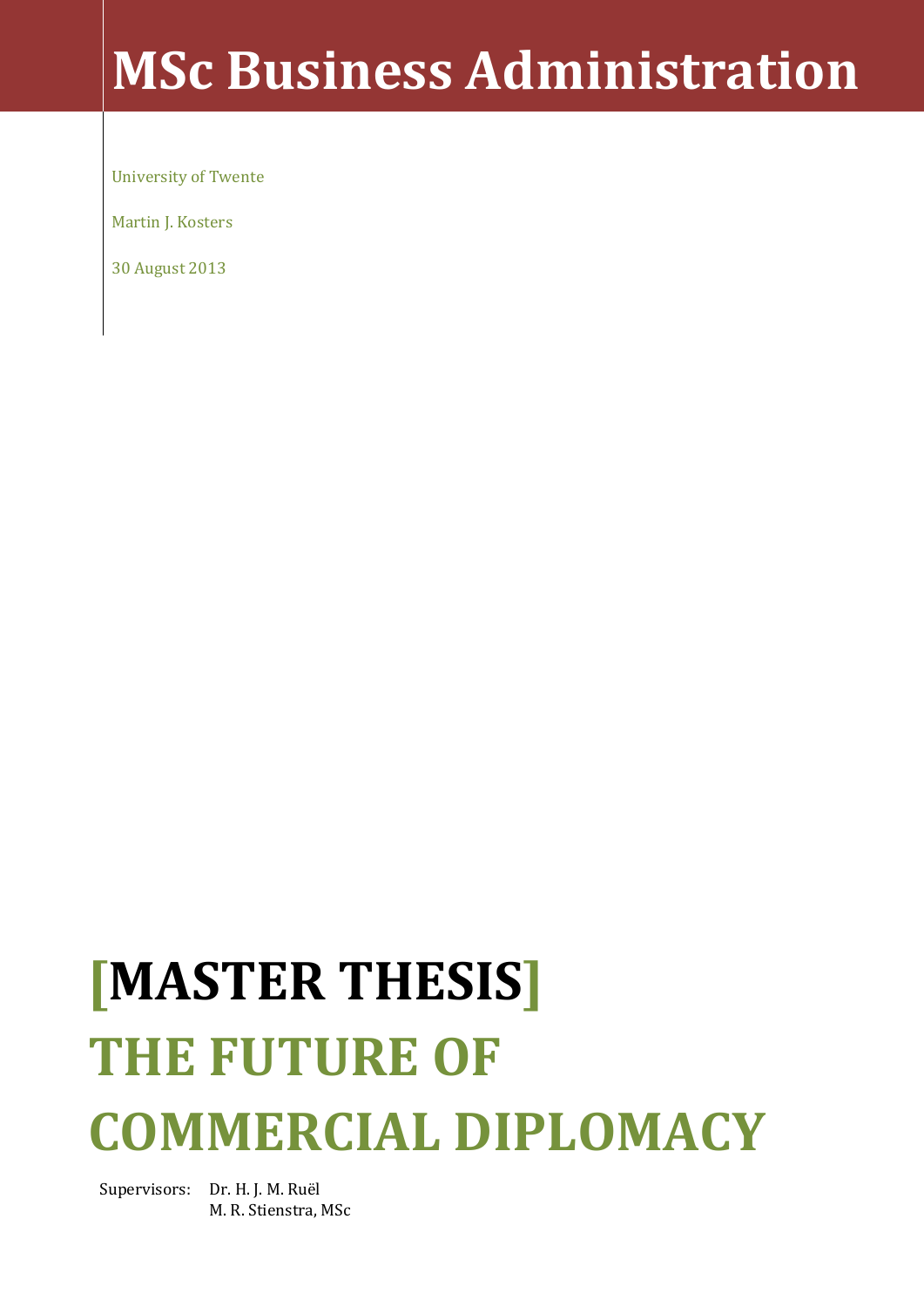## **MSc Business Administration**

University of Twente

Martin J. Kosters

30 August 2013

# **[MASTER THESIS] THE FUTURE OF COMMERCIAL DIPLOMACY**

Supervisors: Dr. H. J. M. Ruël M. R. Stienstra, MSc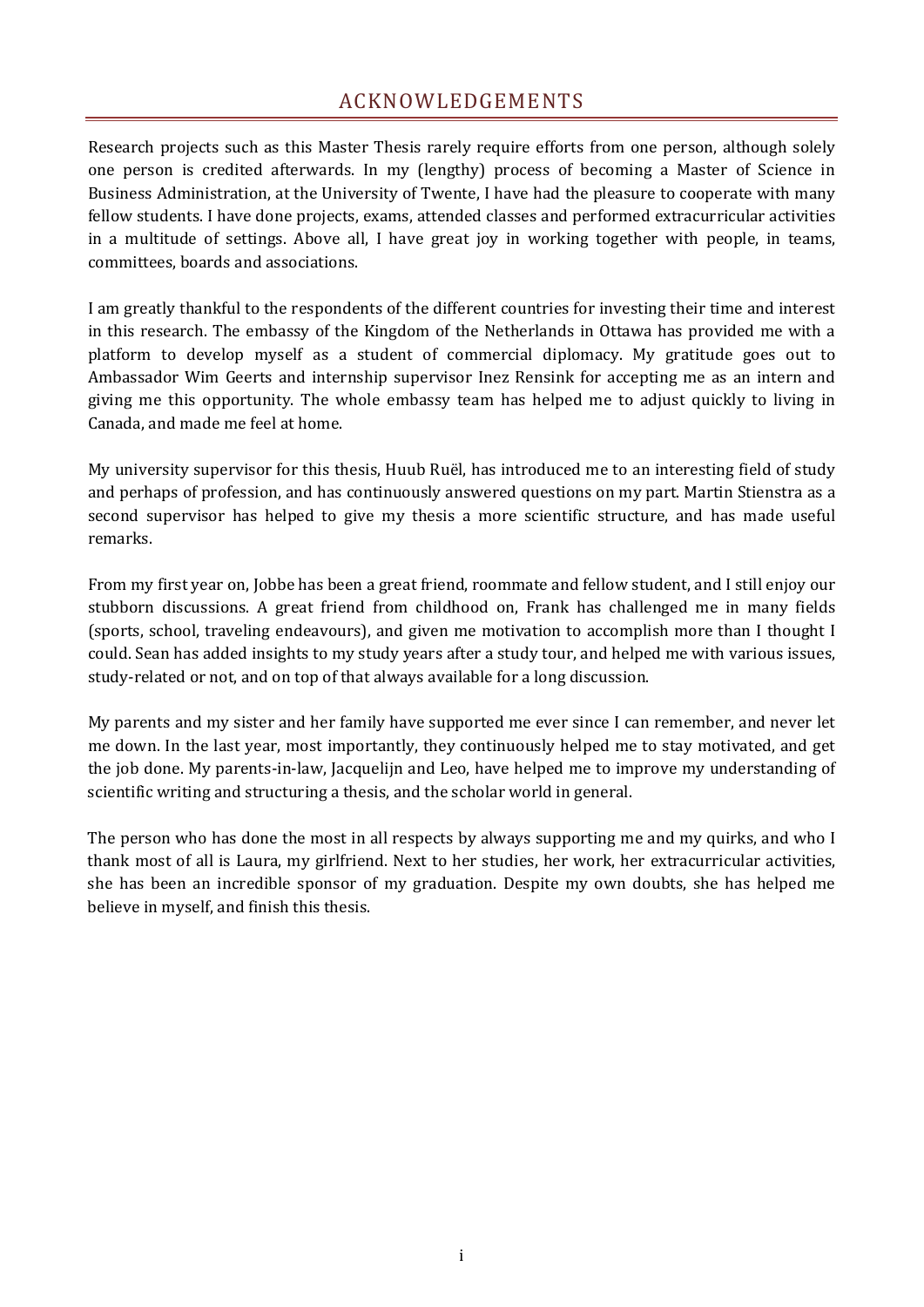## ACKNOWLEDGEMENTS

<span id="page-2-0"></span>Research projects such as this Master Thesis rarely require efforts from one person, although solely one person is credited afterwards. In my (lengthy) process of becoming a Master of Science in Business Administration, at the University of Twente, I have had the pleasure to cooperate with many fellow students. I have done projects, exams, attended classes and performed extracurricular activities in a multitude of settings. Above all, I have great joy in working together with people, in teams, committees, boards and associations.

I am greatly thankful to the respondents of the different countries for investing their time and interest in this research. The embassy of the Kingdom of the Netherlands in Ottawa has provided me with a platform to develop myself as a student of commercial diplomacy. My gratitude goes out to Ambassador Wim Geerts and internship supervisor Inez Rensink for accepting me as an intern and giving me this opportunity. The whole embassy team has helped me to adjust quickly to living in Canada, and made me feel at home.

My university supervisor for this thesis, Huub Ruël, has introduced me to an interesting field of study and perhaps of profession, and has continuously answered questions on my part. Martin Stienstra as a second supervisor has helped to give my thesis a more scientific structure, and has made useful remarks.

From my first year on, Jobbe has been a great friend, roommate and fellow student, and I still enjoy our stubborn discussions. A great friend from childhood on, Frank has challenged me in many fields (sports, school, traveling endeavours), and given me motivation to accomplish more than I thought I could. Sean has added insights to my study years after a study tour, and helped me with various issues, study-related or not, and on top of that always available for a long discussion.

My parents and my sister and her family have supported me ever since I can remember, and never let me down. In the last year, most importantly, they continuously helped me to stay motivated, and get the job done. My parents-in-law, Jacquelijn and Leo, have helped me to improve my understanding of scientific writing and structuring a thesis, and the scholar world in general.

The person who has done the most in all respects by always supporting me and my quirks, and who I thank most of all is Laura, my girlfriend. Next to her studies, her work, her extracurricular activities, she has been an incredible sponsor of my graduation. Despite my own doubts, she has helped me believe in myself, and finish this thesis.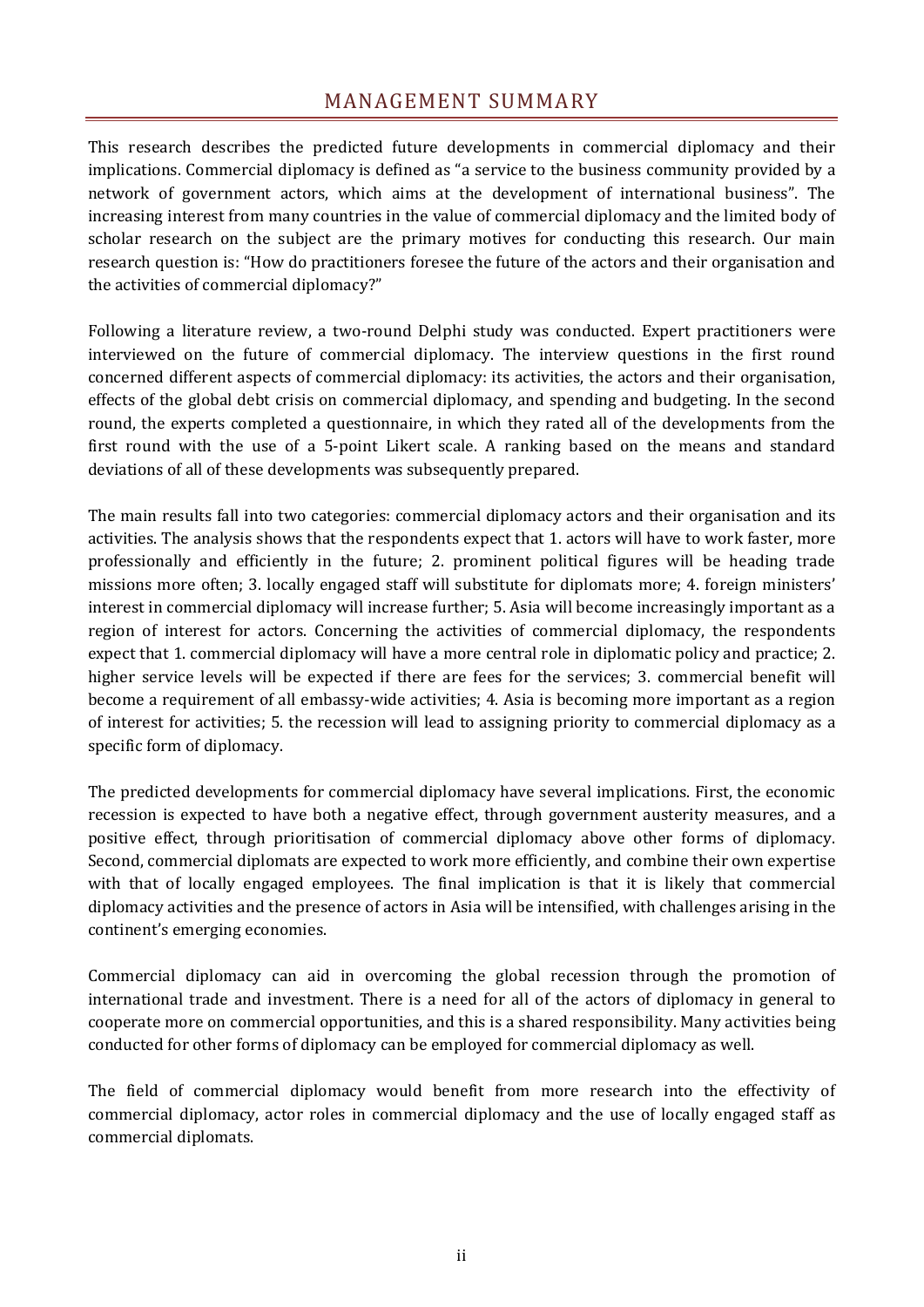## MANAGEMENT SUMMARY

<span id="page-3-0"></span>This research describes the predicted future developments in commercial diplomacy and their implications. Commercial diplomacy is defined as "a service to the business community provided by a network of government actors, which aims at the development of international business". The increasing interest from many countries in the value of commercial diplomacy and the limited body of scholar research on the subject are the primary motives for conducting this research. Our main research question is: "How do practitioners foresee the future of the actors and their organisation and the activities of commercial diplomacy?"

Following a literature review, a two-round Delphi study was conducted. Expert practitioners were interviewed on the future of commercial diplomacy. The interview questions in the first round concerned different aspects of commercial diplomacy: its activities, the actors and their organisation, effects of the global debt crisis on commercial diplomacy, and spending and budgeting. In the second round, the experts completed a questionnaire, in which they rated all of the developments from the first round with the use of a 5-point Likert scale. A ranking based on the means and standard deviations of all of these developments was subsequently prepared.

The main results fall into two categories: commercial diplomacy actors and their organisation and its activities. The analysis shows that the respondents expect that 1. actors will have to work faster, more professionally and efficiently in the future; 2. prominent political figures will be heading trade missions more often; 3. locally engaged staff will substitute for diplomats more; 4. foreign ministers' interest in commercial diplomacy will increase further; 5. Asia will become increasingly important as a region of interest for actors. Concerning the activities of commercial diplomacy, the respondents expect that 1. commercial diplomacy will have a more central role in diplomatic policy and practice; 2. higher service levels will be expected if there are fees for the services; 3. commercial benefit will become a requirement of all embassy-wide activities; 4. Asia is becoming more important as a region of interest for activities; 5. the recession will lead to assigning priority to commercial diplomacy as a specific form of diplomacy.

The predicted developments for commercial diplomacy have several implications. First, the economic recession is expected to have both a negative effect, through government austerity measures, and a positive effect, through prioritisation of commercial diplomacy above other forms of diplomacy. Second, commercial diplomats are expected to work more efficiently, and combine their own expertise with that of locally engaged employees. The final implication is that it is likely that commercial diplomacy activities and the presence of actors in Asia will be intensified, with challenges arising in the continent's emerging economies.

Commercial diplomacy can aid in overcoming the global recession through the promotion of international trade and investment. There is a need for all of the actors of diplomacy in general to cooperate more on commercial opportunities, and this is a shared responsibility. Many activities being conducted for other forms of diplomacy can be employed for commercial diplomacy as well.

The field of commercial diplomacy would benefit from more research into the effectivity of commercial diplomacy, actor roles in commercial diplomacy and the use of locally engaged staff as commercial diplomats.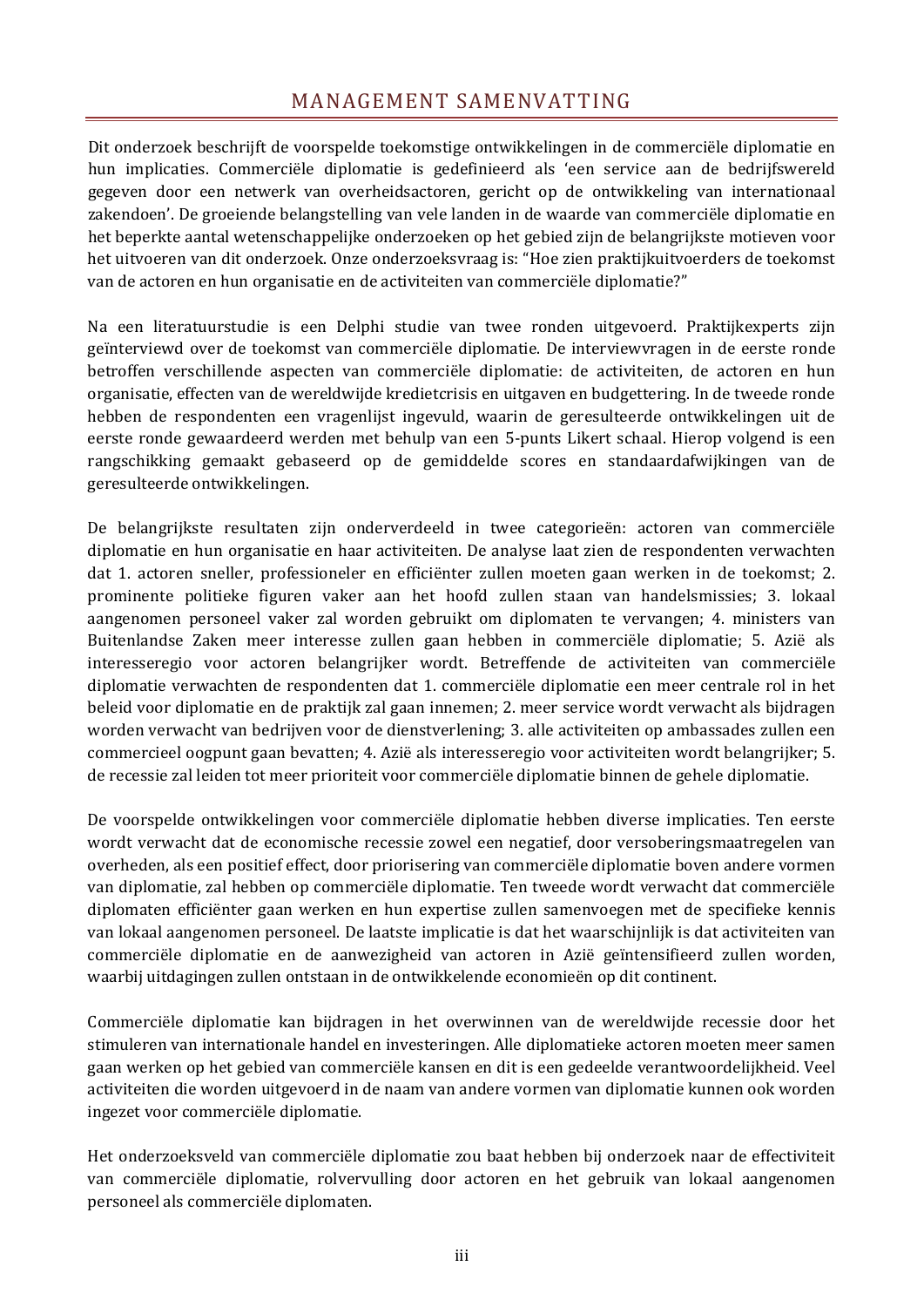## MANAGEMENT SAMENVATTING

<span id="page-4-0"></span>Dit onderzoek beschrijft de voorspelde toekomstige ontwikkelingen in de commerciële diplomatie en hun implicaties. Commerciële diplomatie is gedefinieerd als 'een service aan de bedrijfswereld gegeven door een netwerk van overheidsactoren, gericht op de ontwikkeling van internationaal zakendoen'. De groeiende belangstelling van vele landen in de waarde van commerciële diplomatie en het beperkte aantal wetenschappelijke onderzoeken op het gebied zijn de belangrijkste motieven voor het uitvoeren van dit onderzoek. Onze onderzoeksvraag is: "Hoe zien praktijkuitvoerders de toekomst van de actoren en hun organisatie en de activiteiten van commerciële diplomatie?"

Na een literatuurstudie is een Delphi studie van twee ronden uitgevoerd. Praktijkexperts zijn geïnterviewd over de toekomst van commerciële diplomatie. De interviewvragen in de eerste ronde betroffen verschillende aspecten van commerciële diplomatie: de activiteiten, de actoren en hun organisatie, effecten van de wereldwijde kredietcrisis en uitgaven en budgettering. In de tweede ronde hebben de respondenten een vragenlijst ingevuld, waarin de geresulteerde ontwikkelingen uit de eerste ronde gewaardeerd werden met behulp van een 5-punts Likert schaal. Hierop volgend is een rangschikking gemaakt gebaseerd op de gemiddelde scores en standaardafwijkingen van de geresulteerde ontwikkelingen.

De belangrijkste resultaten zijn onderverdeeld in twee categorieën: actoren van commerciële diplomatie en hun organisatie en haar activiteiten. De analyse laat zien de respondenten verwachten dat 1. actoren sneller, professioneler en efficiënter zullen moeten gaan werken in de toekomst; 2. prominente politieke figuren vaker aan het hoofd zullen staan van handelsmissies; 3. lokaal aangenomen personeel vaker zal worden gebruikt om diplomaten te vervangen; 4. ministers van Buitenlandse Zaken meer interesse zullen gaan hebben in commerciële diplomatie; 5. Azië als interesseregio voor actoren belangrijker wordt. Betreffende de activiteiten van commerciële diplomatie verwachten de respondenten dat 1. commerciële diplomatie een meer centrale rol in het beleid voor diplomatie en de praktijk zal gaan innemen; 2. meer service wordt verwacht als bijdragen worden verwacht van bedrijven voor de dienstverlening; 3. alle activiteiten op ambassades zullen een commercieel oogpunt gaan bevatten; 4. Azië als interesseregio voor activiteiten wordt belangrijker; 5. de recessie zal leiden tot meer prioriteit voor commerciële diplomatie binnen de gehele diplomatie.

De voorspelde ontwikkelingen voor commerciële diplomatie hebben diverse implicaties. Ten eerste wordt verwacht dat de economische recessie zowel een negatief, door versoberingsmaatregelen van overheden, als een positief effect, door priorisering van commerciële diplomatie boven andere vormen van diplomatie, zal hebben op commerciële diplomatie. Ten tweede wordt verwacht dat commerciële diplomaten efficiënter gaan werken en hun expertise zullen samenvoegen met de specifieke kennis van lokaal aangenomen personeel. De laatste implicatie is dat het waarschijnlijk is dat activiteiten van commerciële diplomatie en de aanwezigheid van actoren in Azië geïntensifieerd zullen worden, waarbij uitdagingen zullen ontstaan in de ontwikkelende economieën op dit continent.

Commerciële diplomatie kan bijdragen in het overwinnen van de wereldwijde recessie door het stimuleren van internationale handel en investeringen. Alle diplomatieke actoren moeten meer samen gaan werken op het gebied van commerciële kansen en dit is een gedeelde verantwoordelijkheid. Veel activiteiten die worden uitgevoerd in de naam van andere vormen van diplomatie kunnen ook worden ingezet voor commerciële diplomatie.

Het onderzoeksveld van commerciële diplomatie zou baat hebben bij onderzoek naar de effectiviteit van commerciële diplomatie, rolvervulling door actoren en het gebruik van lokaal aangenomen personeel als commerciële diplomaten.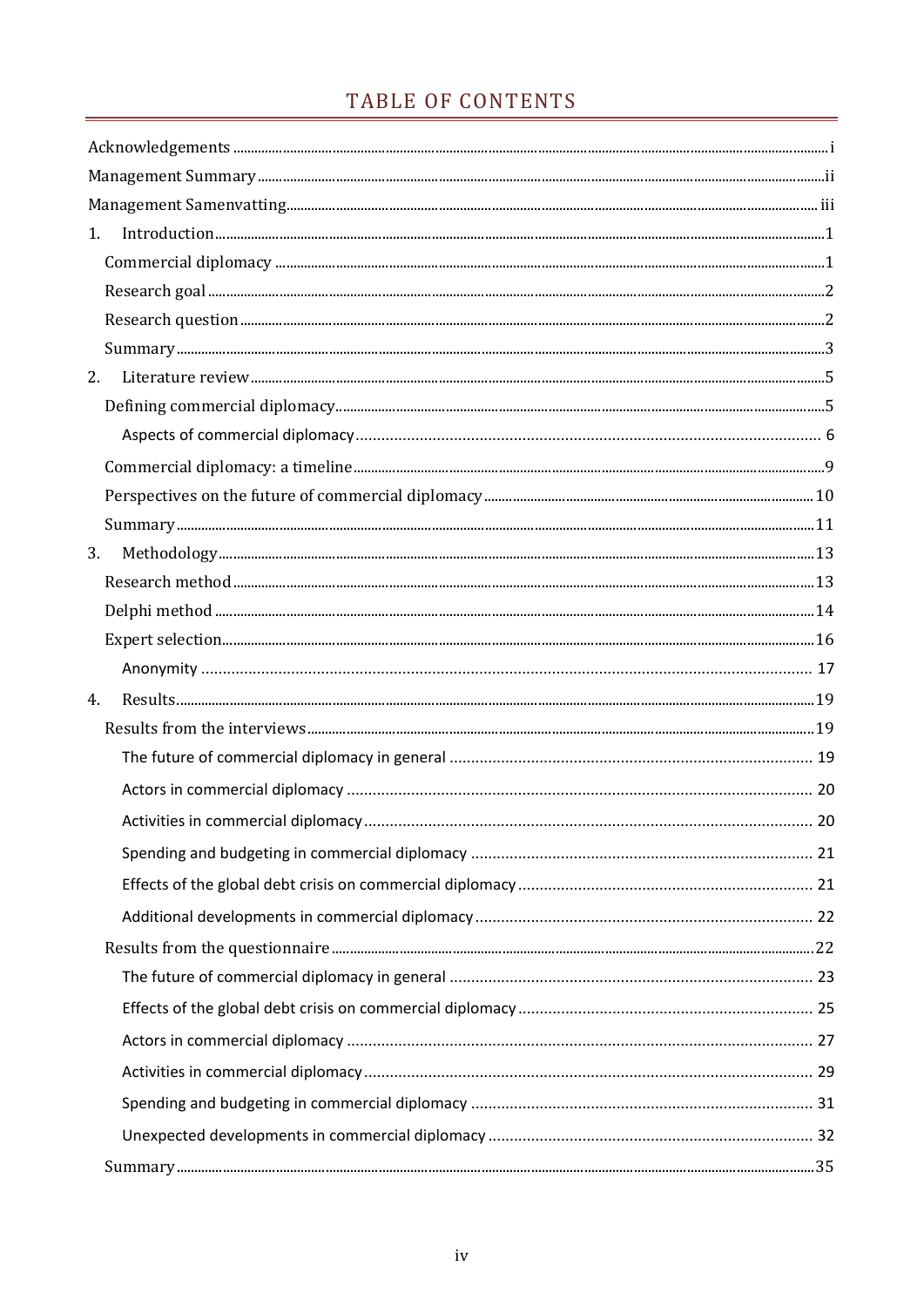## TABLE OF CONTENTS

| 1. | $In traditional \textit{function} \textit{} \textit{} \textit{} \textit{} \textit{} \textit{} \textit{} \textit{} \textit{} \textit{} \textit{} \textit{} \textit{} \textit{} \textit{} \textit{} \textit{} \textit{} \textit{} \textit{} \textit{} \textit{} \textit{} \textit{} \textit{} \textit{} \textit{} \textit{} \textit{} \textit{} \textit{} \textit{} \textit{} \textit{} \textit{} \text$                                                                                                                                                                               |  |
|----|--------------------------------------------------------------------------------------------------------------------------------------------------------------------------------------------------------------------------------------------------------------------------------------------------------------------------------------------------------------------------------------------------------------------------------------------------------------------------------------------------------------------------------------------------------------------------------------|--|
|    |                                                                                                                                                                                                                                                                                                                                                                                                                                                                                                                                                                                      |  |
|    |                                                                                                                                                                                                                                                                                                                                                                                                                                                                                                                                                                                      |  |
|    |                                                                                                                                                                                                                                                                                                                                                                                                                                                                                                                                                                                      |  |
|    |                                                                                                                                                                                                                                                                                                                                                                                                                                                                                                                                                                                      |  |
| 2. |                                                                                                                                                                                                                                                                                                                                                                                                                                                                                                                                                                                      |  |
|    |                                                                                                                                                                                                                                                                                                                                                                                                                                                                                                                                                                                      |  |
|    |                                                                                                                                                                                                                                                                                                                                                                                                                                                                                                                                                                                      |  |
|    |                                                                                                                                                                                                                                                                                                                                                                                                                                                                                                                                                                                      |  |
|    |                                                                                                                                                                                                                                                                                                                                                                                                                                                                                                                                                                                      |  |
|    |                                                                                                                                                                                                                                                                                                                                                                                                                                                                                                                                                                                      |  |
| 3. | $\label{thm:main} \mbox{Methodology}. \begin{tabular}{l} \hline \textbf{Methodology}. \end{tabular} \begin{tabular}{l} \hline \textbf{Methodology}. \end{tabular} \begin{tabular}{l} \hline \textbf{Methodology}. \end{tabular} \end{tabular} \begin{tabular}{l} \hline \textbf{Methodology}. \end{tabular} \begin{tabular}{l} \hline \textbf{Methodology}. \end{tabular} \end{tabular} \begin{tabular}{l} \hline \textbf{Methodology}. \end{tabular} \end{tabular} \begin{tabular}{l} \hline \textbf{Methodology}. \end{tabular} \begin{tabular}{l} \hline \textbf{Methodology}. \$ |  |
|    |                                                                                                                                                                                                                                                                                                                                                                                                                                                                                                                                                                                      |  |
|    |                                                                                                                                                                                                                                                                                                                                                                                                                                                                                                                                                                                      |  |
|    |                                                                                                                                                                                                                                                                                                                                                                                                                                                                                                                                                                                      |  |
|    |                                                                                                                                                                                                                                                                                                                                                                                                                                                                                                                                                                                      |  |
| 4. |                                                                                                                                                                                                                                                                                                                                                                                                                                                                                                                                                                                      |  |
|    |                                                                                                                                                                                                                                                                                                                                                                                                                                                                                                                                                                                      |  |
|    |                                                                                                                                                                                                                                                                                                                                                                                                                                                                                                                                                                                      |  |
|    |                                                                                                                                                                                                                                                                                                                                                                                                                                                                                                                                                                                      |  |
|    |                                                                                                                                                                                                                                                                                                                                                                                                                                                                                                                                                                                      |  |
|    |                                                                                                                                                                                                                                                                                                                                                                                                                                                                                                                                                                                      |  |
|    |                                                                                                                                                                                                                                                                                                                                                                                                                                                                                                                                                                                      |  |
|    |                                                                                                                                                                                                                                                                                                                                                                                                                                                                                                                                                                                      |  |
|    |                                                                                                                                                                                                                                                                                                                                                                                                                                                                                                                                                                                      |  |
|    |                                                                                                                                                                                                                                                                                                                                                                                                                                                                                                                                                                                      |  |
|    |                                                                                                                                                                                                                                                                                                                                                                                                                                                                                                                                                                                      |  |
|    |                                                                                                                                                                                                                                                                                                                                                                                                                                                                                                                                                                                      |  |
|    |                                                                                                                                                                                                                                                                                                                                                                                                                                                                                                                                                                                      |  |
|    |                                                                                                                                                                                                                                                                                                                                                                                                                                                                                                                                                                                      |  |
|    |                                                                                                                                                                                                                                                                                                                                                                                                                                                                                                                                                                                      |  |
|    |                                                                                                                                                                                                                                                                                                                                                                                                                                                                                                                                                                                      |  |
|    |                                                                                                                                                                                                                                                                                                                                                                                                                                                                                                                                                                                      |  |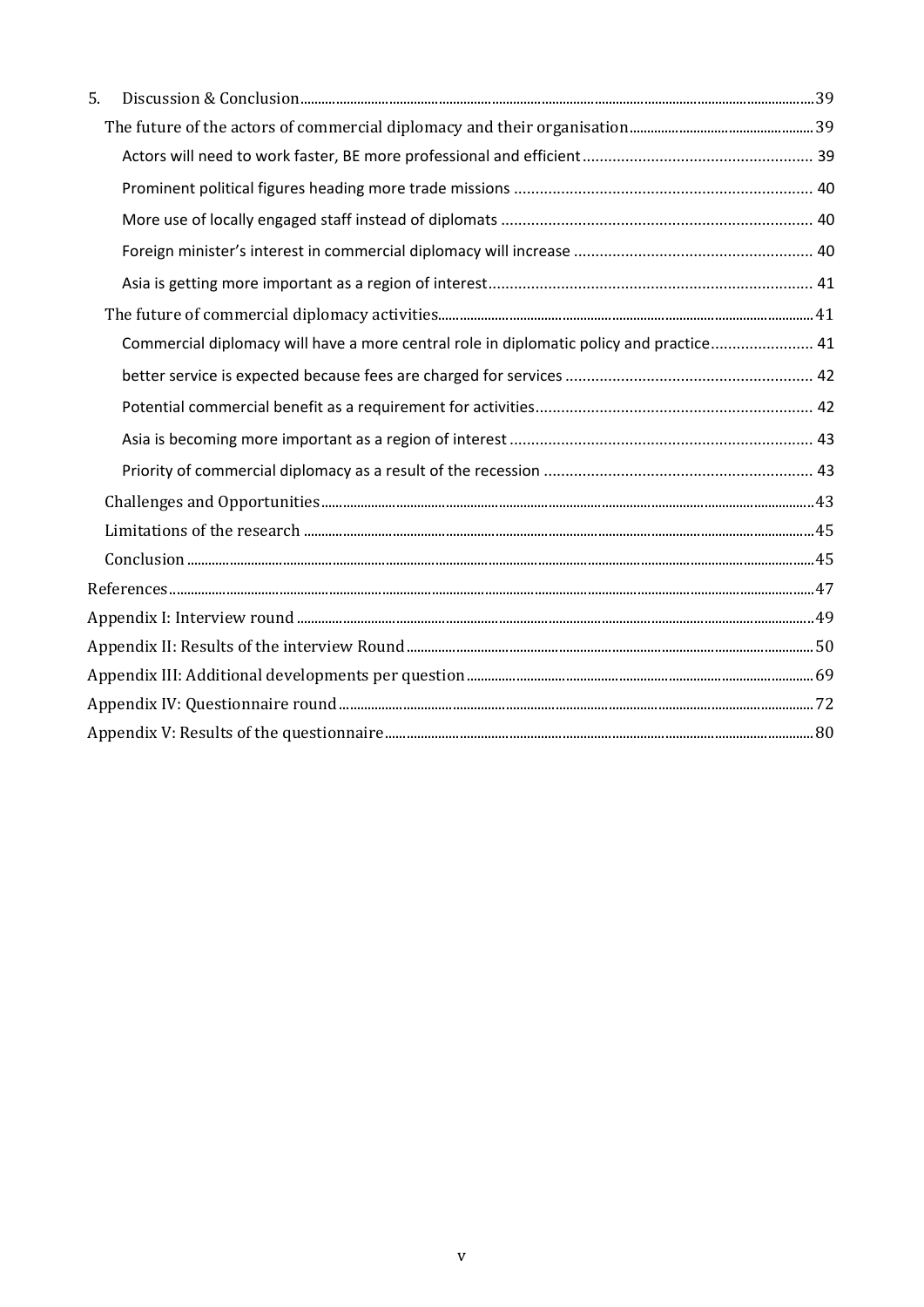| 5. |                                                                                         |  |
|----|-----------------------------------------------------------------------------------------|--|
|    |                                                                                         |  |
|    |                                                                                         |  |
|    |                                                                                         |  |
|    |                                                                                         |  |
|    |                                                                                         |  |
|    |                                                                                         |  |
|    |                                                                                         |  |
|    | Commercial diplomacy will have a more central role in diplomatic policy and practice 41 |  |
|    |                                                                                         |  |
|    |                                                                                         |  |
|    |                                                                                         |  |
|    |                                                                                         |  |
|    |                                                                                         |  |
|    |                                                                                         |  |
|    |                                                                                         |  |
|    |                                                                                         |  |
|    |                                                                                         |  |
|    |                                                                                         |  |
|    |                                                                                         |  |
|    |                                                                                         |  |
|    |                                                                                         |  |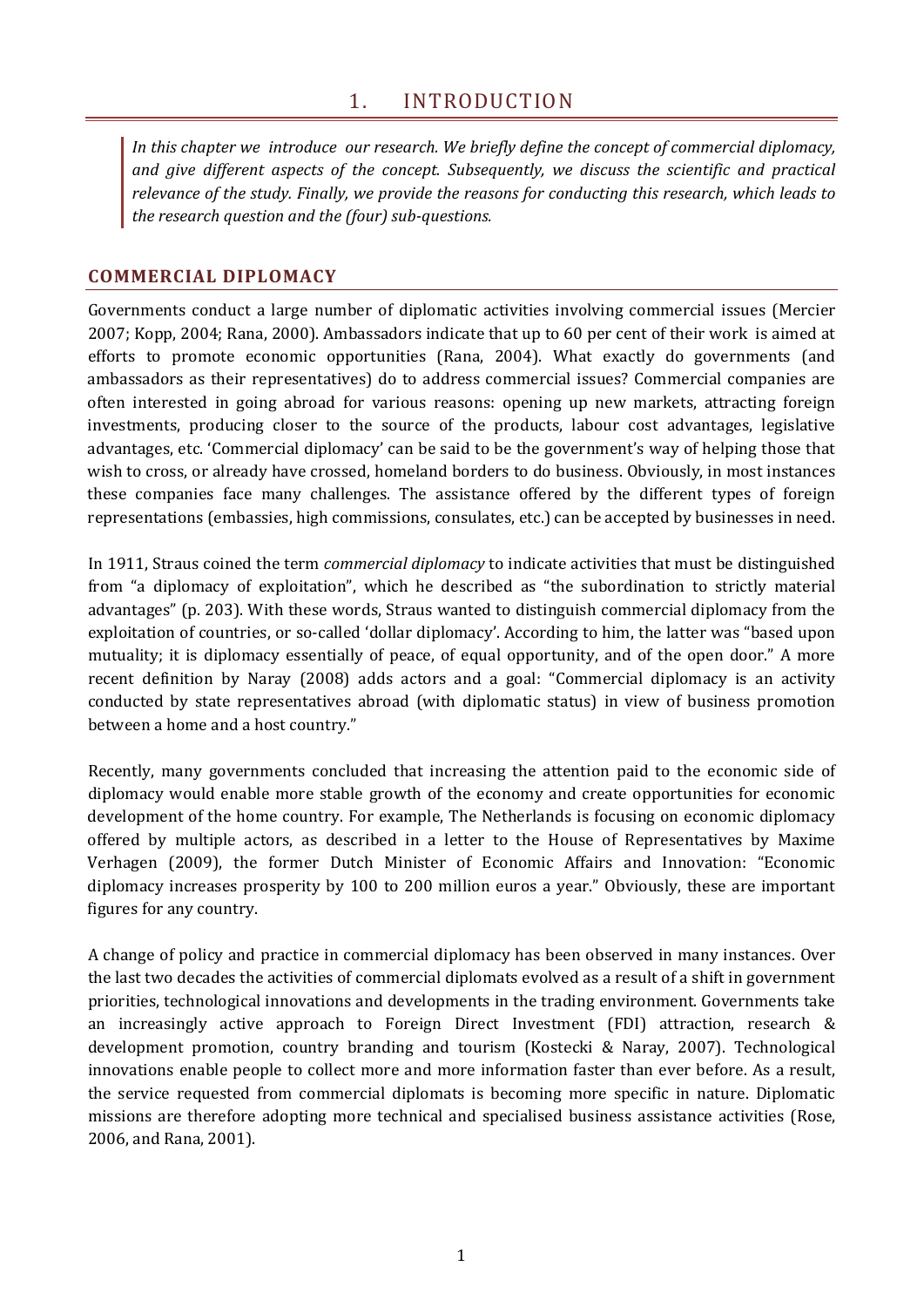<span id="page-8-0"></span>*In this chapter we introduce our research. We briefly define the concept of commercial diplomacy, and give different aspects of the concept. Subsequently, we discuss the scientific and practical relevance of the study. Finally, we provide the reasons for conducting this research, which leads to the research question and the (four) sub-questions.*

## <span id="page-8-1"></span>**COMMERCIAL DIPLOMACY**

Governments conduct a large number of diplomatic activities involving commercial issues (Mercier 2007; Kopp, 2004; Rana, 2000). Ambassadors indicate that up to 60 per cent of their work is aimed at efforts to promote economic opportunities (Rana, 2004). What exactly do governments (and ambassadors as their representatives) do to address commercial issues? Commercial companies are often interested in going abroad for various reasons: opening up new markets, attracting foreign investments, producing closer to the source of the products, labour cost advantages, legislative advantages, etc. 'Commercial diplomacy' can be said to be the government's way of helping those that wish to cross, or already have crossed, homeland borders to do business. Obviously, in most instances these companies face many challenges. The assistance offered by the different types of foreign representations (embassies, high commissions, consulates, etc.) can be accepted by businesses in need.

In 1911, Straus coined the term *commercial diplomacy* to indicate activities that must be distinguished from "a diplomacy of exploitation", which he described as "the subordination to strictly material advantages" (p. 203). With these words, Straus wanted to distinguish commercial diplomacy from the exploitation of countries, or so-called 'dollar diplomacy'. According to him, the latter was "based upon mutuality; it is diplomacy essentially of peace, of equal opportunity, and of the open door." A more recent definition by Naray (2008) adds actors and a goal: "Commercial diplomacy is an activity conducted by state representatives abroad (with diplomatic status) in view of business promotion between a home and a host country."

Recently, many governments concluded that increasing the attention paid to the economic side of diplomacy would enable more stable growth of the economy and create opportunities for economic development of the home country. For example, The Netherlands is focusing on economic diplomacy offered by multiple actors, as described in a letter to the House of Representatives by Maxime Verhagen (2009), the former Dutch Minister of Economic Affairs and Innovation: "Economic diplomacy increases prosperity by 100 to 200 million euros a year." Obviously, these are important figures for any country.

A change of policy and practice in commercial diplomacy has been observed in many instances. Over the last two decades the activities of commercial diplomats evolved as a result of a shift in government priorities, technological innovations and developments in the trading environment. Governments take an increasingly active approach to Foreign Direct Investment (FDI) attraction, research & development promotion, country branding and tourism (Kostecki & Naray, 2007). Technological innovations enable people to collect more and more information faster than ever before. As a result, the service requested from commercial diplomats is becoming more specific in nature. Diplomatic missions are therefore adopting more technical and specialised business assistance activities (Rose, 2006, and Rana, 2001).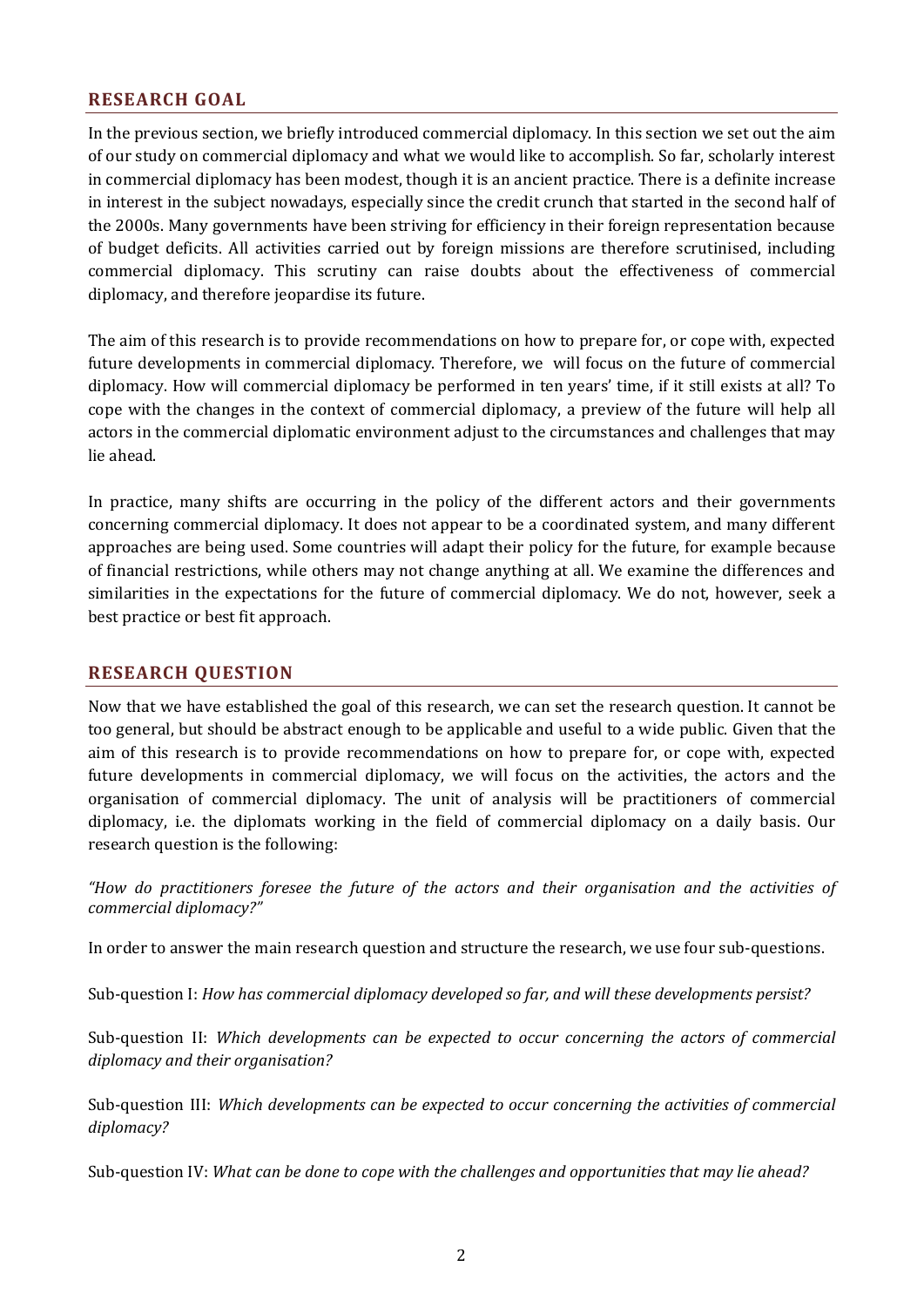## <span id="page-9-0"></span>**RESEARCH GOAL**

In the previous section, we briefly introduced commercial diplomacy. In this section we set out the aim of our study on commercial diplomacy and what we would like to accomplish. So far, scholarly interest in commercial diplomacy has been modest, though it is an ancient practice. There is a definite increase in interest in the subject nowadays, especially since the credit crunch that started in the second half of the 2000s. Many governments have been striving for efficiency in their foreign representation because of budget deficits. All activities carried out by foreign missions are therefore scrutinised, including commercial diplomacy. This scrutiny can raise doubts about the effectiveness of commercial diplomacy, and therefore jeopardise its future.

The aim of this research is to provide recommendations on how to prepare for, or cope with, expected future developments in commercial diplomacy. Therefore, we will focus on the future of commercial diplomacy. How will commercial diplomacy be performed in ten years' time, if it still exists at all? To cope with the changes in the context of commercial diplomacy, a preview of the future will help all actors in the commercial diplomatic environment adjust to the circumstances and challenges that may lie ahead.

In practice, many shifts are occurring in the policy of the different actors and their governments concerning commercial diplomacy. It does not appear to be a coordinated system, and many different approaches are being used. Some countries will adapt their policy for the future, for example because of financial restrictions, while others may not change anything at all. We examine the differences and similarities in the expectations for the future of commercial diplomacy. We do not, however, seek a best practice or best fit approach.

### <span id="page-9-1"></span>**RESEARCH QUESTION**

Now that we have established the goal of this research, we can set the research question. It cannot be too general, but should be abstract enough to be applicable and useful to a wide public. Given that the aim of this research is to provide recommendations on how to prepare for, or cope with, expected future developments in commercial diplomacy, we will focus on the activities, the actors and the organisation of commercial diplomacy. The unit of analysis will be practitioners of commercial diplomacy, i.e. the diplomats working in the field of commercial diplomacy on a daily basis. Our research question is the following:

*"How do practitioners foresee the future of the actors and their organisation and the activities of commercial diplomacy?"*

In order to answer the main research question and structure the research, we use four sub-questions.

Sub-question I: *How has commercial diplomacy developed so far, and will these developments persist?*

Sub-question II: *Which developments can be expected to occur concerning the actors of commercial diplomacy and their organisation?*

Sub-question III: *Which developments can be expected to occur concerning the activities of commercial diplomacy?*

Sub-question IV: *What can be done to cope with the challenges and opportunities that may lie ahead?*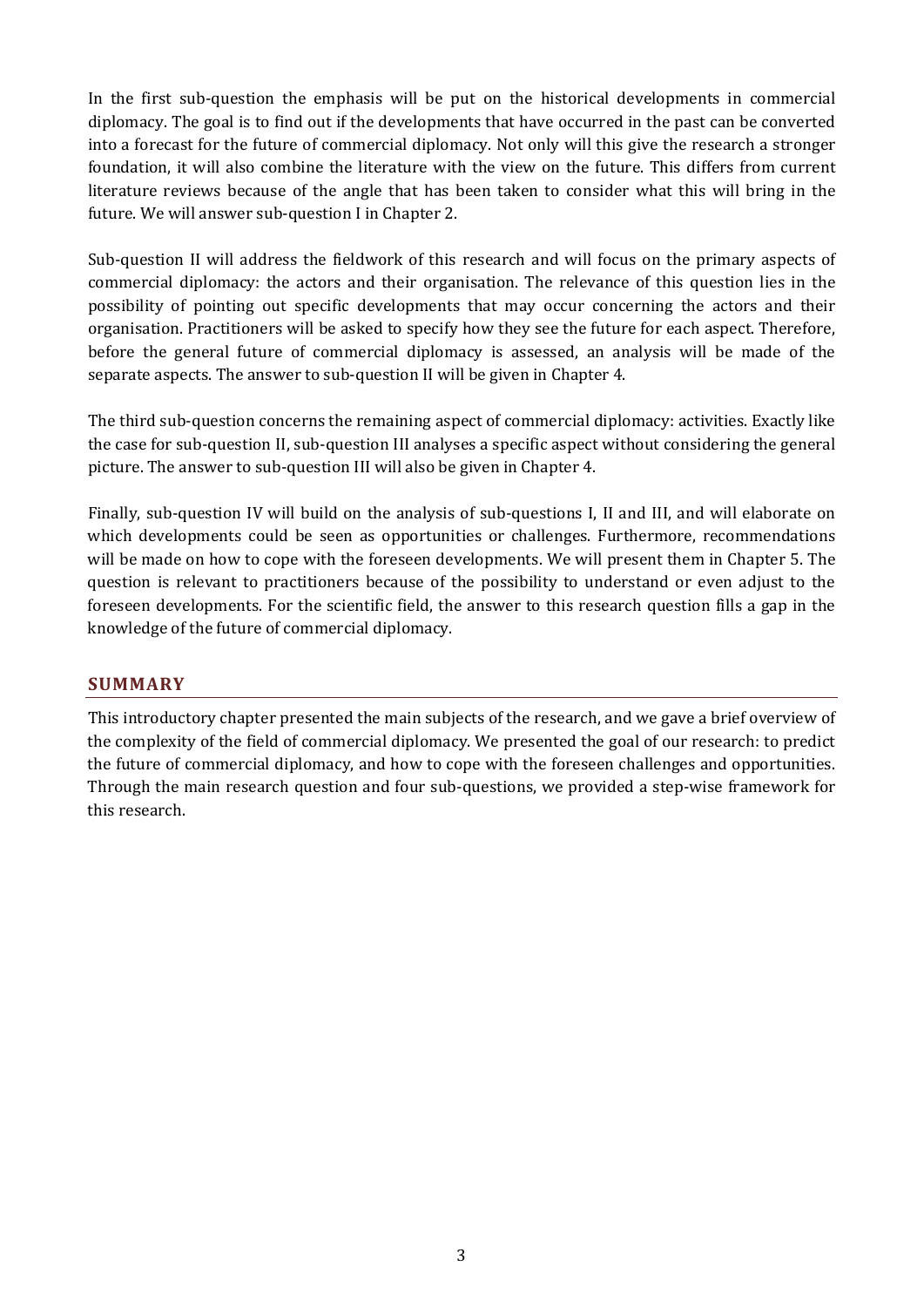In the first sub-question the emphasis will be put on the historical developments in commercial diplomacy. The goal is to find out if the developments that have occurred in the past can be converted into a forecast for the future of commercial diplomacy. Not only will this give the research a stronger foundation, it will also combine the literature with the view on the future. This differs from current literature reviews because of the angle that has been taken to consider what this will bring in the future. We will answer sub-question I in Chapte[r 2.](#page-12-0)

Sub-question II will address the fieldwork of this research and will focus on the primary aspects of commercial diplomacy: the actors and their organisation. The relevance of this question lies in the possibility of pointing out specific developments that may occur concerning the actors and their organisation. Practitioners will be asked to specify how they see the future for each aspect. Therefore, before the general future of commercial diplomacy is assessed, an analysis will be made of the separate aspects. The answer to sub-question II will be given in Chapter 4.

The third sub-question concerns the remaining aspect of commercial diplomacy: activities. Exactly like the case for sub-question II, sub-question III analyses a specific aspect without considering the general picture. The answer to sub-question III will also be given in Chapter 4.

Finally, sub-question IV will build on the analysis of sub-questions I, II and III, and will elaborate on which developments could be seen as opportunities or challenges. Furthermore, recommendations will be made on how to cope with the foreseen developments. We will present them in Chapter 5. The question is relevant to practitioners because of the possibility to understand or even adjust to the foreseen developments. For the scientific field, the answer to this research question fills a gap in the knowledge of the future of commercial diplomacy.

## <span id="page-10-0"></span>**SUMMARY**

This introductory chapter presented the main subjects of the research, and we gave a brief overview of the complexity of the field of commercial diplomacy. We presented the goal of our research: to predict the future of commercial diplomacy, and how to cope with the foreseen challenges and opportunities. Through the main research question and four sub-questions, we provided a step-wise framework for this research.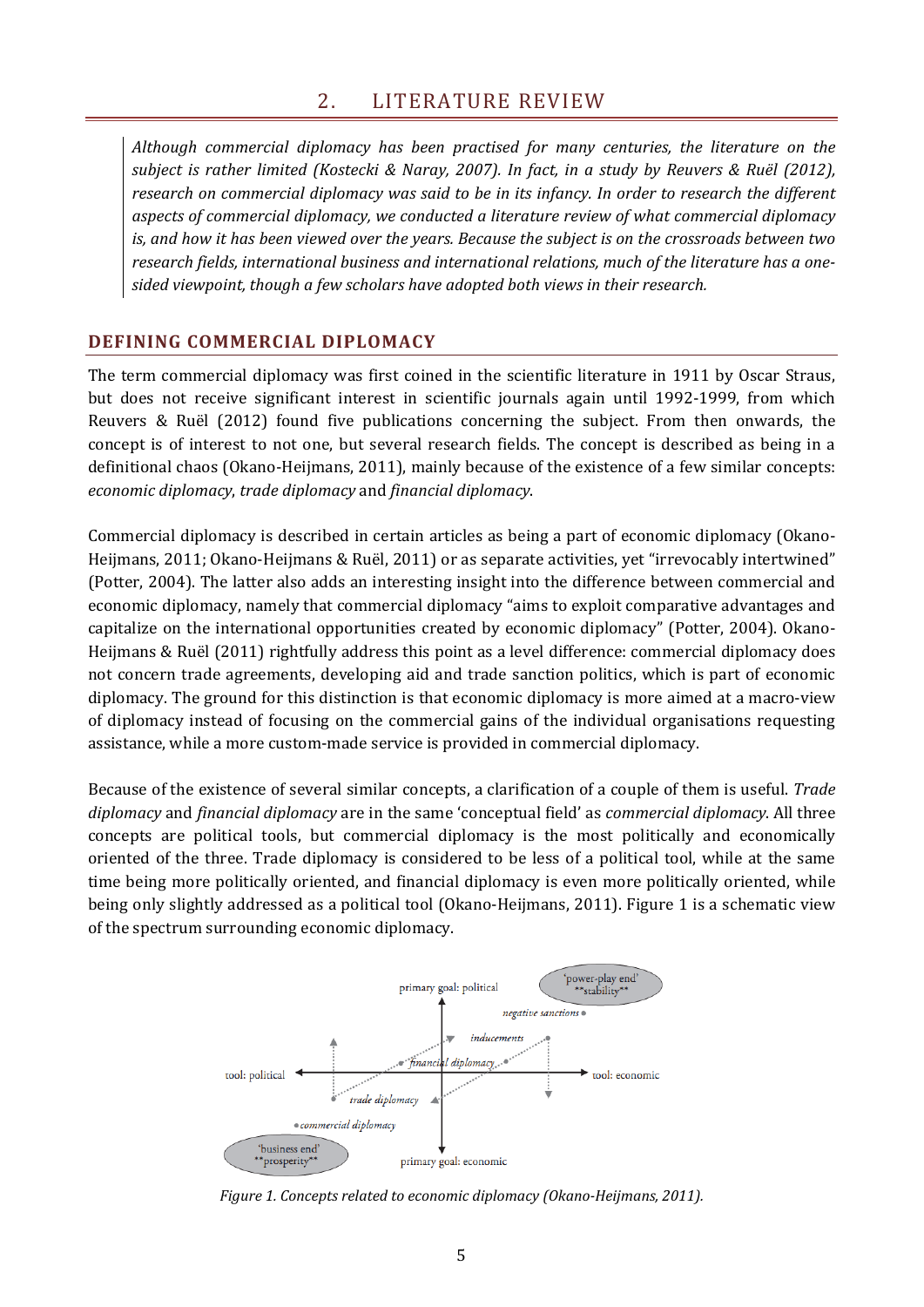<span id="page-12-0"></span>*Although commercial diplomacy has been practised for many centuries, the literature on the subject is rather limited (Kostecki & Naray, 2007). In fact, in a study by Reuvers & Ruël (2012), research on commercial diplomacy was said to be in its infancy. In order to research the different aspects of commercial diplomacy, we conducted a literature review of what commercial diplomacy is, and how it has been viewed over the years. Because the subject is on the crossroads between two research fields, international business and international relations, much of the literature has a onesided viewpoint, though a few scholars have adopted both views in their research.*

## <span id="page-12-1"></span>**DEFINING COMMERCIAL DIPLOMACY**

The term commercial diplomacy was first coined in the scientific literature in 1911 by Oscar Straus, but does not receive significant interest in scientific journals again until 1992-1999, from which Reuvers & Ruël (2012) found five publications concerning the subject. From then onwards, the concept is of interest to not one, but several research fields. The concept is described as being in a definitional chaos (Okano-Heijmans, 2011), mainly because of the existence of a few similar concepts: *economic diplomacy*, *trade diplomacy* and *financial diplomacy*.

Commercial diplomacy is described in certain articles as being a part of economic diplomacy (Okano-Heijmans, 2011; Okano-Heijmans & Ruël, 2011) or as separate activities, yet "irrevocably intertwined" (Potter, 2004). The latter also adds an interesting insight into the difference between commercial and economic diplomacy, namely that commercial diplomacy "aims to exploit comparative advantages and capitalize on the international opportunities created by economic diplomacy" (Potter, 2004). Okano-Heijmans & Ruël (2011) rightfully address this point as a level difference: commercial diplomacy does not concern trade agreements, developing aid and trade sanction politics, which is part of economic diplomacy. The ground for this distinction is that economic diplomacy is more aimed at a macro-view of diplomacy instead of focusing on the commercial gains of the individual organisations requesting assistance, while a more custom-made service is provided in commercial diplomacy.

Because of the existence of several similar concepts, a clarification of a couple of them is useful. *Trade diplomacy* and *financial diplomacy* are in the same 'conceptual field' as *commercial diplomacy*. All three concepts are political tools, but commercial diplomacy is the most politically and economically oriented of the three. Trade diplomacy is considered to be less of a political tool, while at the same time being more politically oriented, and financial diplomacy is even more politically oriented, while being only slightly addressed as a political tool (Okano-Heijmans, 2011). [Figure 1](#page-12-2) is a schematic view of the spectrum surrounding economic diplomacy.



<span id="page-12-2"></span>*Figure 1. Concepts related to economic diplomacy (Okano-Heijmans, 2011).*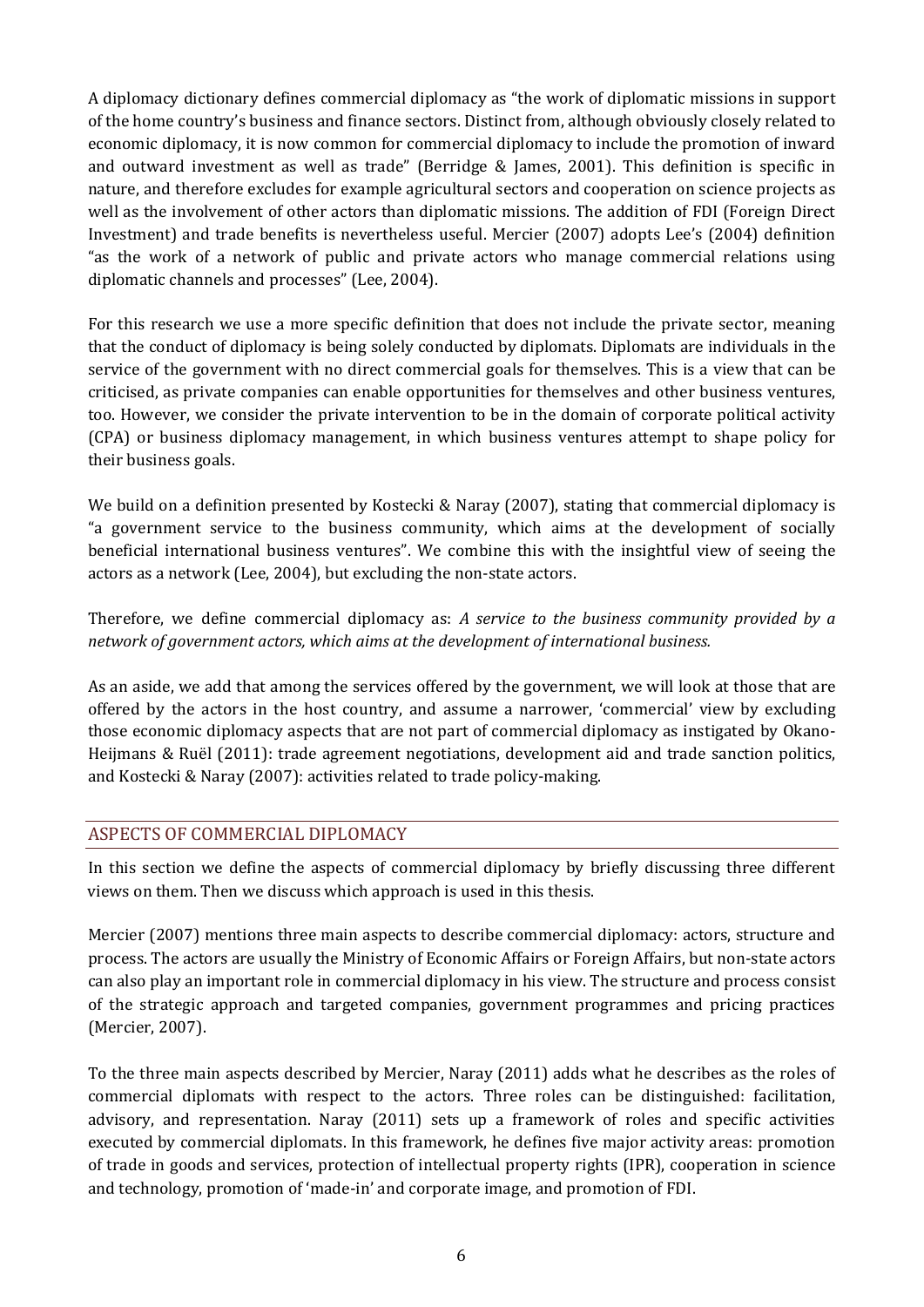A diplomacy dictionary defines commercial diplomacy as "the work of diplomatic missions in support of the home country's business and finance sectors. Distinct from, although obviously closely related to economic diplomacy, it is now common for commercial diplomacy to include the promotion of inward and outward investment as well as trade" (Berridge & James, 2001). This definition is specific in nature, and therefore excludes for example agricultural sectors and cooperation on science projects as well as the involvement of other actors than diplomatic missions. The addition of FDI (Foreign Direct Investment) and trade benefits is nevertheless useful. Mercier (2007) adopts Lee's (2004) definition "as the work of a network of public and private actors who manage commercial relations using diplomatic channels and processes" (Lee, 2004).

For this research we use a more specific definition that does not include the private sector, meaning that the conduct of diplomacy is being solely conducted by diplomats. Diplomats are individuals in the service of the government with no direct commercial goals for themselves. This is a view that can be criticised, as private companies can enable opportunities for themselves and other business ventures, too. However, we consider the private intervention to be in the domain of corporate political activity (CPA) or business diplomacy management, in which business ventures attempt to shape policy for their business goals.

We build on a definition presented by Kostecki & Naray (2007), stating that commercial diplomacy is "a government service to the business community, which aims at the development of socially beneficial international business ventures". We combine this with the insightful view of seeing the actors as a network (Lee, 2004), but excluding the non-state actors.

Therefore, we define commercial diplomacy as: *A service to the business community provided by a network of government actors, which aims at the development of international business.*

As an aside, we add that among the services offered by the government, we will look at those that are offered by the actors in the host country, and assume a narrower, 'commercial' view by excluding those economic diplomacy aspects that are not part of commercial diplomacy as instigated by Okano-Heijmans & Ruël (2011): trade agreement negotiations, development aid and trade sanction politics, and Kostecki & Naray (2007): activities related to trade policy-making.

## <span id="page-13-0"></span>ASPECTS OF COMMERCIAL DIPLOMACY

In this section we define the aspects of commercial diplomacy by briefly discussing three different views on them. Then we discuss which approach is used in this thesis.

Mercier (2007) mentions three main aspects to describe commercial diplomacy: actors, structure and process. The actors are usually the Ministry of Economic Affairs or Foreign Affairs, but non-state actors can also play an important role in commercial diplomacy in his view. The structure and process consist of the strategic approach and targeted companies, government programmes and pricing practices (Mercier, 2007).

To the three main aspects described by Mercier, Naray (2011) adds what he describes as the roles of commercial diplomats with respect to the actors. Three roles can be distinguished: facilitation, advisory, and representation. Naray (2011) sets up a framework of roles and specific activities executed by commercial diplomats. In this framework, he defines five major activity areas: promotion of trade in goods and services, protection of intellectual property rights (IPR), cooperation in science and technology, promotion of 'made-in' and corporate image, and promotion of FDI.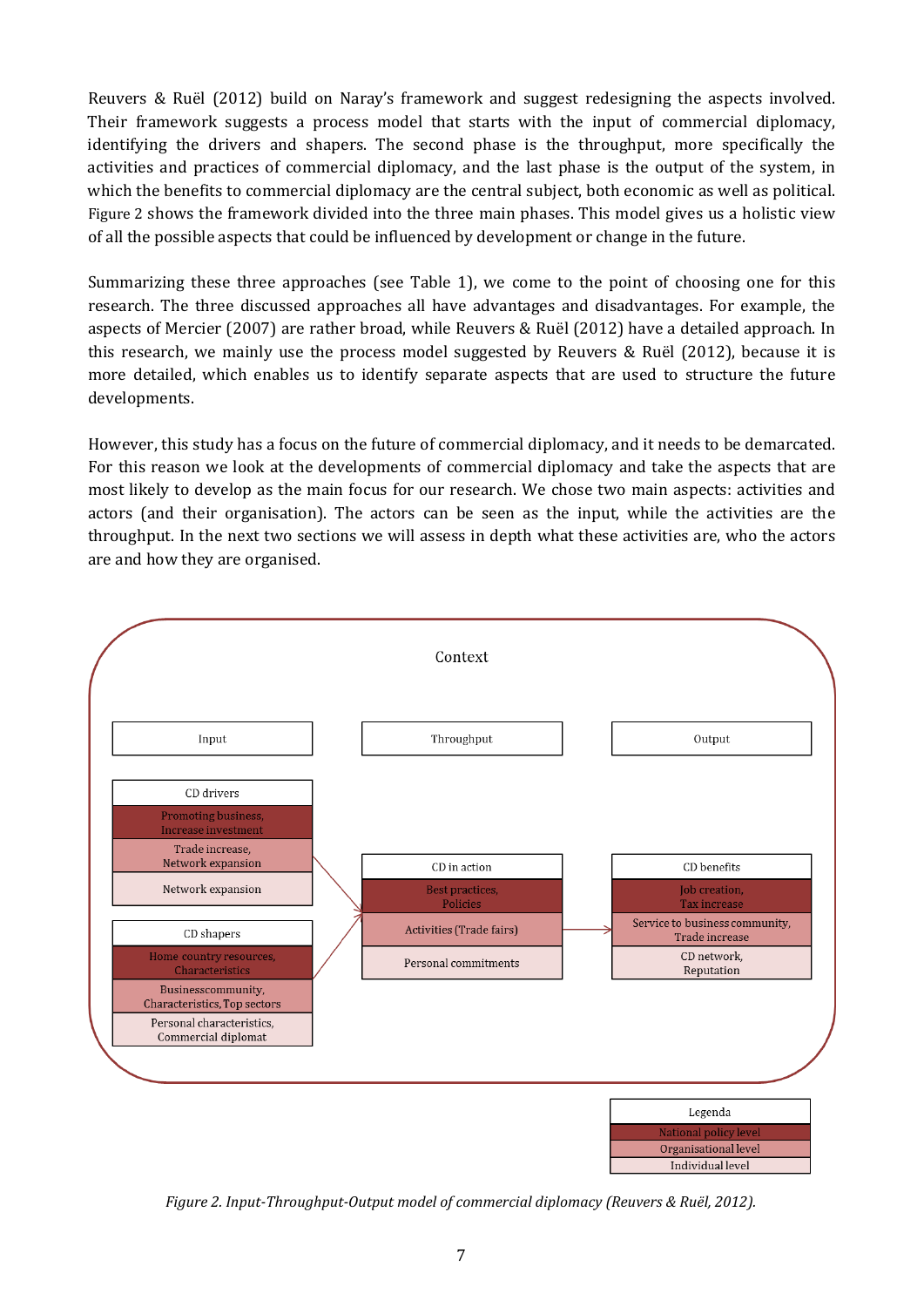Reuvers & Ruël (2012) build on Naray's framework and suggest redesigning the aspects involved. Their framework suggests a process model that starts with the input of commercial diplomacy, identifying the drivers and shapers. The second phase is the throughput, more specifically the activities and practices of commercial diplomacy, and the last phase is the output of the system, in which the benefits to commercial diplomacy are the central subject, both economic as well as political. [Figure 2](#page-14-0) shows the framework divided into the three main phases. This model gives us a holistic view of all the possible aspects that could be influenced by development or change in the future.

Summarizing these three approaches (see [Table 1\)](#page-15-0), we come to the point of choosing one for this research. The three discussed approaches all have advantages and disadvantages. For example, the aspects of Mercier (2007) are rather broad, while Reuvers & Ruël (2012) have a detailed approach. In this research, we mainly use the process model suggested by Reuvers & Ruël (2012), because it is more detailed, which enables us to identify separate aspects that are used to structure the future developments.

However, this study has a focus on the future of commercial diplomacy, and it needs to be demarcated. For this reason we look at the developments of commercial diplomacy and take the aspects that are most likely to develop as the main focus for our research. We chose two main aspects: activities and actors (and their organisation). The actors can be seen as the input, while the activities are the throughput. In the next two sections we will assess in depth what these activities are, who the actors are and how they are organised.



<span id="page-14-0"></span>*Figure 2. Input-Throughput-Output model of commercial diplomacy (Reuvers & Ruël, 2012).*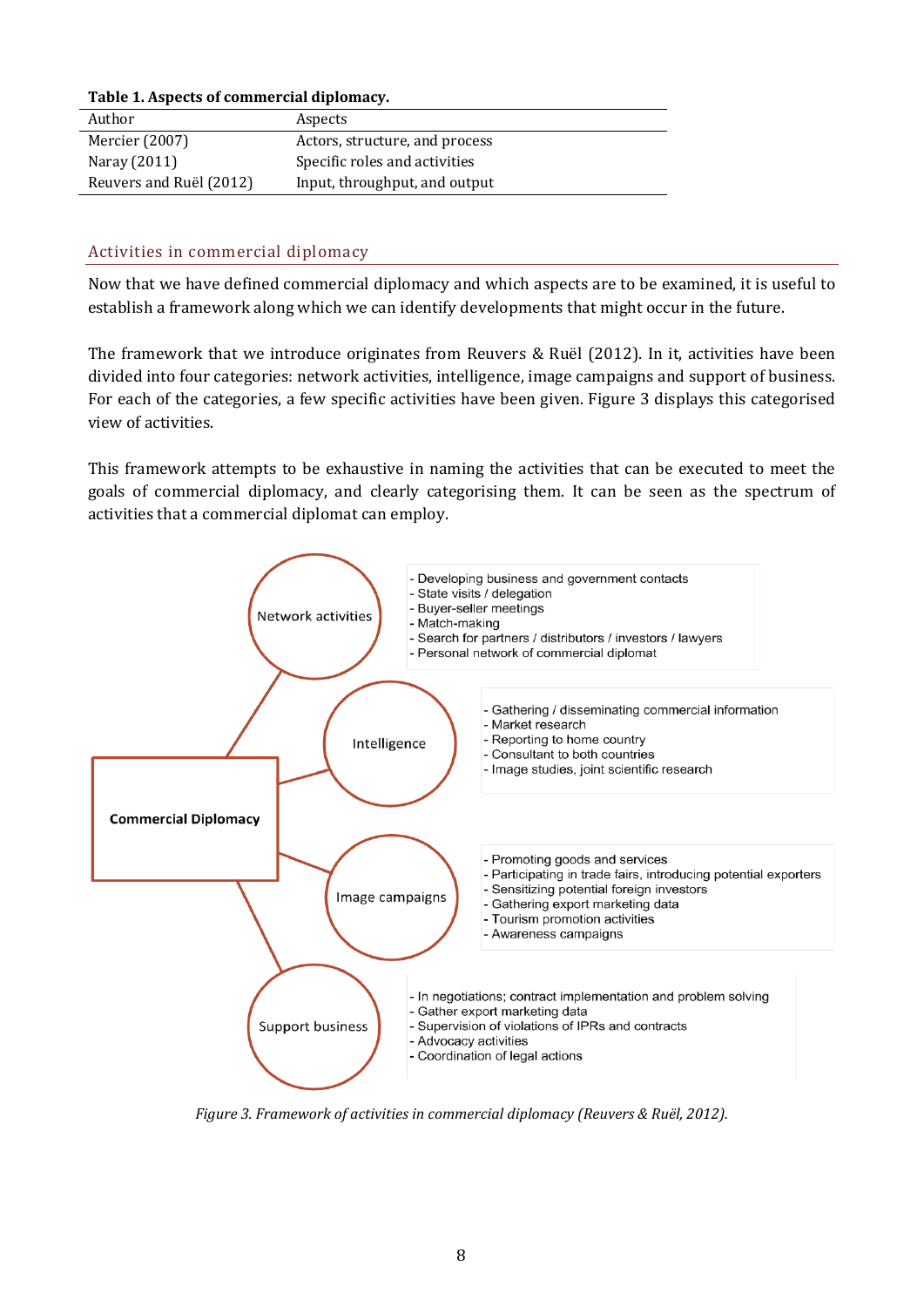#### <span id="page-15-0"></span>**Table 1. Aspects of commercial diplomacy.**

| Author                  | Aspects                        |
|-------------------------|--------------------------------|
| Mercier (2007)          | Actors, structure, and process |
| Naray (2011)            | Specific roles and activities  |
| Reuvers and Ruël (2012) | Input, throughput, and output  |

#### Activities in commercial diplomacy

Now that we have defined commercial diplomacy and which aspects are to be examined, it is useful to establish a framework along which we can identify developments that might occur in the future.

The framework that we introduce originates from Reuvers & Ruël (2012). In it, activities have been divided into four categories: network activities, intelligence, image campaigns and support of business. For each of the categories, a few specific activities have been given. [Figure 3](#page-15-1) displays this categorised view of activities.

This framework attempts to be exhaustive in naming the activities that can be executed to meet the goals of commercial diplomacy, and clearly categorising them. It can be seen as the spectrum of activities that a commercial diplomat can employ.



<span id="page-15-1"></span>*Figure 3. Framework of activities in commercial diplomacy (Reuvers & Ruël, 2012).*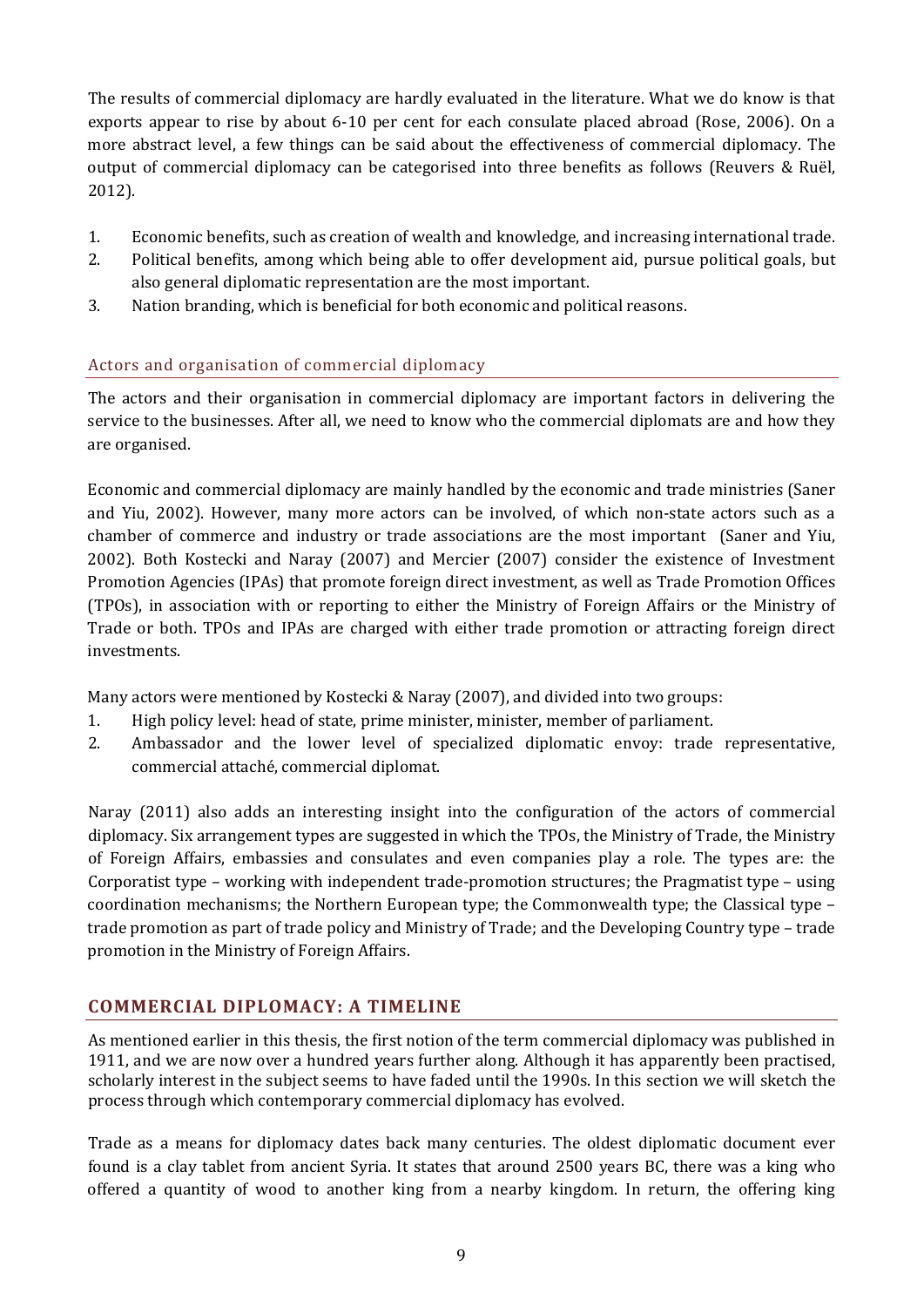The results of commercial diplomacy are hardly evaluated in the literature. What we do know is that exports appear to rise by about 6-10 per cent for each consulate placed abroad (Rose, 2006). On a more abstract level, a few things can be said about the effectiveness of commercial diplomacy. The output of commercial diplomacy can be categorised into three benefits as follows (Reuvers & Ruël, 2012).

- 1. Economic benefits, such as creation of wealth and knowledge, and increasing international trade.
- 2. Political benefits, among which being able to offer development aid, pursue political goals, but also general diplomatic representation are the most important.
- 3. Nation branding, which is beneficial for both economic and political reasons.

## Actors and organisation of commercial diplomacy

The actors and their organisation in commercial diplomacy are important factors in delivering the service to the businesses. After all, we need to know who the commercial diplomats are and how they are organised.

Economic and commercial diplomacy are mainly handled by the economic and trade ministries (Saner and Yiu, 2002). However, many more actors can be involved, of which non-state actors such as a chamber of commerce and industry or trade associations are the most important (Saner and Yiu, 2002). Both Kostecki and Naray (2007) and Mercier (2007) consider the existence of Investment Promotion Agencies (IPAs) that promote foreign direct investment, as well as Trade Promotion Offices (TPOs), in association with or reporting to either the Ministry of Foreign Affairs or the Ministry of Trade or both. TPOs and IPAs are charged with either trade promotion or attracting foreign direct investments.

Many actors were mentioned by Kostecki & Naray (2007), and divided into two groups:

- 1. High policy level: head of state, prime minister, minister, member of parliament.
- 2. Ambassador and the lower level of specialized diplomatic envoy: trade representative, commercial attaché, commercial diplomat.

Naray (2011) also adds an interesting insight into the configuration of the actors of commercial diplomacy. Six arrangement types are suggested in which the TPOs, the Ministry of Trade, the Ministry of Foreign Affairs, embassies and consulates and even companies play a role. The types are: the Corporatist type – working with independent trade-promotion structures; the Pragmatist type – using coordination mechanisms; the Northern European type; the Commonwealth type; the Classical type – trade promotion as part of trade policy and Ministry of Trade; and the Developing Country type – trade promotion in the Ministry of Foreign Affairs.

## <span id="page-16-0"></span>**COMMERCIAL DIPLOMACY: A TIMELINE**

As mentioned earlier in this thesis, the first notion of the term commercial diplomacy was published in 1911, and we are now over a hundred years further along. Although it has apparently been practised, scholarly interest in the subject seems to have faded until the 1990s. In this section we will sketch the process through which contemporary commercial diplomacy has evolved.

Trade as a means for diplomacy dates back many centuries. The oldest diplomatic document ever found is a clay tablet from ancient Syria. It states that around 2500 years BC, there was a king who offered a quantity of wood to another king from a nearby kingdom. In return, the offering king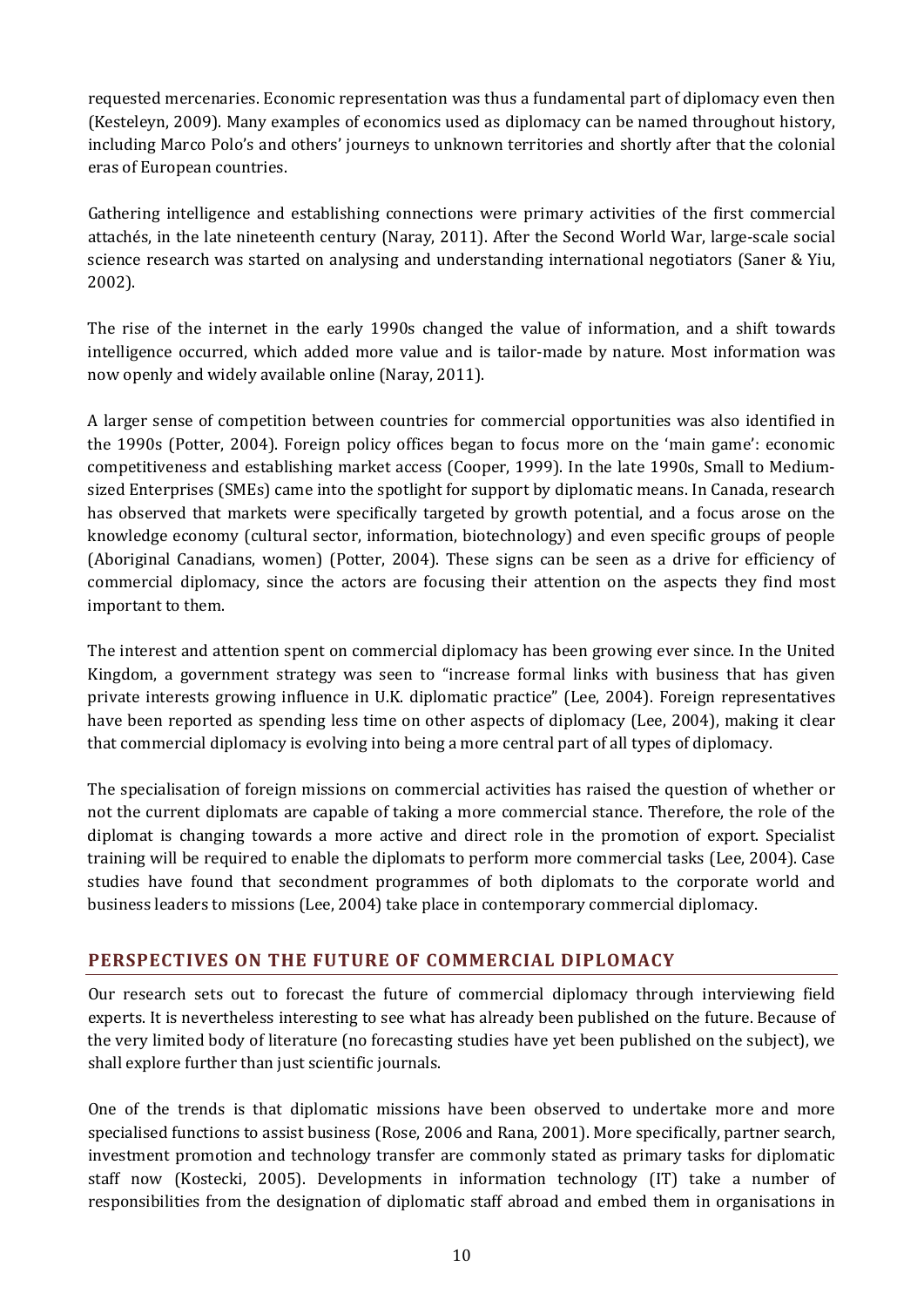requested mercenaries. Economic representation was thus a fundamental part of diplomacy even then (Kesteleyn, 2009). Many examples of economics used as diplomacy can be named throughout history, including Marco Polo's and others' journeys to unknown territories and shortly after that the colonial eras of European countries.

Gathering intelligence and establishing connections were primary activities of the first commercial attachés, in the late nineteenth century (Naray, 2011). After the Second World War, large-scale social science research was started on analysing and understanding international negotiators (Saner & Yiu, 2002).

The rise of the internet in the early 1990s changed the value of information, and a shift towards intelligence occurred, which added more value and is tailor-made by nature. Most information was now openly and widely available online (Naray, 2011).

A larger sense of competition between countries for commercial opportunities was also identified in the 1990s (Potter, 2004). Foreign policy offices began to focus more on the 'main game': economic competitiveness and establishing market access (Cooper, 1999). In the late 1990s, Small to Mediumsized Enterprises (SMEs) came into the spotlight for support by diplomatic means. In Canada, research has observed that markets were specifically targeted by growth potential, and a focus arose on the knowledge economy (cultural sector, information, biotechnology) and even specific groups of people (Aboriginal Canadians, women) (Potter, 2004). These signs can be seen as a drive for efficiency of commercial diplomacy, since the actors are focusing their attention on the aspects they find most important to them.

The interest and attention spent on commercial diplomacy has been growing ever since. In the United Kingdom, a government strategy was seen to "increase formal links with business that has given private interests growing influence in U.K. diplomatic practice" (Lee, 2004). Foreign representatives have been reported as spending less time on other aspects of diplomacy (Lee, 2004), making it clear that commercial diplomacy is evolving into being a more central part of all types of diplomacy.

The specialisation of foreign missions on commercial activities has raised the question of whether or not the current diplomats are capable of taking a more commercial stance. Therefore, the role of the diplomat is changing towards a more active and direct role in the promotion of export. Specialist training will be required to enable the diplomats to perform more commercial tasks (Lee, 2004). Case studies have found that secondment programmes of both diplomats to the corporate world and business leaders to missions (Lee, 2004) take place in contemporary commercial diplomacy.

## <span id="page-17-0"></span>**PERSPECTIVES ON THE FUTURE OF COMMERCIAL DIPLOMACY**

Our research sets out to forecast the future of commercial diplomacy through interviewing field experts. It is nevertheless interesting to see what has already been published on the future. Because of the very limited body of literature (no forecasting studies have yet been published on the subject), we shall explore further than just scientific journals.

One of the trends is that diplomatic missions have been observed to undertake more and more specialised functions to assist business (Rose, 2006 and Rana, 2001). More specifically, partner search, investment promotion and technology transfer are commonly stated as primary tasks for diplomatic staff now (Kostecki, 2005). Developments in information technology (IT) take a number of responsibilities from the designation of diplomatic staff abroad and embed them in organisations in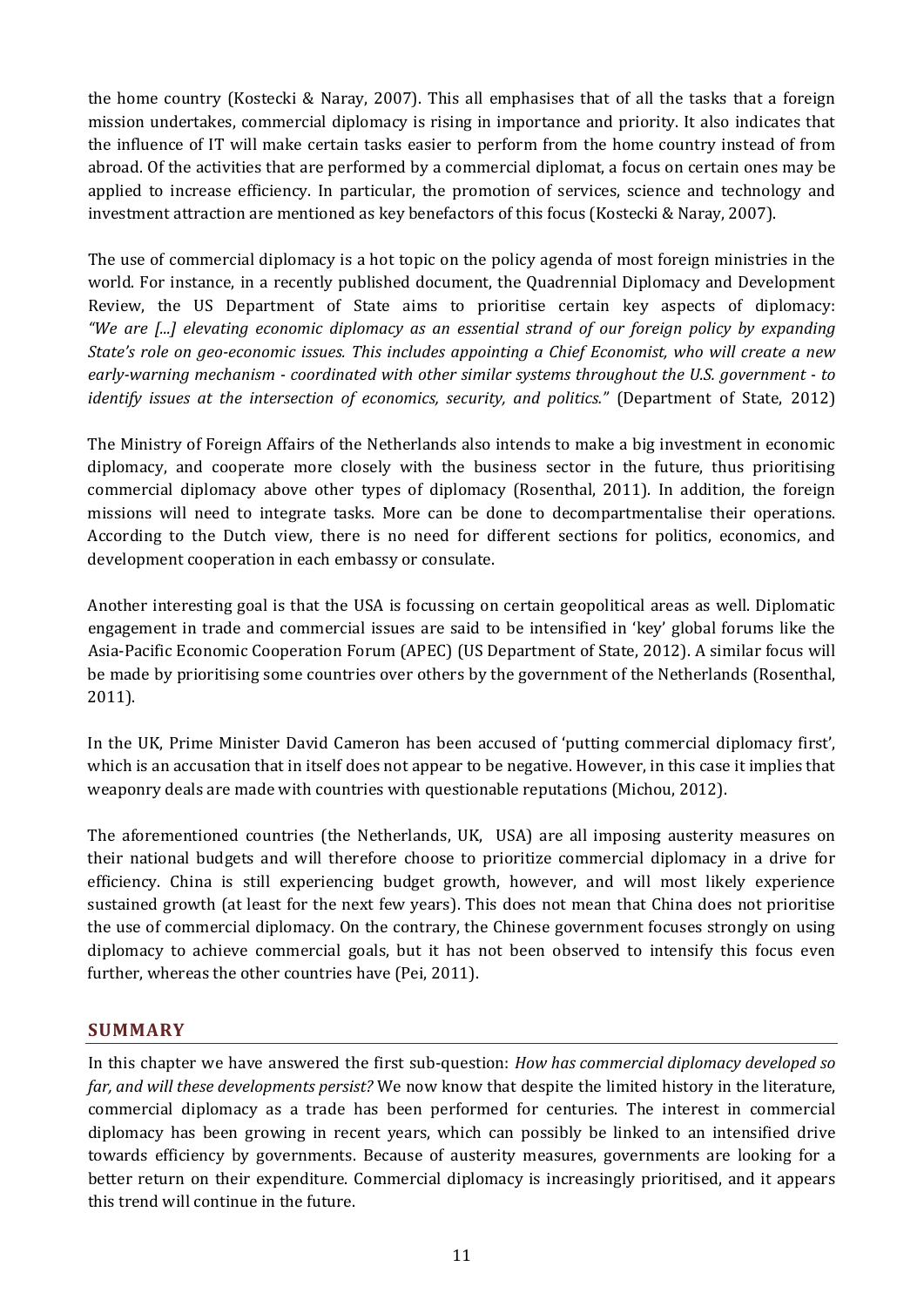the home country (Kostecki & Naray, 2007). This all emphasises that of all the tasks that a foreign mission undertakes, commercial diplomacy is rising in importance and priority. It also indicates that the influence of IT will make certain tasks easier to perform from the home country instead of from abroad. Of the activities that are performed by a commercial diplomat, a focus on certain ones may be applied to increase efficiency. In particular, the promotion of services, science and technology and investment attraction are mentioned as key benefactors of this focus (Kostecki & Naray, 2007).

The use of commercial diplomacy is a hot topic on the policy agenda of most foreign ministries in the world. For instance, in a recently published document, the Quadrennial Diplomacy and Development Review, the US Department of State aims to prioritise certain key aspects of diplomacy: *"We are [...] elevating economic diplomacy as an essential strand of our foreign policy by expanding State's role on geo-economic issues. This includes appointing a Chief Economist, who will create a new early-warning mechanism - coordinated with other similar systems throughout the U.S. government - to identify issues at the intersection of economics, security, and politics."* (Department of State, 2012)

The Ministry of Foreign Affairs of the Netherlands also intends to make a big investment in economic diplomacy, and cooperate more closely with the business sector in the future, thus prioritising commercial diplomacy above other types of diplomacy (Rosenthal, 2011). In addition, the foreign missions will need to integrate tasks. More can be done to decompartmentalise their operations. According to the Dutch view, there is no need for different sections for politics, economics, and development cooperation in each embassy or consulate.

Another interesting goal is that the USA is focussing on certain geopolitical areas as well. Diplomatic engagement in trade and commercial issues are said to be intensified in 'key' global forums like the Asia-Pacific Economic Cooperation Forum (APEC) (US Department of State, 2012). A similar focus will be made by prioritising some countries over others by the government of the Netherlands (Rosenthal, 2011).

In the UK, Prime Minister David Cameron has been accused of 'putting commercial diplomacy first', which is an accusation that in itself does not appear to be negative. However, in this case it implies that weaponry deals are made with countries with questionable reputations (Michou, 2012).

The aforementioned countries (the Netherlands, UK, USA) are all imposing austerity measures on their national budgets and will therefore choose to prioritize commercial diplomacy in a drive for efficiency. China is still experiencing budget growth, however, and will most likely experience sustained growth (at least for the next few years). This does not mean that China does not prioritise the use of commercial diplomacy. On the contrary, the Chinese government focuses strongly on using diplomacy to achieve commercial goals, but it has not been observed to intensify this focus even further, whereas the other countries have (Pei, 2011).

## <span id="page-18-0"></span>**SUMMARY**

In this chapter we have answered the first sub-question: *How has commercial diplomacy developed so far, and will these developments persist?* We now know that despite the limited history in the literature, commercial diplomacy as a trade has been performed for centuries. The interest in commercial diplomacy has been growing in recent years, which can possibly be linked to an intensified drive towards efficiency by governments. Because of austerity measures, governments are looking for a better return on their expenditure. Commercial diplomacy is increasingly prioritised, and it appears this trend will continue in the future.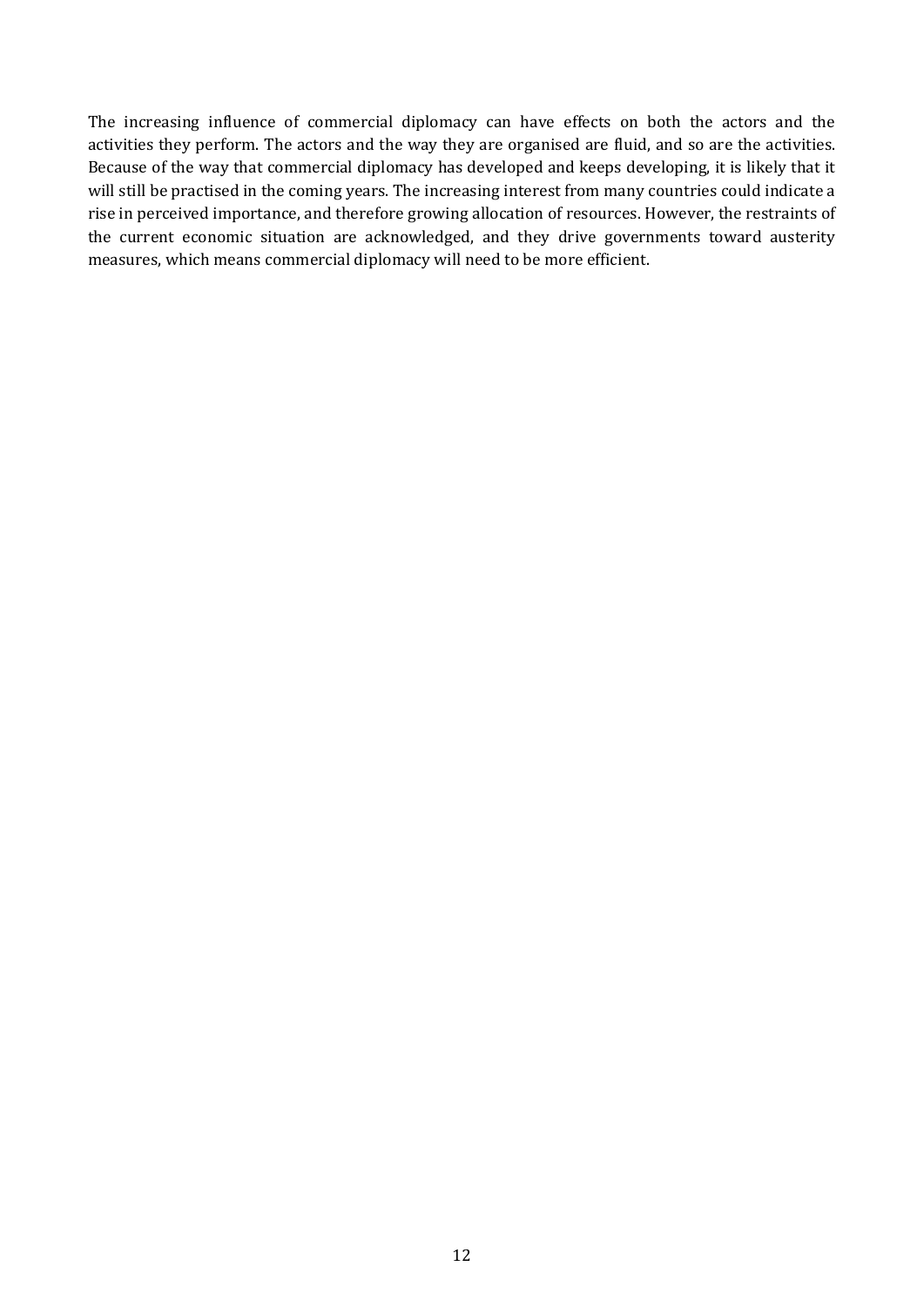The increasing influence of commercial diplomacy can have effects on both the actors and the activities they perform. The actors and the way they are organised are fluid, and so are the activities. Because of the way that commercial diplomacy has developed and keeps developing, it is likely that it will still be practised in the coming years. The increasing interest from many countries could indicate a rise in perceived importance, and therefore growing allocation of resources. However, the restraints of the current economic situation are acknowledged, and they drive governments toward austerity measures, which means commercial diplomacy will need to be more efficient.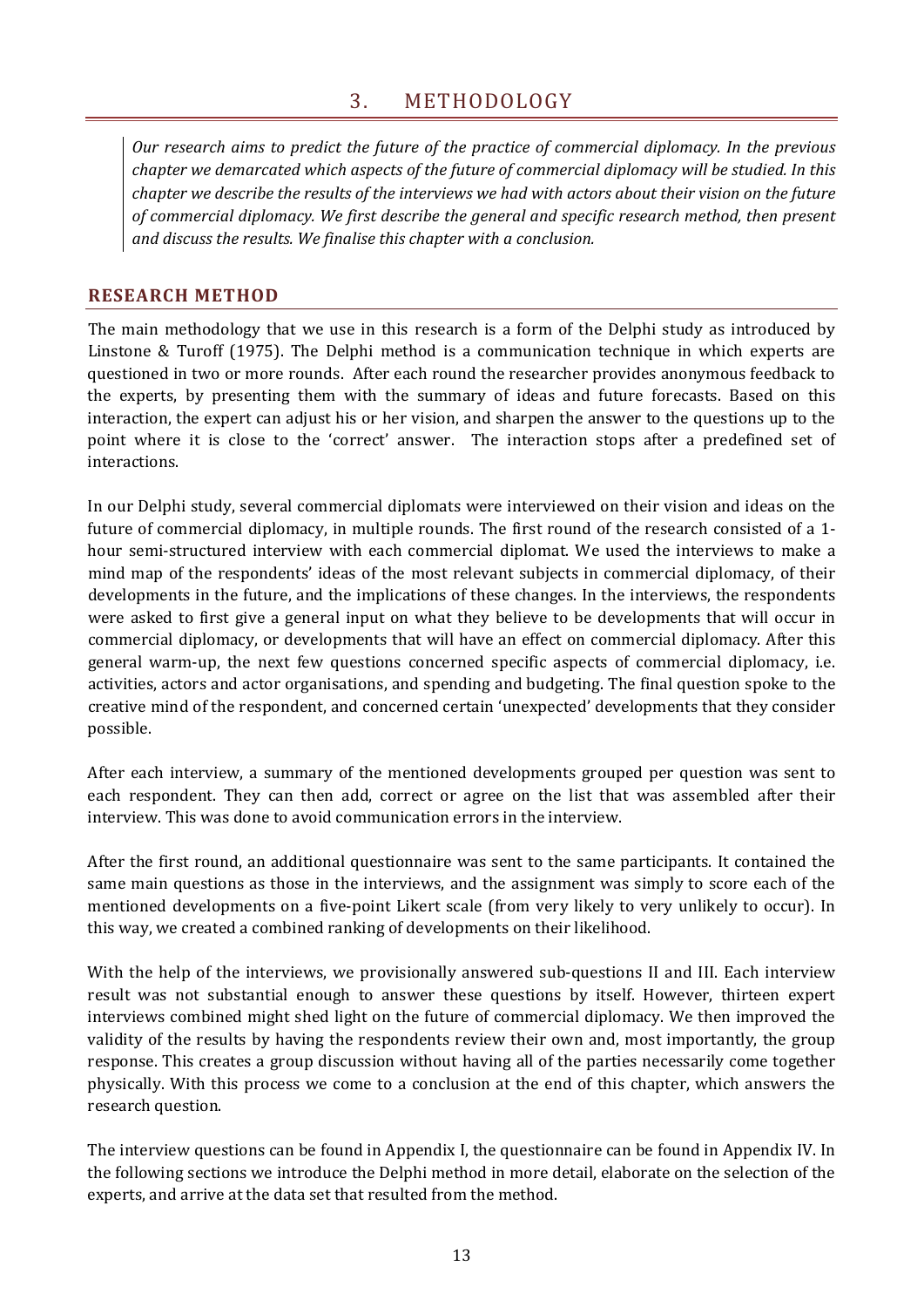## 3. METHODOLOGY

<span id="page-20-0"></span>*Our research aims to predict the future of the practice of commercial diplomacy. In the previous chapter we demarcated which aspects of the future of commercial diplomacy will be studied. In this chapter we describe the results of the interviews we had with actors about their vision on the future of commercial diplomacy. We first describe the general and specific research method, then present and discuss the results. We finalise this chapter with a conclusion.* 

#### <span id="page-20-1"></span>**RESEARCH METHOD**

The main methodology that we use in this research is a form of the Delphi study as introduced by Linstone & Turoff (1975). The Delphi method is a communication technique in which experts are questioned in two or more rounds. After each round the researcher provides anonymous feedback to the experts, by presenting them with the summary of ideas and future forecasts. Based on this interaction, the expert can adjust his or her vision, and sharpen the answer to the questions up to the point where it is close to the 'correct' answer. The interaction stops after a predefined set of interactions.

In our Delphi study, several commercial diplomats were interviewed on their vision and ideas on the future of commercial diplomacy, in multiple rounds. The first round of the research consisted of a 1 hour semi-structured interview with each commercial diplomat. We used the interviews to make a mind map of the respondents' ideas of the most relevant subjects in commercial diplomacy, of their developments in the future, and the implications of these changes. In the interviews, the respondents were asked to first give a general input on what they believe to be developments that will occur in commercial diplomacy, or developments that will have an effect on commercial diplomacy. After this general warm-up, the next few questions concerned specific aspects of commercial diplomacy, i.e. activities, actors and actor organisations, and spending and budgeting. The final question spoke to the creative mind of the respondent, and concerned certain 'unexpected' developments that they consider possible.

After each interview, a summary of the mentioned developments grouped per question was sent to each respondent. They can then add, correct or agree on the list that was assembled after their interview. This was done to avoid communication errors in the interview.

After the first round, an additional questionnaire was sent to the same participants. It contained the same main questions as those in the interviews, and the assignment was simply to score each of the mentioned developments on a five-point Likert scale (from very likely to very unlikely to occur). In this way, we created a combined ranking of developments on their likelihood.

With the help of the interviews, we provisionally answered sub-questions II and III. Each interview result was not substantial enough to answer these questions by itself. However, thirteen expert interviews combined might shed light on the future of commercial diplomacy. We then improved the validity of the results by having the respondents review their own and, most importantly, the group response. This creates a group discussion without having all of the parties necessarily come together physically. With this process we come to a conclusion at the end of this chapter, which answers the research question.

The interview questions can be found in Appendix I, the questionnaire can be found in Appendix IV. In the following sections we introduce the Delphi method in more detail, elaborate on the selection of the experts, and arrive at the data set that resulted from the method.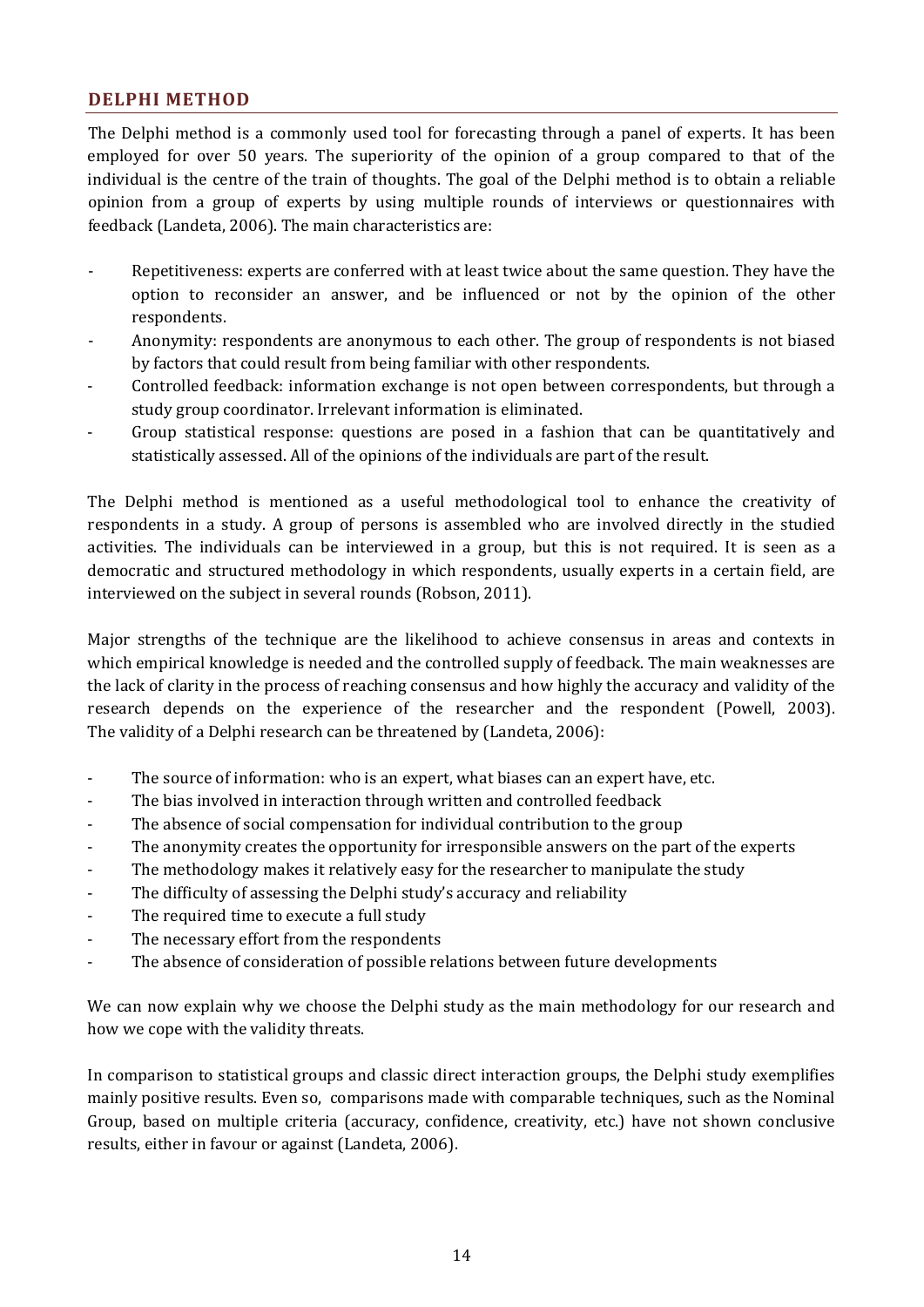### <span id="page-21-0"></span>**DELPHI METHOD**

The Delphi method is a commonly used tool for forecasting through a panel of experts. It has been employed for over 50 years. The superiority of the opinion of a group compared to that of the individual is the centre of the train of thoughts. The goal of the Delphi method is to obtain a reliable opinion from a group of experts by using multiple rounds of interviews or questionnaires with feedback (Landeta, 2006). The main characteristics are:

- Repetitiveness: experts are conferred with at least twice about the same question. They have the option to reconsider an answer, and be influenced or not by the opinion of the other respondents.
- Anonymity: respondents are anonymous to each other. The group of respondents is not biased by factors that could result from being familiar with other respondents.
- Controlled feedback: information exchange is not open between correspondents, but through a study group coordinator. Irrelevant information is eliminated.
- Group statistical response: questions are posed in a fashion that can be quantitatively and statistically assessed. All of the opinions of the individuals are part of the result.

The Delphi method is mentioned as a useful methodological tool to enhance the creativity of respondents in a study. A group of persons is assembled who are involved directly in the studied activities. The individuals can be interviewed in a group, but this is not required. It is seen as a democratic and structured methodology in which respondents, usually experts in a certain field, are interviewed on the subject in several rounds (Robson, 2011).

Major strengths of the technique are the likelihood to achieve consensus in areas and contexts in which empirical knowledge is needed and the controlled supply of feedback. The main weaknesses are the lack of clarity in the process of reaching consensus and how highly the accuracy and validity of the research depends on the experience of the researcher and the respondent (Powell, 2003). The validity of a Delphi research can be threatened by (Landeta, 2006):

- The source of information: who is an expert, what biases can an expert have, etc.
- The bias involved in interaction through written and controlled feedback
- The absence of social compensation for individual contribution to the group
- The anonymity creates the opportunity for irresponsible answers on the part of the experts
- The methodology makes it relatively easy for the researcher to manipulate the study
- The difficulty of assessing the Delphi study's accuracy and reliability
- The required time to execute a full study
- The necessary effort from the respondents
- The absence of consideration of possible relations between future developments

We can now explain why we choose the Delphi study as the main methodology for our research and how we cope with the validity threats.

In comparison to statistical groups and classic direct interaction groups, the Delphi study exemplifies mainly positive results. Even so, comparisons made with comparable techniques, such as the Nominal Group, based on multiple criteria (accuracy, confidence, creativity, etc.) have not shown conclusive results, either in favour or against (Landeta, 2006).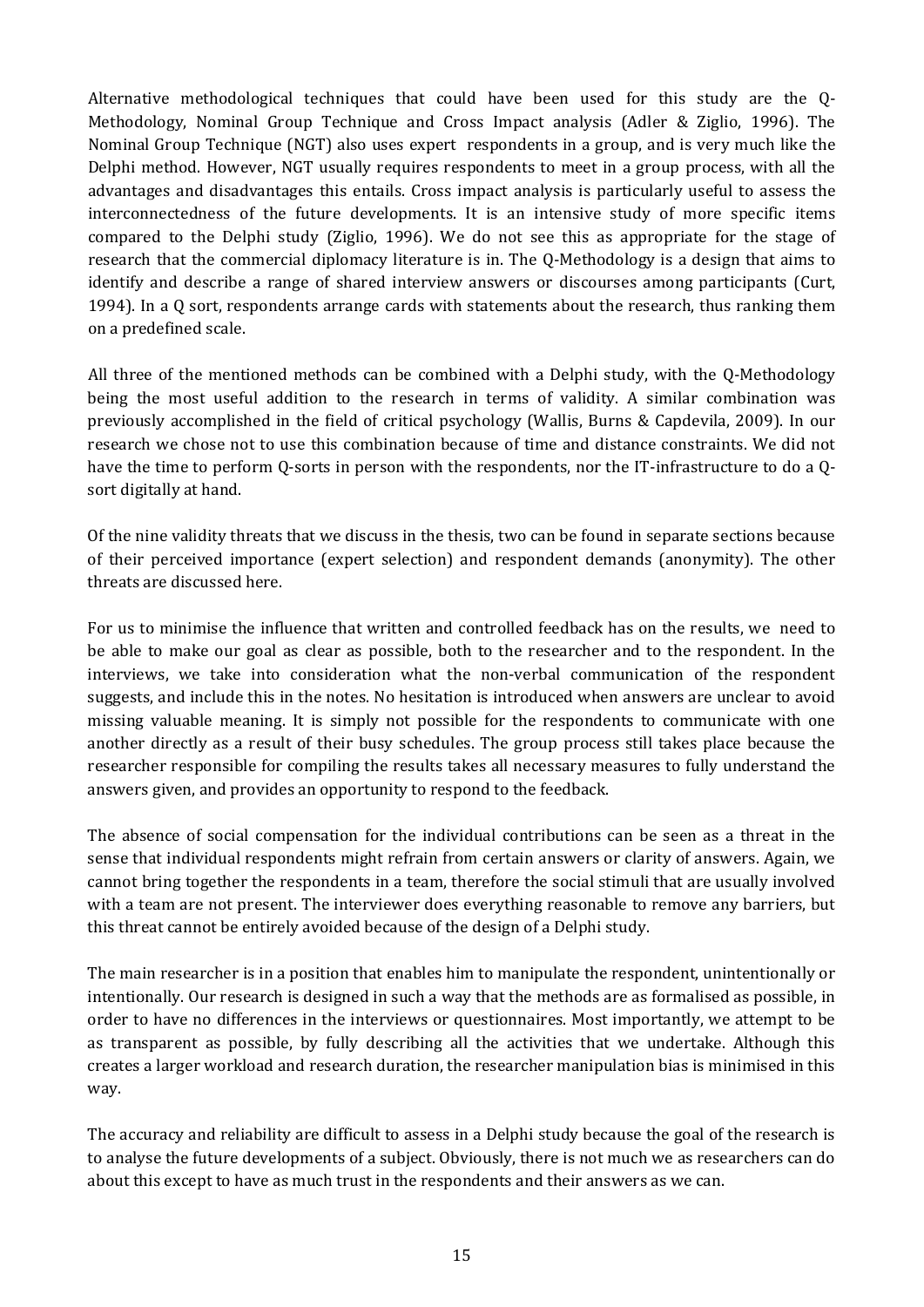Alternative methodological techniques that could have been used for this study are the Q-Methodology, Nominal Group Technique and Cross Impact analysis (Adler & Ziglio, 1996). The Nominal Group Technique (NGT) also uses expert respondents in a group, and is very much like the Delphi method. However, NGT usually requires respondents to meet in a group process, with all the advantages and disadvantages this entails. Cross impact analysis is particularly useful to assess the interconnectedness of the future developments. It is an intensive study of more specific items compared to the Delphi study (Ziglio, 1996). We do not see this as appropriate for the stage of research that the commercial diplomacy literature is in. The Q-Methodology is a design that aims to identify and describe a range of shared interview answers or discourses among participants (Curt, 1994). In a Q sort, respondents arrange cards with statements about the research, thus ranking them on a predefined scale.

All three of the mentioned methods can be combined with a Delphi study, with the Q-Methodology being the most useful addition to the research in terms of validity. A similar combination was previously accomplished in the field of critical psychology (Wallis, Burns & Capdevila, 2009). In our research we chose not to use this combination because of time and distance constraints. We did not have the time to perform Q-sorts in person with the respondents, nor the IT-infrastructure to do a Qsort digitally at hand.

Of the nine validity threats that we discuss in the thesis, two can be found in separate sections because of their perceived importance (expert selection) and respondent demands (anonymity). The other threats are discussed here.

For us to minimise the influence that written and controlled feedback has on the results, we need to be able to make our goal as clear as possible, both to the researcher and to the respondent. In the interviews, we take into consideration what the non-verbal communication of the respondent suggests, and include this in the notes. No hesitation is introduced when answers are unclear to avoid missing valuable meaning. It is simply not possible for the respondents to communicate with one another directly as a result of their busy schedules. The group process still takes place because the researcher responsible for compiling the results takes all necessary measures to fully understand the answers given, and provides an opportunity to respond to the feedback.

The absence of social compensation for the individual contributions can be seen as a threat in the sense that individual respondents might refrain from certain answers or clarity of answers. Again, we cannot bring together the respondents in a team, therefore the social stimuli that are usually involved with a team are not present. The interviewer does everything reasonable to remove any barriers, but this threat cannot be entirely avoided because of the design of a Delphi study.

The main researcher is in a position that enables him to manipulate the respondent, unintentionally or intentionally. Our research is designed in such a way that the methods are as formalised as possible, in order to have no differences in the interviews or questionnaires. Most importantly, we attempt to be as transparent as possible, by fully describing all the activities that we undertake. Although this creates a larger workload and research duration, the researcher manipulation bias is minimised in this way.

The accuracy and reliability are difficult to assess in a Delphi study because the goal of the research is to analyse the future developments of a subject. Obviously, there is not much we as researchers can do about this except to have as much trust in the respondents and their answers as we can.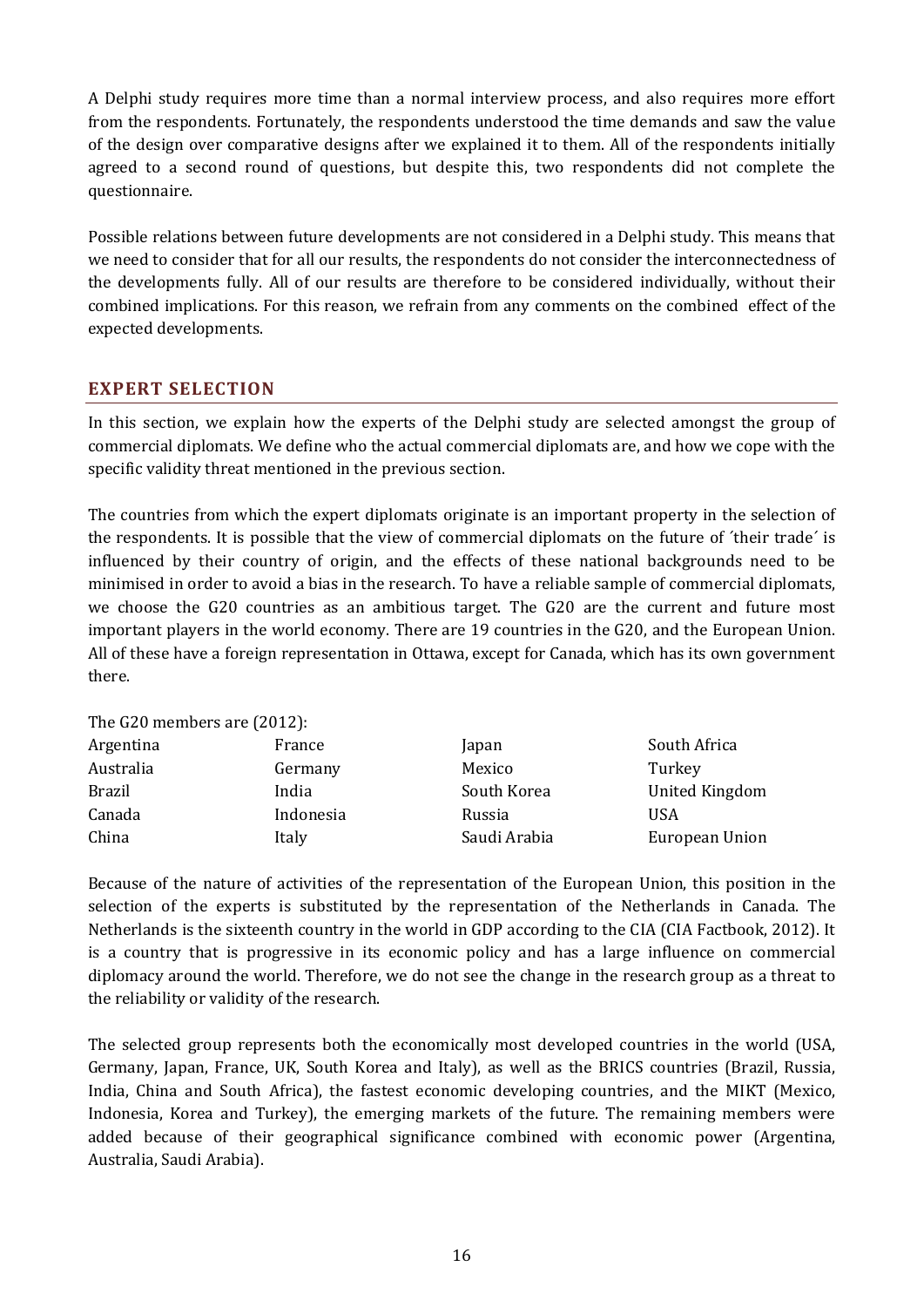A Delphi study requires more time than a normal interview process, and also requires more effort from the respondents. Fortunately, the respondents understood the time demands and saw the value of the design over comparative designs after we explained it to them. All of the respondents initially agreed to a second round of questions, but despite this, two respondents did not complete the questionnaire.

Possible relations between future developments are not considered in a Delphi study. This means that we need to consider that for all our results, the respondents do not consider the interconnectedness of the developments fully. All of our results are therefore to be considered individually, without their combined implications. For this reason, we refrain from any comments on the combined effect of the expected developments.

## <span id="page-23-0"></span>**EXPERT SELECTION**

In this section, we explain how the experts of the Delphi study are selected amongst the group of commercial diplomats. We define who the actual commercial diplomats are, and how we cope with the specific validity threat mentioned in the previous section.

The countries from which the expert diplomats originate is an important property in the selection of the respondents. It is possible that the view of commercial diplomats on the future of ´their trade´ is influenced by their country of origin, and the effects of these national backgrounds need to be minimised in order to avoid a bias in the research. To have a reliable sample of commercial diplomats, we choose the G20 countries as an ambitious target. The G20 are the current and future most important players in the world economy. There are 19 countries in the G20, and the European Union. All of these have a foreign representation in Ottawa, except for Canada, which has its own government there.

| The G20 members are $(2012)$ :              |                |
|---------------------------------------------|----------------|
| Argentina<br>France<br>apan                 | South Africa   |
| Australia<br>Mexico<br>Germany              | Turkey         |
| <b>Brazil</b><br>South Korea<br>India       | United Kingdom |
| Canada<br>Indonesia<br><b>USA</b><br>Russia |                |
| Saudi Arabia<br>China<br>Italy              | European Union |

Because of the nature of activities of the representation of the European Union, this position in the selection of the experts is substituted by the representation of the Netherlands in Canada. The Netherlands is the sixteenth country in the world in GDP according to the CIA (CIA Factbook, 2012). It is a country that is progressive in its economic policy and has a large influence on commercial diplomacy around the world. Therefore, we do not see the change in the research group as a threat to the reliability or validity of the research.

The selected group represents both the economically most developed countries in the world (USA, Germany, Japan, France, UK, South Korea and Italy), as well as the BRICS countries (Brazil, Russia, India, China and South Africa), the fastest economic developing countries, and the MIKT (Mexico, Indonesia, Korea and Turkey), the emerging markets of the future. The remaining members were added because of their geographical significance combined with economic power (Argentina, Australia, Saudi Arabia).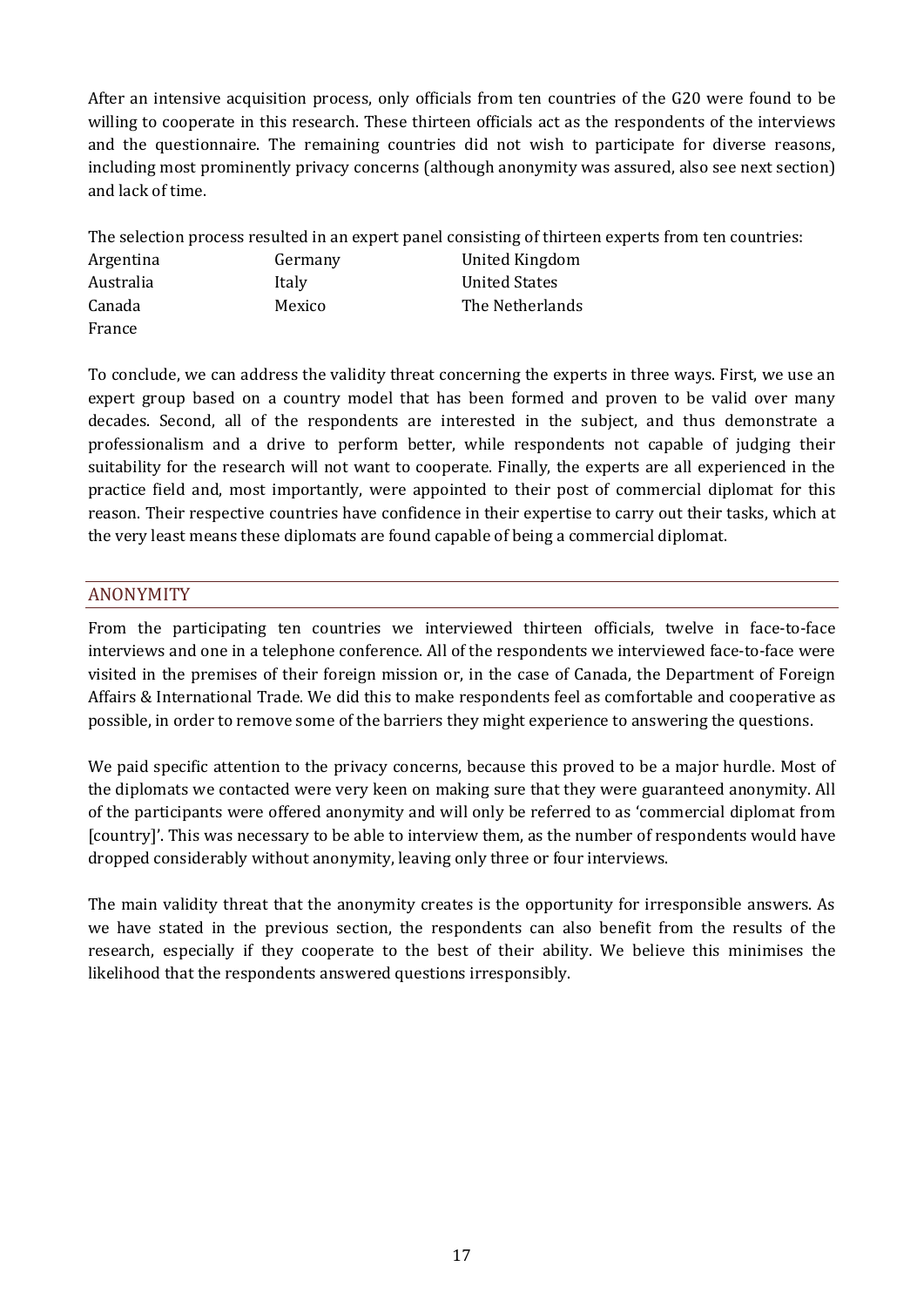After an intensive acquisition process, only officials from ten countries of the G20 were found to be willing to cooperate in this research. These thirteen officials act as the respondents of the interviews and the questionnaire. The remaining countries did not wish to participate for diverse reasons, including most prominently privacy concerns (although anonymity was assured, also see next section) and lack of time.

The selection process resulted in an expert panel consisting of thirteen experts from ten countries:

| Argentina | Germany | United Kingdom  |
|-----------|---------|-----------------|
| Australia | Italy   | United States   |
| Canada    | Mexico  | The Netherlands |
| France    |         |                 |

To conclude, we can address the validity threat concerning the experts in three ways. First, we use an expert group based on a country model that has been formed and proven to be valid over many decades. Second, all of the respondents are interested in the subject, and thus demonstrate a professionalism and a drive to perform better, while respondents not capable of judging their suitability for the research will not want to cooperate. Finally, the experts are all experienced in the practice field and, most importantly, were appointed to their post of commercial diplomat for this reason. Their respective countries have confidence in their expertise to carry out their tasks, which at the very least means these diplomats are found capable of being a commercial diplomat.

## <span id="page-24-0"></span>ANONYMITY

From the participating ten countries we interviewed thirteen officials, twelve in face-to-face interviews and one in a telephone conference. All of the respondents we interviewed face-to-face were visited in the premises of their foreign mission or, in the case of Canada, the Department of Foreign Affairs & International Trade. We did this to make respondents feel as comfortable and cooperative as possible, in order to remove some of the barriers they might experience to answering the questions.

We paid specific attention to the privacy concerns, because this proved to be a major hurdle. Most of the diplomats we contacted were very keen on making sure that they were guaranteed anonymity. All of the participants were offered anonymity and will only be referred to as 'commercial diplomat from [country]'. This was necessary to be able to interview them, as the number of respondents would have dropped considerably without anonymity, leaving only three or four interviews.

The main validity threat that the anonymity creates is the opportunity for irresponsible answers. As we have stated in the previous section, the respondents can also benefit from the results of the research, especially if they cooperate to the best of their ability. We believe this minimises the likelihood that the respondents answered questions irresponsibly.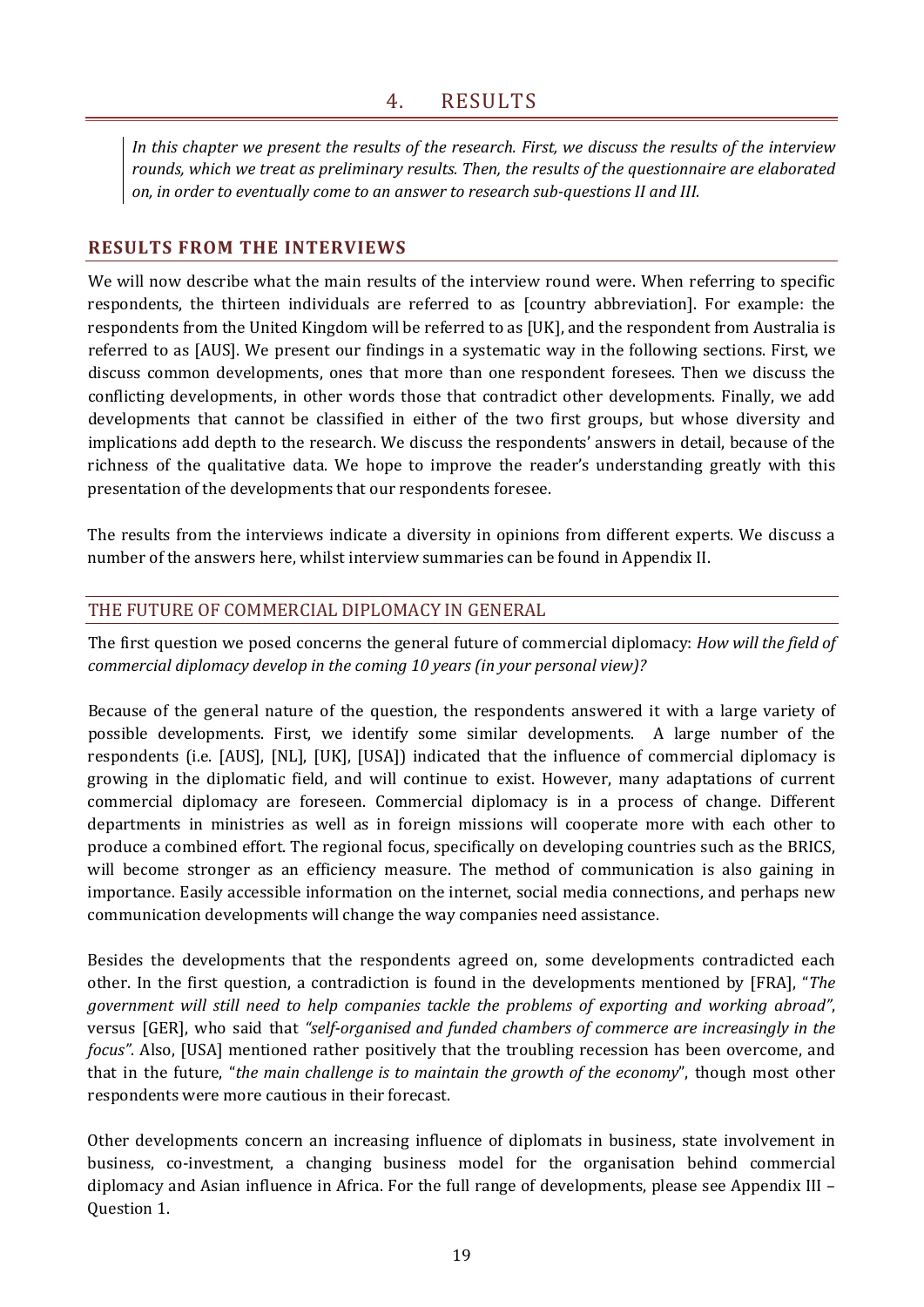<span id="page-26-0"></span>*In this chapter we present the results of the research. First, we discuss the results of the interview rounds, which we treat as preliminary results. Then, the results of the questionnaire are elaborated on, in order to eventually come to an answer to research sub-questions II and III.*

## <span id="page-26-1"></span>**RESULTS FROM THE INTERVIEWS**

We will now describe what the main results of the interview round were. When referring to specific respondents, the thirteen individuals are referred to as [country abbreviation]. For example: the respondents from the United Kingdom will be referred to as [UK], and the respondent from Australia is referred to as [AUS]. We present our findings in a systematic way in the following sections. First, we discuss common developments, ones that more than one respondent foresees. Then we discuss the conflicting developments, in other words those that contradict other developments. Finally, we add developments that cannot be classified in either of the two first groups, but whose diversity and implications add depth to the research. We discuss the respondents' answers in detail, because of the richness of the qualitative data. We hope to improve the reader's understanding greatly with this presentation of the developments that our respondents foresee.

The results from the interviews indicate a diversity in opinions from different experts. We discuss a number of the answers here, whilst interview summaries can be found in Appendix II.

## <span id="page-26-2"></span>THE FUTURE OF COMMERCIAL DIPLOMACY IN GENERAL

The first question we posed concerns the general future of commercial diplomacy: *How will the field of commercial diplomacy develop in the coming 10 years (in your personal view)?*

Because of the general nature of the question, the respondents answered it with a large variety of possible developments. First, we identify some similar developments. A large number of the respondents (i.e. [AUS], [NL], [UK], [USA]) indicated that the influence of commercial diplomacy is growing in the diplomatic field, and will continue to exist. However, many adaptations of current commercial diplomacy are foreseen. Commercial diplomacy is in a process of change. Different departments in ministries as well as in foreign missions will cooperate more with each other to produce a combined effort. The regional focus, specifically on developing countries such as the BRICS, will become stronger as an efficiency measure. The method of communication is also gaining in importance. Easily accessible information on the internet, social media connections, and perhaps new communication developments will change the way companies need assistance.

Besides the developments that the respondents agreed on, some developments contradicted each other. In the first question, a contradiction is found in the developments mentioned by [FRA], "*The government will still need to help companies tackle the problems of exporting and working abroad"*, versus [GER], who said that *"self-organised and funded chambers of commerce are increasingly in the focus"*. Also, [USA] mentioned rather positively that the troubling recession has been overcome, and that in the future, "*the main challenge is to maintain the growth of the economy*", though most other respondents were more cautious in their forecast.

Other developments concern an increasing influence of diplomats in business, state involvement in business, co-investment, a changing business model for the organisation behind commercial diplomacy and Asian influence in Africa. For the full range of developments, please see Appendix III – Question 1.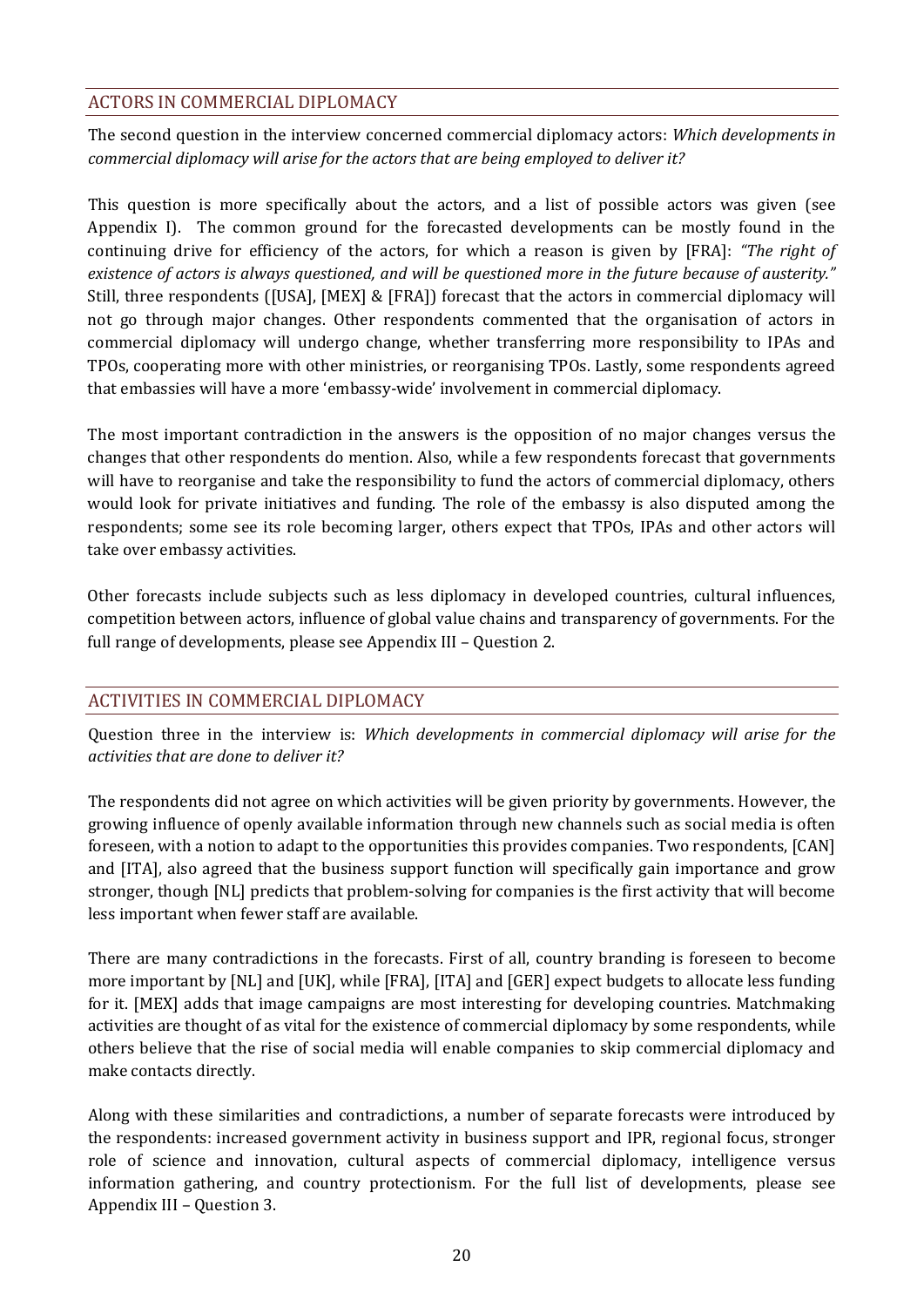## <span id="page-27-0"></span>ACTORS IN COMMERCIAL DIPLOMACY

The second question in the interview concerned commercial diplomacy actors: *Which developments in commercial diplomacy will arise for the actors that are being employed to deliver it?*

This question is more specifically about the actors, and a list of possible actors was given (see Appendix I). The common ground for the forecasted developments can be mostly found in the continuing drive for efficiency of the actors, for which a reason is given by [FRA]: *"The right of existence of actors is always questioned, and will be questioned more in the future because of austerity."* Still, three respondents ([USA], [MEX] & [FRA]) forecast that the actors in commercial diplomacy will not go through major changes. Other respondents commented that the organisation of actors in commercial diplomacy will undergo change, whether transferring more responsibility to IPAs and TPOs, cooperating more with other ministries, or reorganising TPOs. Lastly, some respondents agreed that embassies will have a more 'embassy-wide' involvement in commercial diplomacy.

The most important contradiction in the answers is the opposition of no major changes versus the changes that other respondents do mention. Also, while a few respondents forecast that governments will have to reorganise and take the responsibility to fund the actors of commercial diplomacy, others would look for private initiatives and funding. The role of the embassy is also disputed among the respondents; some see its role becoming larger, others expect that TPOs, IPAs and other actors will take over embassy activities.

Other forecasts include subjects such as less diplomacy in developed countries, cultural influences, competition between actors, influence of global value chains and transparency of governments. For the full range of developments, please see Appendix III – Question 2.

## <span id="page-27-1"></span>ACTIVITIES IN COMMERCIAL DIPLOMACY

Question three in the interview is: *Which developments in commercial diplomacy will arise for the activities that are done to deliver it?*

The respondents did not agree on which activities will be given priority by governments. However, the growing influence of openly available information through new channels such as social media is often foreseen, with a notion to adapt to the opportunities this provides companies. Two respondents, [CAN] and [ITA], also agreed that the business support function will specifically gain importance and grow stronger, though [NL] predicts that problem-solving for companies is the first activity that will become less important when fewer staff are available.

There are many contradictions in the forecasts. First of all, country branding is foreseen to become more important by [NL] and [UK], while [FRA], [ITA] and [GER] expect budgets to allocate less funding for it. [MEX] adds that image campaigns are most interesting for developing countries. Matchmaking activities are thought of as vital for the existence of commercial diplomacy by some respondents, while others believe that the rise of social media will enable companies to skip commercial diplomacy and make contacts directly.

Along with these similarities and contradictions, a number of separate forecasts were introduced by the respondents: increased government activity in business support and IPR, regional focus, stronger role of science and innovation, cultural aspects of commercial diplomacy, intelligence versus information gathering, and country protectionism. For the full list of developments, please see Appendix III – Question 3.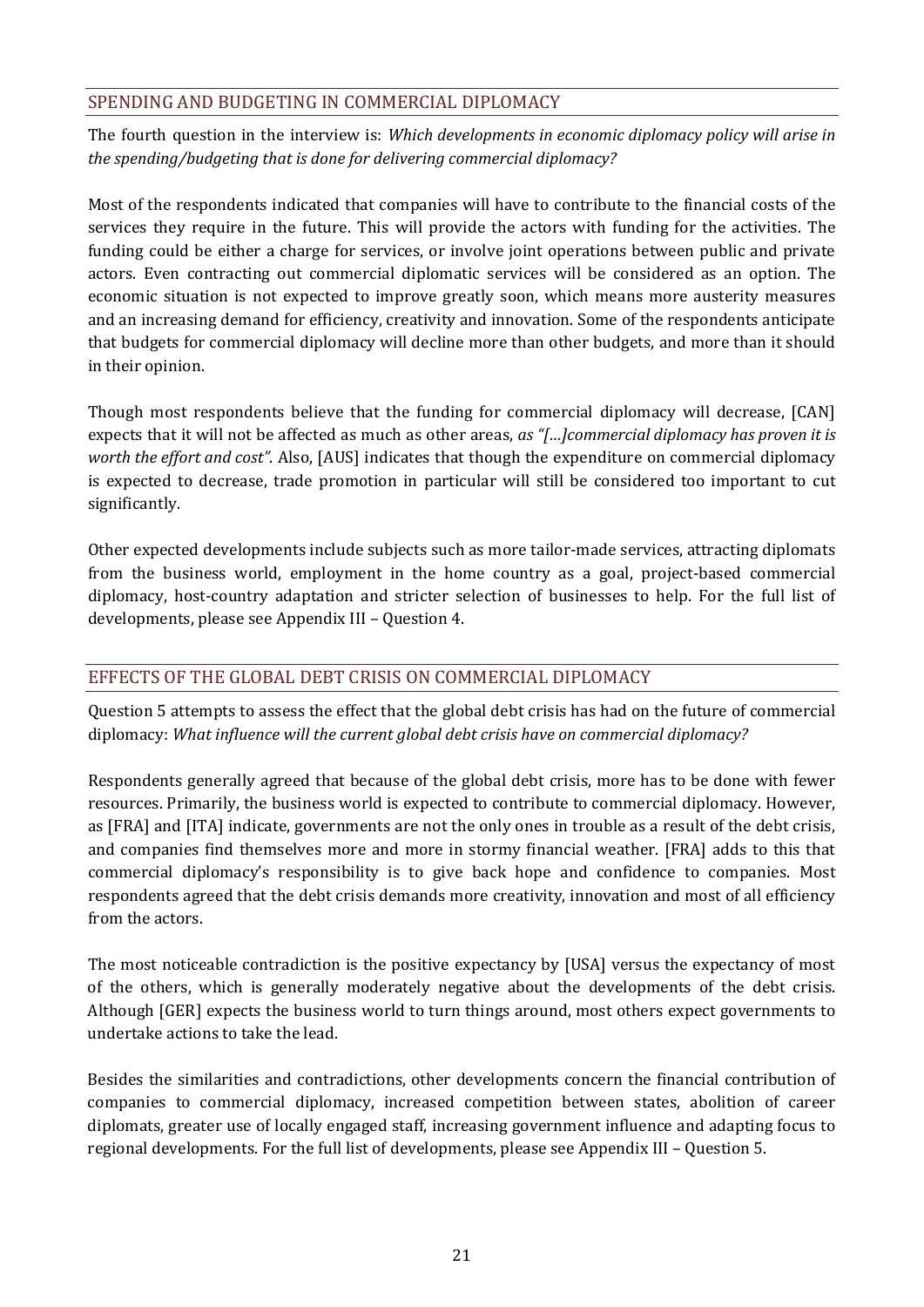## <span id="page-28-0"></span>SPENDING AND BUDGETING IN COMMERCIAL DIPLOMACY

The fourth question in the interview is: *Which developments in economic diplomacy policy will arise in the spending/budgeting that is done for delivering commercial diplomacy?*

Most of the respondents indicated that companies will have to contribute to the financial costs of the services they require in the future. This will provide the actors with funding for the activities. The funding could be either a charge for services, or involve joint operations between public and private actors. Even contracting out commercial diplomatic services will be considered as an option. The economic situation is not expected to improve greatly soon, which means more austerity measures and an increasing demand for efficiency, creativity and innovation. Some of the respondents anticipate that budgets for commercial diplomacy will decline more than other budgets, and more than it should in their opinion.

Though most respondents believe that the funding for commercial diplomacy will decrease, [CAN] expects that it will not be affected as much as other areas, *as "[…]commercial diplomacy has proven it is worth the effort and cost"*. Also, [AUS] indicates that though the expenditure on commercial diplomacy is expected to decrease, trade promotion in particular will still be considered too important to cut significantly.

Other expected developments include subjects such as more tailor-made services, attracting diplomats from the business world, employment in the home country as a goal, project-based commercial diplomacy, host-country adaptation and stricter selection of businesses to help. For the full list of developments, please see Appendix III – Question 4.

## <span id="page-28-1"></span>EFFECTS OF THE GLOBAL DEBT CRISIS ON COMMERCIAL DIPLOMACY

Question 5 attempts to assess the effect that the global debt crisis has had on the future of commercial diplomacy: *What influence will the current global debt crisis have on commercial diplomacy?*

Respondents generally agreed that because of the global debt crisis, more has to be done with fewer resources. Primarily, the business world is expected to contribute to commercial diplomacy. However, as [FRA] and [ITA] indicate, governments are not the only ones in trouble as a result of the debt crisis, and companies find themselves more and more in stormy financial weather. [FRA] adds to this that commercial diplomacy's responsibility is to give back hope and confidence to companies. Most respondents agreed that the debt crisis demands more creativity, innovation and most of all efficiency from the actors.

The most noticeable contradiction is the positive expectancy by [USA] versus the expectancy of most of the others, which is generally moderately negative about the developments of the debt crisis. Although [GER] expects the business world to turn things around, most others expect governments to undertake actions to take the lead.

Besides the similarities and contradictions, other developments concern the financial contribution of companies to commercial diplomacy, increased competition between states, abolition of career diplomats, greater use of locally engaged staff, increasing government influence and adapting focus to regional developments. For the full list of developments, please see Appendix III – Question 5.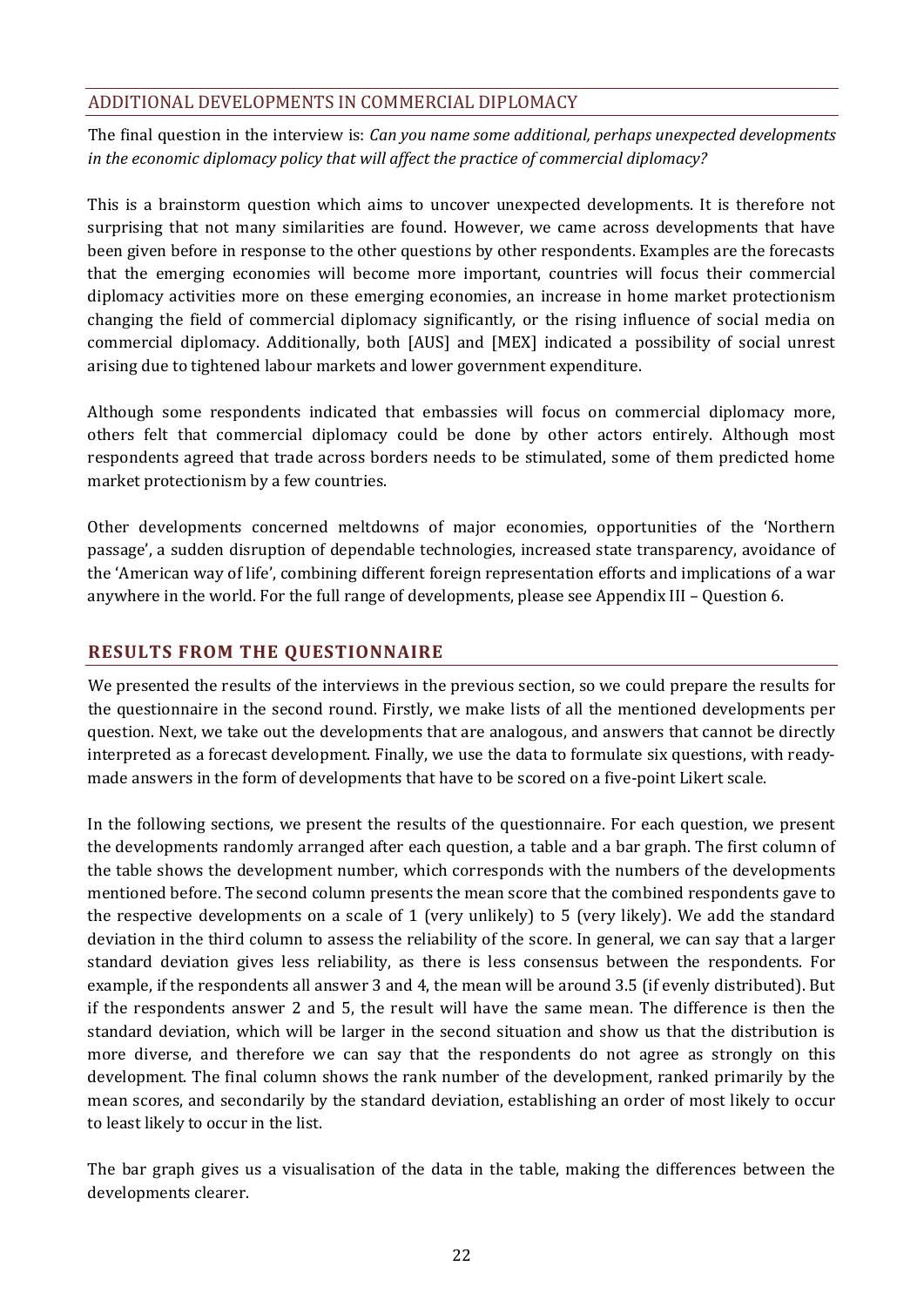## <span id="page-29-0"></span>ADDITIONAL DEVELOPMENTS IN COMMERCIAL DIPLOMACY

The final question in the interview is: *Can you name some additional, perhaps unexpected developments in the economic diplomacy policy that will affect the practice of commercial diplomacy?*

This is a brainstorm question which aims to uncover unexpected developments. It is therefore not surprising that not many similarities are found. However, we came across developments that have been given before in response to the other questions by other respondents. Examples are the forecasts that the emerging economies will become more important, countries will focus their commercial diplomacy activities more on these emerging economies, an increase in home market protectionism changing the field of commercial diplomacy significantly, or the rising influence of social media on commercial diplomacy. Additionally, both [AUS] and [MEX] indicated a possibility of social unrest arising due to tightened labour markets and lower government expenditure.

Although some respondents indicated that embassies will focus on commercial diplomacy more, others felt that commercial diplomacy could be done by other actors entirely. Although most respondents agreed that trade across borders needs to be stimulated, some of them predicted home market protectionism by a few countries.

Other developments concerned meltdowns of major economies, opportunities of the 'Northern passage', a sudden disruption of dependable technologies, increased state transparency, avoidance of the 'American way of life', combining different foreign representation efforts and implications of a war anywhere in the world. For the full range of developments, please see Appendix III – Question 6.

## <span id="page-29-1"></span>**RESULTS FROM THE QUESTIONNAIRE**

We presented the results of the interviews in the previous section, so we could prepare the results for the questionnaire in the second round. Firstly, we make lists of all the mentioned developments per question. Next, we take out the developments that are analogous, and answers that cannot be directly interpreted as a forecast development. Finally, we use the data to formulate six questions, with readymade answers in the form of developments that have to be scored on a five-point Likert scale.

In the following sections, we present the results of the questionnaire. For each question, we present the developments randomly arranged after each question, a table and a bar graph. The first column of the table shows the development number, which corresponds with the numbers of the developments mentioned before. The second column presents the mean score that the combined respondents gave to the respective developments on a scale of 1 (very unlikely) to 5 (very likely). We add the standard deviation in the third column to assess the reliability of the score. In general, we can say that a larger standard deviation gives less reliability, as there is less consensus between the respondents. For example, if the respondents all answer 3 and 4, the mean will be around 3.5 (if evenly distributed). But if the respondents answer 2 and 5, the result will have the same mean. The difference is then the standard deviation, which will be larger in the second situation and show us that the distribution is more diverse, and therefore we can say that the respondents do not agree as strongly on this development. The final column shows the rank number of the development, ranked primarily by the mean scores, and secondarily by the standard deviation, establishing an order of most likely to occur to least likely to occur in the list.

The bar graph gives us a visualisation of the data in the table, making the differences between the developments clearer.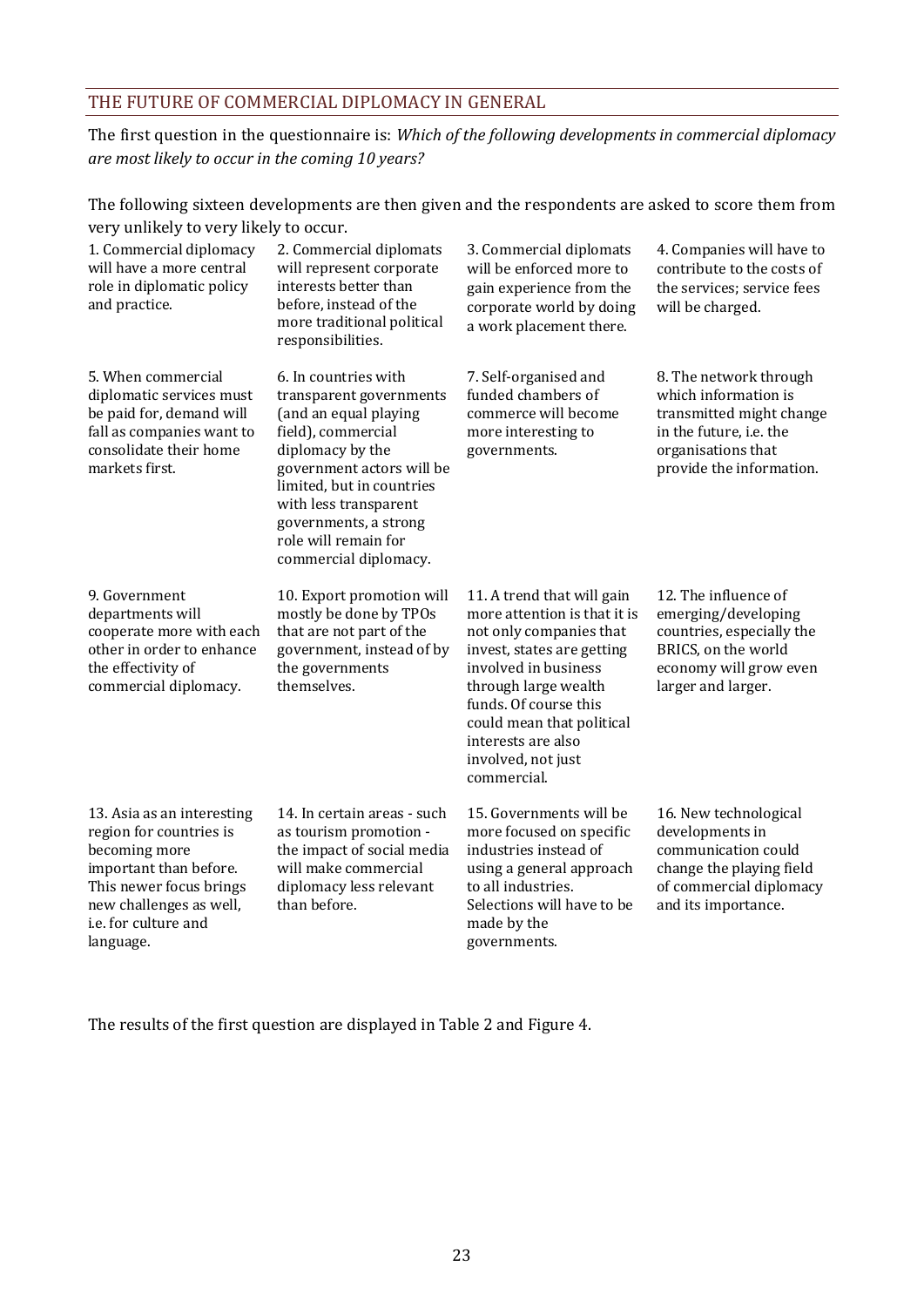## <span id="page-30-0"></span>THE FUTURE OF COMMERCIAL DIPLOMACY IN GENERAL

The first question in the questionnaire is: *Which of the following developments in commercial diplomacy are most likely to occur in the coming 10 years?*

The following sixteen developments are then given and the respondents are asked to score them from very unlikely to very likely to occur.

| 1. Commercial diplomacy<br>will have a more central<br>role in diplomatic policy<br>and practice.                                                                                           | 2. Commercial diplomats<br>will represent corporate<br>interests better than<br>before, instead of the<br>more traditional political<br>responsibilities.                                                                                                                       | 3. Commercial diplomats<br>will be enforced more to<br>gain experience from the<br>corporate world by doing<br>a work placement there.                                                                                                                                               | 4. Companies will have to<br>contribute to the costs of<br>the services; service fees<br>will be charged.                                               |
|---------------------------------------------------------------------------------------------------------------------------------------------------------------------------------------------|---------------------------------------------------------------------------------------------------------------------------------------------------------------------------------------------------------------------------------------------------------------------------------|--------------------------------------------------------------------------------------------------------------------------------------------------------------------------------------------------------------------------------------------------------------------------------------|---------------------------------------------------------------------------------------------------------------------------------------------------------|
| 5. When commercial<br>diplomatic services must<br>be paid for, demand will<br>fall as companies want to<br>consolidate their home<br>markets first.                                         | 6. In countries with<br>transparent governments<br>(and an equal playing<br>field), commercial<br>diplomacy by the<br>government actors will be<br>limited, but in countries<br>with less transparent<br>governments, a strong<br>role will remain for<br>commercial diplomacy. | 7. Self-organised and<br>funded chambers of<br>commerce will become<br>more interesting to<br>governments.                                                                                                                                                                           | 8. The network through<br>which information is<br>transmitted might change<br>in the future, i.e. the<br>organisations that<br>provide the information. |
| 9. Government<br>departments will<br>cooperate more with each<br>other in order to enhance<br>the effectivity of<br>commercial diplomacy.                                                   | 10. Export promotion will<br>mostly be done by TPOs<br>that are not part of the<br>government, instead of by<br>the governments<br>themselves.                                                                                                                                  | 11. A trend that will gain<br>more attention is that it is<br>not only companies that<br>invest, states are getting<br>involved in business<br>through large wealth<br>funds. Of course this<br>could mean that political<br>interests are also<br>involved, not just<br>commercial. | 12. The influence of<br>emerging/developing<br>countries, especially the<br>BRICS, on the world<br>economy will grow even<br>larger and larger.         |
| 13. Asia as an interesting<br>region for countries is<br>becoming more<br>important than before.<br>This newer focus brings<br>new challenges as well,<br>i.e. for culture and<br>language. | 14. In certain areas - such<br>as tourism promotion -<br>the impact of social media<br>will make commercial<br>diplomacy less relevant<br>than before.                                                                                                                          | 15. Governments will be<br>more focused on specific<br>industries instead of<br>using a general approach<br>to all industries.<br>Selections will have to be<br>made by the<br>governments.                                                                                          | 16. New technological<br>developments in<br>communication could<br>change the playing field<br>of commercial diplomacy<br>and its importance.           |

The results of the first question are displayed in Table 2 and [Figure 4.](#page-31-0)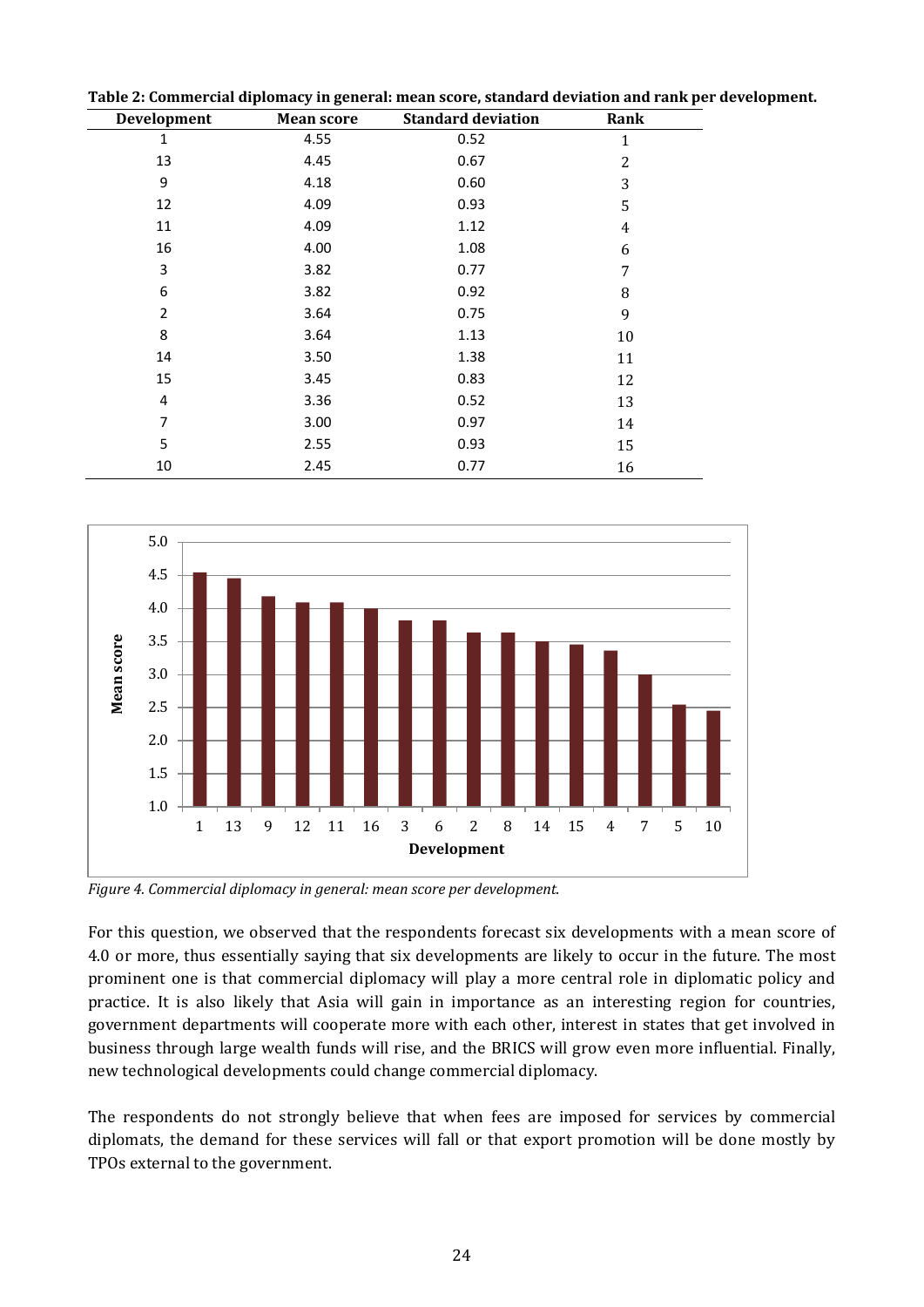| $\frac{1}{2}$           |                   |                           | -------r       |
|-------------------------|-------------------|---------------------------|----------------|
| Development             | <b>Mean score</b> | <b>Standard deviation</b> | Rank           |
| 1                       | 4.55              | 0.52                      | 1              |
| 13                      | 4.45              | 0.67                      | 2              |
| 9                       | 4.18              | 0.60                      | 3              |
| 12                      | 4.09              | 0.93                      | 5              |
| 11                      | 4.09              | 1.12                      | $\overline{4}$ |
| 16                      | 4.00              | 1.08                      | 6              |
| $\overline{\mathbf{3}}$ | 3.82              | 0.77                      | 7              |
| 6                       | 3.82              | 0.92                      | 8              |
| $\overline{2}$          | 3.64              | 0.75                      | 9              |
| 8                       | 3.64              | 1.13                      | 10             |
| 14                      | 3.50              | 1.38                      | 11             |
| 15                      | 3.45              | 0.83                      | 12             |
| $\overline{4}$          | 3.36              | 0.52                      | 13             |
| 7                       | 3.00              | 0.97                      | 14             |
| 5                       | 2.55              | 0.93                      | 15             |
| 10                      | 2.45              | 0.77                      | 16             |

**Table 2: Commercial diplomacy in general: mean score, standard deviation and rank per development.**



<span id="page-31-0"></span>*Figure 4. Commercial diplomacy in general: mean score per development.*

For this question, we observed that the respondents forecast six developments with a mean score of 4.0 or more, thus essentially saying that six developments are likely to occur in the future. The most prominent one is that commercial diplomacy will play a more central role in diplomatic policy and practice. It is also likely that Asia will gain in importance as an interesting region for countries, government departments will cooperate more with each other, interest in states that get involved in business through large wealth funds will rise, and the BRICS will grow even more influential. Finally, new technological developments could change commercial diplomacy.

The respondents do not strongly believe that when fees are imposed for services by commercial diplomats, the demand for these services will fall or that export promotion will be done mostly by TPOs external to the government.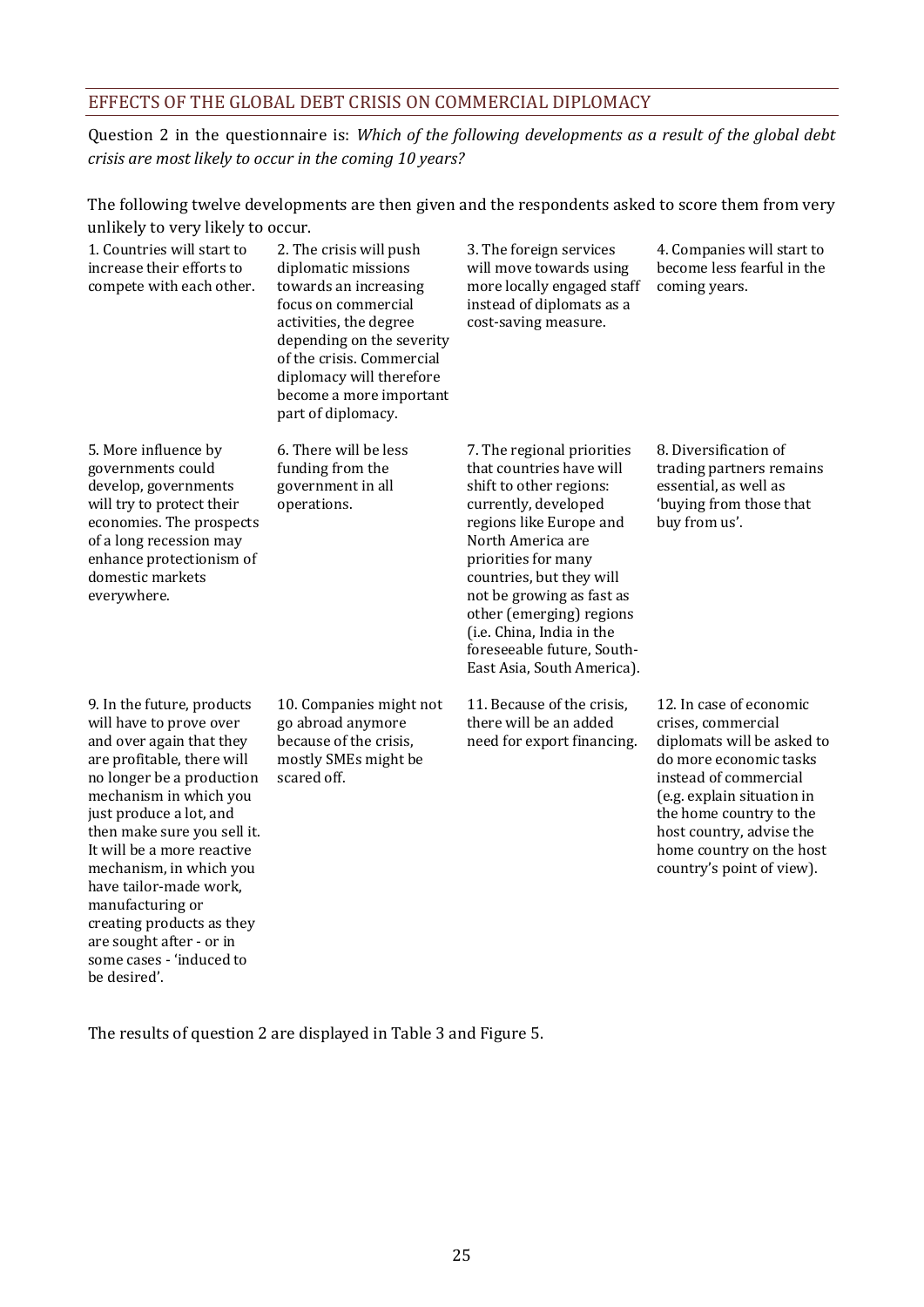## <span id="page-32-0"></span>EFFECTS OF THE GLOBAL DEBT CRISIS ON COMMERCIAL DIPLOMACY

Question 2 in the questionnaire is: *Which of the following developments as a result of the global debt crisis are most likely to occur in the coming 10 years?*

The following twelve developments are then given and the respondents asked to score them from very unlikely to very likely to occur.

| 1. Countries will start to<br>increase their efforts to<br>compete with each other.                                                                                                                                                                                                                                                                                                                                          | 2. The crisis will push<br>diplomatic missions<br>towards an increasing<br>focus on commercial<br>activities, the degree<br>depending on the severity<br>of the crisis. Commercial<br>diplomacy will therefore<br>become a more important<br>part of diplomacy. | 3. The foreign services<br>will move towards using<br>more locally engaged staff<br>instead of diplomats as a<br>cost-saving measure.                                                                                                                                                                                                                          | 4. Companies will start to<br>become less fearful in the<br>coming years.                                                                                                                                                                                                    |
|------------------------------------------------------------------------------------------------------------------------------------------------------------------------------------------------------------------------------------------------------------------------------------------------------------------------------------------------------------------------------------------------------------------------------|-----------------------------------------------------------------------------------------------------------------------------------------------------------------------------------------------------------------------------------------------------------------|----------------------------------------------------------------------------------------------------------------------------------------------------------------------------------------------------------------------------------------------------------------------------------------------------------------------------------------------------------------|------------------------------------------------------------------------------------------------------------------------------------------------------------------------------------------------------------------------------------------------------------------------------|
| 5. More influence by<br>governments could<br>develop, governments<br>will try to protect their<br>economies. The prospects<br>of a long recession may<br>enhance protectionism of<br>domestic markets<br>everywhere.                                                                                                                                                                                                         | 6. There will be less<br>funding from the<br>government in all<br>operations.                                                                                                                                                                                   | 7. The regional priorities<br>that countries have will<br>shift to other regions:<br>currently, developed<br>regions like Europe and<br>North America are<br>priorities for many<br>countries, but they will<br>not be growing as fast as<br>other (emerging) regions<br>(i.e. China, India in the<br>foreseeable future, South-<br>East Asia, South America). | 8. Diversification of<br>trading partners remains<br>essential, as well as<br>'buying from those that<br>buy from us'.                                                                                                                                                       |
| 9. In the future, products<br>will have to prove over<br>and over again that they<br>are profitable, there will<br>no longer be a production<br>mechanism in which you<br>just produce a lot, and<br>then make sure you sell it.<br>It will be a more reactive<br>mechanism, in which you<br>have tailor-made work,<br>manufacturing or<br>creating products as they<br>are sought after - or in<br>some cases - 'induced to | 10. Companies might not<br>go abroad anymore<br>because of the crisis,<br>mostly SMEs might be<br>scared off.                                                                                                                                                   | 11. Because of the crisis,<br>there will be an added<br>need for export financing.                                                                                                                                                                                                                                                                             | 12. In case of economic<br>crises, commercial<br>diplomats will be asked to<br>do more economic tasks<br>instead of commercial<br>(e.g. explain situation in<br>the home country to the<br>host country, advise the<br>home country on the host<br>country's point of view). |

The results of question 2 are displayed in Table 3 and [Figure 5.](#page-33-0) 

be desired'.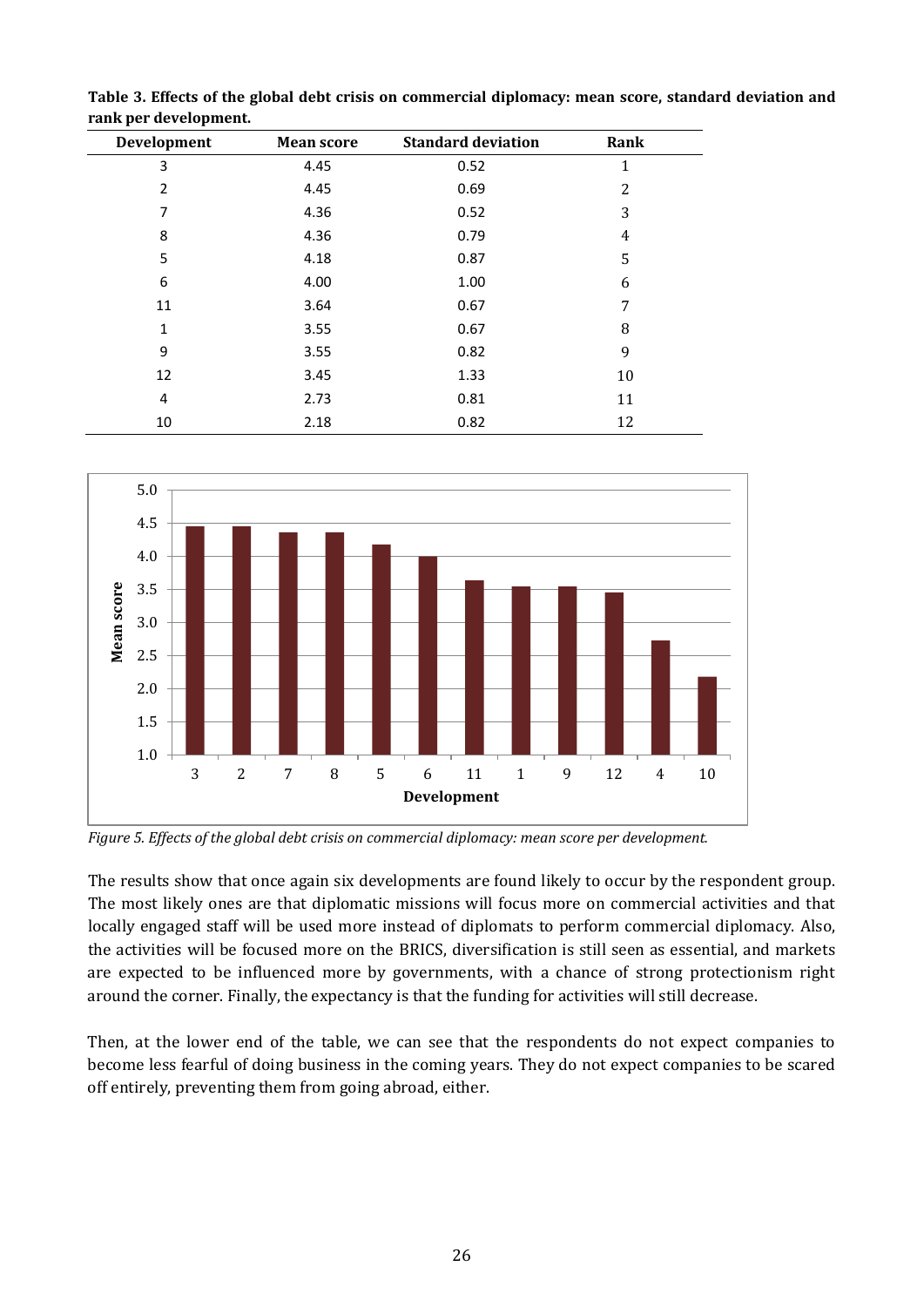| Development    | <b>Mean score</b> | <b>Standard deviation</b> | Rank |  |
|----------------|-------------------|---------------------------|------|--|
| 3              | 4.45              | 0.52                      | 1    |  |
| $\overline{2}$ | 4.45              | 0.69                      | 2    |  |
| 7              | 4.36              | 0.52                      | 3    |  |
| 8              | 4.36              | 0.79                      | 4    |  |
| 5              | 4.18              | 0.87                      | 5    |  |
| 6              | 4.00              | 1.00                      | 6    |  |
| 11             | 3.64              | 0.67                      | 7    |  |
| 1              | 3.55              | 0.67                      | 8    |  |
| 9              | 3.55              | 0.82                      | 9    |  |
| 12             | 3.45              | 1.33                      | 10   |  |
| 4              | 2.73              | 0.81                      | 11   |  |
| 10             | 2.18              | 0.82                      | 12   |  |

**Table 3. Effects of the global debt crisis on commercial diplomacy: mean score, standard deviation and rank per development.**



<span id="page-33-0"></span>*Figure 5. Effects of the global debt crisis on commercial diplomacy: mean score per development.*

The results show that once again six developments are found likely to occur by the respondent group. The most likely ones are that diplomatic missions will focus more on commercial activities and that locally engaged staff will be used more instead of diplomats to perform commercial diplomacy. Also, the activities will be focused more on the BRICS, diversification is still seen as essential, and markets are expected to be influenced more by governments, with a chance of strong protectionism right around the corner. Finally, the expectancy is that the funding for activities will still decrease.

Then, at the lower end of the table, we can see that the respondents do not expect companies to become less fearful of doing business in the coming years. They do not expect companies to be scared off entirely, preventing them from going abroad, either.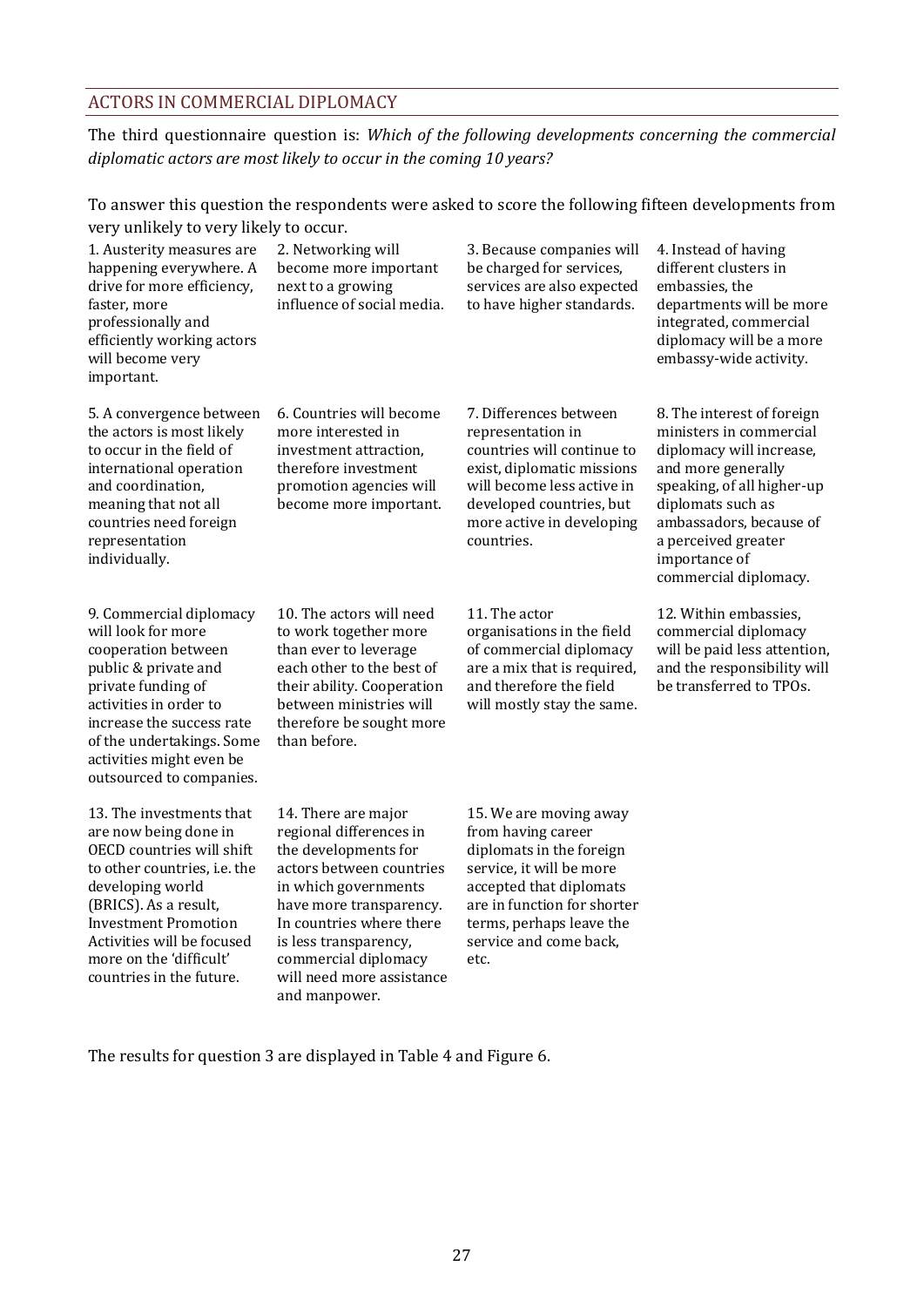### <span id="page-34-0"></span>ACTORS IN COMMERCIAL DIPLOMACY

The third questionnaire question is: *Which of the following developments concerning the commercial diplomatic actors are most likely to occur in the coming 10 years?*

To answer this question the respondents were asked to score the following fifteen developments from very unlikely to very likely to occur.

| 1. Austerity measures are<br>happening everywhere. A<br>drive for more efficiency,<br>faster, more<br>professionally and<br>efficiently working actors<br>will become very<br>important.                                                                                        | 2. Networking will<br>become more important<br>next to a growing<br>influence of social media.                                                                                                                                                                                   | 3. Because companies will<br>be charged for services,<br>services are also expected<br>to have higher standards.                                                                                                             | 4. Instead of having<br>different clusters in<br>embassies, the<br>departments will be more<br>integrated, commercial<br>diplomacy will be a more<br>embassy-wide activity.                                                                            |
|---------------------------------------------------------------------------------------------------------------------------------------------------------------------------------------------------------------------------------------------------------------------------------|----------------------------------------------------------------------------------------------------------------------------------------------------------------------------------------------------------------------------------------------------------------------------------|------------------------------------------------------------------------------------------------------------------------------------------------------------------------------------------------------------------------------|--------------------------------------------------------------------------------------------------------------------------------------------------------------------------------------------------------------------------------------------------------|
| 5. A convergence between<br>the actors is most likely<br>to occur in the field of<br>international operation<br>and coordination,<br>meaning that not all<br>countries need foreign<br>representation<br>individually.                                                          | 6. Countries will become<br>more interested in<br>investment attraction,<br>therefore investment<br>promotion agencies will<br>become more important.                                                                                                                            | 7. Differences between<br>representation in<br>countries will continue to<br>exist, diplomatic missions<br>will become less active in<br>developed countries, but<br>more active in developing<br>countries.                 | 8. The interest of foreign<br>ministers in commercial<br>diplomacy will increase,<br>and more generally<br>speaking, of all higher-up<br>diplomats such as<br>ambassadors, because of<br>a perceived greater<br>importance of<br>commercial diplomacy. |
| 9. Commercial diplomacy<br>will look for more<br>cooperation between<br>public & private and<br>private funding of<br>activities in order to<br>increase the success rate<br>of the undertakings. Some<br>activities might even be<br>outsourced to companies.                  | 10. The actors will need<br>to work together more<br>than ever to leverage<br>each other to the best of<br>their ability. Cooperation<br>between ministries will<br>therefore be sought more<br>than before.                                                                     | 11. The actor<br>organisations in the field<br>of commercial diplomacy<br>are a mix that is required,<br>and therefore the field<br>will mostly stay the same.                                                               | 12. Within embassies,<br>commercial diplomacy<br>will be paid less attention,<br>and the responsibility will<br>be transferred to TPOs.                                                                                                                |
| 13. The investments that<br>are now being done in<br>OECD countries will shift<br>to other countries, i.e. the<br>developing world<br>(BRICS). As a result,<br><b>Investment Promotion</b><br>Activities will be focused<br>more on the 'difficult'<br>countries in the future. | 14. There are major<br>regional differences in<br>the developments for<br>actors between countries<br>in which governments<br>have more transparency.<br>In countries where there<br>is less transparency,<br>commercial diplomacy<br>will need more assistance<br>and manpower. | 15. We are moving away<br>from having career<br>diplomats in the foreign<br>service, it will be more<br>accepted that diplomats<br>are in function for shorter<br>terms, perhaps leave the<br>service and come back,<br>etc. |                                                                                                                                                                                                                                                        |

The results for question 3 are displayed in Table 4 and [Figure 6.](#page-35-0)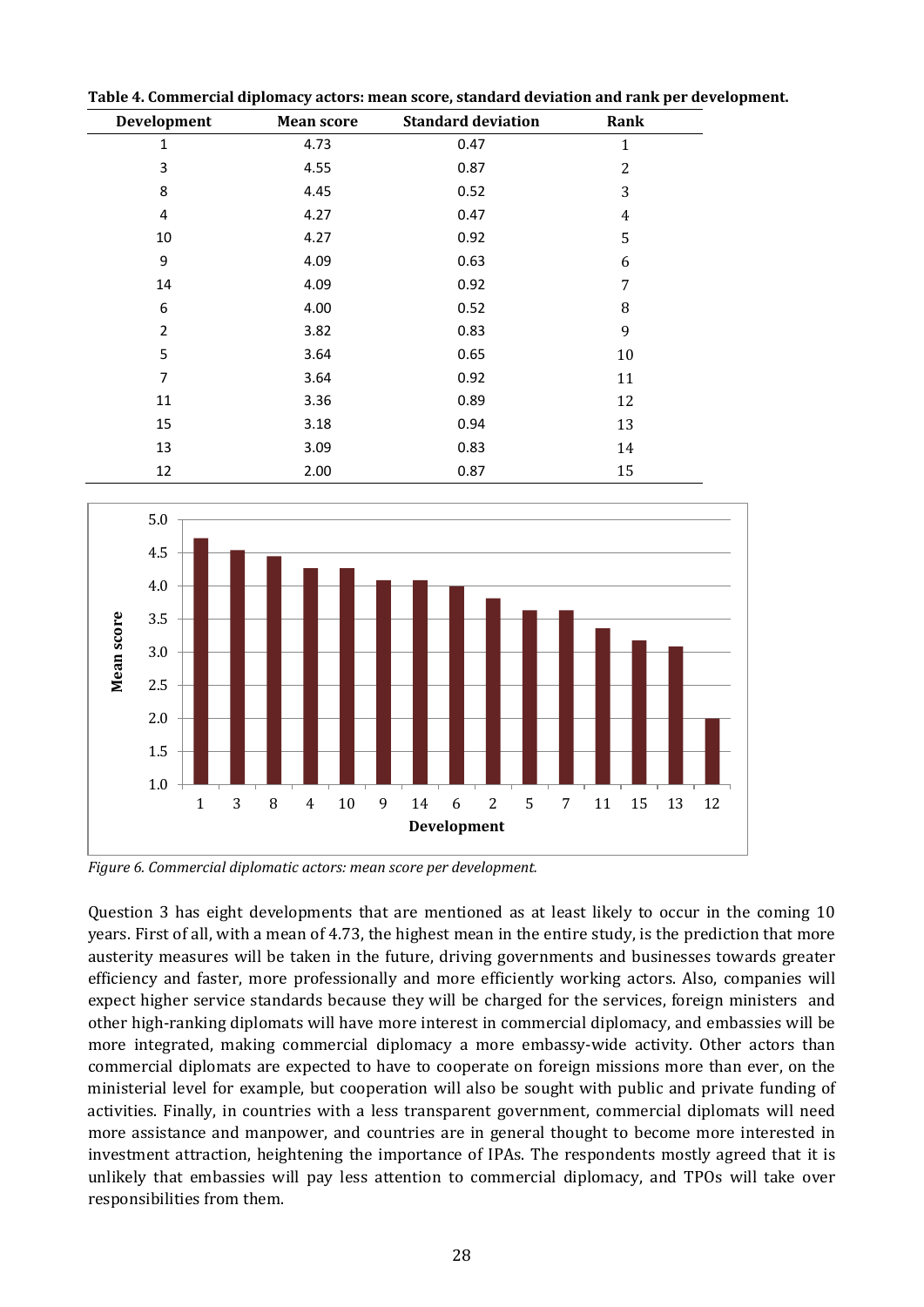| Development    | <b>Mean score</b> | <b>Standard deviation</b> | Rank           |
|----------------|-------------------|---------------------------|----------------|
| $\mathbf{1}$   | 4.73              | 0.47                      | $\mathbf{1}$   |
| 3              | 4.55              | 0.87                      | $\overline{2}$ |
| 8              | 4.45              | 0.52                      | 3              |
| 4              | 4.27              | 0.47                      | 4              |
| 10             | 4.27              | 0.92                      | 5              |
| 9              | 4.09              | 0.63                      | 6              |
| 14             | 4.09              | 0.92                      | 7              |
| 6              | 4.00              | 0.52                      | 8              |
| $\overline{2}$ | 3.82              | 0.83                      | 9              |
| 5              | 3.64              | 0.65                      | 10             |
| $\overline{7}$ | 3.64              | 0.92                      | 11             |
| 11             | 3.36              | 0.89                      | 12             |
| 15             | 3.18              | 0.94                      | 13             |
| 13             | 3.09              | 0.83                      | 14             |
| 12             | 2.00              | 0.87                      | 15             |

**Table 4. Commercial diplomacy actors: mean score, standard deviation and rank per development.**



<span id="page-35-0"></span>*Figure 6. Commercial diplomatic actors: mean score per development.*

Question 3 has eight developments that are mentioned as at least likely to occur in the coming 10 years. First of all, with a mean of 4.73, the highest mean in the entire study, is the prediction that more austerity measures will be taken in the future, driving governments and businesses towards greater efficiency and faster, more professionally and more efficiently working actors. Also, companies will expect higher service standards because they will be charged for the services, foreign ministers and other high-ranking diplomats will have more interest in commercial diplomacy, and embassies will be more integrated, making commercial diplomacy a more embassy-wide activity. Other actors than commercial diplomats are expected to have to cooperate on foreign missions more than ever, on the ministerial level for example, but cooperation will also be sought with public and private funding of activities. Finally, in countries with a less transparent government, commercial diplomats will need more assistance and manpower, and countries are in general thought to become more interested in investment attraction, heightening the importance of IPAs. The respondents mostly agreed that it is unlikely that embassies will pay less attention to commercial diplomacy, and TPOs will take over responsibilities from them.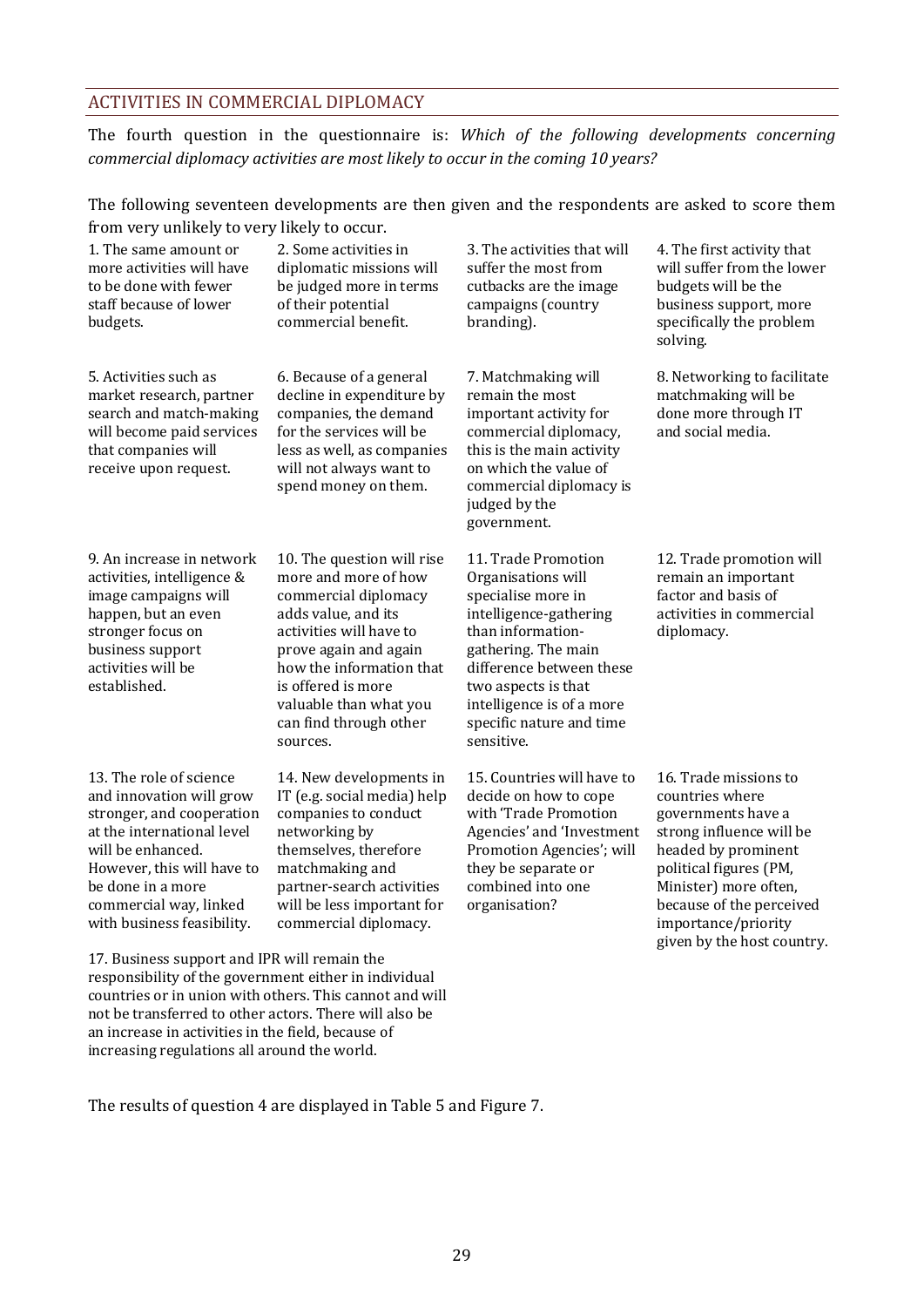#### ACTIVITIES IN COMMERCIAL DIPLOMACY

The fourth question in the questionnaire is: *Which of the following developments concerning commercial diplomacy activities are most likely to occur in the coming 10 years?*

The following seventeen developments are then given and the respondents are asked to score them from very unlikely to very likely to occur.

| $10.011$ , $10.9$ , $10.01$ , $10.00$                                                                                                                                                                                                                                                           |                                                                                                                                                                                                                                                                               |                                                                                                                                                                                                                                                                 |                                                                                                                                                                                                                                                       |
|-------------------------------------------------------------------------------------------------------------------------------------------------------------------------------------------------------------------------------------------------------------------------------------------------|-------------------------------------------------------------------------------------------------------------------------------------------------------------------------------------------------------------------------------------------------------------------------------|-----------------------------------------------------------------------------------------------------------------------------------------------------------------------------------------------------------------------------------------------------------------|-------------------------------------------------------------------------------------------------------------------------------------------------------------------------------------------------------------------------------------------------------|
| 1. The same amount or<br>more activities will have<br>to be done with fewer<br>staff because of lower<br>budgets.                                                                                                                                                                               | 2. Some activities in<br>diplomatic missions will<br>be judged more in terms<br>of their potential<br>commercial benefit.                                                                                                                                                     | 3. The activities that will<br>suffer the most from<br>cutbacks are the image<br>campaigns (country<br>branding).                                                                                                                                               | 4. The first activity that<br>will suffer from the lower<br>budgets will be the<br>business support, more<br>specifically the problem<br>solving.                                                                                                     |
| 5. Activities such as<br>market research, partner<br>search and match-making<br>will become paid services<br>that companies will<br>receive upon request.                                                                                                                                       | 6. Because of a general<br>decline in expenditure by<br>companies, the demand<br>for the services will be<br>less as well, as companies<br>will not always want to<br>spend money on them.                                                                                    | 7. Matchmaking will<br>remain the most<br>important activity for<br>commercial diplomacy,<br>this is the main activity<br>on which the value of<br>commercial diplomacy is<br>judged by the<br>government.                                                      | 8. Networking to facilitate<br>matchmaking will be<br>done more through IT<br>and social media.                                                                                                                                                       |
| 9. An increase in network<br>activities, intelligence &<br>image campaigns will<br>happen, but an even<br>stronger focus on<br>business support<br>activities will be<br>established.                                                                                                           | 10. The question will rise<br>more and more of how<br>commercial diplomacy<br>adds value, and its<br>activities will have to<br>prove again and again<br>how the information that<br>is offered is more<br>valuable than what you<br>can find through other<br>sources.       | 11. Trade Promotion<br>Organisations will<br>specialise more in<br>intelligence-gathering<br>than information-<br>gathering. The main<br>difference between these<br>two aspects is that<br>intelligence is of a more<br>specific nature and time<br>sensitive. | 12. Trade promotion will<br>remain an important<br>factor and basis of<br>activities in commercial<br>diplomacy.                                                                                                                                      |
| 13. The role of science<br>and innovation will grow<br>stronger, and cooperation<br>at the international level<br>will be enhanced.<br>However, this will have to<br>be done in a more<br>commercial way, linked<br>with business feasibility.<br>$\overline{AB}$ $\overline{D}$ $\overline{C}$ | 14. New developments in<br>IT (e.g. social media) help<br>companies to conduct<br>networking by<br>themselves, therefore<br>matchmaking and<br>partner-search activities<br>will be less important for<br>commercial diplomacy.<br>$\mathbf{r} = \mathbf{r} \cdot \mathbf{r}$ | 15. Countries will have to<br>decide on how to cope<br>with 'Trade Promotion<br>Agencies' and 'Investment<br>Promotion Agencies'; will<br>they be separate or<br>combined into one<br>organisation?                                                             | 16. Trade missions to<br>countries where<br>governments have a<br>strong influence will be<br>headed by prominent<br>political figures (PM,<br>Minister) more often,<br>because of the perceived<br>importance/priority<br>given by the host country. |

17. Business support and IPR will remain the responsibility of the government either in individual countries or in union with others. This cannot and will not be transferred to other actors. There will also be an increase in activities in the field, because of increasing regulations all around the world.

The results of question 4 are displayed in Table 5 and [Figure 7.](#page-37-0)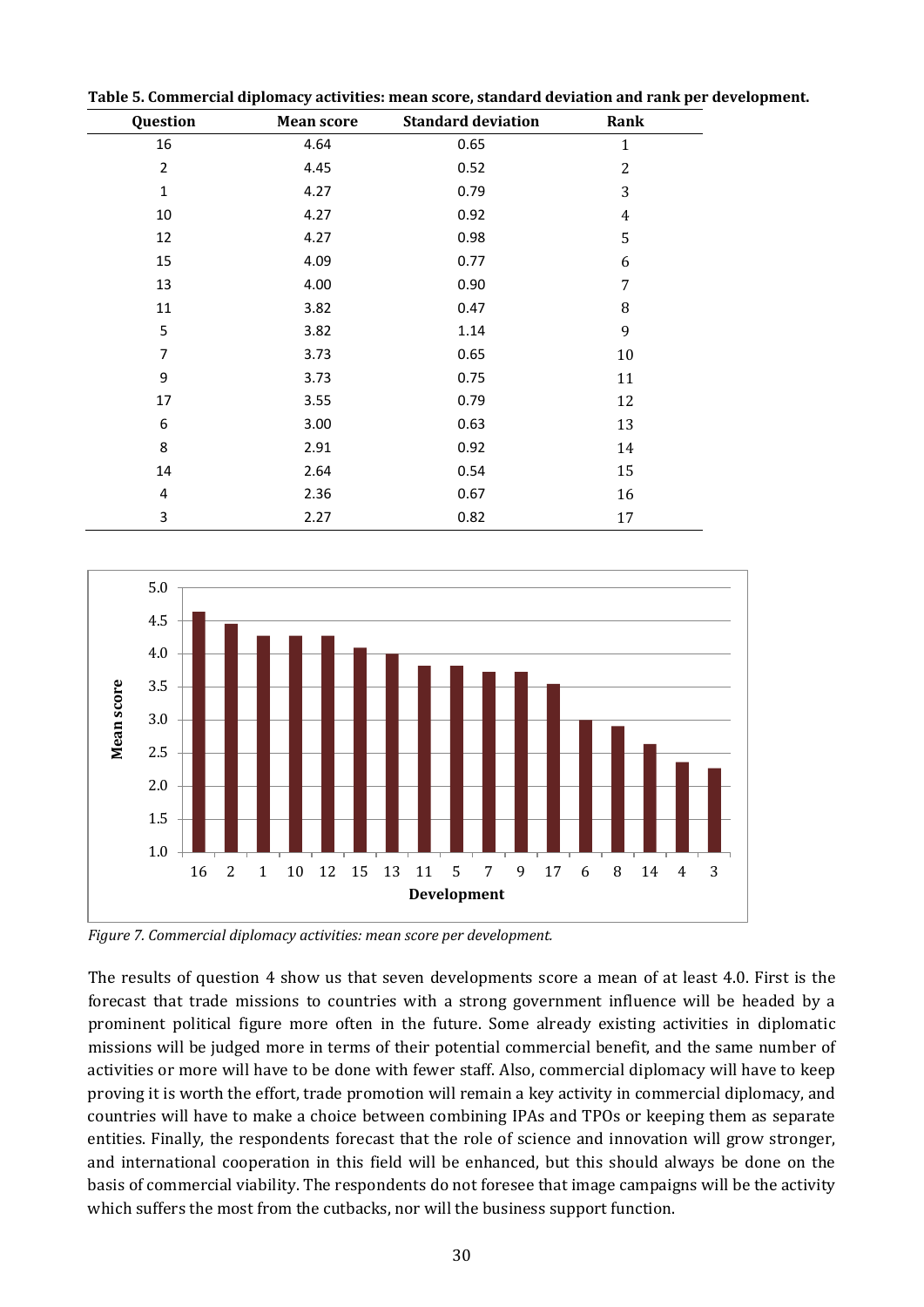| Question       | <b>Mean score</b> | <b>Standard deviation</b> | Rank         |
|----------------|-------------------|---------------------------|--------------|
| 16             | 4.64              | 0.65                      | $\mathbf{1}$ |
| $\overline{2}$ | 4.45              | 0.52                      | 2            |
| $\mathbf{1}$   | 4.27              | 0.79                      | 3            |
| 10             | 4.27              | 0.92                      | 4            |
| 12             | 4.27              | 0.98                      | 5            |
| 15             | 4.09              | 0.77                      | 6            |
| 13             | 4.00              | 0.90                      | 7            |
| 11             | 3.82              | 0.47                      | 8            |
| 5              | 3.82              | 1.14                      | 9            |
| 7              | 3.73              | 0.65                      | 10           |
| 9              | 3.73              | 0.75                      | 11           |
| 17             | 3.55              | 0.79                      | 12           |
| 6              | 3.00              | 0.63                      | 13           |
| 8              | 2.91              | 0.92                      | 14           |
| 14             | 2.64              | 0.54                      | 15           |
| 4              | 2.36              | 0.67                      | 16           |
| 3              | 2.27              | 0.82                      | 17           |

**Table 5. Commercial diplomacy activities: mean score, standard deviation and rank per development.**



<span id="page-37-0"></span>*Figure 7. Commercial diplomacy activities: mean score per development.*

The results of question 4 show us that seven developments score a mean of at least 4.0. First is the forecast that trade missions to countries with a strong government influence will be headed by a prominent political figure more often in the future. Some already existing activities in diplomatic missions will be judged more in terms of their potential commercial benefit, and the same number of activities or more will have to be done with fewer staff. Also, commercial diplomacy will have to keep proving it is worth the effort, trade promotion will remain a key activity in commercial diplomacy, and countries will have to make a choice between combining IPAs and TPOs or keeping them as separate entities. Finally, the respondents forecast that the role of science and innovation will grow stronger, and international cooperation in this field will be enhanced, but this should always be done on the basis of commercial viability. The respondents do not foresee that image campaigns will be the activity which suffers the most from the cutbacks, nor will the business support function.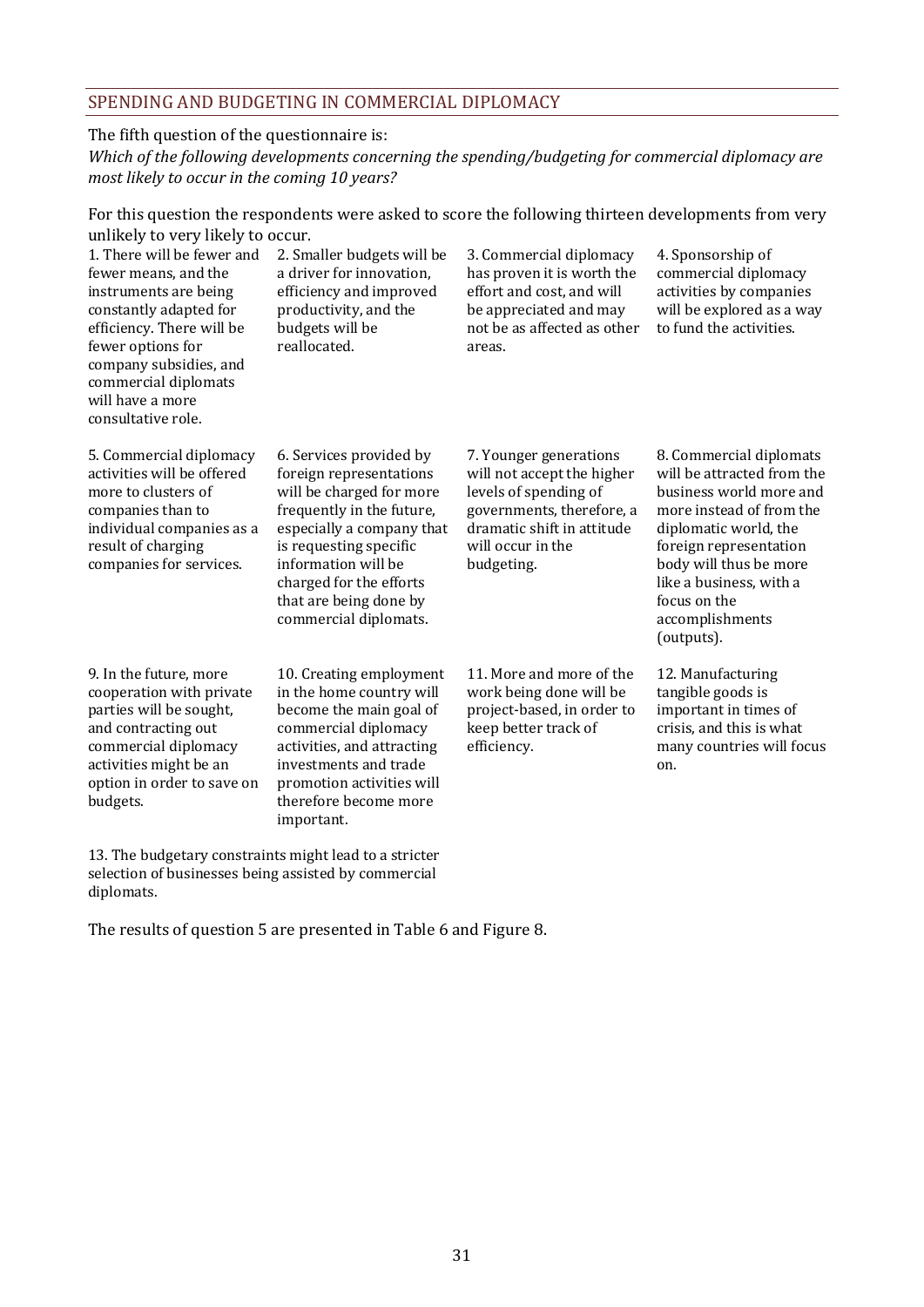#### SPENDING AND BUDGETING IN COMMERCIAL DIPLOMACY

#### The fifth question of the questionnaire is:

*Which of the following developments concerning the spending/budgeting for commercial diplomacy are most likely to occur in the coming 10 years?*

For this question the respondents were asked to score the following thirteen developments from very unlikely to very likely to occur.

| 1. There will be fewer and<br>fewer means, and the<br>instruments are being<br>constantly adapted for<br>efficiency. There will be<br>fewer options for<br>company subsidies, and<br>commercial diplomats<br>will have a more<br>consultative role. | 2. Smaller budgets will be<br>a driver for innovation,<br>efficiency and improved<br>productivity, and the<br>budgets will be<br>reallocated.                                                                                                                           | 3. Commercial diplomacy<br>has proven it is worth the<br>effort and cost, and will<br>be appreciated and may<br>not be as affected as other<br>areas.                       | 4. Sponsorship of<br>commercial diplomacy<br>activities by companies<br>will be explored as a way<br>to fund the activities.                                                                                                                                          |
|-----------------------------------------------------------------------------------------------------------------------------------------------------------------------------------------------------------------------------------------------------|-------------------------------------------------------------------------------------------------------------------------------------------------------------------------------------------------------------------------------------------------------------------------|-----------------------------------------------------------------------------------------------------------------------------------------------------------------------------|-----------------------------------------------------------------------------------------------------------------------------------------------------------------------------------------------------------------------------------------------------------------------|
| 5. Commercial diplomacy<br>activities will be offered<br>more to clusters of<br>companies than to<br>individual companies as a<br>result of charging<br>companies for services.                                                                     | 6. Services provided by<br>foreign representations<br>will be charged for more<br>frequently in the future,<br>especially a company that<br>is requesting specific<br>information will be<br>charged for the efforts<br>that are being done by<br>commercial diplomats. | 7. Younger generations<br>will not accept the higher<br>levels of spending of<br>governments, therefore, a<br>dramatic shift in attitude<br>will occur in the<br>budgeting. | 8. Commercial diplomats<br>will be attracted from the<br>business world more and<br>more instead of from the<br>diplomatic world, the<br>foreign representation<br>body will thus be more<br>like a business, with a<br>focus on the<br>accomplishments<br>(outputs). |
| 9. In the future, more<br>cooperation with private<br>parties will be sought,<br>and contracting out<br>commercial diplomacy<br>activities might be an<br>option in order to save on<br>budgets.                                                    | 10. Creating employment<br>in the home country will<br>become the main goal of<br>commercial diplomacy<br>activities, and attracting<br>investments and trade<br>promotion activities will<br>therefore become more<br>important.                                       | 11. More and more of the<br>work being done will be<br>project-based, in order to<br>keep better track of<br>efficiency.                                                    | 12. Manufacturing<br>tangible goods is<br>important in times of<br>crisis, and this is what<br>many countries will focus<br>on.                                                                                                                                       |

13. The budgetary constraints might lead to a stricter selection of businesses being assisted by commercial diplomats.

The results of question 5 are presented in Table 6 an[d Figure 8.](#page-39-0)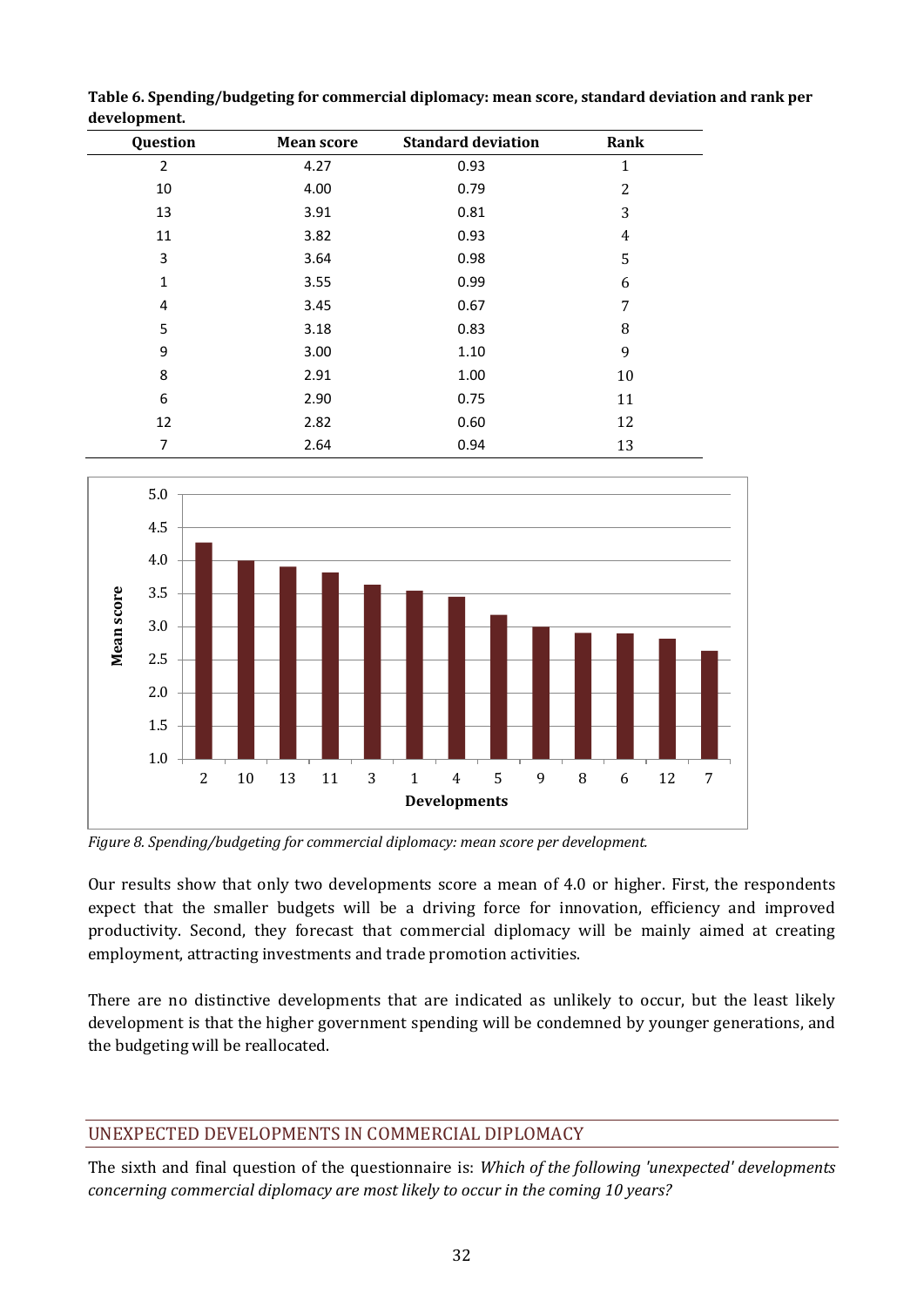| Question       | <b>Mean score</b> | <b>Standard deviation</b> | Rank |
|----------------|-------------------|---------------------------|------|
| $\overline{2}$ | 4.27              | 0.93                      | 1    |
| 10             | 4.00              | 0.79                      | 2    |
| 13             | 3.91              | 0.81                      | 3    |
| 11             | 3.82              | 0.93                      | 4    |
| 3              | 3.64              | 0.98                      | 5    |
| 1              | 3.55              | 0.99                      | 6    |
| 4              | 3.45              | 0.67                      | 7    |
| 5              | 3.18              | 0.83                      | 8    |
| 9              | 3.00              | 1.10                      | 9    |
| 8              | 2.91              | 1.00                      | 10   |
| 6              | 2.90              | 0.75                      | 11   |
| 12             | 2.82              | 0.60                      | 12   |
| 7              | 2.64              | 0.94                      | 13   |

**Table 6. Spending/budgeting for commercial diplomacy: mean score, standard deviation and rank per development.**



<span id="page-39-0"></span>*Figure 8. Spending/budgeting for commercial diplomacy: mean score per development.*

Our results show that only two developments score a mean of 4.0 or higher. First, the respondents expect that the smaller budgets will be a driving force for innovation, efficiency and improved productivity. Second, they forecast that commercial diplomacy will be mainly aimed at creating employment, attracting investments and trade promotion activities.

There are no distinctive developments that are indicated as unlikely to occur, but the least likely development is that the higher government spending will be condemned by younger generations, and the budgeting will be reallocated.

# UNEXPECTED DEVELOPMENTS IN COMMERCIAL DIPLOMACY

The sixth and final question of the questionnaire is: *Which of the following 'unexpected' developments concerning commercial diplomacy are most likely to occur in the coming 10 years?*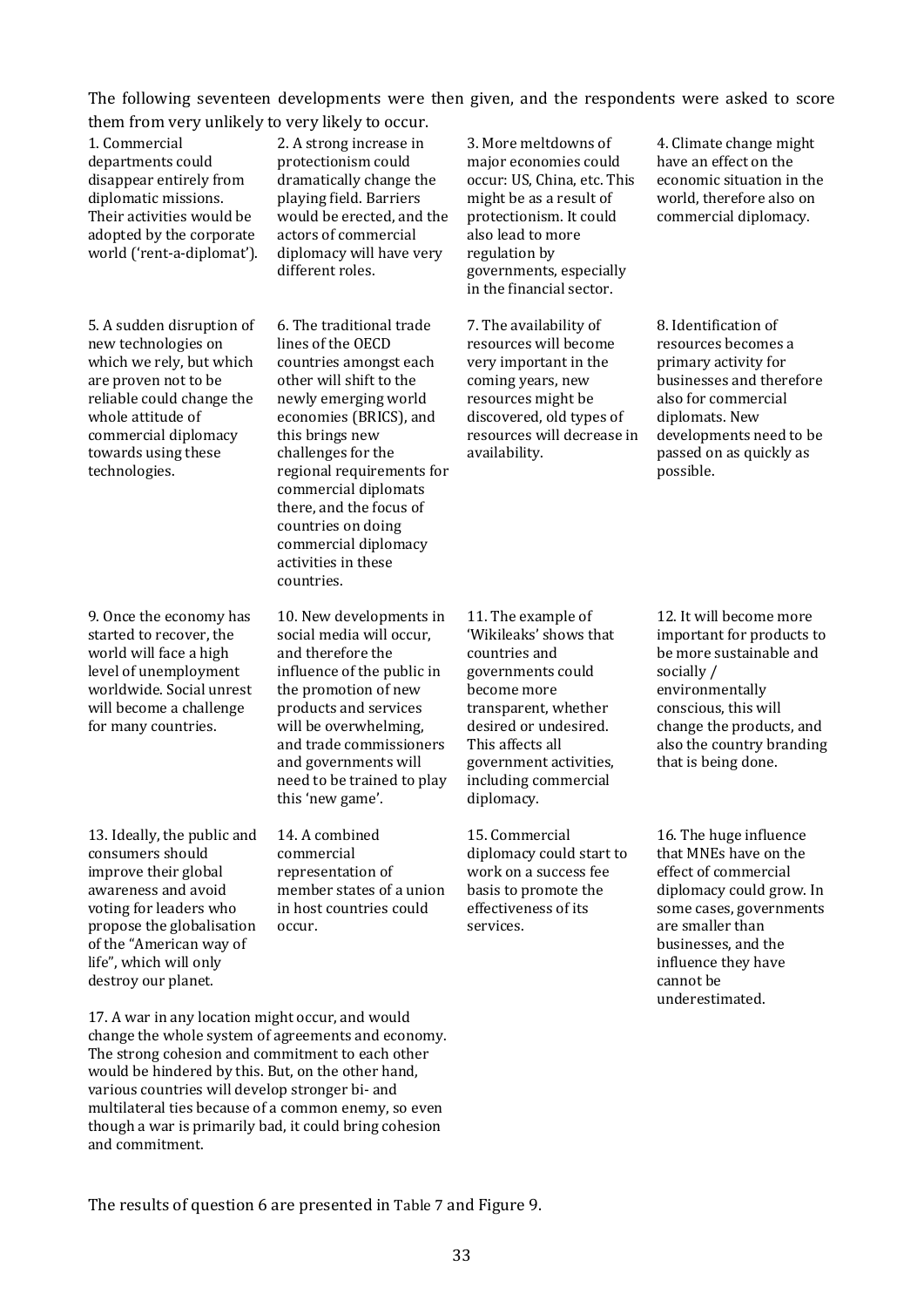The following seventeen developments were then given, and the respondents were asked to score them from very unlikely to very likely to occur.

1. Commercial departments could disappear entirely from diplomatic missions. Their activities would be adopted by the corporate world ('rent-a-diplomat').

5. A sudden disruption of new technologies on which we rely, but which are proven not to be reliable could change the whole attitude of commercial diplomacy towards using these technologies.

9. Once the economy has started to recover, the world will face a high level of unemployment worldwide. Social unrest will become a challenge for many countries.

13. Ideally, the public and consumers should improve their global awareness and avoid voting for leaders who propose the globalisation of the "American way of life", which will only destroy our planet.

2. A strong increase in protectionism could dramatically change the playing field. Barriers would be erected, and the actors of commercial diplomacy will have very different roles.

6. The traditional trade lines of the OECD countries amongst each other will shift to the newly emerging world economies (BRICS), and this brings new challenges for the regional requirements for commercial diplomats there, and the focus of countries on doing commercial diplomacy activities in these countries.

10. New developments in social media will occur, and therefore the influence of the public in the promotion of new products and services will be overwhelming, and trade commissioners and governments will need to be trained to play this 'new game'.

14. A combined commercial representation of member states of a union in host countries could occur.

3. More meltdowns of major economies could occur: US, China, etc. This might be as a result of protectionism. It could also lead to more regulation by governments, especially in the financial sector.

7. The availability of resources will become very important in the coming years, new resources might be discovered, old types of resources will decrease in availability.

4. Climate change might have an effect on the economic situation in the world, therefore also on commercial diplomacy.

8. Identification of resources becomes a primary activity for businesses and therefore also for commercial diplomats. New developments need to be passed on as quickly as possible.

11. The example of 'Wikileaks' shows that countries and governments could become more transparent, whether desired or undesired. This affects all government activities, including commercial diplomacy.

15. Commercial diplomacy could start to work on a success fee basis to promote the effectiveness of its services.

12. It will become more important for products to be more sustainable and socially / environmentally conscious, this will change the products, and also the country branding that is being done.

16. The huge influence that MNEs have on the effect of commercial diplomacy could grow. In some cases, governments are smaller than businesses, and the influence they have cannot be underestimated.

17. A war in any location might occur, and would change the whole system of agreements and economy. The strong cohesion and commitment to each other would be hindered by this. But, on the other hand, various countries will develop stronger bi- and multilateral ties because of a common enemy, so even though a war is primarily bad, it could bring cohesion and commitment.

The results of question 6 are presented in [Table 7](#page-41-0) and [Figure](#page-41-1) 9.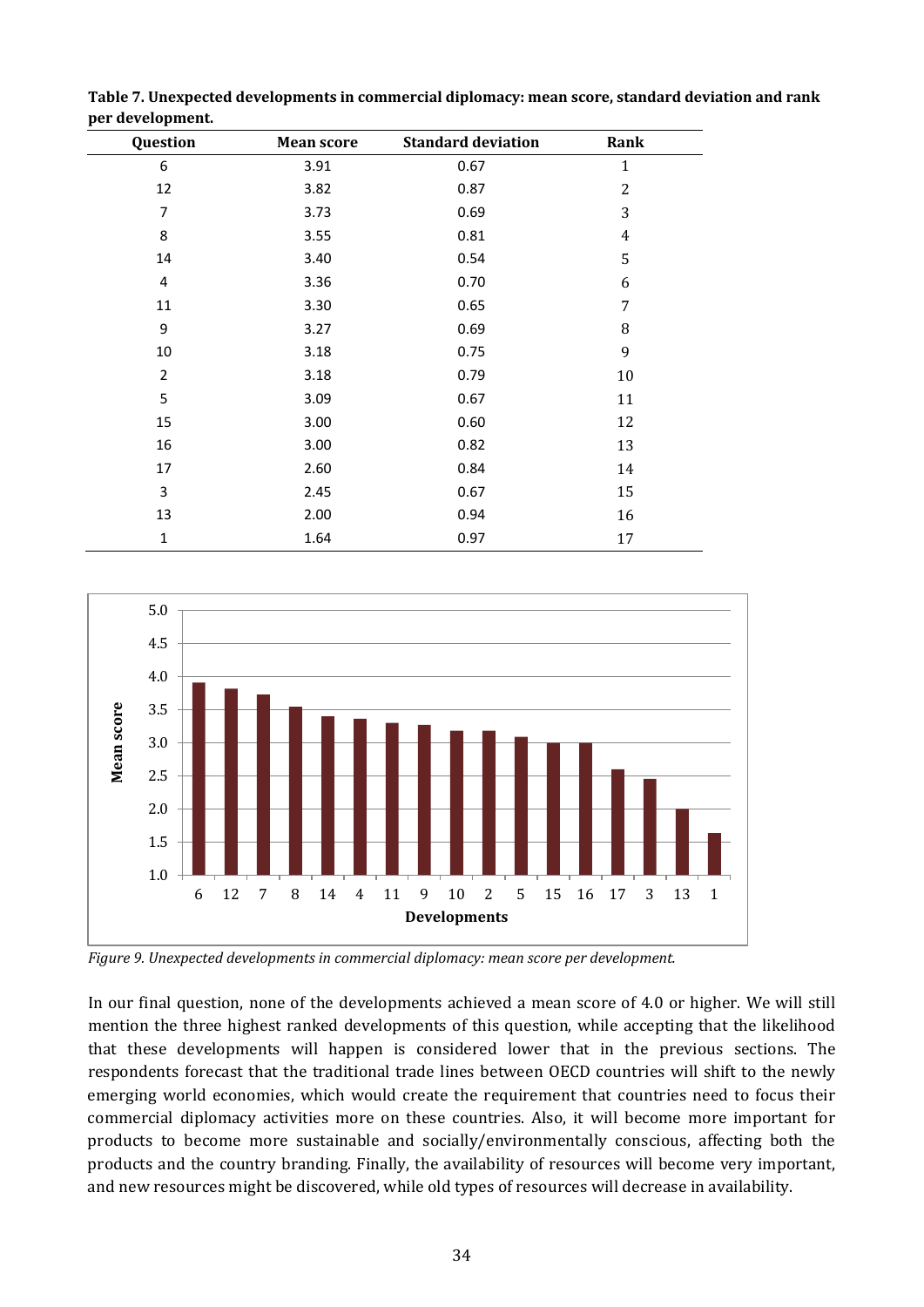| Question       | <b>Mean score</b> | <b>Standard deviation</b> | Rank           |  |
|----------------|-------------------|---------------------------|----------------|--|
| 6              | 3.91              | 0.67                      | $\mathbf{1}$   |  |
| 12             | 3.82              | 0.87                      | $\overline{2}$ |  |
| $\overline{7}$ | 3.73              | 0.69                      | 3              |  |
| 8              | 3.55              | 0.81                      | $\overline{4}$ |  |
| 14             | 3.40              | 0.54                      | 5              |  |
| $\pmb{4}$      | 3.36              | 0.70                      | 6              |  |
| 11             | 3.30              | 0.65                      | 7              |  |
| 9              | 3.27              | 0.69                      | 8              |  |
| 10             | 3.18              | 0.75                      | 9              |  |
| $\overline{2}$ | 3.18              | 0.79                      | 10             |  |
| 5              | 3.09              | 0.67                      | 11             |  |
| 15             | 3.00              | 0.60                      | 12             |  |
| 16             | 3.00              | 0.82                      | 13             |  |
| 17             | 2.60              | 0.84                      | 14             |  |
| 3              | 2.45              | 0.67                      | 15             |  |
| 13             | 2.00              | 0.94                      | 16             |  |
| $\mathbf{1}$   | 1.64              | 0.97                      | 17             |  |

<span id="page-41-0"></span>**Table 7. Unexpected developments in commercial diplomacy: mean score, standard deviation and rank per development.**



<span id="page-41-1"></span>*Figure 9. Unexpected developments in commercial diplomacy: mean score per development.*

In our final question, none of the developments achieved a mean score of 4.0 or higher. We will still mention the three highest ranked developments of this question, while accepting that the likelihood that these developments will happen is considered lower that in the previous sections. The respondents forecast that the traditional trade lines between OECD countries will shift to the newly emerging world economies, which would create the requirement that countries need to focus their commercial diplomacy activities more on these countries. Also, it will become more important for products to become more sustainable and socially/environmentally conscious, affecting both the products and the country branding. Finally, the availability of resources will become very important, and new resources might be discovered, while old types of resources will decrease in availability.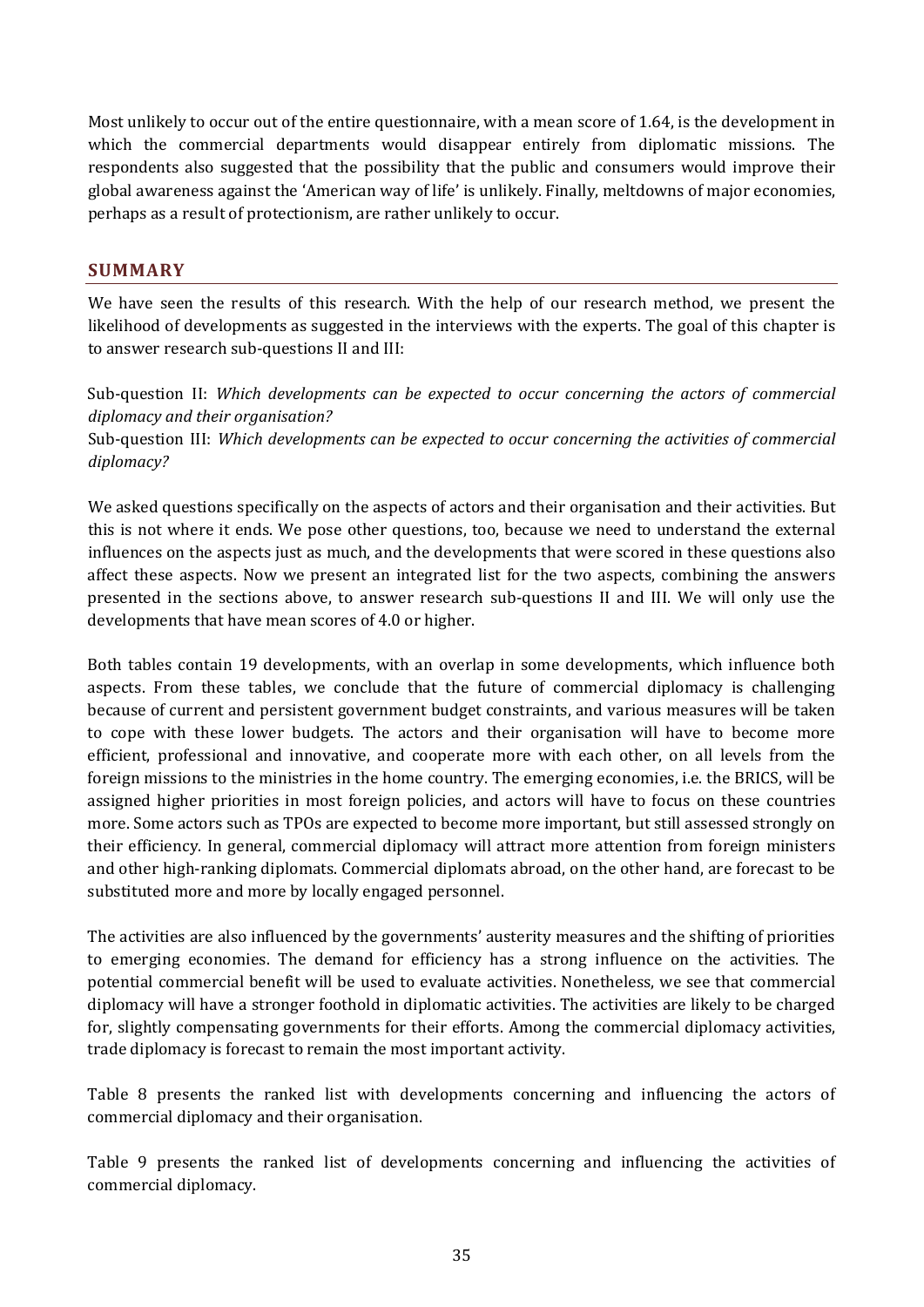Most unlikely to occur out of the entire questionnaire, with a mean score of 1.64, is the development in which the commercial departments would disappear entirely from diplomatic missions. The respondents also suggested that the possibility that the public and consumers would improve their global awareness against the 'American way of life' is unlikely. Finally, meltdowns of major economies, perhaps as a result of protectionism, are rather unlikely to occur.

#### **SUMMARY**

We have seen the results of this research. With the help of our research method, we present the likelihood of developments as suggested in the interviews with the experts. The goal of this chapter is to answer research sub-questions II and III:

Sub-question II: *Which developments can be expected to occur concerning the actors of commercial diplomacy and their organisation?*

Sub-question III: *Which developments can be expected to occur concerning the activities of commercial diplomacy?*

We asked questions specifically on the aspects of actors and their organisation and their activities. But this is not where it ends. We pose other questions, too, because we need to understand the external influences on the aspects just as much, and the developments that were scored in these questions also affect these aspects. Now we present an integrated list for the two aspects, combining the answers presented in the sections above, to answer research sub-questions II and III. We will only use the developments that have mean scores of 4.0 or higher.

Both tables contain 19 developments, with an overlap in some developments, which influence both aspects. From these tables, we conclude that the future of commercial diplomacy is challenging because of current and persistent government budget constraints, and various measures will be taken to cope with these lower budgets. The actors and their organisation will have to become more efficient, professional and innovative, and cooperate more with each other, on all levels from the foreign missions to the ministries in the home country. The emerging economies, i.e. the BRICS, will be assigned higher priorities in most foreign policies, and actors will have to focus on these countries more. Some actors such as TPOs are expected to become more important, but still assessed strongly on their efficiency. In general, commercial diplomacy will attract more attention from foreign ministers and other high-ranking diplomats. Commercial diplomats abroad, on the other hand, are forecast to be substituted more and more by locally engaged personnel.

The activities are also influenced by the governments' austerity measures and the shifting of priorities to emerging economies. The demand for efficiency has a strong influence on the activities. The potential commercial benefit will be used to evaluate activities. Nonetheless, we see that commercial diplomacy will have a stronger foothold in diplomatic activities. The activities are likely to be charged for, slightly compensating governments for their efforts. Among the commercial diplomacy activities, trade diplomacy is forecast to remain the most important activity.

Table 8 presents the ranked list with developments concerning and influencing the actors of commercial diplomacy and their organisation.

Table 9 presents the ranked list of developments concerning and influencing the activities of commercial diplomacy.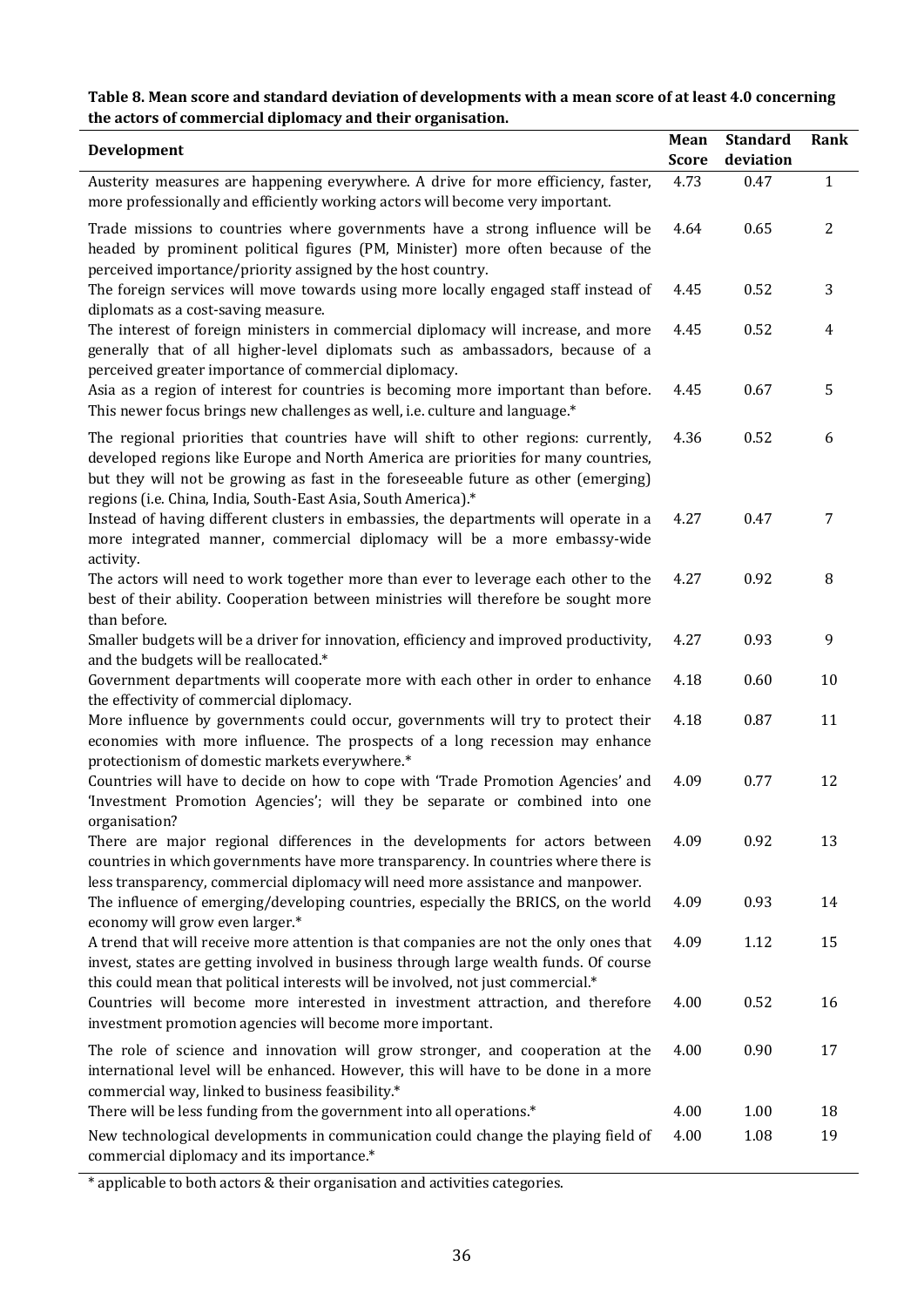# **Table 8. Mean score and standard deviation of developments with a mean score of at least 4.0 concerning the actors of commercial diplomacy and their organisation.**

| Development                                                                                                                                                                                                                                                                                                                      | Mean<br><b>Score</b> | <b>Standard</b><br>deviation | <b>Rank</b>  |
|----------------------------------------------------------------------------------------------------------------------------------------------------------------------------------------------------------------------------------------------------------------------------------------------------------------------------------|----------------------|------------------------------|--------------|
| Austerity measures are happening everywhere. A drive for more efficiency, faster,<br>more professionally and efficiently working actors will become very important.                                                                                                                                                              | 4.73                 | 0.47                         | $\mathbf{1}$ |
| Trade missions to countries where governments have a strong influence will be<br>headed by prominent political figures (PM, Minister) more often because of the<br>perceived importance/priority assigned by the host country.                                                                                                   | 4.64                 | 0.65                         | $\mathbf{2}$ |
| The foreign services will move towards using more locally engaged staff instead of<br>diplomats as a cost-saving measure.                                                                                                                                                                                                        | 4.45                 | 0.52                         | 3            |
| The interest of foreign ministers in commercial diplomacy will increase, and more<br>generally that of all higher-level diplomats such as ambassadors, because of a<br>perceived greater importance of commercial diplomacy.                                                                                                     | 4.45                 | 0.52                         | 4            |
| Asia as a region of interest for countries is becoming more important than before.<br>This newer focus brings new challenges as well, i.e. culture and language.*                                                                                                                                                                | 4.45                 | 0.67                         | 5            |
| The regional priorities that countries have will shift to other regions: currently,<br>developed regions like Europe and North America are priorities for many countries,<br>but they will not be growing as fast in the foreseeable future as other (emerging)<br>regions (i.e. China, India, South-East Asia, South America).* | 4.36                 | 0.52                         | 6            |
| Instead of having different clusters in embassies, the departments will operate in a<br>more integrated manner, commercial diplomacy will be a more embassy-wide<br>activity.                                                                                                                                                    | 4.27                 | 0.47                         | 7            |
| The actors will need to work together more than ever to leverage each other to the<br>best of their ability. Cooperation between ministries will therefore be sought more<br>than before.                                                                                                                                        | 4.27                 | 0.92                         | 8            |
| Smaller budgets will be a driver for innovation, efficiency and improved productivity,<br>and the budgets will be reallocated.*                                                                                                                                                                                                  | 4.27                 | 0.93                         | 9            |
| Government departments will cooperate more with each other in order to enhance<br>the effectivity of commercial diplomacy.                                                                                                                                                                                                       | 4.18                 | 0.60                         | 10           |
| More influence by governments could occur, governments will try to protect their<br>economies with more influence. The prospects of a long recession may enhance<br>protectionism of domestic markets everywhere.*                                                                                                               | 4.18                 | 0.87                         | 11           |
| Countries will have to decide on how to cope with 'Trade Promotion Agencies' and<br>'Investment Promotion Agencies'; will they be separate or combined into one<br>organisation?                                                                                                                                                 | 4.09                 | 0.77                         | 12           |
| There are major regional differences in the developments for actors between<br>countries in which governments have more transparency. In countries where there is<br>less transparency, commercial diplomacy will need more assistance and manpower.                                                                             | 4.09                 | 0.92                         | 13           |
| The influence of emerging/developing countries, especially the BRICS, on the world<br>economy will grow even larger.*                                                                                                                                                                                                            | 4.09                 | 0.93                         | 14           |
| A trend that will receive more attention is that companies are not the only ones that<br>invest, states are getting involved in business through large wealth funds. Of course<br>this could mean that political interests will be involved, not just commercial.*                                                               | 4.09                 | 1.12                         | 15           |
| Countries will become more interested in investment attraction, and therefore<br>investment promotion agencies will become more important.                                                                                                                                                                                       | 4.00                 | 0.52                         | 16           |
| The role of science and innovation will grow stronger, and cooperation at the<br>international level will be enhanced. However, this will have to be done in a more<br>commercial way, linked to business feasibility.*                                                                                                          | 4.00                 | 0.90                         | 17           |
| There will be less funding from the government into all operations.*                                                                                                                                                                                                                                                             | 4.00                 | 1.00                         | 18           |
| New technological developments in communication could change the playing field of<br>commercial diplomacy and its importance.*                                                                                                                                                                                                   | 4.00                 | 1.08                         | 19           |

\* applicable to both actors & their organisation and activities categories.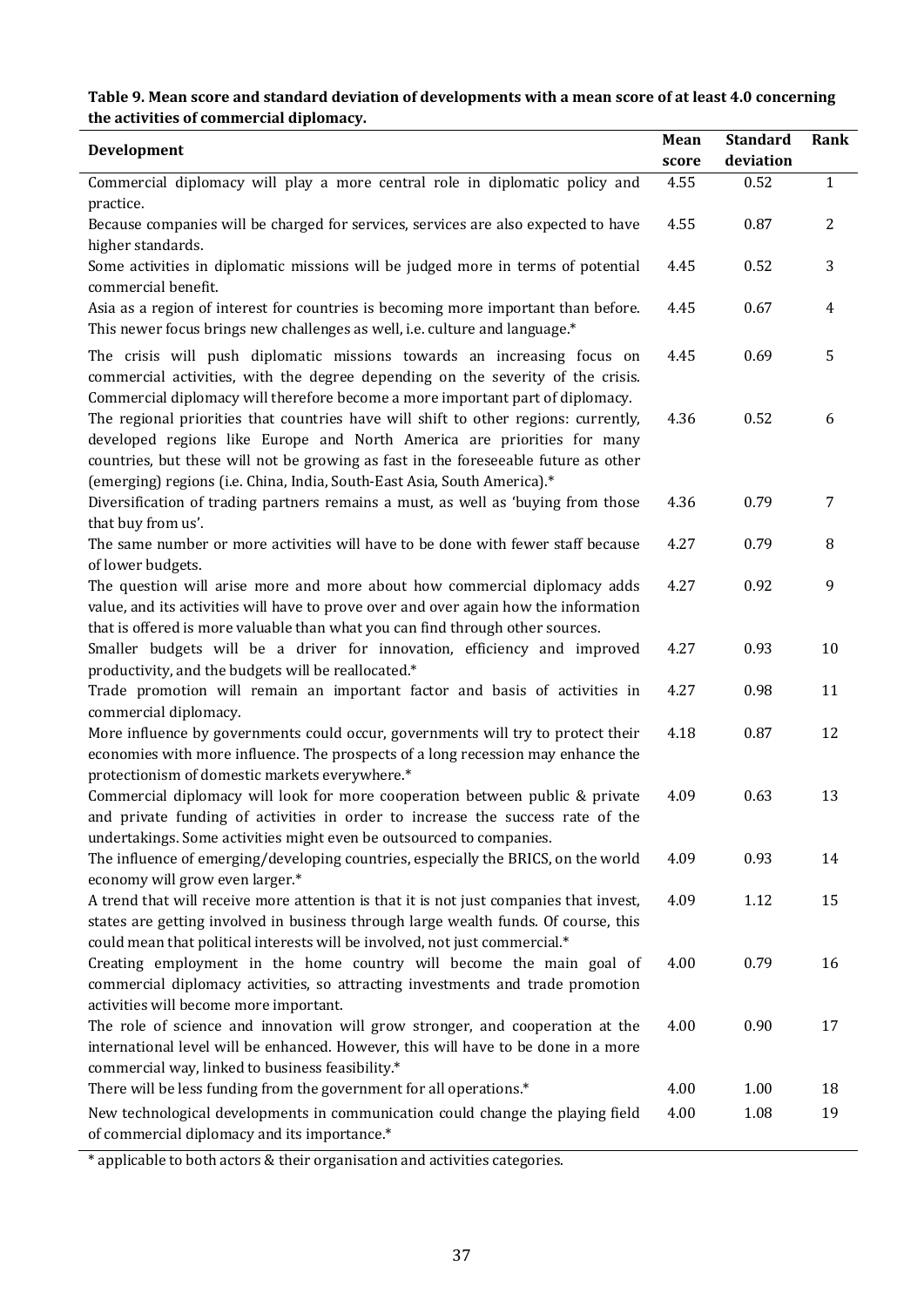# **Table 9. Mean score and standard deviation of developments with a mean score of at least 4.0 concerning the activities of commercial diplomacy.**

| Development                                                                                                                                                          | Mean  | <b>Standard</b> | Rank           |
|----------------------------------------------------------------------------------------------------------------------------------------------------------------------|-------|-----------------|----------------|
|                                                                                                                                                                      | score | deviation       |                |
| Commercial diplomacy will play a more central role in diplomatic policy and                                                                                          | 4.55  | 0.52            | $\mathbf{1}$   |
| practice.                                                                                                                                                            |       |                 |                |
| Because companies will be charged for services, services are also expected to have                                                                                   | 4.55  | 0.87            | $\overline{2}$ |
| higher standards.                                                                                                                                                    |       |                 |                |
| Some activities in diplomatic missions will be judged more in terms of potential                                                                                     | 4.45  | 0.52            | 3              |
| commercial benefit.                                                                                                                                                  |       |                 |                |
| Asia as a region of interest for countries is becoming more important than before.                                                                                   | 4.45  | 0.67            | 4              |
| This newer focus brings new challenges as well, i.e. culture and language.*                                                                                          |       |                 |                |
| The crisis will push diplomatic missions towards an increasing focus on                                                                                              | 4.45  | 0.69            | 5              |
| commercial activities, with the degree depending on the severity of the crisis.                                                                                      |       |                 |                |
| Commercial diplomacy will therefore become a more important part of diplomacy.                                                                                       |       |                 |                |
| The regional priorities that countries have will shift to other regions: currently,                                                                                  | 4.36  | 0.52            | 6              |
| developed regions like Europe and North America are priorities for many                                                                                              |       |                 |                |
| countries, but these will not be growing as fast in the foreseeable future as other                                                                                  |       |                 |                |
| (emerging) regions (i.e. China, India, South-East Asia, South America).*                                                                                             |       |                 |                |
| Diversification of trading partners remains a must, as well as 'buying from those                                                                                    | 4.36  | 0.79            | 7              |
| that buy from us'.                                                                                                                                                   |       |                 |                |
| The same number or more activities will have to be done with fewer staff because                                                                                     | 4.27  | 0.79            | 8              |
| of lower budgets.                                                                                                                                                    |       |                 |                |
| The question will arise more and more about how commercial diplomacy adds                                                                                            | 4.27  | 0.92            | 9              |
| value, and its activities will have to prove over and over again how the information                                                                                 |       |                 |                |
| that is offered is more valuable than what you can find through other sources.                                                                                       |       |                 |                |
| Smaller budgets will be a driver for innovation, efficiency and improved                                                                                             | 4.27  | 0.93            | 10             |
| productivity, and the budgets will be reallocated.*                                                                                                                  |       |                 |                |
| Trade promotion will remain an important factor and basis of activities in                                                                                           | 4.27  | 0.98            | 11             |
| commercial diplomacy.                                                                                                                                                | 4.18  | 0.87            | 12             |
| More influence by governments could occur, governments will try to protect their<br>economies with more influence. The prospects of a long recession may enhance the |       |                 |                |
| protectionism of domestic markets everywhere.*                                                                                                                       |       |                 |                |
| Commercial diplomacy will look for more cooperation between public & private                                                                                         | 4.09  | 0.63            | 13             |
| and private funding of activities in order to increase the success rate of the                                                                                       |       |                 |                |
| undertakings. Some activities might even be outsourced to companies.                                                                                                 |       |                 |                |
| The influence of emerging/developing countries, especially the BRICS, on the world                                                                                   | 4.09  | 0.93            | 14             |
| economy will grow even larger.*                                                                                                                                      |       |                 |                |
| A trend that will receive more attention is that it is not just companies that invest,                                                                               | 4.09  | 1.12            | 15             |
| states are getting involved in business through large wealth funds. Of course, this                                                                                  |       |                 |                |
| could mean that political interests will be involved, not just commercial.*                                                                                          |       |                 |                |
| Creating employment in the home country will become the main goal of                                                                                                 | 4.00  | 0.79            | 16             |
| commercial diplomacy activities, so attracting investments and trade promotion                                                                                       |       |                 |                |
| activities will become more important.                                                                                                                               |       |                 |                |
| The role of science and innovation will grow stronger, and cooperation at the                                                                                        | 4.00  | 0.90            | 17             |
| international level will be enhanced. However, this will have to be done in a more                                                                                   |       |                 |                |
| commercial way, linked to business feasibility.*                                                                                                                     |       |                 |                |
| There will be less funding from the government for all operations.*                                                                                                  | 4.00  | 1.00            | 18             |
| New technological developments in communication could change the playing field                                                                                       | 4.00  | 1.08            | 19             |
| of commercial diplomacy and its importance.*                                                                                                                         |       |                 |                |

\* applicable to both actors & their organisation and activities categories.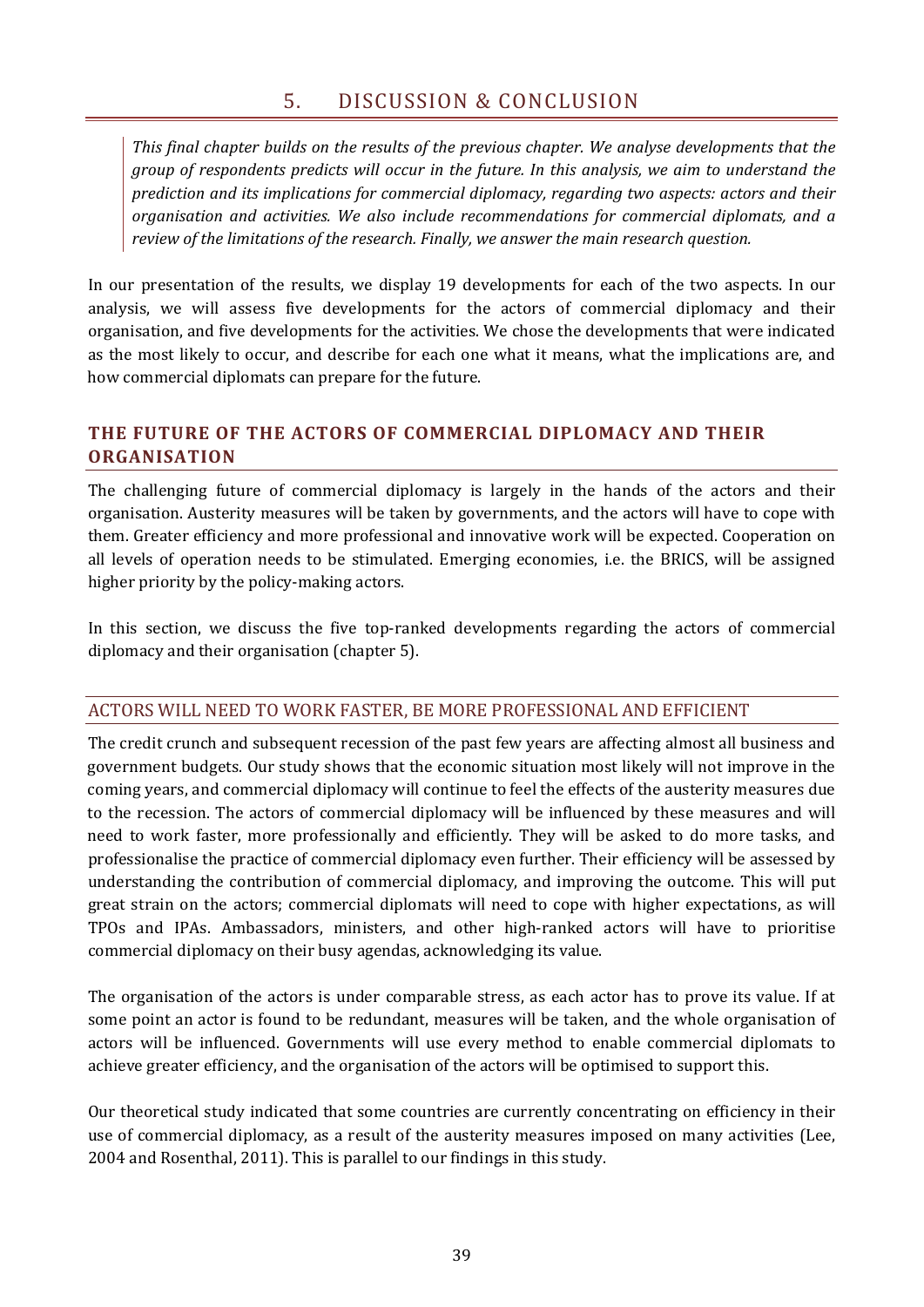*This final chapter builds on the results of the previous chapter. We analyse developments that the group of respondents predicts will occur in the future. In this analysis, we aim to understand the prediction and its implications for commercial diplomacy, regarding two aspects: actors and their organisation and activities. We also include recommendations for commercial diplomats, and a review of the limitations of the research. Finally, we answer the main research question.*

In our presentation of the results, we display 19 developments for each of the two aspects. In our analysis, we will assess five developments for the actors of commercial diplomacy and their organisation, and five developments for the activities. We chose the developments that were indicated as the most likely to occur, and describe for each one what it means, what the implications are, and how commercial diplomats can prepare for the future.

# **THE FUTURE OF THE ACTORS OF COMMERCIAL DIPLOMACY AND THEIR ORGANISATION**

The challenging future of commercial diplomacy is largely in the hands of the actors and their organisation. Austerity measures will be taken by governments, and the actors will have to cope with them. Greater efficiency and more professional and innovative work will be expected. Cooperation on all levels of operation needs to be stimulated. Emerging economies, i.e. the BRICS, will be assigned higher priority by the policy-making actors.

In this section, we discuss the five top-ranked developments regarding the actors of commercial diplomacy and their organisation (chapter 5).

## ACTORS WILL NEED TO WORK FASTER, BE MORE PROFESSIONAL AND EFFICIENT

The credit crunch and subsequent recession of the past few years are affecting almost all business and government budgets. Our study shows that the economic situation most likely will not improve in the coming years, and commercial diplomacy will continue to feel the effects of the austerity measures due to the recession. The actors of commercial diplomacy will be influenced by these measures and will need to work faster, more professionally and efficiently. They will be asked to do more tasks, and professionalise the practice of commercial diplomacy even further. Their efficiency will be assessed by understanding the contribution of commercial diplomacy, and improving the outcome. This will put great strain on the actors; commercial diplomats will need to cope with higher expectations, as will TPOs and IPAs. Ambassadors, ministers, and other high-ranked actors will have to prioritise commercial diplomacy on their busy agendas, acknowledging its value.

The organisation of the actors is under comparable stress, as each actor has to prove its value. If at some point an actor is found to be redundant, measures will be taken, and the whole organisation of actors will be influenced. Governments will use every method to enable commercial diplomats to achieve greater efficiency, and the organisation of the actors will be optimised to support this.

Our theoretical study indicated that some countries are currently concentrating on efficiency in their use of commercial diplomacy, as a result of the austerity measures imposed on many activities (Lee, 2004 and Rosenthal, 2011). This is parallel to our findings in this study.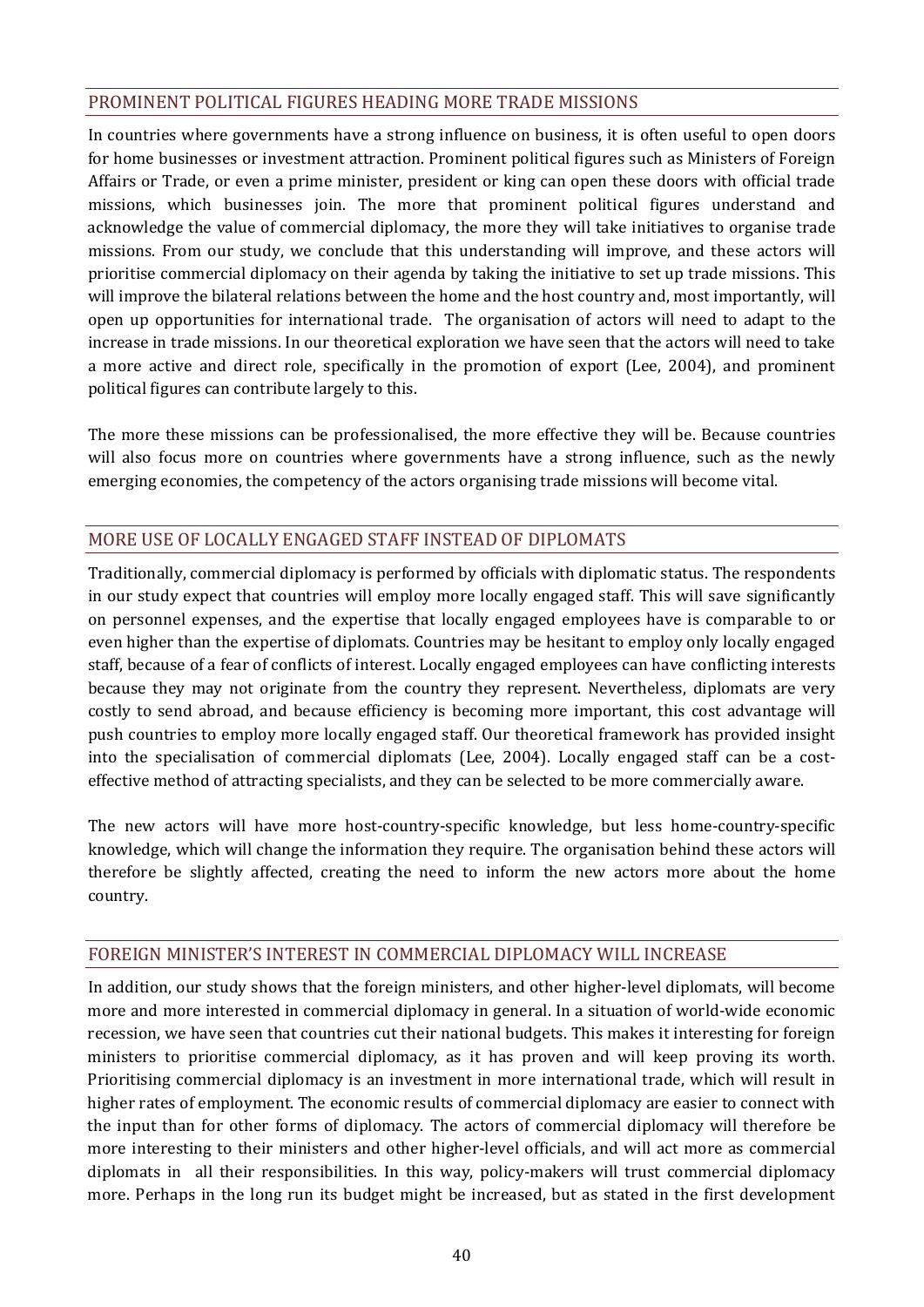## PROMINENT POLITICAL FIGURES HEADING MORE TRADE MISSIONS

In countries where governments have a strong influence on business, it is often useful to open doors for home businesses or investment attraction. Prominent political figures such as Ministers of Foreign Affairs or Trade, or even a prime minister, president or king can open these doors with official trade missions, which businesses join. The more that prominent political figures understand and acknowledge the value of commercial diplomacy, the more they will take initiatives to organise trade missions. From our study, we conclude that this understanding will improve, and these actors will prioritise commercial diplomacy on their agenda by taking the initiative to set up trade missions. This will improve the bilateral relations between the home and the host country and, most importantly, will open up opportunities for international trade. The organisation of actors will need to adapt to the increase in trade missions. In our theoretical exploration we have seen that the actors will need to take a more active and direct role, specifically in the promotion of export (Lee, 2004), and prominent political figures can contribute largely to this.

The more these missions can be professionalised, the more effective they will be. Because countries will also focus more on countries where governments have a strong influence, such as the newly emerging economies, the competency of the actors organising trade missions will become vital.

# MORE USE OF LOCALLY ENGAGED STAFF INSTEAD OF DIPLOMATS

Traditionally, commercial diplomacy is performed by officials with diplomatic status. The respondents in our study expect that countries will employ more locally engaged staff. This will save significantly on personnel expenses, and the expertise that locally engaged employees have is comparable to or even higher than the expertise of diplomats. Countries may be hesitant to employ only locally engaged staff, because of a fear of conflicts of interest. Locally engaged employees can have conflicting interests because they may not originate from the country they represent. Nevertheless, diplomats are very costly to send abroad, and because efficiency is becoming more important, this cost advantage will push countries to employ more locally engaged staff. Our theoretical framework has provided insight into the specialisation of commercial diplomats (Lee, 2004). Locally engaged staff can be a costeffective method of attracting specialists, and they can be selected to be more commercially aware.

The new actors will have more host-country-specific knowledge, but less home-country-specific knowledge, which will change the information they require. The organisation behind these actors will therefore be slightly affected, creating the need to inform the new actors more about the home country.

## FOREIGN MINISTER'S INTEREST IN COMMERCIAL DIPLOMACY WILL INCREASE

In addition, our study shows that the foreign ministers, and other higher-level diplomats, will become more and more interested in commercial diplomacy in general. In a situation of world-wide economic recession, we have seen that countries cut their national budgets. This makes it interesting for foreign ministers to prioritise commercial diplomacy, as it has proven and will keep proving its worth. Prioritising commercial diplomacy is an investment in more international trade, which will result in higher rates of employment. The economic results of commercial diplomacy are easier to connect with the input than for other forms of diplomacy. The actors of commercial diplomacy will therefore be more interesting to their ministers and other higher-level officials, and will act more as commercial diplomats in all their responsibilities. In this way, policy-makers will trust commercial diplomacy more. Perhaps in the long run its budget might be increased, but as stated in the first development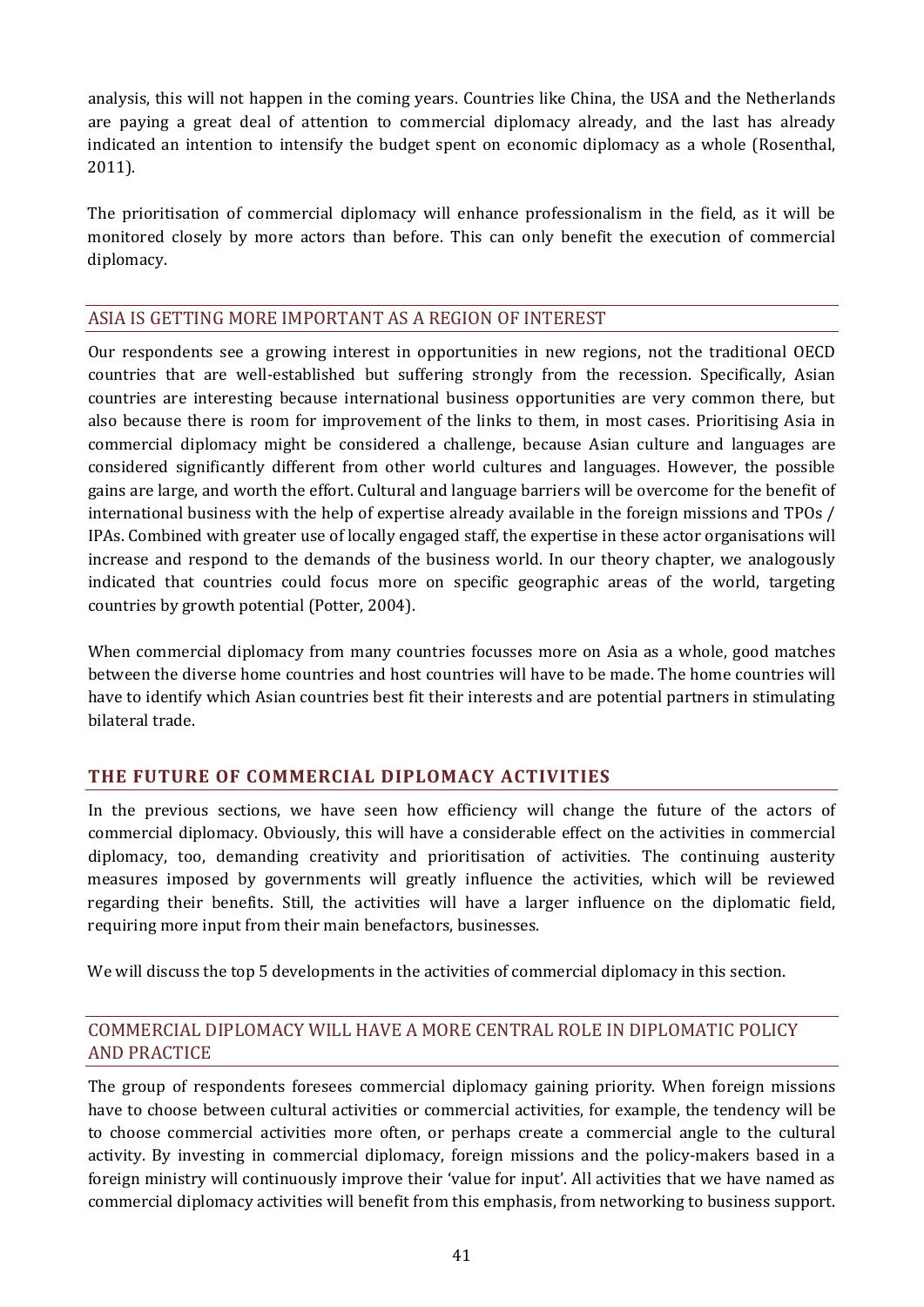analysis, this will not happen in the coming years. Countries like China, the USA and the Netherlands are paying a great deal of attention to commercial diplomacy already, and the last has already indicated an intention to intensify the budget spent on economic diplomacy as a whole (Rosenthal, 2011).

The prioritisation of commercial diplomacy will enhance professionalism in the field, as it will be monitored closely by more actors than before. This can only benefit the execution of commercial diplomacy.

## ASIA IS GETTING MORE IMPORTANT AS A REGION OF INTEREST

Our respondents see a growing interest in opportunities in new regions, not the traditional OECD countries that are well-established but suffering strongly from the recession. Specifically, Asian countries are interesting because international business opportunities are very common there, but also because there is room for improvement of the links to them, in most cases. Prioritising Asia in commercial diplomacy might be considered a challenge, because Asian culture and languages are considered significantly different from other world cultures and languages. However, the possible gains are large, and worth the effort. Cultural and language barriers will be overcome for the benefit of international business with the help of expertise already available in the foreign missions and TPOs / IPAs. Combined with greater use of locally engaged staff, the expertise in these actor organisations will increase and respond to the demands of the business world. In our theory chapter, we analogously indicated that countries could focus more on specific geographic areas of the world, targeting countries by growth potential (Potter, 2004).

When commercial diplomacy from many countries focusses more on Asia as a whole, good matches between the diverse home countries and host countries will have to be made. The home countries will have to identify which Asian countries best fit their interests and are potential partners in stimulating bilateral trade.

## **THE FUTURE OF COMMERCIAL DIPLOMACY ACTIVITIES**

In the previous sections, we have seen how efficiency will change the future of the actors of commercial diplomacy. Obviously, this will have a considerable effect on the activities in commercial diplomacy, too, demanding creativity and prioritisation of activities. The continuing austerity measures imposed by governments will greatly influence the activities, which will be reviewed regarding their benefits. Still, the activities will have a larger influence on the diplomatic field, requiring more input from their main benefactors, businesses.

We will discuss the top 5 developments in the activities of commercial diplomacy in this section.

# COMMERCIAL DIPLOMACY WILL HAVE A MORE CENTRAL ROLE IN DIPLOMATIC POLICY AND PRACTICE

The group of respondents foresees commercial diplomacy gaining priority. When foreign missions have to choose between cultural activities or commercial activities, for example, the tendency will be to choose commercial activities more often, or perhaps create a commercial angle to the cultural activity. By investing in commercial diplomacy, foreign missions and the policy-makers based in a foreign ministry will continuously improve their 'value for input'. All activities that we have named as commercial diplomacy activities will benefit from this emphasis, from networking to business support.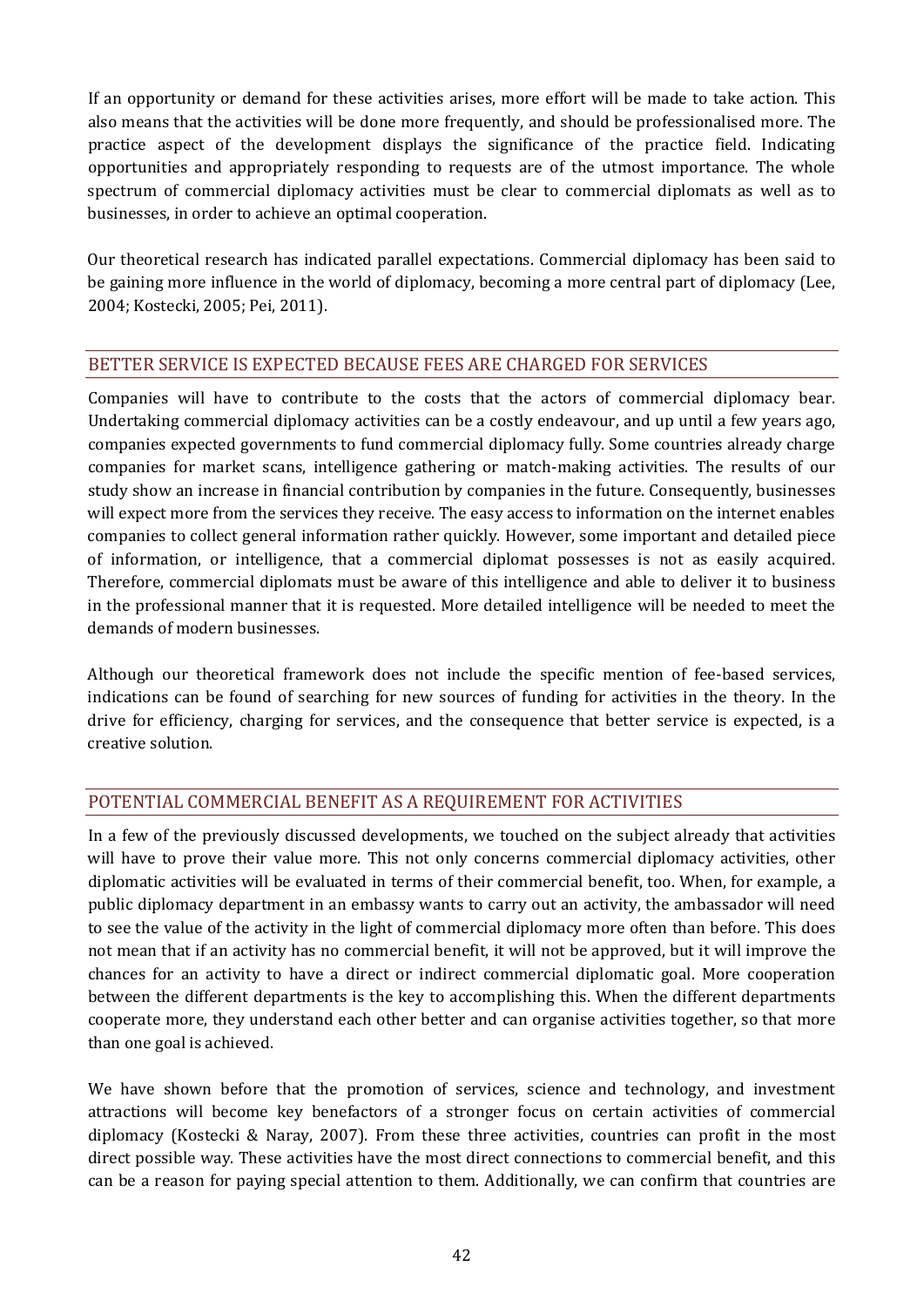If an opportunity or demand for these activities arises, more effort will be made to take action. This also means that the activities will be done more frequently, and should be professionalised more. The practice aspect of the development displays the significance of the practice field. Indicating opportunities and appropriately responding to requests are of the utmost importance. The whole spectrum of commercial diplomacy activities must be clear to commercial diplomats as well as to businesses, in order to achieve an optimal cooperation.

Our theoretical research has indicated parallel expectations. Commercial diplomacy has been said to be gaining more influence in the world of diplomacy, becoming a more central part of diplomacy (Lee, 2004; Kostecki, 2005; Pei, 2011).

#### BETTER SERVICE IS EXPECTED BECAUSE FEES ARE CHARGED FOR SERVICES

Companies will have to contribute to the costs that the actors of commercial diplomacy bear. Undertaking commercial diplomacy activities can be a costly endeavour, and up until a few years ago, companies expected governments to fund commercial diplomacy fully. Some countries already charge companies for market scans, intelligence gathering or match-making activities. The results of our study show an increase in financial contribution by companies in the future. Consequently, businesses will expect more from the services they receive. The easy access to information on the internet enables companies to collect general information rather quickly. However, some important and detailed piece of information, or intelligence, that a commercial diplomat possesses is not as easily acquired. Therefore, commercial diplomats must be aware of this intelligence and able to deliver it to business in the professional manner that it is requested. More detailed intelligence will be needed to meet the demands of modern businesses.

Although our theoretical framework does not include the specific mention of fee-based services, indications can be found of searching for new sources of funding for activities in the theory. In the drive for efficiency, charging for services, and the consequence that better service is expected, is a creative solution.

## POTENTIAL COMMERCIAL BENEFIT AS A REQUIREMENT FOR ACTIVITIES

In a few of the previously discussed developments, we touched on the subject already that activities will have to prove their value more. This not only concerns commercial diplomacy activities, other diplomatic activities will be evaluated in terms of their commercial benefit, too. When, for example, a public diplomacy department in an embassy wants to carry out an activity, the ambassador will need to see the value of the activity in the light of commercial diplomacy more often than before. This does not mean that if an activity has no commercial benefit, it will not be approved, but it will improve the chances for an activity to have a direct or indirect commercial diplomatic goal. More cooperation between the different departments is the key to accomplishing this. When the different departments cooperate more, they understand each other better and can organise activities together, so that more than one goal is achieved.

We have shown before that the promotion of services, science and technology, and investment attractions will become key benefactors of a stronger focus on certain activities of commercial diplomacy (Kostecki & Naray, 2007). From these three activities, countries can profit in the most direct possible way. These activities have the most direct connections to commercial benefit, and this can be a reason for paying special attention to them. Additionally, we can confirm that countries are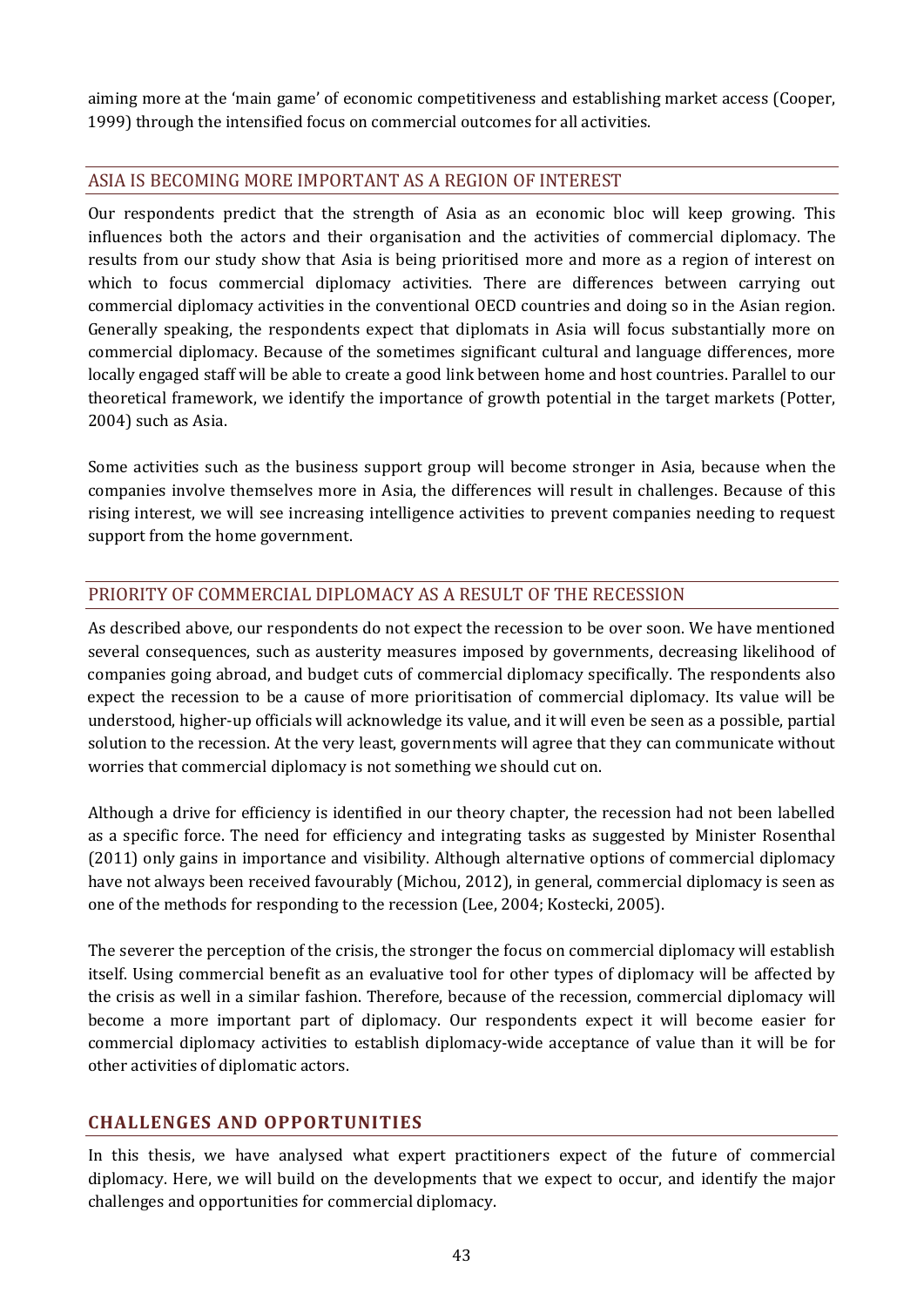aiming more at the 'main game' of economic competitiveness and establishing market access (Cooper, 1999) through the intensified focus on commercial outcomes for all activities.

#### ASIA IS BECOMING MORE IMPORTANT AS A REGION OF INTEREST

Our respondents predict that the strength of Asia as an economic bloc will keep growing. This influences both the actors and their organisation and the activities of commercial diplomacy. The results from our study show that Asia is being prioritised more and more as a region of interest on which to focus commercial diplomacy activities. There are differences between carrying out commercial diplomacy activities in the conventional OECD countries and doing so in the Asian region. Generally speaking, the respondents expect that diplomats in Asia will focus substantially more on commercial diplomacy. Because of the sometimes significant cultural and language differences, more locally engaged staff will be able to create a good link between home and host countries. Parallel to our theoretical framework, we identify the importance of growth potential in the target markets (Potter, 2004) such as Asia.

Some activities such as the business support group will become stronger in Asia, because when the companies involve themselves more in Asia, the differences will result in challenges. Because of this rising interest, we will see increasing intelligence activities to prevent companies needing to request support from the home government.

# PRIORITY OF COMMERCIAL DIPLOMACY AS A RESULT OF THE RECESSION

As described above, our respondents do not expect the recession to be over soon. We have mentioned several consequences, such as austerity measures imposed by governments, decreasing likelihood of companies going abroad, and budget cuts of commercial diplomacy specifically. The respondents also expect the recession to be a cause of more prioritisation of commercial diplomacy. Its value will be understood, higher-up officials will acknowledge its value, and it will even be seen as a possible, partial solution to the recession. At the very least, governments will agree that they can communicate without worries that commercial diplomacy is not something we should cut on.

Although a drive for efficiency is identified in our theory chapter, the recession had not been labelled as a specific force. The need for efficiency and integrating tasks as suggested by Minister Rosenthal (2011) only gains in importance and visibility. Although alternative options of commercial diplomacy have not always been received favourably (Michou, 2012), in general, commercial diplomacy is seen as one of the methods for responding to the recession (Lee, 2004; Kostecki, 2005).

The severer the perception of the crisis, the stronger the focus on commercial diplomacy will establish itself. Using commercial benefit as an evaluative tool for other types of diplomacy will be affected by the crisis as well in a similar fashion. Therefore, because of the recession, commercial diplomacy will become a more important part of diplomacy. Our respondents expect it will become easier for commercial diplomacy activities to establish diplomacy-wide acceptance of value than it will be for other activities of diplomatic actors.

## **CHALLENGES AND OPPORTUNITIES**

In this thesis, we have analysed what expert practitioners expect of the future of commercial diplomacy. Here, we will build on the developments that we expect to occur, and identify the major challenges and opportunities for commercial diplomacy.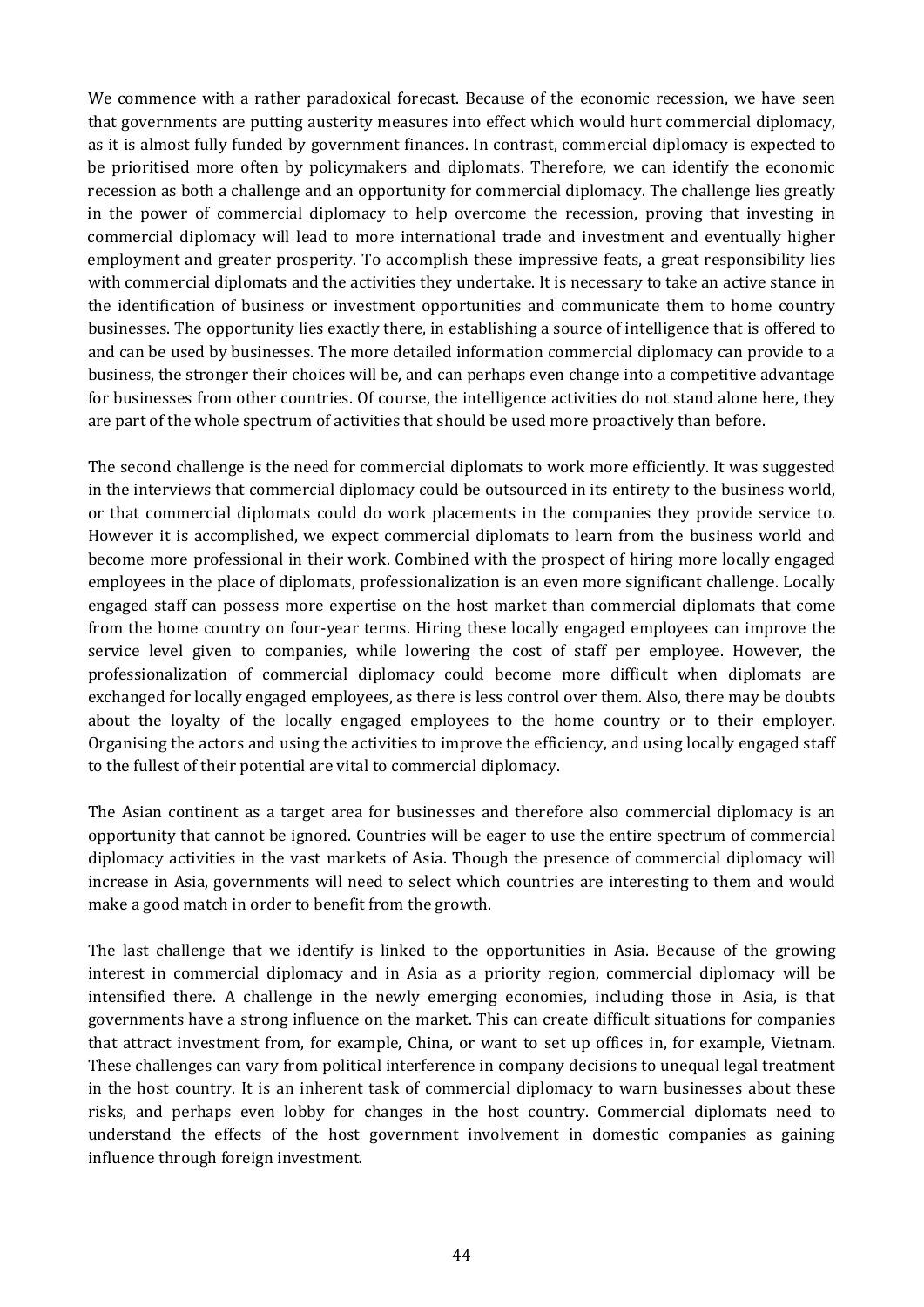We commence with a rather paradoxical forecast. Because of the economic recession, we have seen that governments are putting austerity measures into effect which would hurt commercial diplomacy, as it is almost fully funded by government finances. In contrast, commercial diplomacy is expected to be prioritised more often by policymakers and diplomats. Therefore, we can identify the economic recession as both a challenge and an opportunity for commercial diplomacy. The challenge lies greatly in the power of commercial diplomacy to help overcome the recession, proving that investing in commercial diplomacy will lead to more international trade and investment and eventually higher employment and greater prosperity. To accomplish these impressive feats, a great responsibility lies with commercial diplomats and the activities they undertake. It is necessary to take an active stance in the identification of business or investment opportunities and communicate them to home country businesses. The opportunity lies exactly there, in establishing a source of intelligence that is offered to and can be used by businesses. The more detailed information commercial diplomacy can provide to a business, the stronger their choices will be, and can perhaps even change into a competitive advantage for businesses from other countries. Of course, the intelligence activities do not stand alone here, they are part of the whole spectrum of activities that should be used more proactively than before.

The second challenge is the need for commercial diplomats to work more efficiently. It was suggested in the interviews that commercial diplomacy could be outsourced in its entirety to the business world, or that commercial diplomats could do work placements in the companies they provide service to. However it is accomplished, we expect commercial diplomats to learn from the business world and become more professional in their work. Combined with the prospect of hiring more locally engaged employees in the place of diplomats, professionalization is an even more significant challenge. Locally engaged staff can possess more expertise on the host market than commercial diplomats that come from the home country on four-year terms. Hiring these locally engaged employees can improve the service level given to companies, while lowering the cost of staff per employee. However, the professionalization of commercial diplomacy could become more difficult when diplomats are exchanged for locally engaged employees, as there is less control over them. Also, there may be doubts about the loyalty of the locally engaged employees to the home country or to their employer. Organising the actors and using the activities to improve the efficiency, and using locally engaged staff to the fullest of their potential are vital to commercial diplomacy.

The Asian continent as a target area for businesses and therefore also commercial diplomacy is an opportunity that cannot be ignored. Countries will be eager to use the entire spectrum of commercial diplomacy activities in the vast markets of Asia. Though the presence of commercial diplomacy will increase in Asia, governments will need to select which countries are interesting to them and would make a good match in order to benefit from the growth.

The last challenge that we identify is linked to the opportunities in Asia. Because of the growing interest in commercial diplomacy and in Asia as a priority region, commercial diplomacy will be intensified there. A challenge in the newly emerging economies, including those in Asia, is that governments have a strong influence on the market. This can create difficult situations for companies that attract investment from, for example, China, or want to set up offices in, for example, Vietnam. These challenges can vary from political interference in company decisions to unequal legal treatment in the host country. It is an inherent task of commercial diplomacy to warn businesses about these risks, and perhaps even lobby for changes in the host country. Commercial diplomats need to understand the effects of the host government involvement in domestic companies as gaining influence through foreign investment.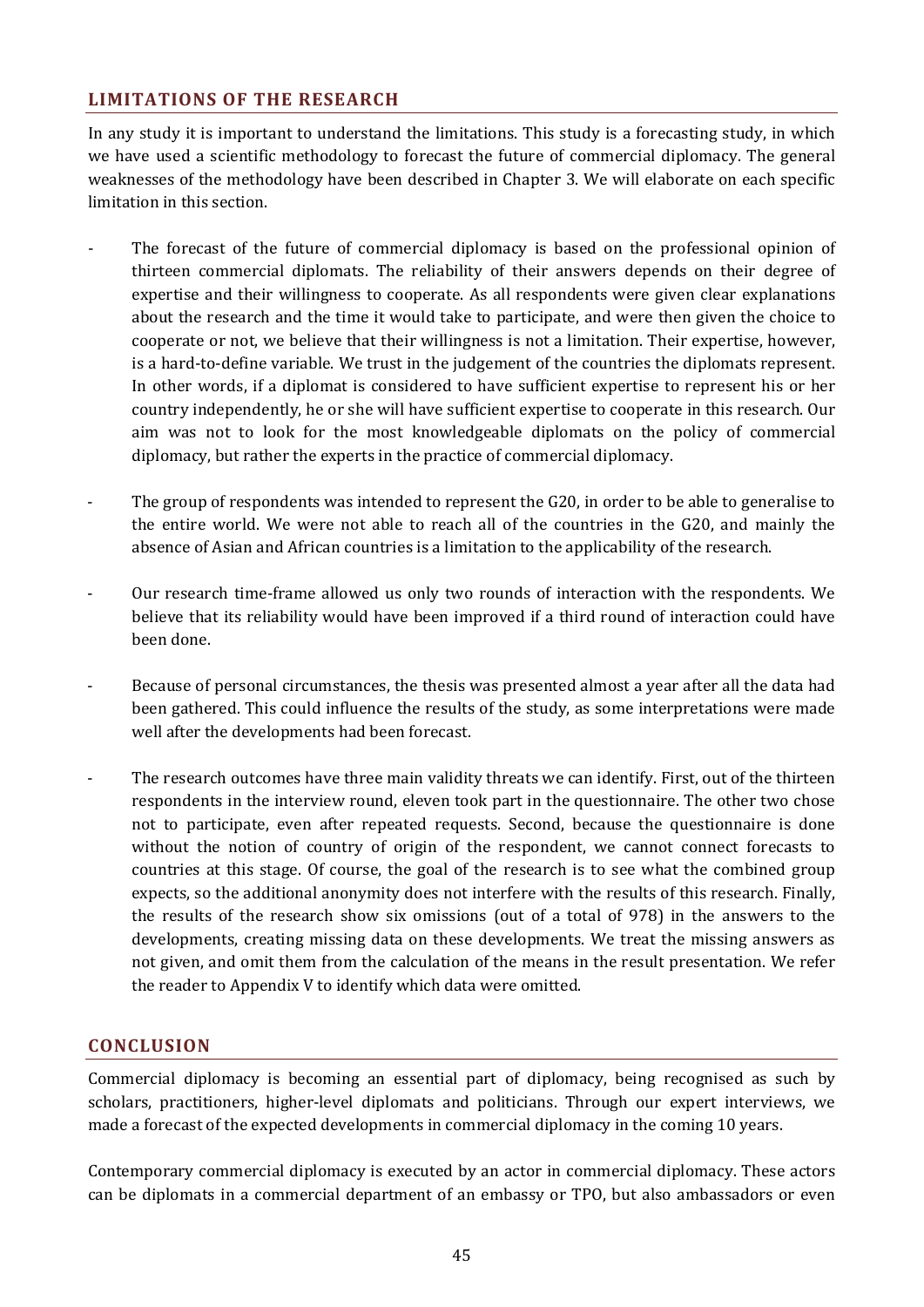#### **LIMITATIONS OF THE RESEARCH**

In any study it is important to understand the limitations. This study is a forecasting study, in which we have used a scientific methodology to forecast the future of commercial diplomacy. The general weaknesses of the methodology have been described in Chapter [3.](#page-20-0) We will elaborate on each specific limitation in this section.

- The forecast of the future of commercial diplomacy is based on the professional opinion of thirteen commercial diplomats. The reliability of their answers depends on their degree of expertise and their willingness to cooperate. As all respondents were given clear explanations about the research and the time it would take to participate, and were then given the choice to cooperate or not, we believe that their willingness is not a limitation. Their expertise, however, is a hard-to-define variable. We trust in the judgement of the countries the diplomats represent. In other words, if a diplomat is considered to have sufficient expertise to represent his or her country independently, he or she will have sufficient expertise to cooperate in this research. Our aim was not to look for the most knowledgeable diplomats on the policy of commercial diplomacy, but rather the experts in the practice of commercial diplomacy.
- The group of respondents was intended to represent the G20, in order to be able to generalise to the entire world. We were not able to reach all of the countries in the G20, and mainly the absence of Asian and African countries is a limitation to the applicability of the research.
- Our research time-frame allowed us only two rounds of interaction with the respondents. We believe that its reliability would have been improved if a third round of interaction could have been done.
- Because of personal circumstances, the thesis was presented almost a year after all the data had been gathered. This could influence the results of the study, as some interpretations were made well after the developments had been forecast.
- The research outcomes have three main validity threats we can identify. First, out of the thirteen respondents in the interview round, eleven took part in the questionnaire. The other two chose not to participate, even after repeated requests. Second, because the questionnaire is done without the notion of country of origin of the respondent, we cannot connect forecasts to countries at this stage. Of course, the goal of the research is to see what the combined group expects, so the additional anonymity does not interfere with the results of this research. Finally, the results of the research show six omissions (out of a total of 978) in the answers to the developments, creating missing data on these developments. We treat the missing answers as not given, and omit them from the calculation of the means in the result presentation. We refer the reader to Appendix V to identify which data were omitted.

#### **CONCLUSION**

Commercial diplomacy is becoming an essential part of diplomacy, being recognised as such by scholars, practitioners, higher-level diplomats and politicians. Through our expert interviews, we made a forecast of the expected developments in commercial diplomacy in the coming 10 years.

Contemporary commercial diplomacy is executed by an actor in commercial diplomacy. These actors can be diplomats in a commercial department of an embassy or TPO, but also ambassadors or even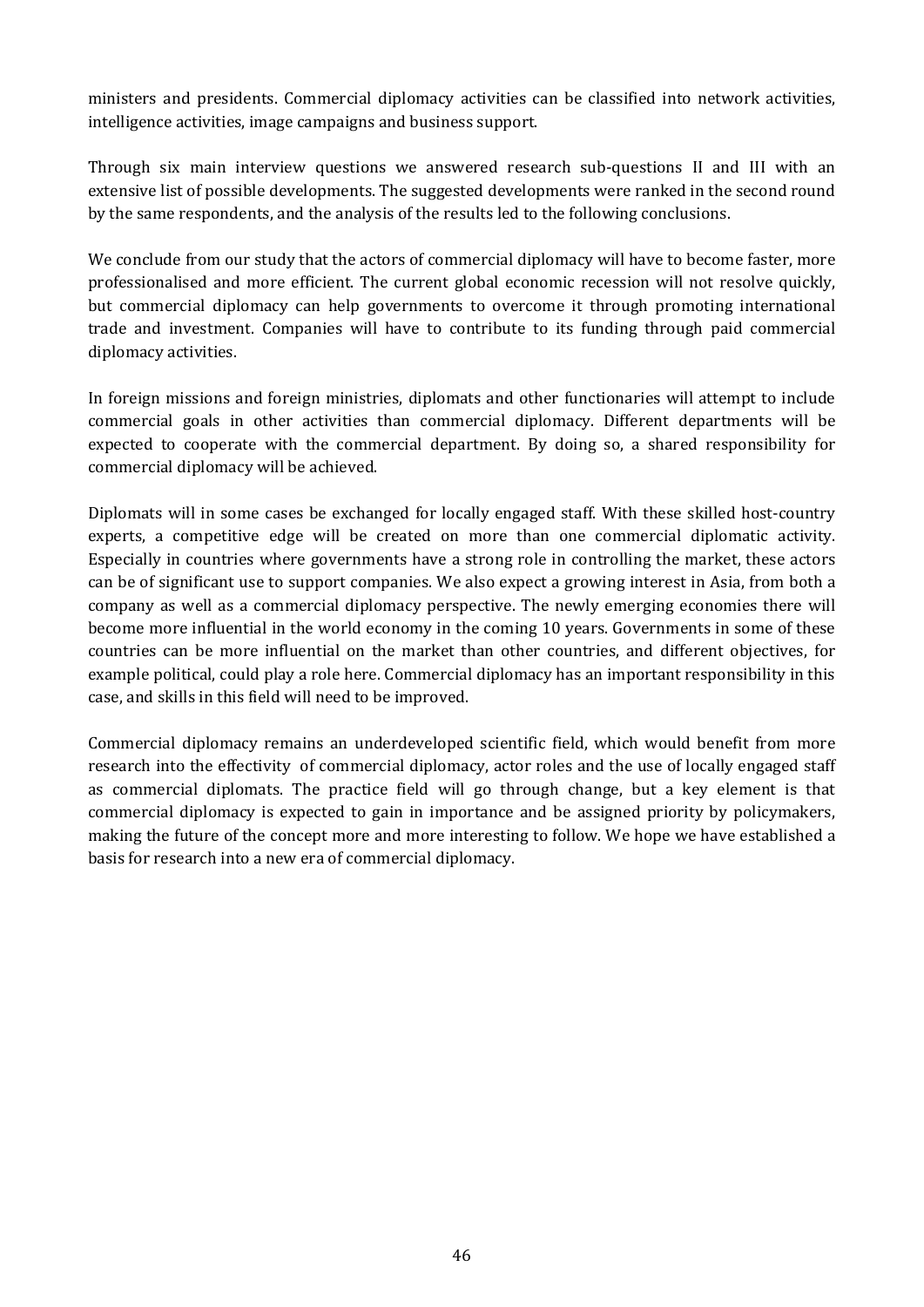ministers and presidents. Commercial diplomacy activities can be classified into network activities, intelligence activities, image campaigns and business support.

Through six main interview questions we answered research sub-questions II and III with an extensive list of possible developments. The suggested developments were ranked in the second round by the same respondents, and the analysis of the results led to the following conclusions.

We conclude from our study that the actors of commercial diplomacy will have to become faster, more professionalised and more efficient. The current global economic recession will not resolve quickly, but commercial diplomacy can help governments to overcome it through promoting international trade and investment. Companies will have to contribute to its funding through paid commercial diplomacy activities.

In foreign missions and foreign ministries, diplomats and other functionaries will attempt to include commercial goals in other activities than commercial diplomacy. Different departments will be expected to cooperate with the commercial department. By doing so, a shared responsibility for commercial diplomacy will be achieved.

Diplomats will in some cases be exchanged for locally engaged staff. With these skilled host-country experts, a competitive edge will be created on more than one commercial diplomatic activity. Especially in countries where governments have a strong role in controlling the market, these actors can be of significant use to support companies. We also expect a growing interest in Asia, from both a company as well as a commercial diplomacy perspective. The newly emerging economies there will become more influential in the world economy in the coming 10 years. Governments in some of these countries can be more influential on the market than other countries, and different objectives, for example political, could play a role here. Commercial diplomacy has an important responsibility in this case, and skills in this field will need to be improved.

Commercial diplomacy remains an underdeveloped scientific field, which would benefit from more research into the effectivity of commercial diplomacy, actor roles and the use of locally engaged staff as commercial diplomats. The practice field will go through change, but a key element is that commercial diplomacy is expected to gain in importance and be assigned priority by policymakers, making the future of the concept more and more interesting to follow. We hope we have established a basis for research into a new era of commercial diplomacy.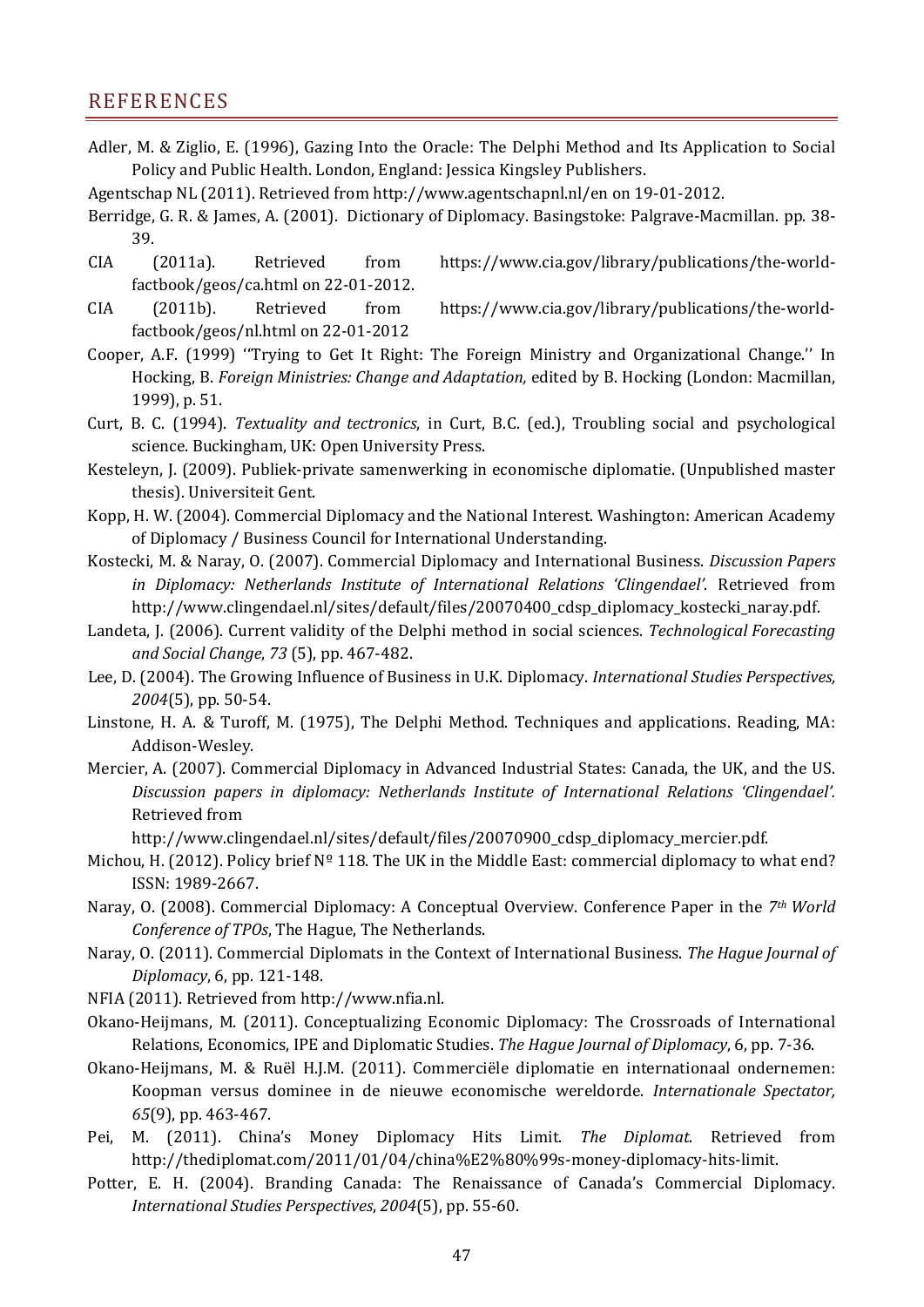# REFERENCES

- Adler, M. & Ziglio, E. (1996), Gazing Into the Oracle: The Delphi Method and Its Application to Social Policy and Public Health. London, England: Jessica Kingsley Publishers.
- Agentschap NL (2011). Retrieved from http://www.agentschapnl.nl/en on 19-01-2012.
- Berridge, G. R. & James, A. (2001). Dictionary of Diplomacy. Basingstoke: Palgrave-Macmillan. pp. 38- 39.
- CIA (2011a). Retrieved from https://www.cia.gov/library/publications/the-worldfactbook/geos/ca.html on 22-01-2012.
- CIA (2011b). Retrieved from https://www.cia.gov/library/publications/the-worldfactbook/geos/nl.html on 22-01-2012
- Cooper, A.F. (1999) ''Trying to Get It Right: The Foreign Ministry and Organizational Change.'' In Hocking, B. *Foreign Ministries: Change and Adaptation,* edited by B. Hocking (London: Macmillan, 1999), p. 51.
- Curt, B. C. (1994). *Textuality and tectronics*, in Curt, B.C. (ed.), Troubling social and psychological science. Buckingham, UK: Open University Press.
- Kesteleyn, J. (2009). Publiek-private samenwerking in economische diplomatie. (Unpublished master thesis). Universiteit Gent.
- Kopp, H. W. (2004). Commercial Diplomacy and the National Interest. Washington: American Academy of Diplomacy / Business Council for International Understanding.
- Kostecki, M. & Naray, O. (2007). Commercial Diplomacy and International Business. *Discussion Papers in Diplomacy: Netherlands Institute of International Relations 'Clingendael'*. Retrieved from http://www.clingendael.nl/sites/default/files/20070400\_cdsp\_diplomacy\_kostecki\_naray.pdf.
- Landeta, J. (2006). Current validity of the Delphi method in social sciences. *Technological Forecasting and Social Change*, *73* (5), pp. 467-482.
- Lee, D. (2004). The Growing Influence of Business in U.K. Diplomacy. *International Studies Perspectives, 2004*(5), pp. 50-54.
- Linstone, H. A. & Turoff, M. (1975), The Delphi Method. Techniques and applications. Reading, MA: Addison-Wesley.
- Mercier, A. (2007). Commercial Diplomacy in Advanced Industrial States: Canada, the UK, and the US. *Discussion papers in diplomacy: Netherlands Institute of International Relations 'Clingendael'.* Retrieved from

http://www.clingendael.nl/sites/default/files/20070900\_cdsp\_diplomacy\_mercier.pdf.

- Michou, H. (2012). Policy brief Nº 118. The UK in the Middle East: commercial diplomacy to what end? ISSN: 1989-2667.
- Naray, O. (2008). Commercial Diplomacy: A Conceptual Overview. Conference Paper in the *7th World Conference of TPOs*, The Hague, The Netherlands.
- Naray, O. (2011). Commercial Diplomats in the Context of International Business. *The Hague Journal of Diplomacy*, 6, pp. 121-148.
- NFIA (2011). Retrieved from http://www.nfia.nl.
- Okano-Heijmans, M. (2011). Conceptualizing Economic Diplomacy: The Crossroads of International Relations, Economics, IPE and Diplomatic Studies. *The Hague Journal of Diplomacy*, 6, pp. 7-36.
- Okano-Heijmans, M. & Ruël H.J.M. (2011). Commerciële diplomatie en internationaal ondernemen: Koopman versus dominee in de nieuwe economische wereldorde. *Internationale Spectator, 65*(9), pp. 463-467.
- Pei, M. (2011). China's Money Diplomacy Hits Limit. *The Diplomat*. Retrieved from http://thediplomat.com/2011/01/04/china%E2%80%99s-money-diplomacy-hits-limit.
- Potter, E. H. (2004). Branding Canada: The Renaissance of Canada's Commercial Diplomacy. *International Studies Perspectives*, *2004*(5), pp. 55-60.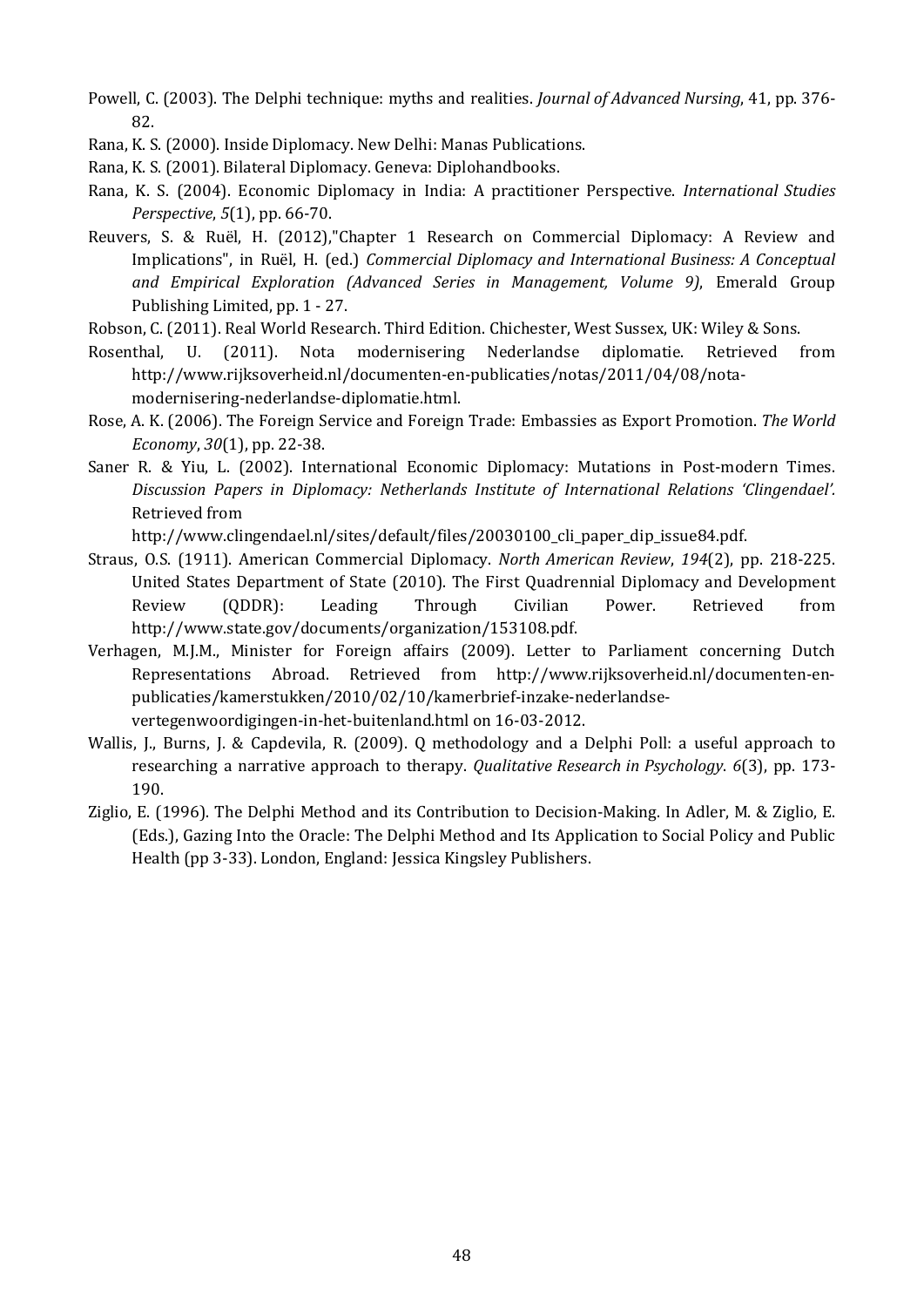- Powell, C. (2003). The Delphi technique: myths and realities. *Journal of Advanced Nursing*, 41, pp. 376- 82.
- Rana, K. S. (2000). Inside Diplomacy. New Delhi: Manas Publications.
- Rana, K. S. (2001). Bilateral Diplomacy. Geneva: Diplohandbooks.
- Rana, K. S. (2004). Economic Diplomacy in India: A practitioner Perspective. *International Studies Perspective*, *5*(1), pp. 66-70.
- Reuvers, S. & Ruël, H. (2012),"Chapter 1 Research on Commercial Diplomacy: A Review and Implications", in Ruël, H. (ed.) *Commercial Diplomacy and International Business: A Conceptual and Empirical Exploration (Advanced Series in Management, Volume 9)*, Emerald Group Publishing Limited, pp. 1 - 27.
- Robson, C. (2011). Real World Research. Third Edition. Chichester, West Sussex, UK: Wiley & Sons.
- Rosenthal, U. (2011). Nota modernisering Nederlandse diplomatie. Retrieved from http://www.rijksoverheid.nl/documenten-en-publicaties/notas/2011/04/08/notamodernisering-nederlandse-diplomatie.html.
- Rose, A. K. (2006). The Foreign Service and Foreign Trade: Embassies as Export Promotion. *The World Economy*, *30*(1), pp. 22-38.
- Saner R. & Yiu, L. (2002). International Economic Diplomacy: Mutations in Post-modern Times. *Discussion Papers in Diplomacy: Netherlands Institute of International Relations 'Clingendael'.* Retrieved from

http://www.clingendael.nl/sites/default/files/20030100 cli paper dip\_issue84.pdf.

- Straus, O.S. (1911). American Commercial Diplomacy. *North American Review*, *194*(2), pp. 218-225. United States Department of State (2010). The First Quadrennial Diplomacy and Development<br>Review (ODDR): Leading Through Civilian Power. Retrieved from Review (QDDR): Leading Through Civilian Power. Retrieved from http://www.state.gov/documents/organization/153108.pdf.
- Verhagen, M.J.M., Minister for Foreign affairs (2009). Letter to Parliament concerning Dutch Representations Abroad. Retrieved from http://www.rijksoverheid.nl/documenten-enpublicaties/kamerstukken/2010/02/10/kamerbrief-inzake-nederlandsevertegenwoordigingen-in-het-buitenland.html on 16-03-2012.
- Wallis, J., Burns, J. & Capdevila, R. (2009). Q methodology and a Delphi Poll: a useful approach to researching a narrative approach to therapy. *Qualitative Research in Psychology*. *6*(3), pp. 173- 190.
- Ziglio, E. (1996). The Delphi Method and its Contribution to Decision-Making. In Adler, M. & Ziglio, E. (Eds.), Gazing Into the Oracle: The Delphi Method and Its Application to Social Policy and Public Health (pp 3-33). London, England: Jessica Kingsley Publishers.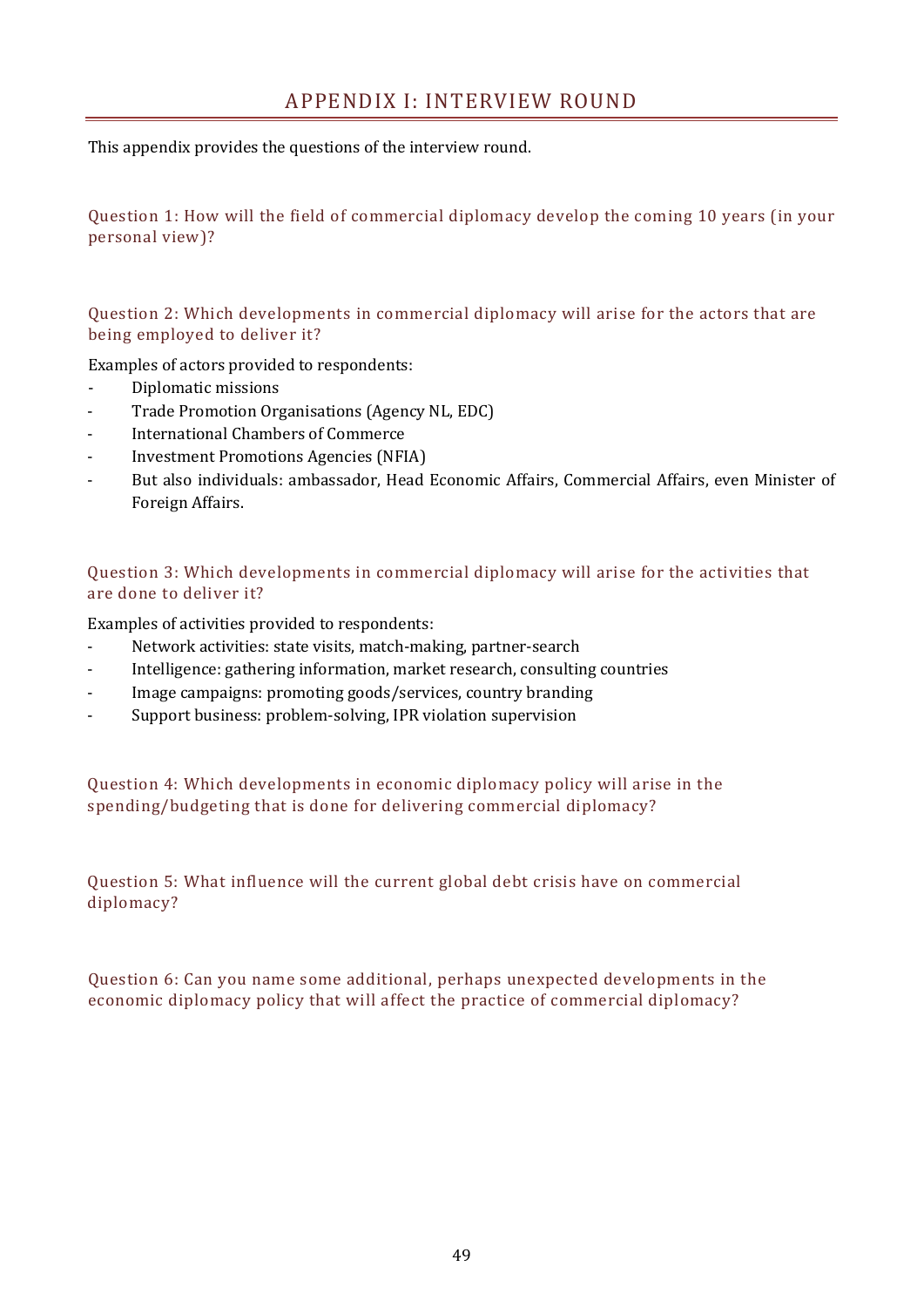This appendix provides the questions of the interview round.

Question 1: How will the field of commercial diplomacy develop the coming 10 years (in your personal view)?

Question 2: Which developments in commercial diplomacy will arise for the actors that are being employed to deliver it?

Examples of actors provided to respondents:

- Diplomatic missions
- Trade Promotion Organisations (Agency NL, EDC)
- International Chambers of Commerce
- Investment Promotions Agencies (NFIA)
- But also individuals: ambassador, Head Economic Affairs, Commercial Affairs, even Minister of Foreign Affairs.

Question 3: Which developments in commercial diplomacy will arise for the activities that are done to deliver it?

Examples of activities provided to respondents:

- Network activities: state visits, match-making, partner-search
- Intelligence: gathering information, market research, consulting countries
- Image campaigns: promoting goods/services, country branding
- Support business: problem-solving, IPR violation supervision

Question 4: Which developments in economic diplomacy policy will arise in the spending/budgeting that is done for delivering commercial diplomacy?

Question 5: What influence will the current global debt crisis have on commercial diplomacy?

Question 6: Can you name some additional, perhaps unexpected developments in the economic diplomacy policy that will affect the practice of commercial diplomacy?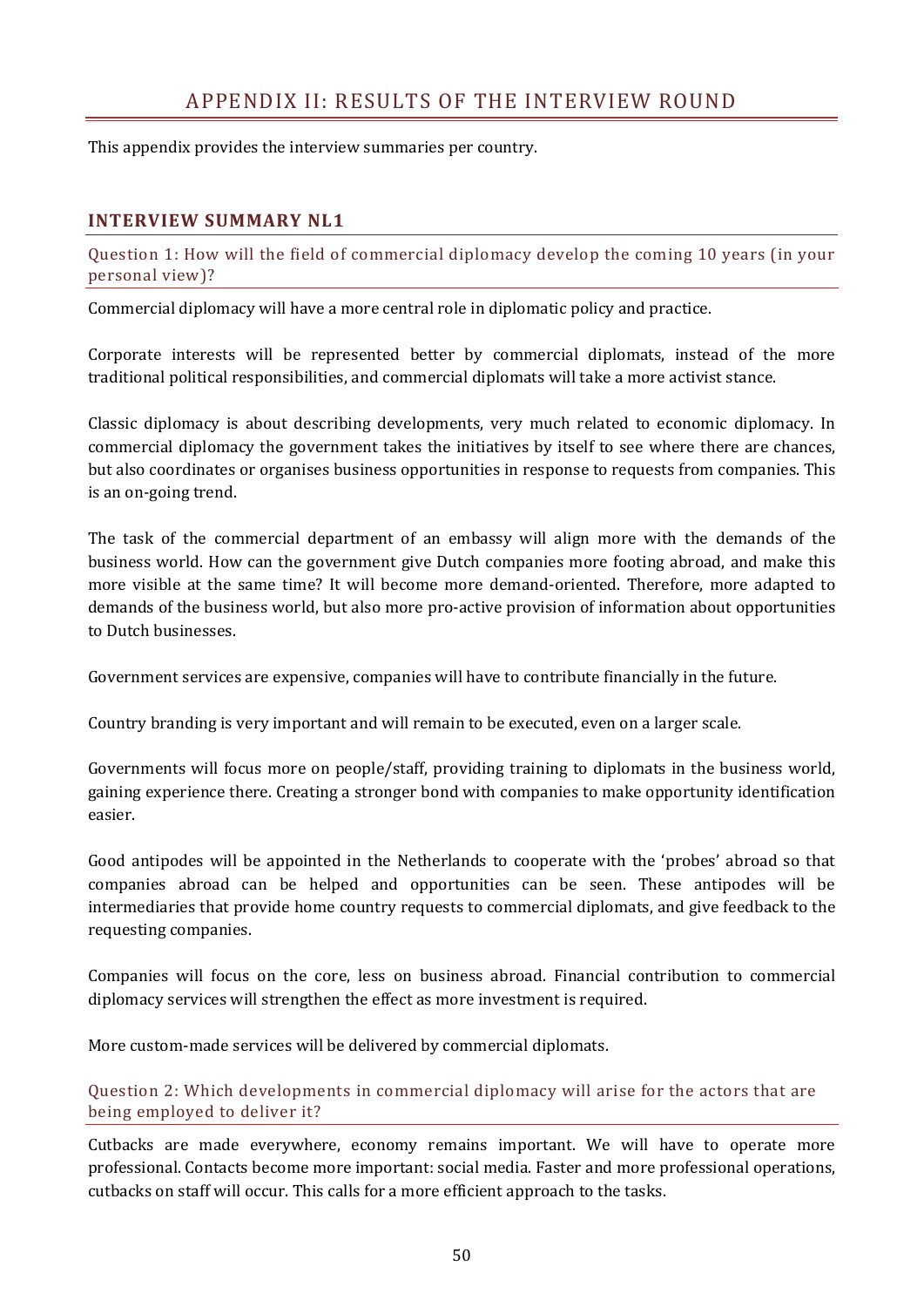# APPENDIX II: RESULTS OF THE INTERVIEW ROUND

This appendix provides the interview summaries per country.

#### **INTERVIEW SUMMARY NL1**

Question 1: How will the field of commercial diplomacy develop the coming 10 years (in your personal view)?

Commercial diplomacy will have a more central role in diplomatic policy and practice.

Corporate interests will be represented better by commercial diplomats, instead of the more traditional political responsibilities, and commercial diplomats will take a more activist stance.

Classic diplomacy is about describing developments, very much related to economic diplomacy. In commercial diplomacy the government takes the initiatives by itself to see where there are chances, but also coordinates or organises business opportunities in response to requests from companies. This is an on-going trend.

The task of the commercial department of an embassy will align more with the demands of the business world. How can the government give Dutch companies more footing abroad, and make this more visible at the same time? It will become more demand-oriented. Therefore, more adapted to demands of the business world, but also more pro-active provision of information about opportunities to Dutch businesses.

Government services are expensive, companies will have to contribute financially in the future.

Country branding is very important and will remain to be executed, even on a larger scale.

Governments will focus more on people/staff, providing training to diplomats in the business world, gaining experience there. Creating a stronger bond with companies to make opportunity identification easier.

Good antipodes will be appointed in the Netherlands to cooperate with the 'probes' abroad so that companies abroad can be helped and opportunities can be seen. These antipodes will be intermediaries that provide home country requests to commercial diplomats, and give feedback to the requesting companies.

Companies will focus on the core, less on business abroad. Financial contribution to commercial diplomacy services will strengthen the effect as more investment is required.

More custom-made services will be delivered by commercial diplomats.

Question 2: Which developments in commercial diplomacy will arise for the actors that are being employed to deliver it?

Cutbacks are made everywhere, economy remains important. We will have to operate more professional. Contacts become more important: social media. Faster and more professional operations, cutbacks on staff will occur. This calls for a more efficient approach to the tasks.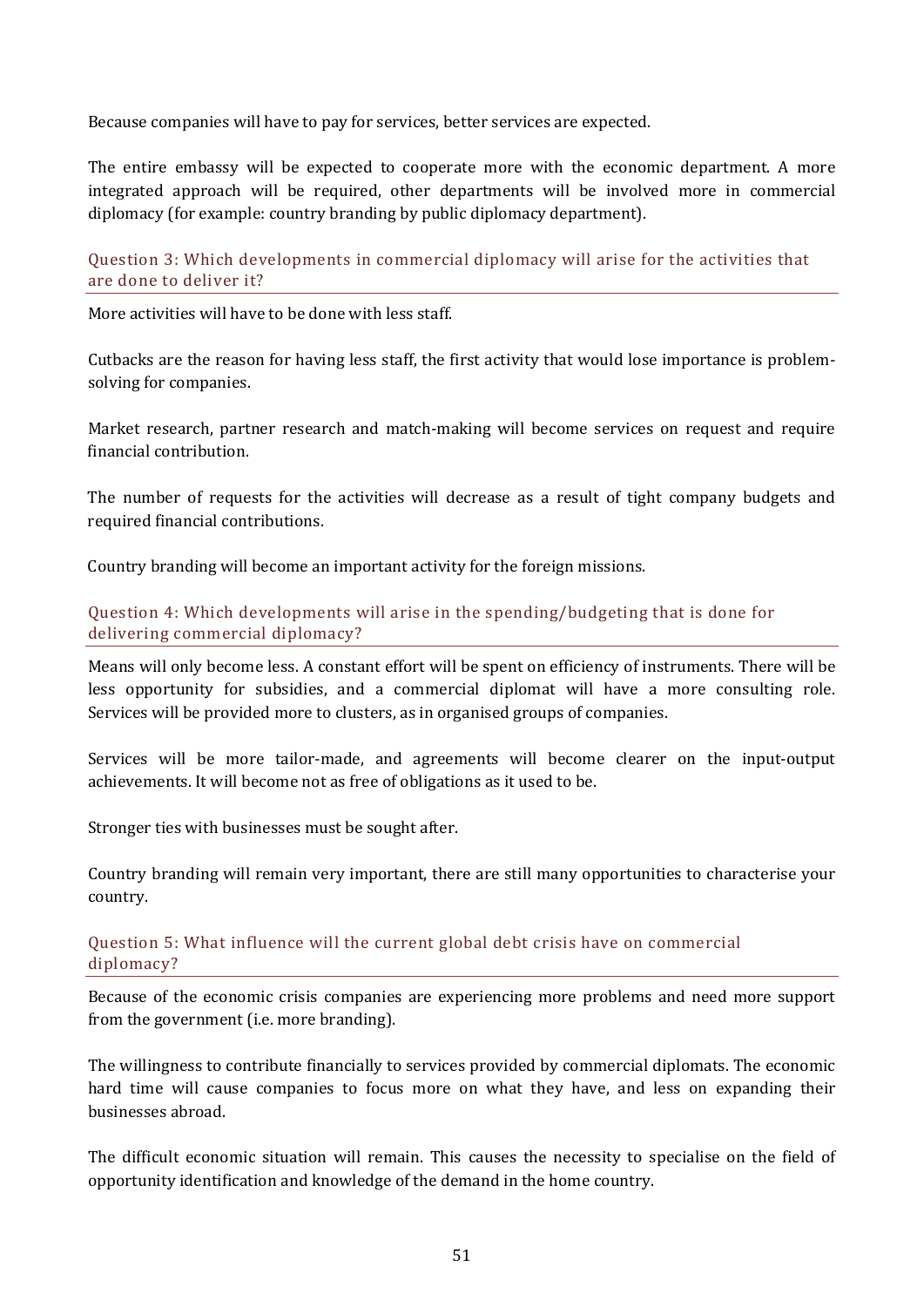Because companies will have to pay for services, better services are expected.

The entire embassy will be expected to cooperate more with the economic department. A more integrated approach will be required, other departments will be involved more in commercial diplomacy (for example: country branding by public diplomacy department).

#### Question 3: Which developments in commercial diplomacy will arise for the activities that are done to deliver it?

More activities will have to be done with less staff.

Cutbacks are the reason for having less staff, the first activity that would lose importance is problemsolving for companies.

Market research, partner research and match-making will become services on request and require financial contribution.

The number of requests for the activities will decrease as a result of tight company budgets and required financial contributions.

Country branding will become an important activity for the foreign missions.

#### Question 4: Which developments will arise in the spending/budgeting that is done for delivering commercial diplomacy?

Means will only become less. A constant effort will be spent on efficiency of instruments. There will be less opportunity for subsidies, and a commercial diplomat will have a more consulting role. Services will be provided more to clusters, as in organised groups of companies.

Services will be more tailor-made, and agreements will become clearer on the input-output achievements. It will become not as free of obligations as it used to be.

Stronger ties with businesses must be sought after.

Country branding will remain very important, there are still many opportunities to characterise your country.

#### Question 5: What influence will the current global debt crisis have on commercial diplomacy?

Because of the economic crisis companies are experiencing more problems and need more support from the government (i.e. more branding).

The willingness to contribute financially to services provided by commercial diplomats. The economic hard time will cause companies to focus more on what they have, and less on expanding their businesses abroad.

The difficult economic situation will remain. This causes the necessity to specialise on the field of opportunity identification and knowledge of the demand in the home country.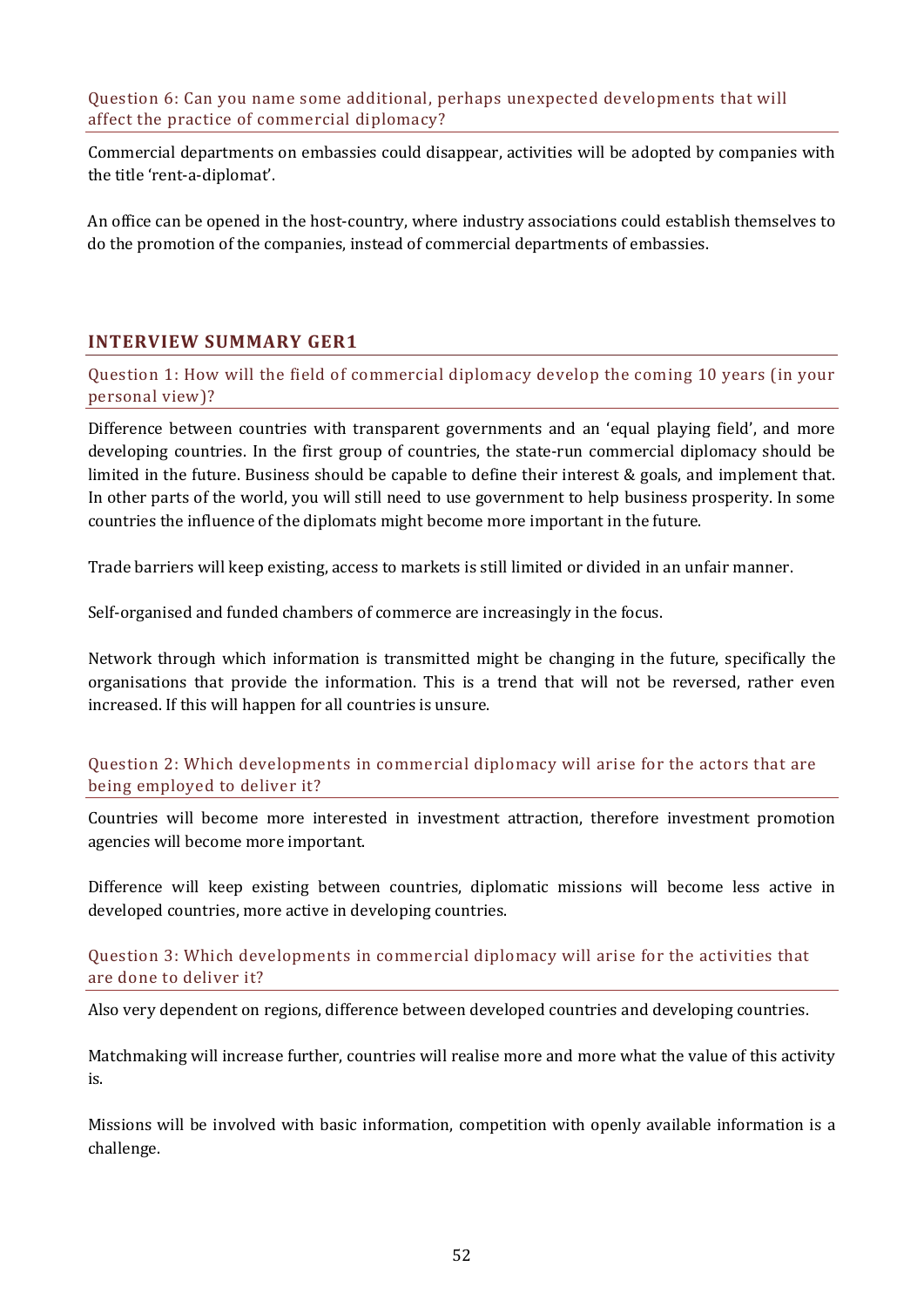Question 6: Can you name some additional, perhaps unexpected developments that will affect the practice of commercial diplomacy?

Commercial departments on embassies could disappear, activities will be adopted by companies with the title 'rent-a-diplomat'.

An office can be opened in the host-country, where industry associations could establish themselves to do the promotion of the companies, instead of commercial departments of embassies.

# **INTERVIEW SUMMARY GER1**

Question 1: How will the field of commercial diplomacy develop the coming 10 years (in your personal view)?

Difference between countries with transparent governments and an 'equal playing field', and more developing countries. In the first group of countries, the state-run commercial diplomacy should be limited in the future. Business should be capable to define their interest & goals, and implement that. In other parts of the world, you will still need to use government to help business prosperity. In some countries the influence of the diplomats might become more important in the future.

Trade barriers will keep existing, access to markets is still limited or divided in an unfair manner.

Self-organised and funded chambers of commerce are increasingly in the focus.

Network through which information is transmitted might be changing in the future, specifically the organisations that provide the information. This is a trend that will not be reversed, rather even increased. If this will happen for all countries is unsure.

Question 2: Which developments in commercial diplomacy will arise for the actors that are being employed to deliver it?

Countries will become more interested in investment attraction, therefore investment promotion agencies will become more important.

Difference will keep existing between countries, diplomatic missions will become less active in developed countries, more active in developing countries.

Question 3: Which developments in commercial diplomacy will arise for the activities that are done to deliver it?

Also very dependent on regions, difference between developed countries and developing countries.

Matchmaking will increase further, countries will realise more and more what the value of this activity is.

Missions will be involved with basic information, competition with openly available information is a challenge.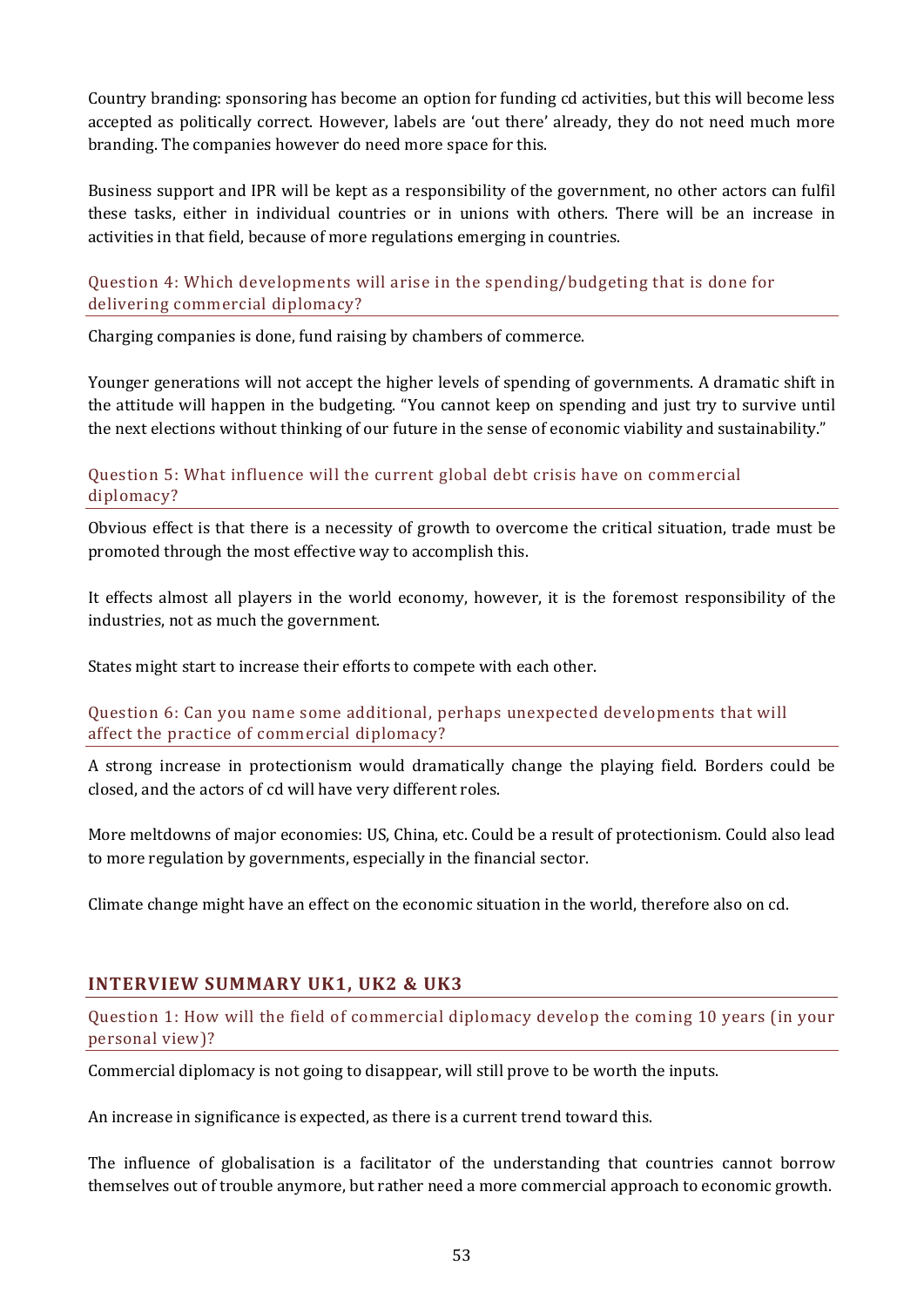Country branding: sponsoring has become an option for funding cd activities, but this will become less accepted as politically correct. However, labels are 'out there' already, they do not need much more branding. The companies however do need more space for this.

Business support and IPR will be kept as a responsibility of the government, no other actors can fulfil these tasks, either in individual countries or in unions with others. There will be an increase in activities in that field, because of more regulations emerging in countries.

#### Question 4: Which developments will arise in the spending/budgeting that is done for delivering commercial diplomacy?

Charging companies is done, fund raising by chambers of commerce.

Younger generations will not accept the higher levels of spending of governments. A dramatic shift in the attitude will happen in the budgeting. "You cannot keep on spending and just try to survive until the next elections without thinking of our future in the sense of economic viability and sustainability."

#### Question 5: What influence will the current global debt crisis have on commercial diplomacy?

Obvious effect is that there is a necessity of growth to overcome the critical situation, trade must be promoted through the most effective way to accomplish this.

It effects almost all players in the world economy, however, it is the foremost responsibility of the industries, not as much the government.

States might start to increase their efforts to compete with each other.

Question 6: Can you name some additional, perhaps unexpected developments that will affect the practice of commercial diplomacy?

A strong increase in protectionism would dramatically change the playing field. Borders could be closed, and the actors of cd will have very different roles.

More meltdowns of major economies: US, China, etc. Could be a result of protectionism. Could also lead to more regulation by governments, especially in the financial sector.

Climate change might have an effect on the economic situation in the world, therefore also on cd.

## **INTERVIEW SUMMARY UK1, UK2 & UK3**

Question 1: How will the field of commercial diplomacy develop the coming 10 years (in your personal view)?

Commercial diplomacy is not going to disappear, will still prove to be worth the inputs.

An increase in significance is expected, as there is a current trend toward this.

The influence of globalisation is a facilitator of the understanding that countries cannot borrow themselves out of trouble anymore, but rather need a more commercial approach to economic growth.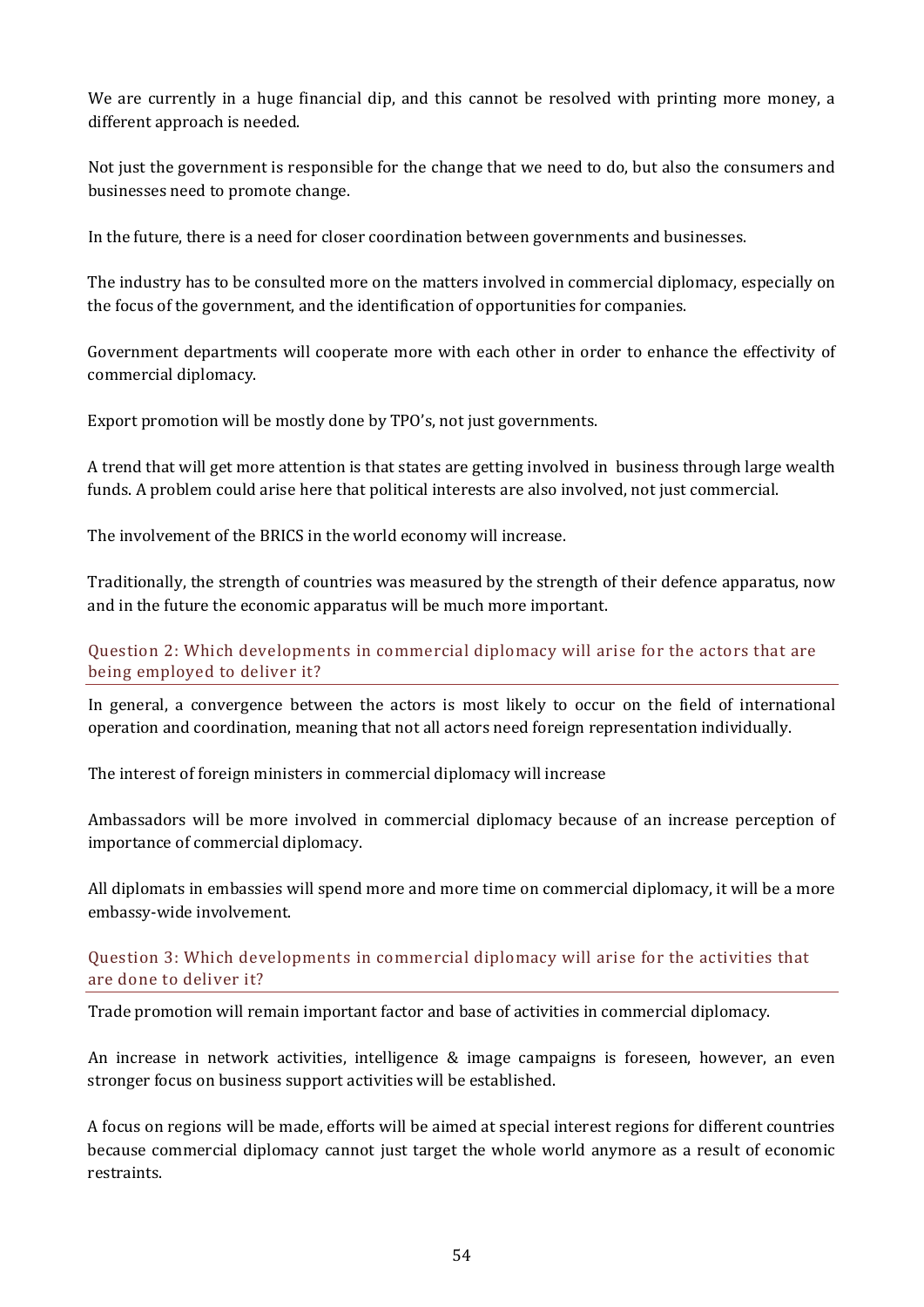We are currently in a huge financial dip, and this cannot be resolved with printing more money, a different approach is needed.

Not just the government is responsible for the change that we need to do, but also the consumers and businesses need to promote change.

In the future, there is a need for closer coordination between governments and businesses.

The industry has to be consulted more on the matters involved in commercial diplomacy, especially on the focus of the government, and the identification of opportunities for companies.

Government departments will cooperate more with each other in order to enhance the effectivity of commercial diplomacy.

Export promotion will be mostly done by TPO's, not just governments.

A trend that will get more attention is that states are getting involved in business through large wealth funds. A problem could arise here that political interests are also involved, not just commercial.

The involvement of the BRICS in the world economy will increase.

Traditionally, the strength of countries was measured by the strength of their defence apparatus, now and in the future the economic apparatus will be much more important.

#### Question 2: Which developments in commercial diplomacy will arise for the actors that are being employed to deliver it?

In general, a convergence between the actors is most likely to occur on the field of international operation and coordination, meaning that not all actors need foreign representation individually.

The interest of foreign ministers in commercial diplomacy will increase

Ambassadors will be more involved in commercial diplomacy because of an increase perception of importance of commercial diplomacy.

All diplomats in embassies will spend more and more time on commercial diplomacy, it will be a more embassy-wide involvement.

#### Question 3: Which developments in commercial diplomacy will arise for the activities that are done to deliver it?

Trade promotion will remain important factor and base of activities in commercial diplomacy.

An increase in network activities, intelligence & image campaigns is foreseen, however, an even stronger focus on business support activities will be established.

A focus on regions will be made, efforts will be aimed at special interest regions for different countries because commercial diplomacy cannot just target the whole world anymore as a result of economic restraints.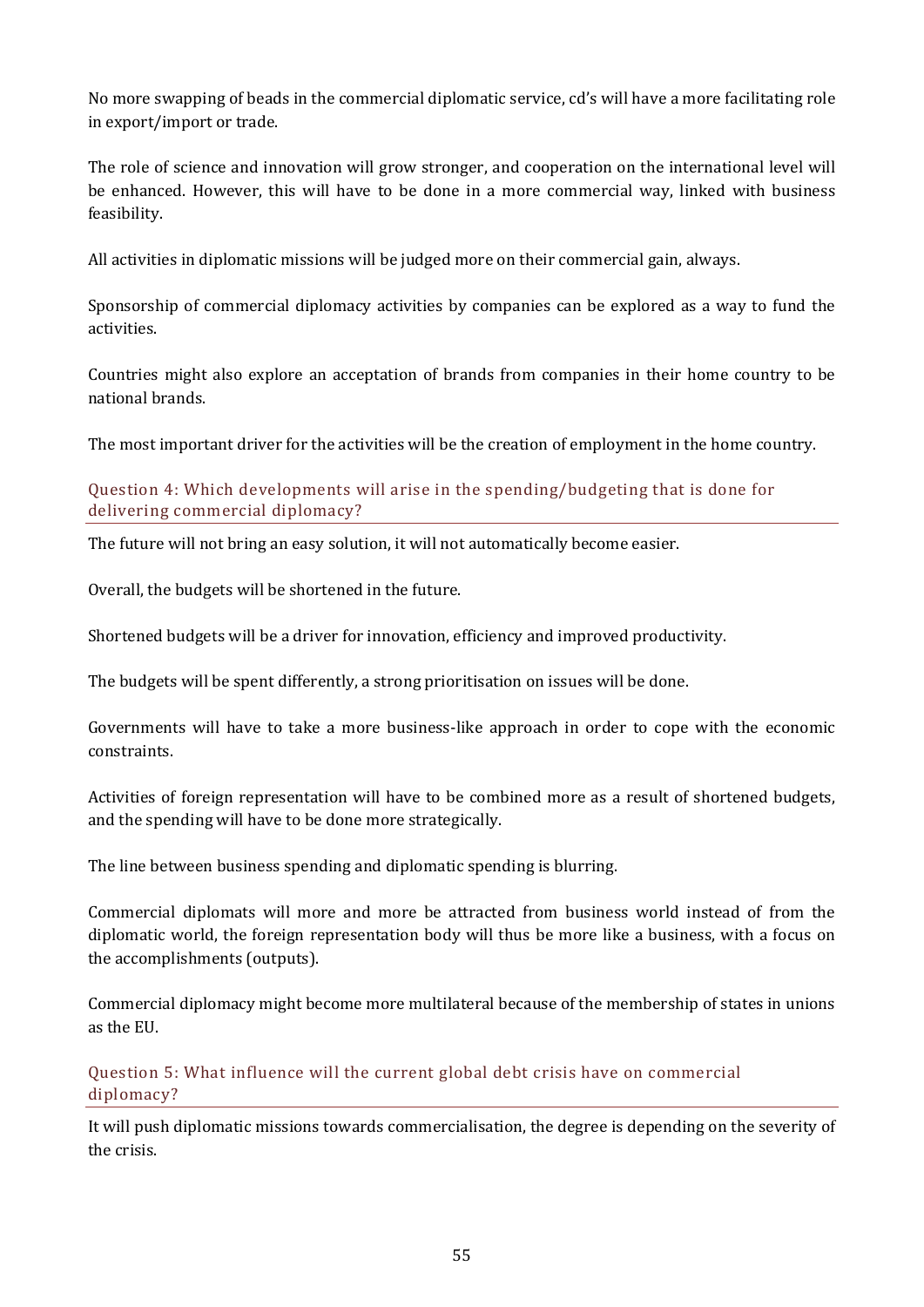No more swapping of beads in the commercial diplomatic service, cd's will have a more facilitating role in export/import or trade.

The role of science and innovation will grow stronger, and cooperation on the international level will be enhanced. However, this will have to be done in a more commercial way, linked with business feasibility.

All activities in diplomatic missions will be judged more on their commercial gain, always.

Sponsorship of commercial diplomacy activities by companies can be explored as a way to fund the activities.

Countries might also explore an acceptation of brands from companies in their home country to be national brands.

The most important driver for the activities will be the creation of employment in the home country.

Question 4: Which developments will arise in the spending/budgeting that is done for delivering commercial diplomacy?

The future will not bring an easy solution, it will not automatically become easier.

Overall, the budgets will be shortened in the future.

Shortened budgets will be a driver for innovation, efficiency and improved productivity.

The budgets will be spent differently, a strong prioritisation on issues will be done.

Governments will have to take a more business-like approach in order to cope with the economic constraints.

Activities of foreign representation will have to be combined more as a result of shortened budgets, and the spending will have to be done more strategically.

The line between business spending and diplomatic spending is blurring.

Commercial diplomats will more and more be attracted from business world instead of from the diplomatic world, the foreign representation body will thus be more like a business, with a focus on the accomplishments (outputs).

Commercial diplomacy might become more multilateral because of the membership of states in unions as the EU.

Question 5: What influence will the current global debt crisis have on commercial diplomacy?

It will push diplomatic missions towards commercialisation, the degree is depending on the severity of the crisis.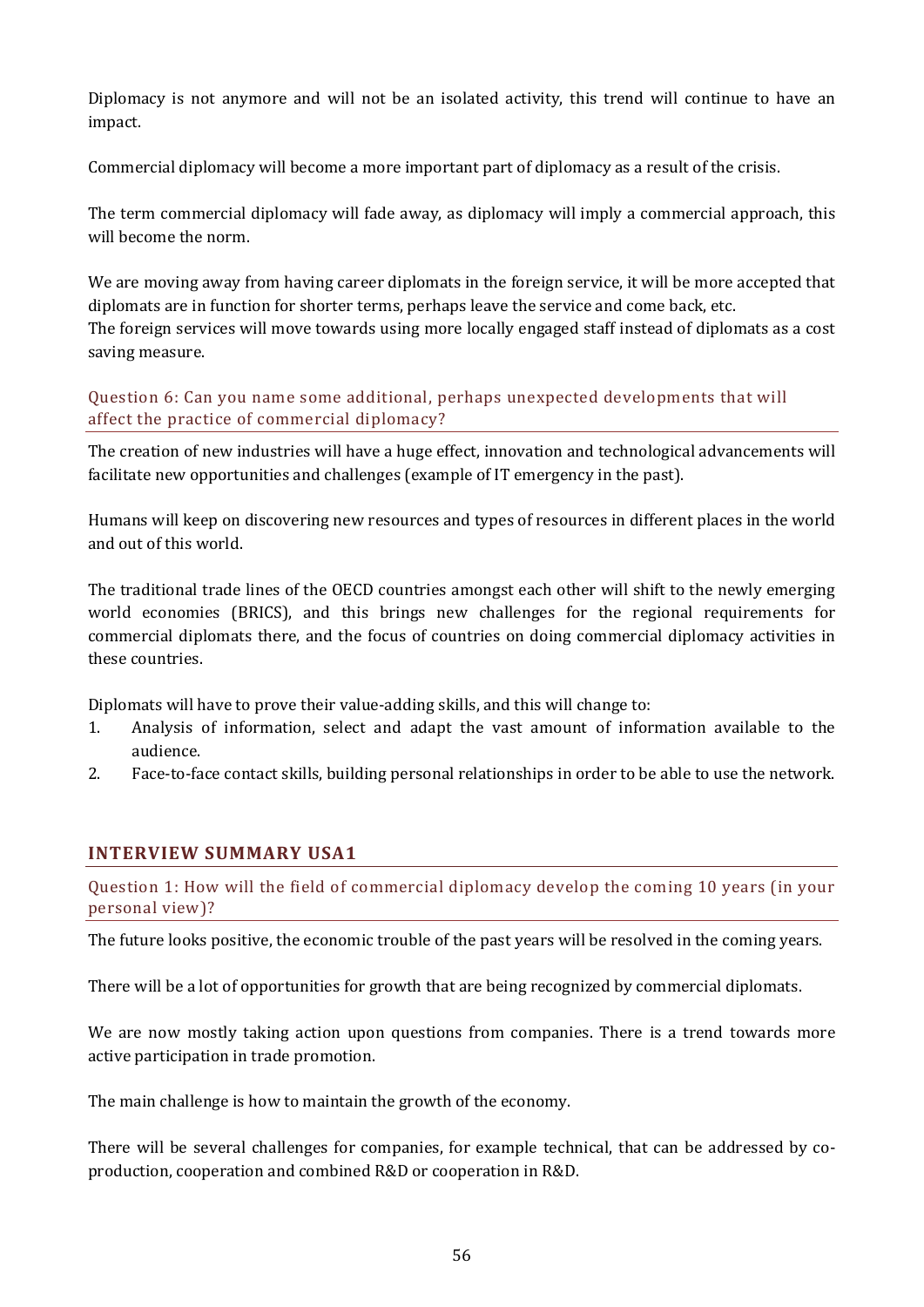Diplomacy is not anymore and will not be an isolated activity, this trend will continue to have an impact.

Commercial diplomacy will become a more important part of diplomacy as a result of the crisis.

The term commercial diplomacy will fade away, as diplomacy will imply a commercial approach, this will become the norm.

We are moving away from having career diplomats in the foreign service, it will be more accepted that diplomats are in function for shorter terms, perhaps leave the service and come back, etc. The foreign services will move towards using more locally engaged staff instead of diplomats as a cost saving measure.

Question 6: Can you name some additional, perhaps unexpected developments that will affect the practice of commercial diplomacy?

The creation of new industries will have a huge effect, innovation and technological advancements will facilitate new opportunities and challenges (example of IT emergency in the past).

Humans will keep on discovering new resources and types of resources in different places in the world and out of this world.

The traditional trade lines of the OECD countries amongst each other will shift to the newly emerging world economies (BRICS), and this brings new challenges for the regional requirements for commercial diplomats there, and the focus of countries on doing commercial diplomacy activities in these countries.

Diplomats will have to prove their value-adding skills, and this will change to:

- 1. Analysis of information, select and adapt the vast amount of information available to the audience.
- 2. Face-to-face contact skills, building personal relationships in order to be able to use the network.

## **INTERVIEW SUMMARY USA1**

Question 1: How will the field of commercial diplomacy develop the coming 10 years (in your personal view)?

The future looks positive, the economic trouble of the past years will be resolved in the coming years.

There will be a lot of opportunities for growth that are being recognized by commercial diplomats.

We are now mostly taking action upon questions from companies. There is a trend towards more active participation in trade promotion.

The main challenge is how to maintain the growth of the economy.

There will be several challenges for companies, for example technical, that can be addressed by coproduction, cooperation and combined R&D or cooperation in R&D.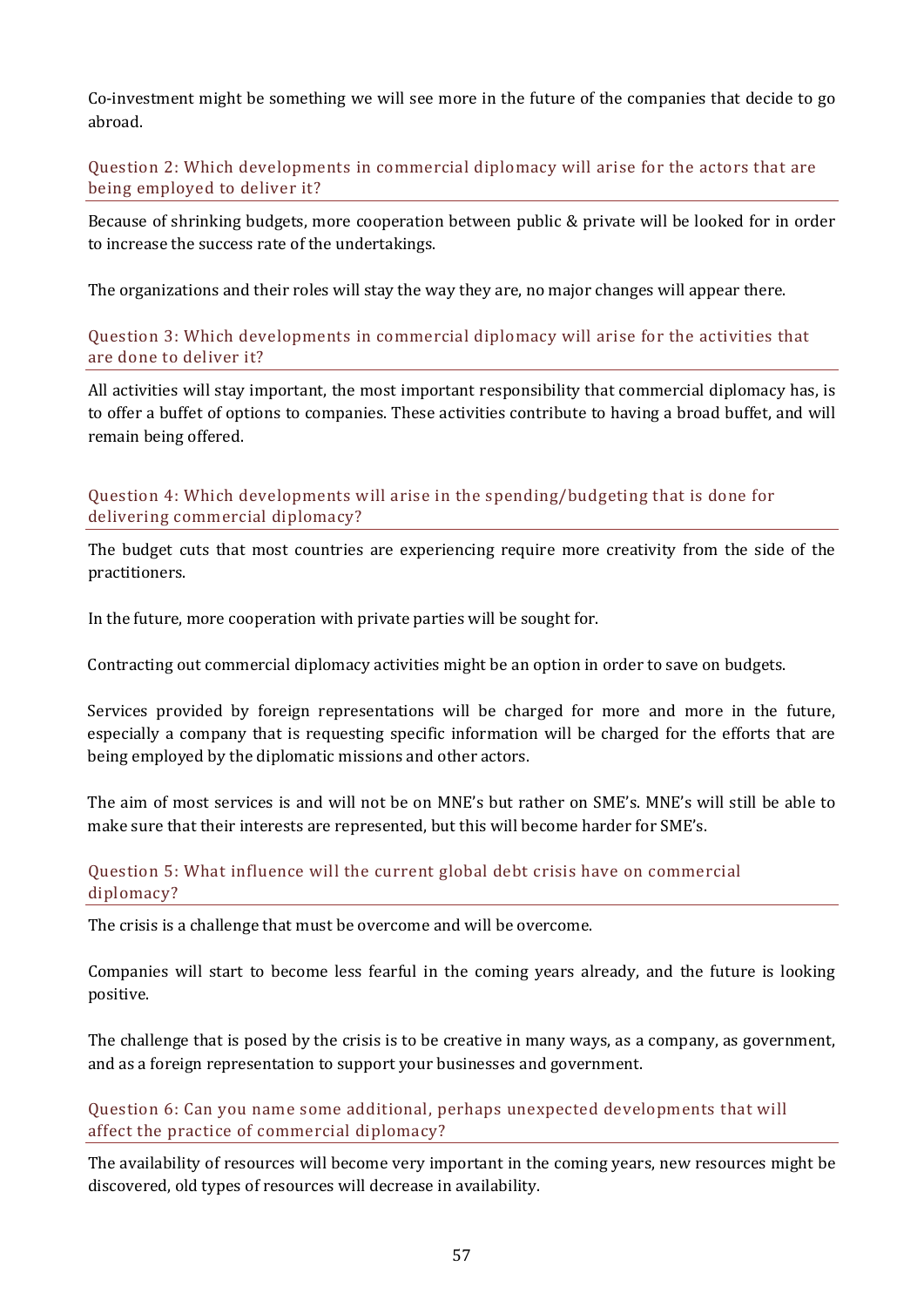Co-investment might be something we will see more in the future of the companies that decide to go abroad.

Question 2: Which developments in commercial diplomacy will arise for the actors that are being employed to deliver it?

Because of shrinking budgets, more cooperation between public & private will be looked for in order to increase the success rate of the undertakings.

The organizations and their roles will stay the way they are, no major changes will appear there.

Question 3: Which developments in commercial diplomacy will arise for the activities that are done to deliver it?

All activities will stay important, the most important responsibility that commercial diplomacy has, is to offer a buffet of options to companies. These activities contribute to having a broad buffet, and will remain being offered.

Question 4: Which developments will arise in the spending/budgeting that is done for delivering commercial diplomacy?

The budget cuts that most countries are experiencing require more creativity from the side of the practitioners.

In the future, more cooperation with private parties will be sought for.

Contracting out commercial diplomacy activities might be an option in order to save on budgets.

Services provided by foreign representations will be charged for more and more in the future, especially a company that is requesting specific information will be charged for the efforts that are being employed by the diplomatic missions and other actors.

The aim of most services is and will not be on MNE's but rather on SME's. MNE's will still be able to make sure that their interests are represented, but this will become harder for SME's.

#### Question 5: What influence will the current global debt crisis have on commercial diplomacy?

The crisis is a challenge that must be overcome and will be overcome.

Companies will start to become less fearful in the coming years already, and the future is looking positive.

The challenge that is posed by the crisis is to be creative in many ways, as a company, as government, and as a foreign representation to support your businesses and government.

#### Question 6: Can you name some additional, perhaps unexpected developments that will affect the practice of commercial diplomacy?

The availability of resources will become very important in the coming years, new resources might be discovered, old types of resources will decrease in availability.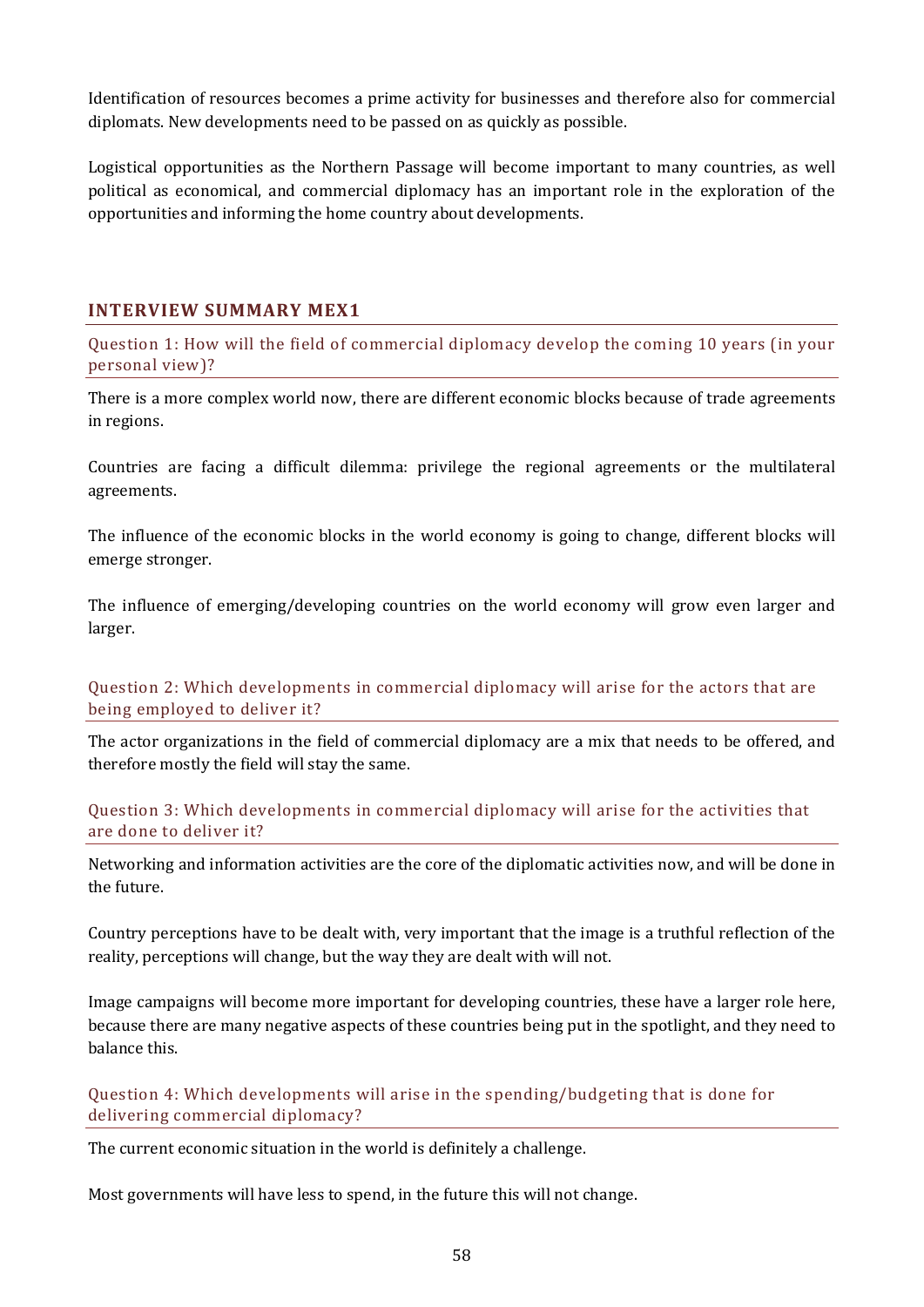Identification of resources becomes a prime activity for businesses and therefore also for commercial diplomats. New developments need to be passed on as quickly as possible.

Logistical opportunities as the Northern Passage will become important to many countries, as well political as economical, and commercial diplomacy has an important role in the exploration of the opportunities and informing the home country about developments.

## **INTERVIEW SUMMARY MEX1**

Question 1: How will the field of commercial diplomacy develop the coming 10 years (in your personal view)?

There is a more complex world now, there are different economic blocks because of trade agreements in regions.

Countries are facing a difficult dilemma: privilege the regional agreements or the multilateral agreements.

The influence of the economic blocks in the world economy is going to change, different blocks will emerge stronger.

The influence of emerging/developing countries on the world economy will grow even larger and larger.

Question 2: Which developments in commercial diplomacy will arise for the actors that are being employed to deliver it?

The actor organizations in the field of commercial diplomacy are a mix that needs to be offered, and therefore mostly the field will stay the same.

#### Question 3: Which developments in commercial diplomacy will arise for the activities that are done to deliver it?

Networking and information activities are the core of the diplomatic activities now, and will be done in the future.

Country perceptions have to be dealt with, very important that the image is a truthful reflection of the reality, perceptions will change, but the way they are dealt with will not.

Image campaigns will become more important for developing countries, these have a larger role here, because there are many negative aspects of these countries being put in the spotlight, and they need to balance this.

Question 4: Which developments will arise in the spending/budgeting that is done for delivering commercial diplomacy?

The current economic situation in the world is definitely a challenge.

Most governments will have less to spend, in the future this will not change.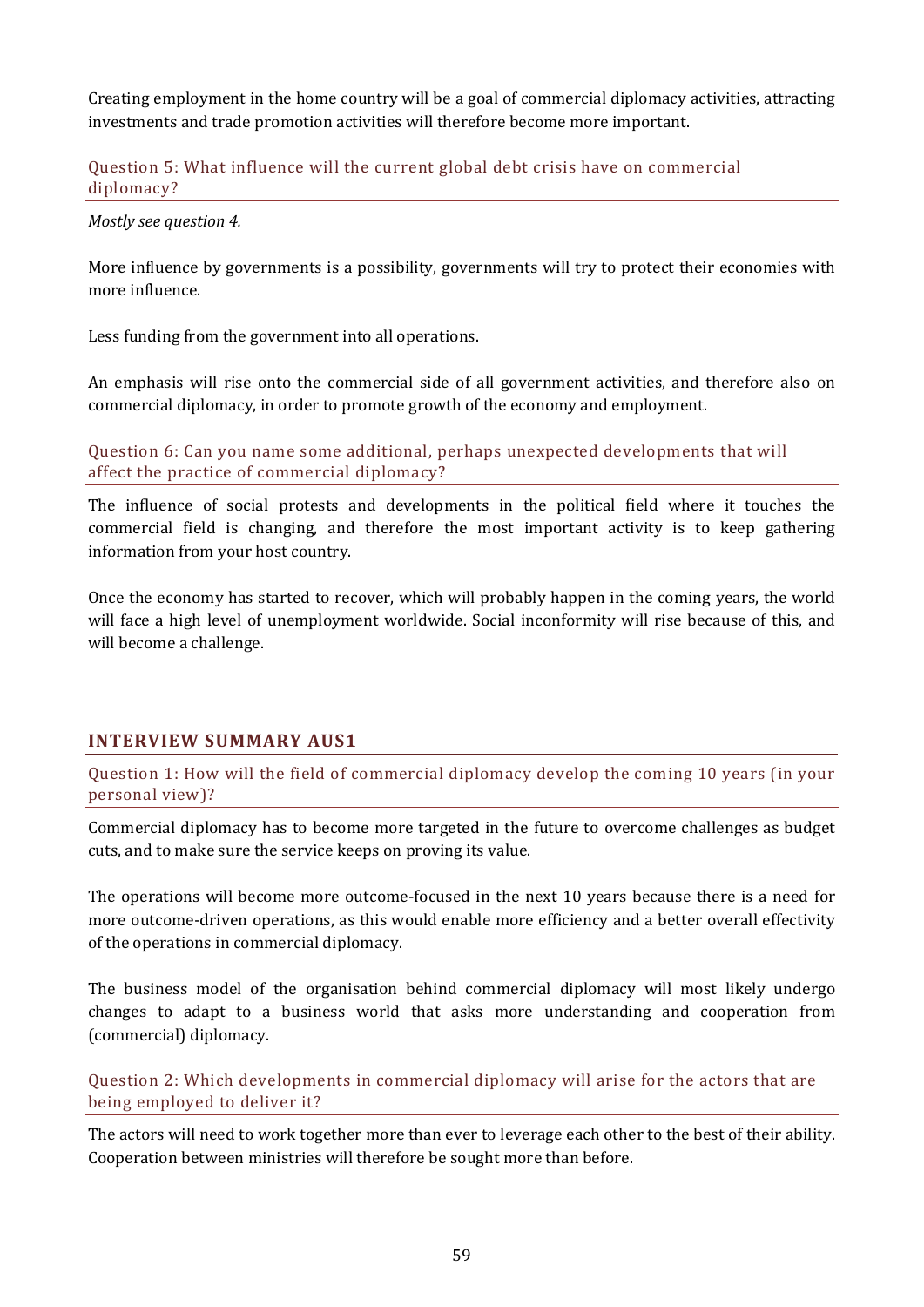Creating employment in the home country will be a goal of commercial diplomacy activities, attracting investments and trade promotion activities will therefore become more important.

#### Question 5: What influence will the current global debt crisis have on commercial diplomacy?

*Mostly see question 4.*

More influence by governments is a possibility, governments will try to protect their economies with more influence.

Less funding from the government into all operations.

An emphasis will rise onto the commercial side of all government activities, and therefore also on commercial diplomacy, in order to promote growth of the economy and employment.

Question 6: Can you name some additional, perhaps unexpected developments that will affect the practice of commercial diplomacy?

The influence of social protests and developments in the political field where it touches the commercial field is changing, and therefore the most important activity is to keep gathering information from your host country.

Once the economy has started to recover, which will probably happen in the coming years, the world will face a high level of unemployment worldwide. Social inconformity will rise because of this, and will become a challenge.

## **INTERVIEW SUMMARY AUS1**

Question 1: How will the field of commercial diplomacy develop the coming 10 years (in your personal view)?

Commercial diplomacy has to become more targeted in the future to overcome challenges as budget cuts, and to make sure the service keeps on proving its value.

The operations will become more outcome-focused in the next 10 years because there is a need for more outcome-driven operations, as this would enable more efficiency and a better overall effectivity of the operations in commercial diplomacy.

The business model of the organisation behind commercial diplomacy will most likely undergo changes to adapt to a business world that asks more understanding and cooperation from (commercial) diplomacy.

Question 2: Which developments in commercial diplomacy will arise for the actors that are being employed to deliver it?

The actors will need to work together more than ever to leverage each other to the best of their ability. Cooperation between ministries will therefore be sought more than before.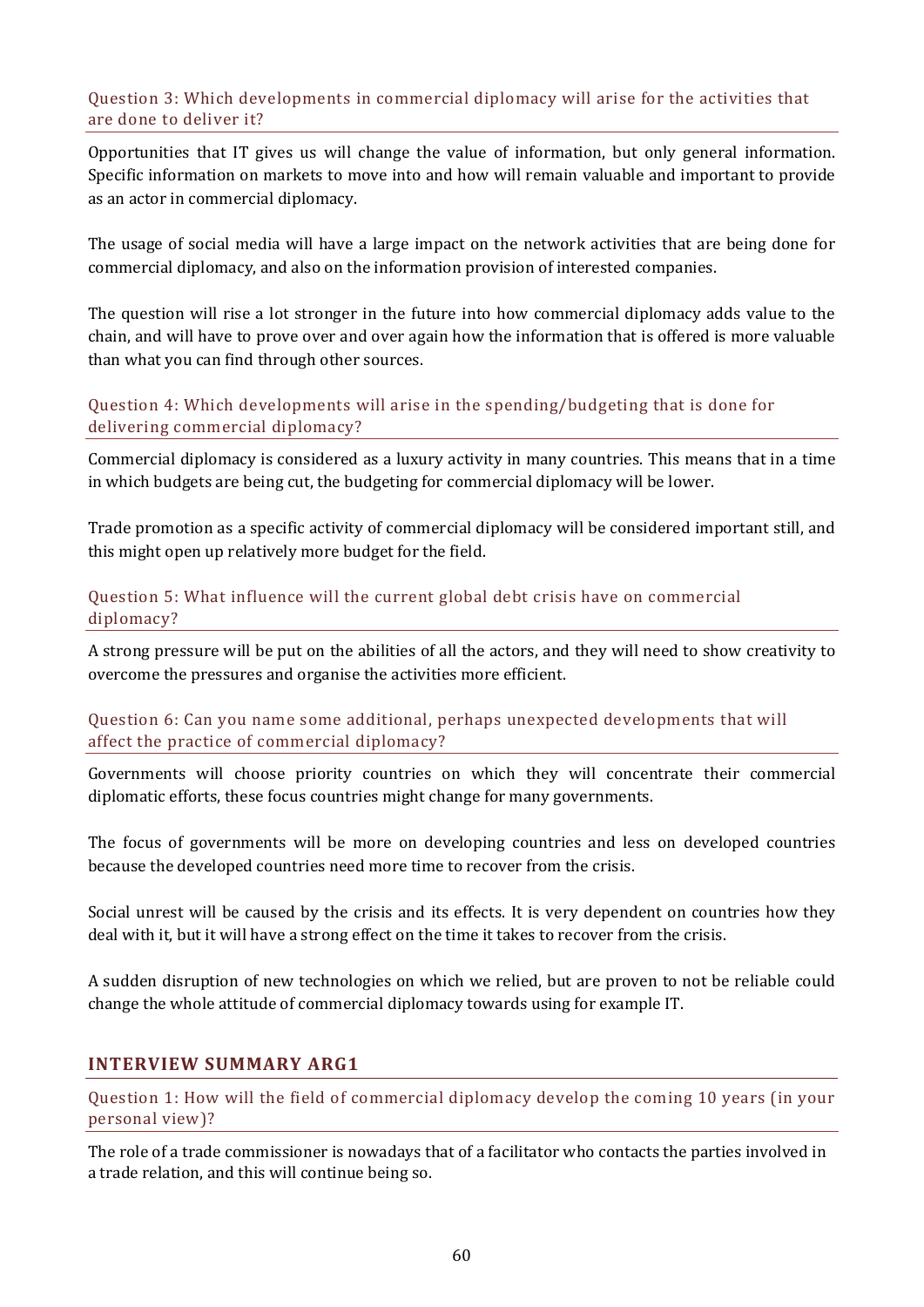#### Question 3: Which developments in commercial diplomacy will arise for the activities that are done to deliver it?

Opportunities that IT gives us will change the value of information, but only general information. Specific information on markets to move into and how will remain valuable and important to provide as an actor in commercial diplomacy.

The usage of social media will have a large impact on the network activities that are being done for commercial diplomacy, and also on the information provision of interested companies.

The question will rise a lot stronger in the future into how commercial diplomacy adds value to the chain, and will have to prove over and over again how the information that is offered is more valuable than what you can find through other sources.

#### Question 4: Which developments will arise in the spending/budgeting that is done for delivering commercial diplomacy?

Commercial diplomacy is considered as a luxury activity in many countries. This means that in a time in which budgets are being cut, the budgeting for commercial diplomacy will be lower.

Trade promotion as a specific activity of commercial diplomacy will be considered important still, and this might open up relatively more budget for the field.

#### Question 5: What influence will the current global debt crisis have on commercial diplomacy?

A strong pressure will be put on the abilities of all the actors, and they will need to show creativity to overcome the pressures and organise the activities more efficient.

#### Question 6: Can you name some additional, perhaps unexpected developments that will affect the practice of commercial diplomacy?

Governments will choose priority countries on which they will concentrate their commercial diplomatic efforts, these focus countries might change for many governments.

The focus of governments will be more on developing countries and less on developed countries because the developed countries need more time to recover from the crisis.

Social unrest will be caused by the crisis and its effects. It is very dependent on countries how they deal with it, but it will have a strong effect on the time it takes to recover from the crisis.

A sudden disruption of new technologies on which we relied, but are proven to not be reliable could change the whole attitude of commercial diplomacy towards using for example IT.

## **INTERVIEW SUMMARY ARG1**

Question 1: How will the field of commercial diplomacy develop the coming 10 years (in your personal view)?

The role of a trade commissioner is nowadays that of a facilitator who contacts the parties involved in a trade relation, and this will continue being so.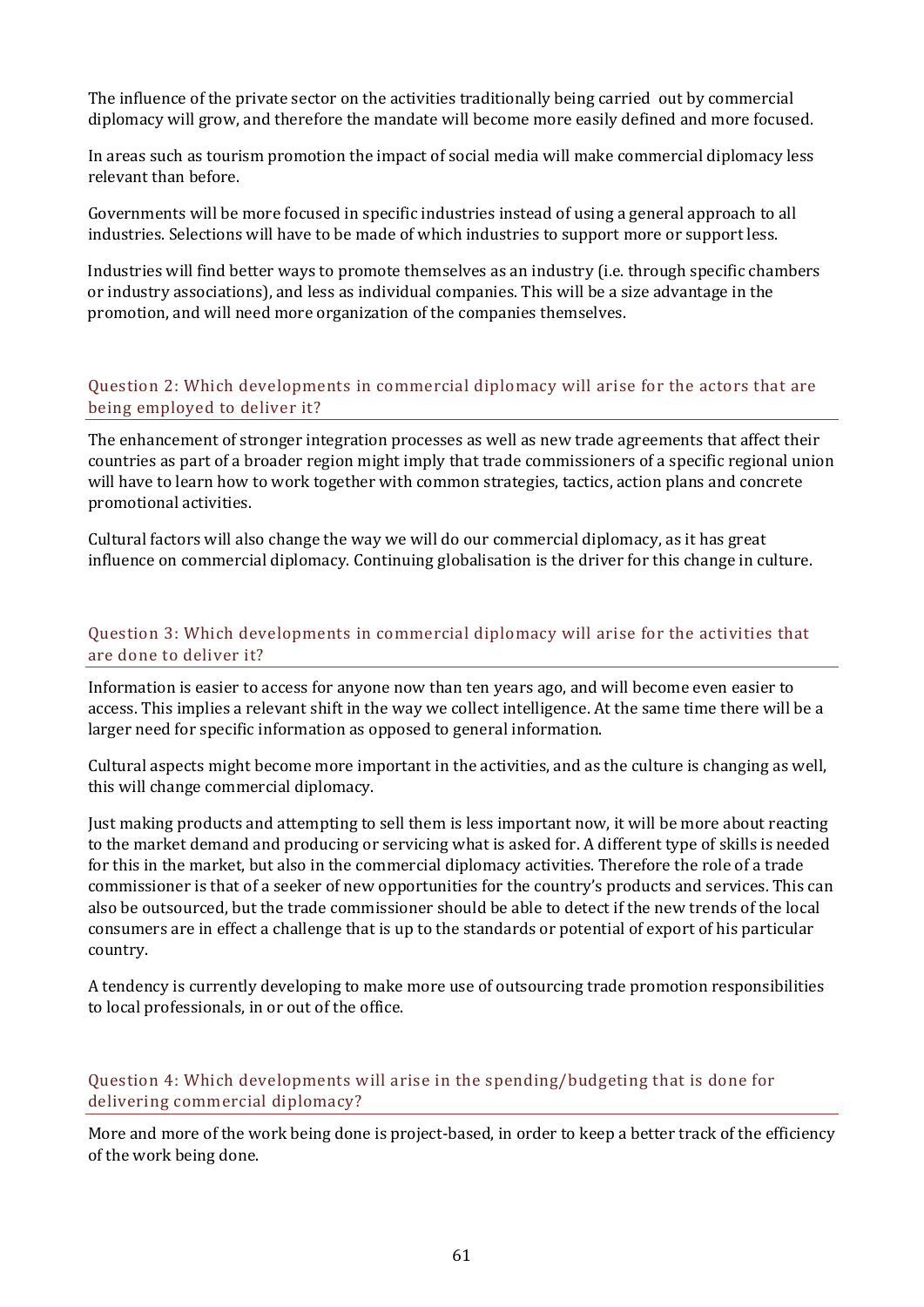The influence of the private sector on the activities traditionally being carried out by commercial diplomacy will grow, and therefore the mandate will become more easily defined and more focused.

In areas such as tourism promotion the impact of social media will make commercial diplomacy less relevant than before.

Governments will be more focused in specific industries instead of using a general approach to all industries. Selections will have to be made of which industries to support more or support less.

Industries will find better ways to promote themselves as an industry (i.e. through specific chambers or industry associations), and less as individual companies. This will be a size advantage in the promotion, and will need more organization of the companies themselves.

#### Question 2: Which developments in commercial diplomacy will arise for the actors that are being employed to deliver it?

The enhancement of stronger integration processes as well as new trade agreements that affect their countries as part of a broader region might imply that trade commissioners of a specific regional union will have to learn how to work together with common strategies, tactics, action plans and concrete promotional activities.

Cultural factors will also change the way we will do our commercial diplomacy, as it has great influence on commercial diplomacy. Continuing globalisation is the driver for this change in culture.

#### Question 3: Which developments in commercial diplomacy will arise for the activities that are done to deliver it?

Information is easier to access for anyone now than ten years ago, and will become even easier to access. This implies a relevant shift in the way we collect intelligence. At the same time there will be a larger need for specific information as opposed to general information.

Cultural aspects might become more important in the activities, and as the culture is changing as well, this will change commercial diplomacy.

Just making products and attempting to sell them is less important now, it will be more about reacting to the market demand and producing or servicing what is asked for. A different type of skills is needed for this in the market, but also in the commercial diplomacy activities. Therefore the role of a trade commissioner is that of a seeker of new opportunities for the country's products and services. This can also be outsourced, but the trade commissioner should be able to detect if the new trends of the local consumers are in effect a challenge that is up to the standards or potential of export of his particular country.

A tendency is currently developing to make more use of outsourcing trade promotion responsibilities to local professionals, in or out of the office.

#### Question 4: Which developments will arise in the spending/budgeting that is done for delivering commercial diplomacy?

More and more of the work being done is project-based, in order to keep a better track of the efficiency of the work being done.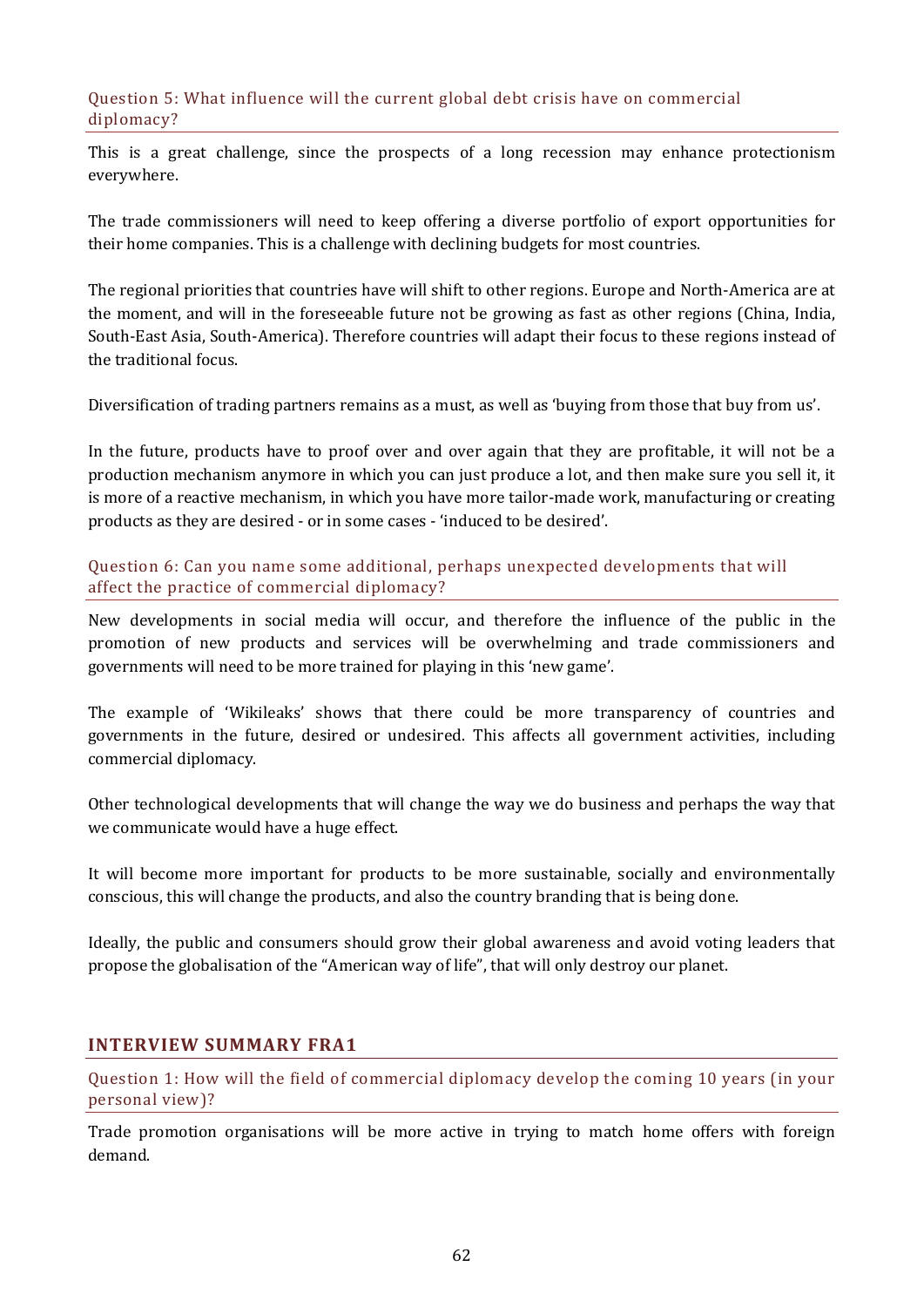#### Question 5: What influence will the current global debt crisis have on commercial diplomacy?

This is a great challenge, since the prospects of a long recession may enhance protectionism everywhere.

The trade commissioners will need to keep offering a diverse portfolio of export opportunities for their home companies. This is a challenge with declining budgets for most countries.

The regional priorities that countries have will shift to other regions. Europe and North-America are at the moment, and will in the foreseeable future not be growing as fast as other regions (China, India, South-East Asia, South-America). Therefore countries will adapt their focus to these regions instead of the traditional focus.

Diversification of trading partners remains as a must, as well as 'buying from those that buy from us'.

In the future, products have to proof over and over again that they are profitable, it will not be a production mechanism anymore in which you can just produce a lot, and then make sure you sell it, it is more of a reactive mechanism, in which you have more tailor-made work, manufacturing or creating products as they are desired - or in some cases - 'induced to be desired'.

Question 6: Can you name some additional, perhaps unexpected developments that will affect the practice of commercial diplomacy?

New developments in social media will occur, and therefore the influence of the public in the promotion of new products and services will be overwhelming and trade commissioners and governments will need to be more trained for playing in this 'new game'.

The example of 'Wikileaks' shows that there could be more transparency of countries and governments in the future, desired or undesired. This affects all government activities, including commercial diplomacy.

Other technological developments that will change the way we do business and perhaps the way that we communicate would have a huge effect.

It will become more important for products to be more sustainable, socially and environmentally conscious, this will change the products, and also the country branding that is being done.

Ideally, the public and consumers should grow their global awareness and avoid voting leaders that propose the globalisation of the "American way of life", that will only destroy our planet.

## **INTERVIEW SUMMARY FRA1**

Question 1: How will the field of commercial diplomacy develop the coming 10 years (in your personal view)?

Trade promotion organisations will be more active in trying to match home offers with foreign demand.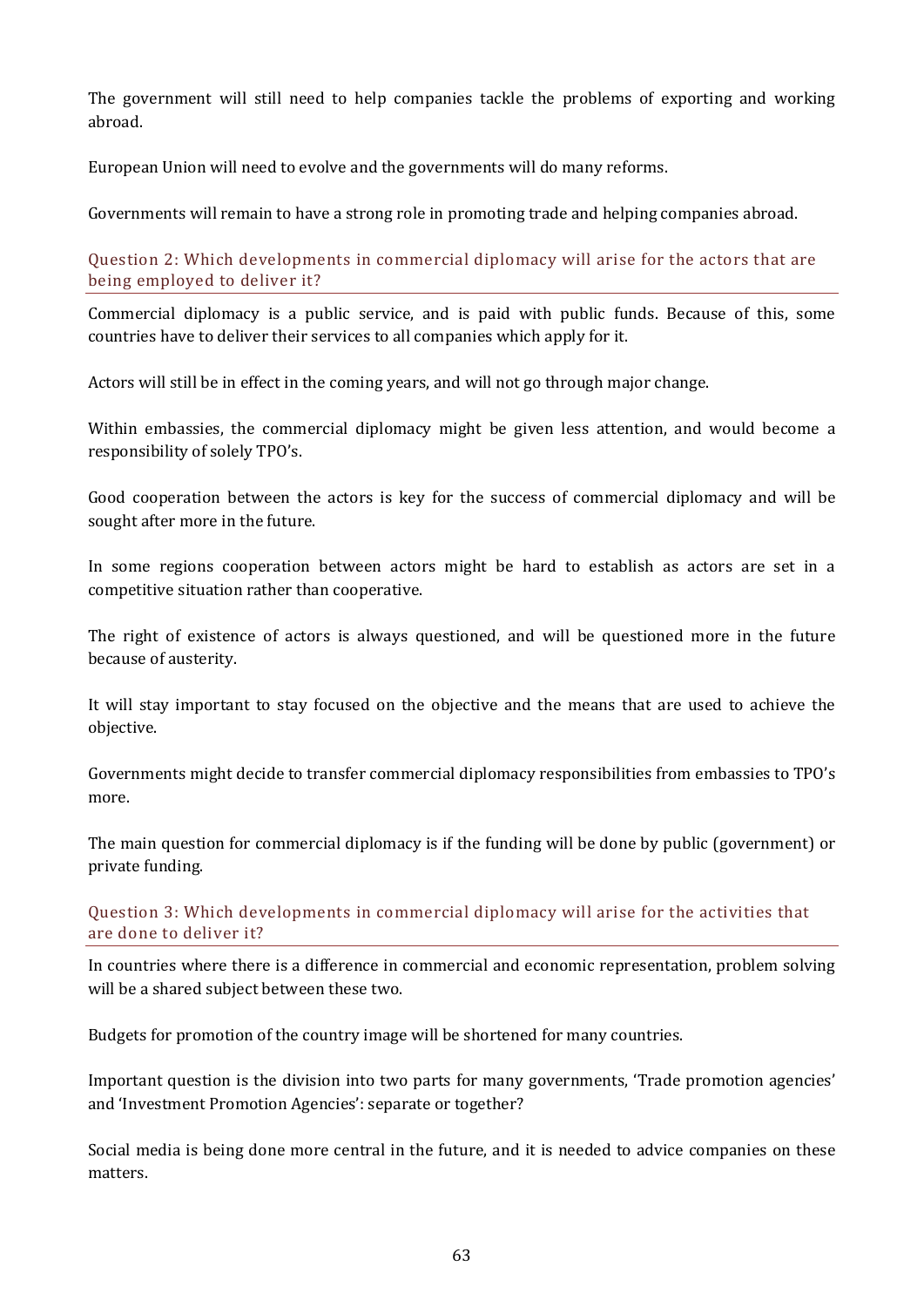The government will still need to help companies tackle the problems of exporting and working abroad.

European Union will need to evolve and the governments will do many reforms.

Governments will remain to have a strong role in promoting trade and helping companies abroad.

Question 2: Which developments in commercial diplomacy will arise for the actors that are being employed to deliver it?

Commercial diplomacy is a public service, and is paid with public funds. Because of this, some countries have to deliver their services to all companies which apply for it.

Actors will still be in effect in the coming years, and will not go through major change.

Within embassies, the commercial diplomacy might be given less attention, and would become a responsibility of solely TPO's.

Good cooperation between the actors is key for the success of commercial diplomacy and will be sought after more in the future.

In some regions cooperation between actors might be hard to establish as actors are set in a competitive situation rather than cooperative.

The right of existence of actors is always questioned, and will be questioned more in the future because of austerity.

It will stay important to stay focused on the objective and the means that are used to achieve the objective.

Governments might decide to transfer commercial diplomacy responsibilities from embassies to TPO's more.

The main question for commercial diplomacy is if the funding will be done by public (government) or private funding.

Question 3: Which developments in commercial diplomacy will arise for the activities that are done to deliver it?

In countries where there is a difference in commercial and economic representation, problem solving will be a shared subject between these two.

Budgets for promotion of the country image will be shortened for many countries.

Important question is the division into two parts for many governments, 'Trade promotion agencies' and 'Investment Promotion Agencies': separate or together?

Social media is being done more central in the future, and it is needed to advice companies on these matters.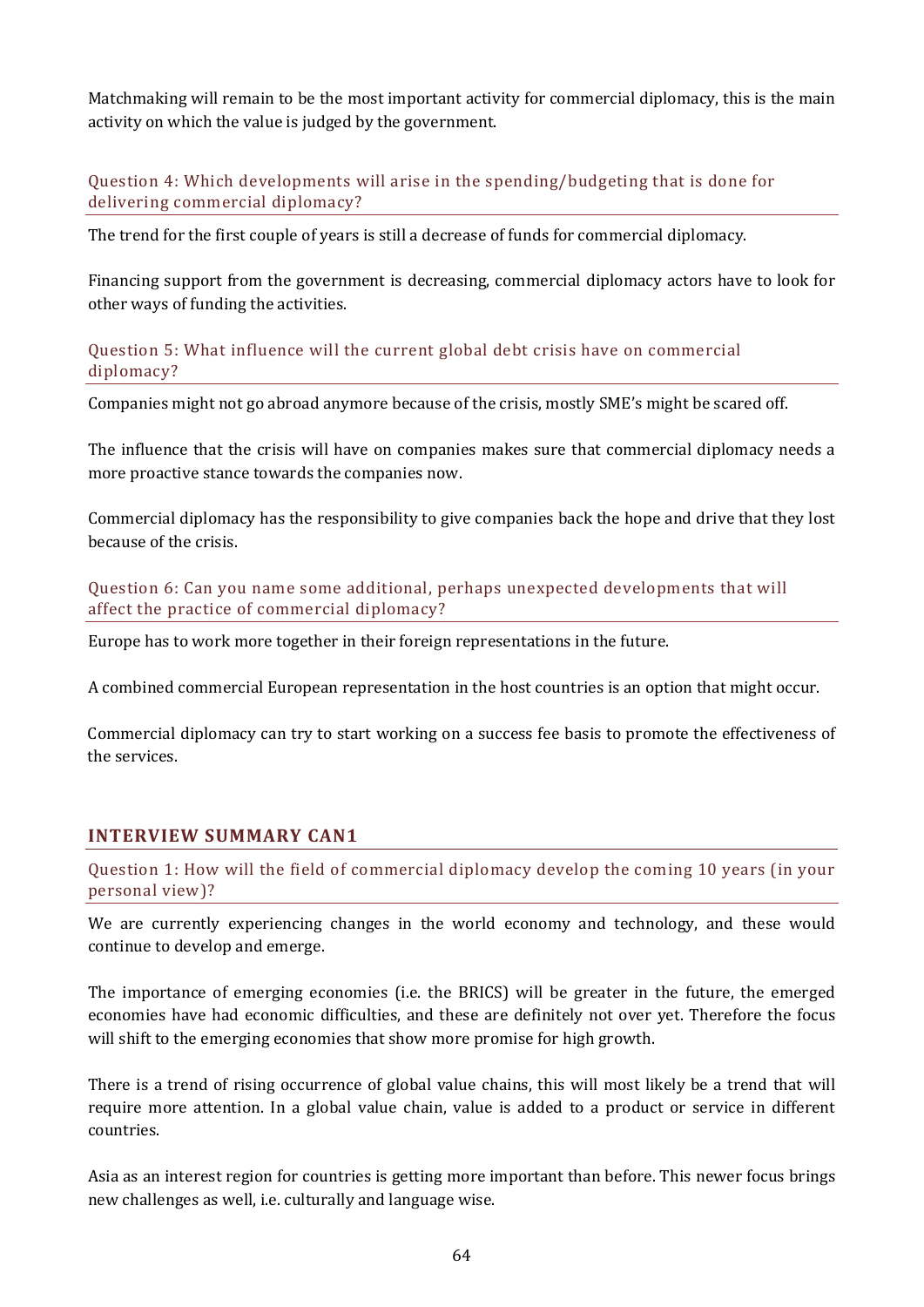Matchmaking will remain to be the most important activity for commercial diplomacy, this is the main activity on which the value is judged by the government.

## Question 4: Which developments will arise in the spending/budgeting that is done for delivering commercial diplomacy?

The trend for the first couple of years is still a decrease of funds for commercial diplomacy.

Financing support from the government is decreasing, commercial diplomacy actors have to look for other ways of funding the activities.

Question 5: What influence will the current global debt crisis have on commercial diplomacy?

Companies might not go abroad anymore because of the crisis, mostly SME's might be scared off.

The influence that the crisis will have on companies makes sure that commercial diplomacy needs a more proactive stance towards the companies now.

Commercial diplomacy has the responsibility to give companies back the hope and drive that they lost because of the crisis.

Question 6: Can you name some additional, perhaps unexpected developments that will affect the practice of commercial diplomacy?

Europe has to work more together in their foreign representations in the future.

A combined commercial European representation in the host countries is an option that might occur.

Commercial diplomacy can try to start working on a success fee basis to promote the effectiveness of the services.

## **INTERVIEW SUMMARY CAN1**

Question 1: How will the field of commercial diplomacy develop the coming 10 years (in your personal view)?

We are currently experiencing changes in the world economy and technology, and these would continue to develop and emerge.

The importance of emerging economies (i.e. the BRICS) will be greater in the future, the emerged economies have had economic difficulties, and these are definitely not over yet. Therefore the focus will shift to the emerging economies that show more promise for high growth.

There is a trend of rising occurrence of global value chains, this will most likely be a trend that will require more attention. In a global value chain, value is added to a product or service in different countries.

Asia as an interest region for countries is getting more important than before. This newer focus brings new challenges as well, i.e. culturally and language wise.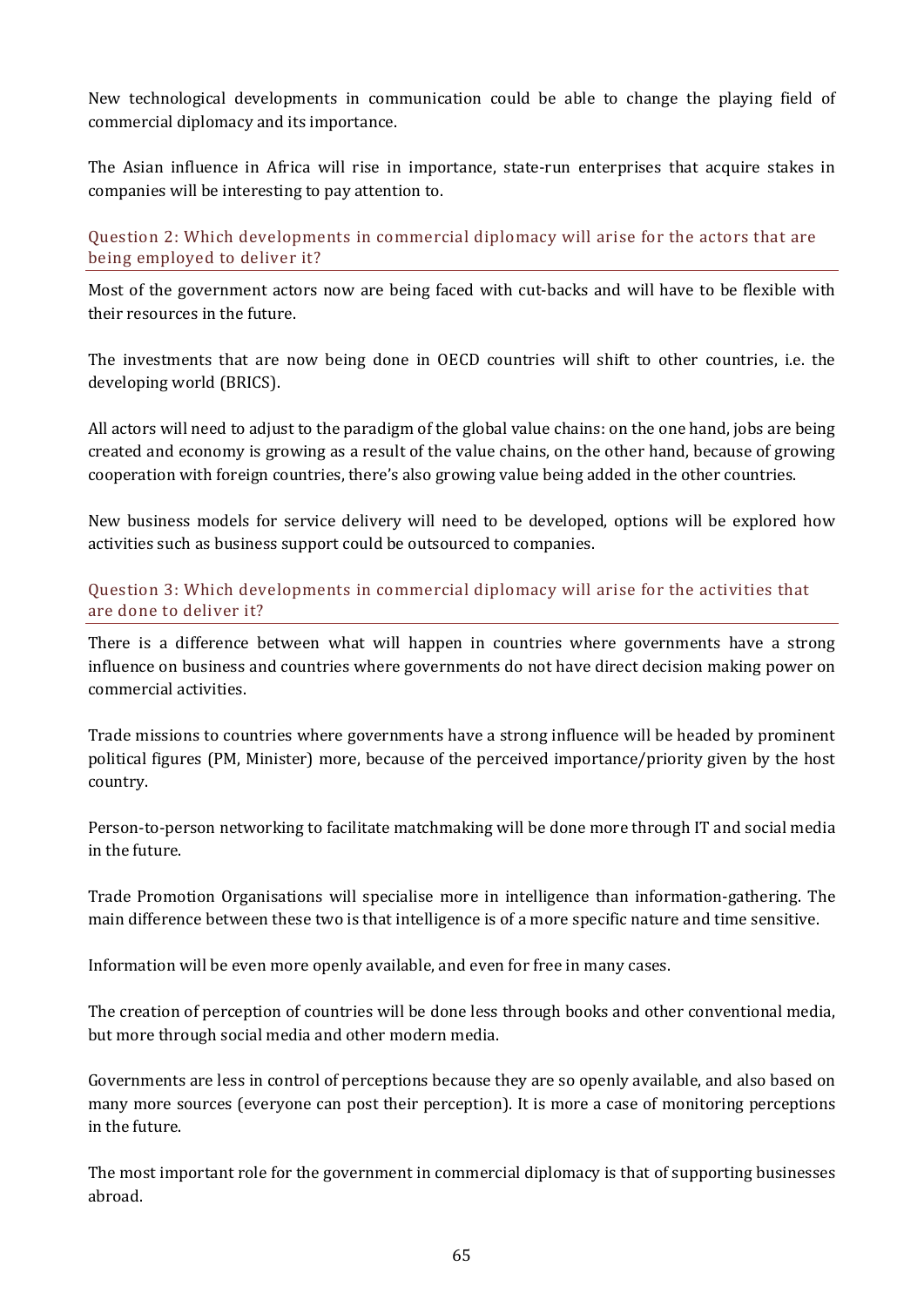New technological developments in communication could be able to change the playing field of commercial diplomacy and its importance.

The Asian influence in Africa will rise in importance, state-run enterprises that acquire stakes in companies will be interesting to pay attention to.

Question 2: Which developments in commercial diplomacy will arise for the actors that are being employed to deliver it?

Most of the government actors now are being faced with cut-backs and will have to be flexible with their resources in the future.

The investments that are now being done in OECD countries will shift to other countries, i.e. the developing world (BRICS).

All actors will need to adjust to the paradigm of the global value chains: on the one hand, jobs are being created and economy is growing as a result of the value chains, on the other hand, because of growing cooperation with foreign countries, there's also growing value being added in the other countries.

New business models for service delivery will need to be developed, options will be explored how activities such as business support could be outsourced to companies.

#### Question 3: Which developments in commercial diplomacy will arise for the activities that are done to deliver it?

There is a difference between what will happen in countries where governments have a strong influence on business and countries where governments do not have direct decision making power on commercial activities.

Trade missions to countries where governments have a strong influence will be headed by prominent political figures (PM, Minister) more, because of the perceived importance/priority given by the host country.

Person-to-person networking to facilitate matchmaking will be done more through IT and social media in the future.

Trade Promotion Organisations will specialise more in intelligence than information-gathering. The main difference between these two is that intelligence is of a more specific nature and time sensitive.

Information will be even more openly available, and even for free in many cases.

The creation of perception of countries will be done less through books and other conventional media, but more through social media and other modern media.

Governments are less in control of perceptions because they are so openly available, and also based on many more sources (everyone can post their perception). It is more a case of monitoring perceptions in the future.

The most important role for the government in commercial diplomacy is that of supporting businesses abroad.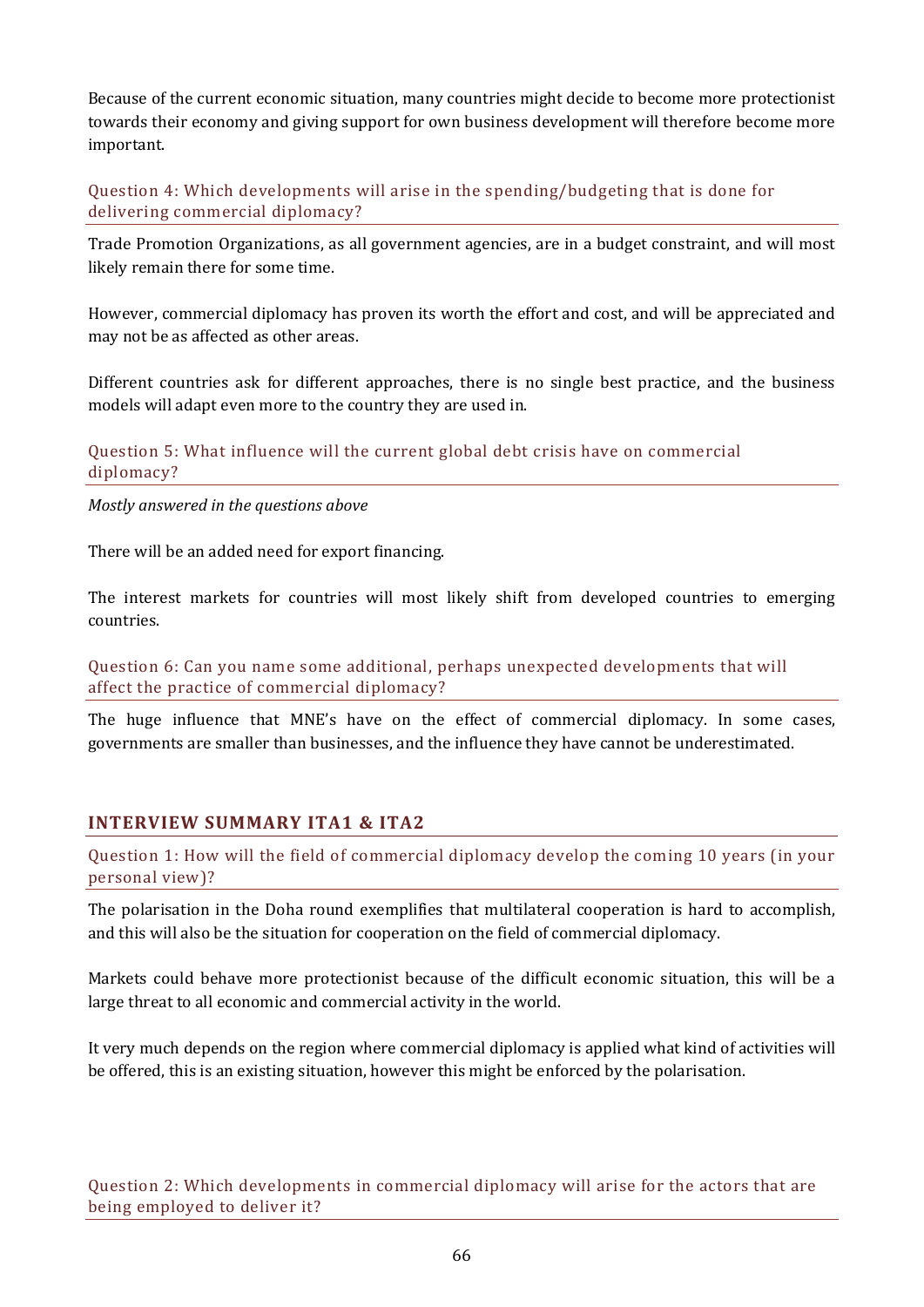Because of the current economic situation, many countries might decide to become more protectionist towards their economy and giving support for own business development will therefore become more important.

Question 4: Which developments will arise in the spending/budgeting that is done for delivering commercial diplomacy?

Trade Promotion Organizations, as all government agencies, are in a budget constraint, and will most likely remain there for some time.

However, commercial diplomacy has proven its worth the effort and cost, and will be appreciated and may not be as affected as other areas.

Different countries ask for different approaches, there is no single best practice, and the business models will adapt even more to the country they are used in.

#### Question 5: What influence will the current global debt crisis have on commercial diplomacy?

*Mostly answered in the questions above*

There will be an added need for export financing.

The interest markets for countries will most likely shift from developed countries to emerging countries.

Question 6: Can you name some additional, perhaps unexpected developments that will affect the practice of commercial diplomacy?

The huge influence that MNE's have on the effect of commercial diplomacy. In some cases, governments are smaller than businesses, and the influence they have cannot be underestimated.

#### **INTERVIEW SUMMARY ITA1 & ITA2**

Question 1: How will the field of commercial diplomacy develop the coming 10 years (in your personal view)?

The polarisation in the Doha round exemplifies that multilateral cooperation is hard to accomplish, and this will also be the situation for cooperation on the field of commercial diplomacy.

Markets could behave more protectionist because of the difficult economic situation, this will be a large threat to all economic and commercial activity in the world.

It very much depends on the region where commercial diplomacy is applied what kind of activities will be offered, this is an existing situation, however this might be enforced by the polarisation.

Question 2: Which developments in commercial diplomacy will arise for the actors that are being employed to deliver it?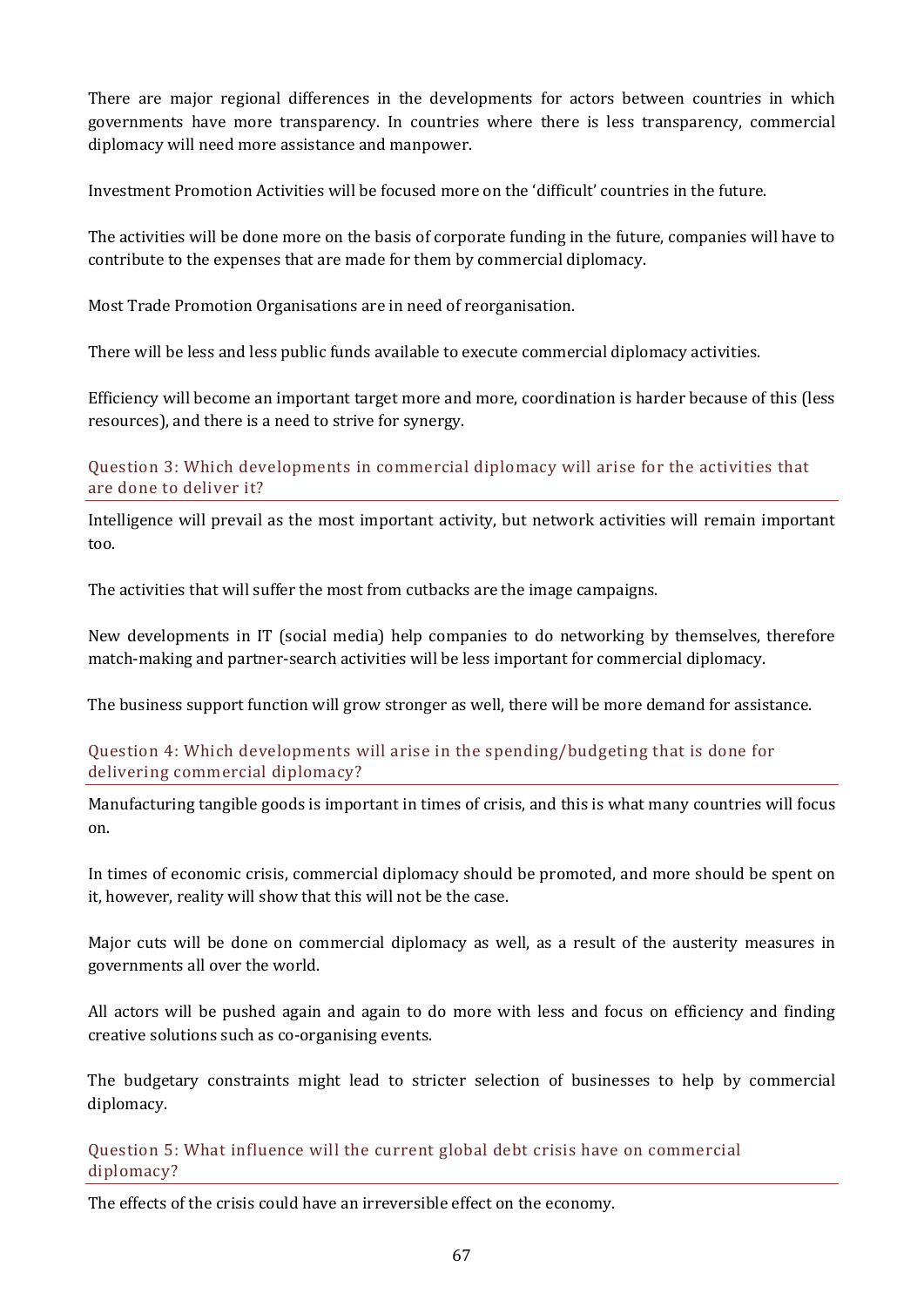There are major regional differences in the developments for actors between countries in which governments have more transparency. In countries where there is less transparency, commercial diplomacy will need more assistance and manpower.

Investment Promotion Activities will be focused more on the 'difficult' countries in the future.

The activities will be done more on the basis of corporate funding in the future, companies will have to contribute to the expenses that are made for them by commercial diplomacy.

Most Trade Promotion Organisations are in need of reorganisation.

There will be less and less public funds available to execute commercial diplomacy activities.

Efficiency will become an important target more and more, coordination is harder because of this (less resources), and there is a need to strive for synergy.

Question 3: Which developments in commercial diplomacy will arise for the activities that are done to deliver it?

Intelligence will prevail as the most important activity, but network activities will remain important too.

The activities that will suffer the most from cutbacks are the image campaigns.

New developments in IT (social media) help companies to do networking by themselves, therefore match-making and partner-search activities will be less important for commercial diplomacy.

The business support function will grow stronger as well, there will be more demand for assistance.

Question 4: Which developments will arise in the spending/budgeting that is done for delivering commercial diplomacy?

Manufacturing tangible goods is important in times of crisis, and this is what many countries will focus on.

In times of economic crisis, commercial diplomacy should be promoted, and more should be spent on it, however, reality will show that this will not be the case.

Major cuts will be done on commercial diplomacy as well, as a result of the austerity measures in governments all over the world.

All actors will be pushed again and again to do more with less and focus on efficiency and finding creative solutions such as co-organising events.

The budgetary constraints might lead to stricter selection of businesses to help by commercial diplomacy.

Question 5: What influence will the current global debt crisis have on commercial diplomacy?

The effects of the crisis could have an irreversible effect on the economy.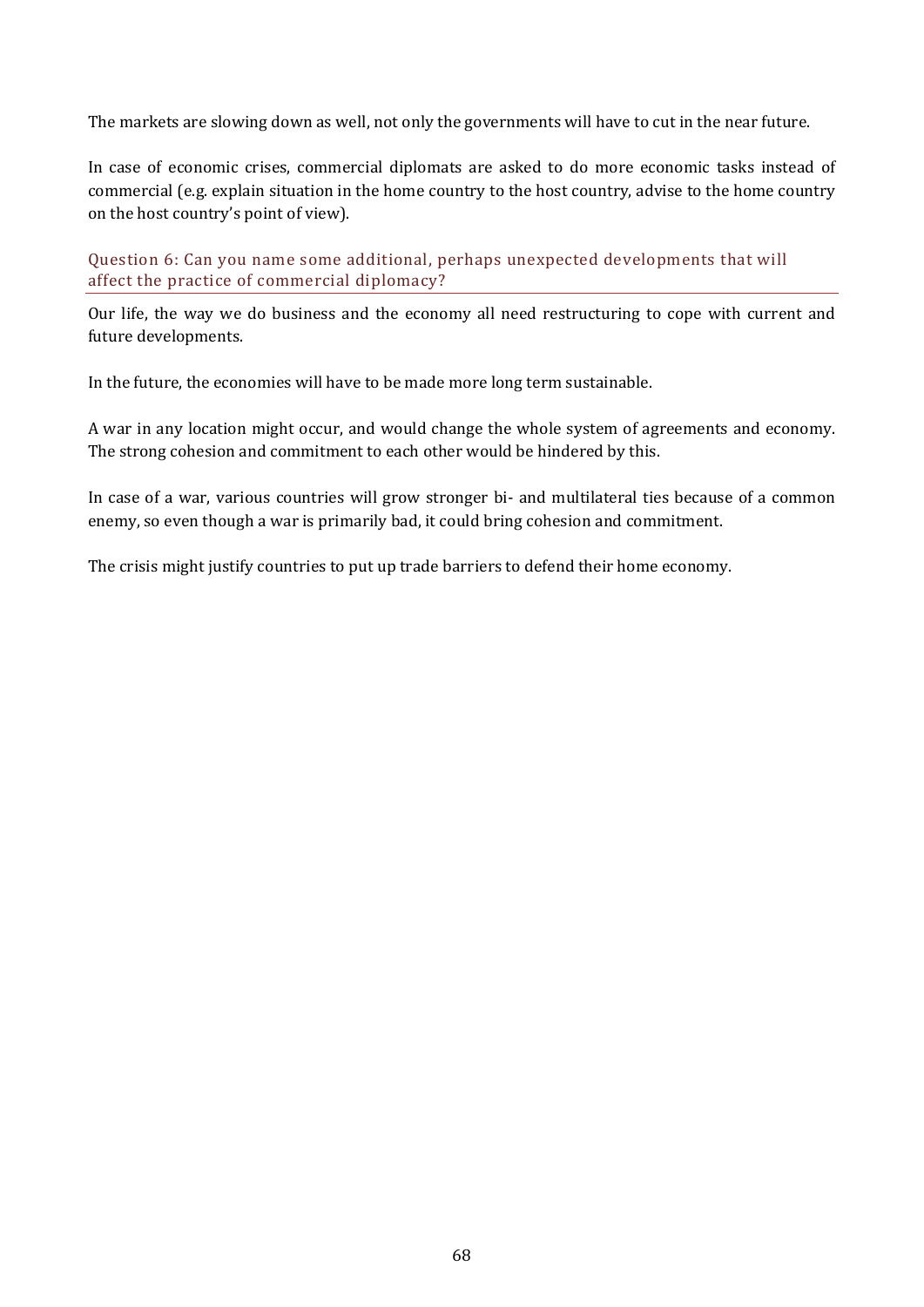The markets are slowing down as well, not only the governments will have to cut in the near future.

In case of economic crises, commercial diplomats are asked to do more economic tasks instead of commercial (e.g. explain situation in the home country to the host country, advise to the home country on the host country's point of view).

#### Question 6: Can you name some additional, perhaps unexpected developments that will affect the practice of commercial diplomacy?

Our life, the way we do business and the economy all need restructuring to cope with current and future developments.

In the future, the economies will have to be made more long term sustainable.

A war in any location might occur, and would change the whole system of agreements and economy. The strong cohesion and commitment to each other would be hindered by this.

In case of a war, various countries will grow stronger bi- and multilateral ties because of a common enemy, so even though a war is primarily bad, it could bring cohesion and commitment.

The crisis might justify countries to put up trade barriers to defend their home economy.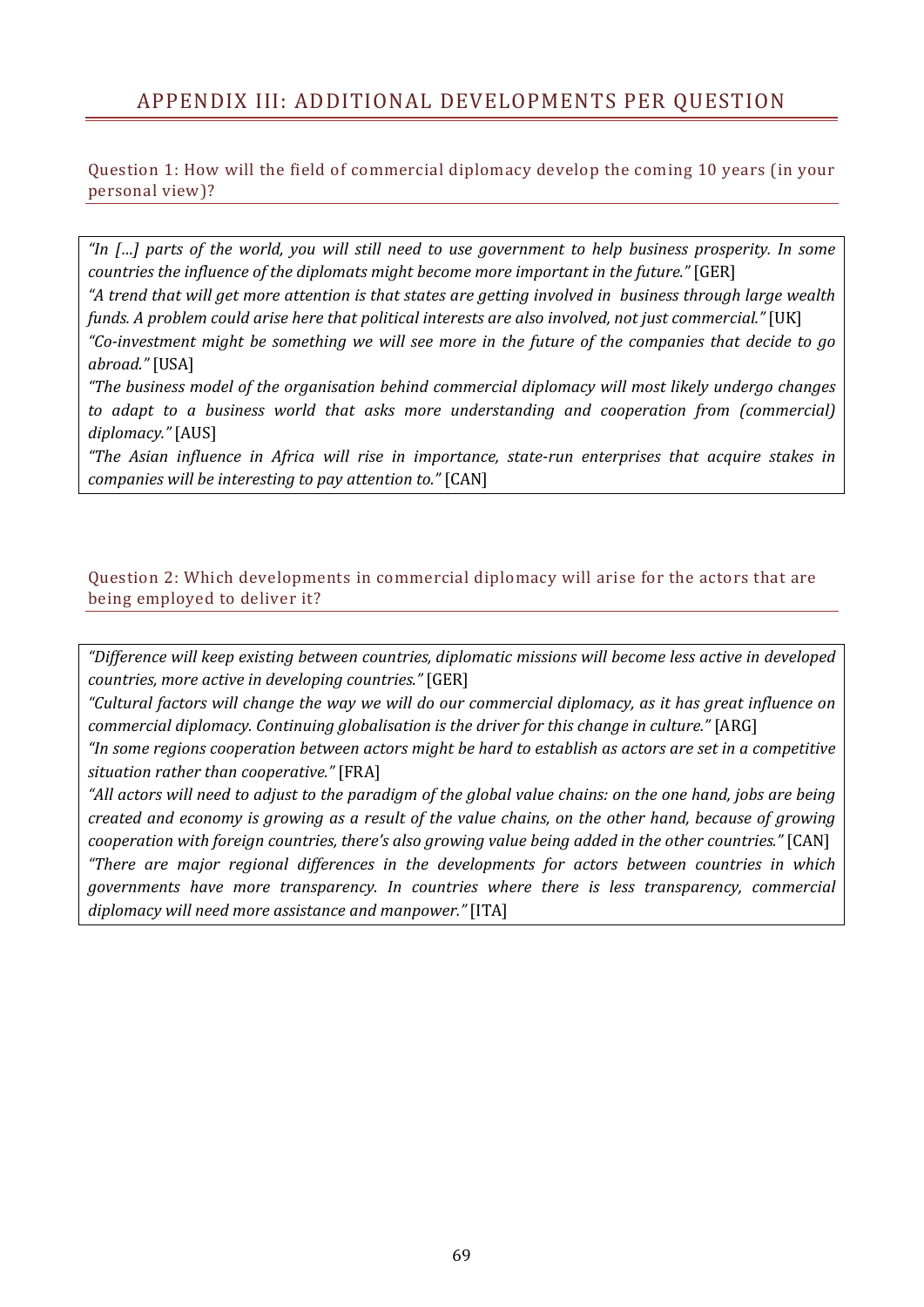# APPENDIX III: ADDITIONAL DEVELOPMENTS PER QUESTION

Question 1: How will the field of commercial diplomacy develop the coming 10 years (in your personal view)?

*"In […] parts of the world, you will still need to use government to help business prosperity. In some countries the influence of the diplomats might become more important in the future."* [GER]

*"A trend that will get more attention is that states are getting involved in business through large wealth funds. A problem could arise here that political interests are also involved, not just commercial."* [UK]

*"Co-investment might be something we will see more in the future of the companies that decide to go abroad."* [USA]

*"The business model of the organisation behind commercial diplomacy will most likely undergo changes to adapt to a business world that asks more understanding and cooperation from (commercial) diplomacy."* [AUS]

*"The Asian influence in Africa will rise in importance, state-run enterprises that acquire stakes in companies will be interesting to pay attention to."* [CAN]

#### Question 2: Which developments in commercial diplomacy will arise for the actors that are being employed to deliver it?

*"Difference will keep existing between countries, diplomatic missions will become less active in developed countries, more active in developing countries."* [GER]

*"Cultural factors will change the way we will do our commercial diplomacy, as it has great influence on commercial diplomacy. Continuing globalisation is the driver for this change in culture."* [ARG]

*"In some regions cooperation between actors might be hard to establish as actors are set in a competitive situation rather than cooperative."* [FRA]

*"All actors will need to adjust to the paradigm of the global value chains: on the one hand, jobs are being created and economy is growing as a result of the value chains, on the other hand, because of growing cooperation with foreign countries, there's also growing value being added in the other countries."* [CAN] *"There are major regional differences in the developments for actors between countries in which governments have more transparency. In countries where there is less transparency, commercial diplomacy will need more assistance and manpower."* [ITA]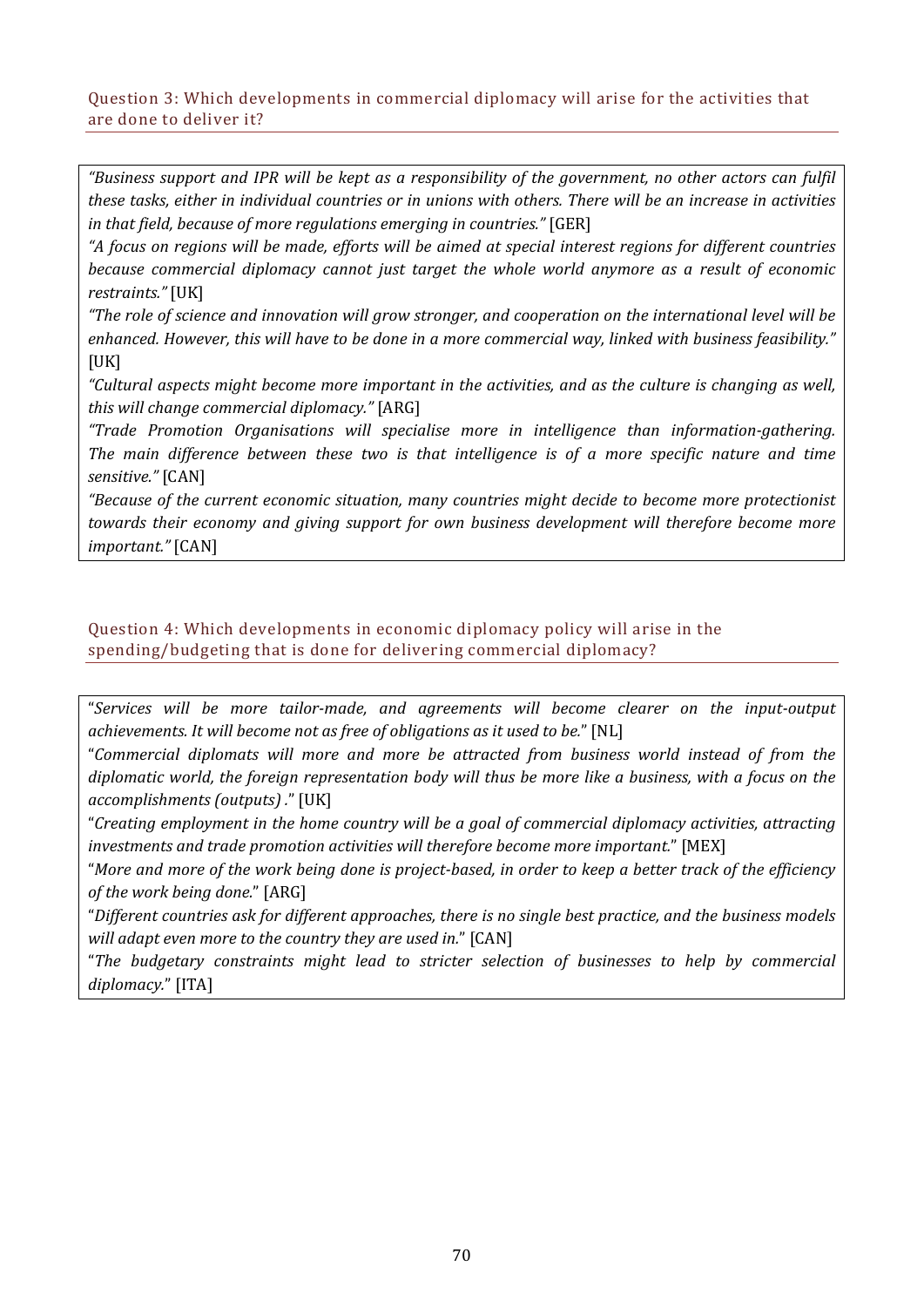#### Question 3: Which developments in commercial diplomacy will arise for the activities that are done to deliver it?

*"Business support and IPR will be kept as a responsibility of the government, no other actors can fulfil these tasks, either in individual countries or in unions with others. There will be an increase in activities in that field, because of more regulations emerging in countries."* [GER]

*"A focus on regions will be made, efforts will be aimed at special interest regions for different countries because commercial diplomacy cannot just target the whole world anymore as a result of economic restraints."* [UK]

*"The role of science and innovation will grow stronger, and cooperation on the international level will be enhanced. However, this will have to be done in a more commercial way, linked with business feasibility."*   $[UK]$ 

*"Cultural aspects might become more important in the activities, and as the culture is changing as well, this will change commercial diplomacy."* [ARG]

*"Trade Promotion Organisations will specialise more in intelligence than information-gathering. The main difference between these two is that intelligence is of a more specific nature and time sensitive."* [CAN]

*"Because of the current economic situation, many countries might decide to become more protectionist towards their economy and giving support for own business development will therefore become more important."* [CAN]

#### Question 4: Which developments in economic diplomacy policy will arise in the spending/budgeting that is done for delivering commercial diplomacy?

"*Services will be more tailor-made, and agreements will become clearer on the input-output achievements. It will become not as free of obligations as it used to be.*" [NL]

"*Commercial diplomats will more and more be attracted from business world instead of from the diplomatic world, the foreign representation body will thus be more like a business, with a focus on the accomplishments (outputs) .*" [UK]

"*Creating employment in the home country will be a goal of commercial diplomacy activities, attracting investments and trade promotion activities will therefore become more important.*" [MEX]

"*More and more of the work being done is project-based, in order to keep a better track of the efficiency of the work being done.*" [ARG]

"*Different countries ask for different approaches, there is no single best practice, and the business models will adapt even more to the country they are used in.*" [CAN]

"*The budgetary constraints might lead to stricter selection of businesses to help by commercial diplomacy.*" [ITA]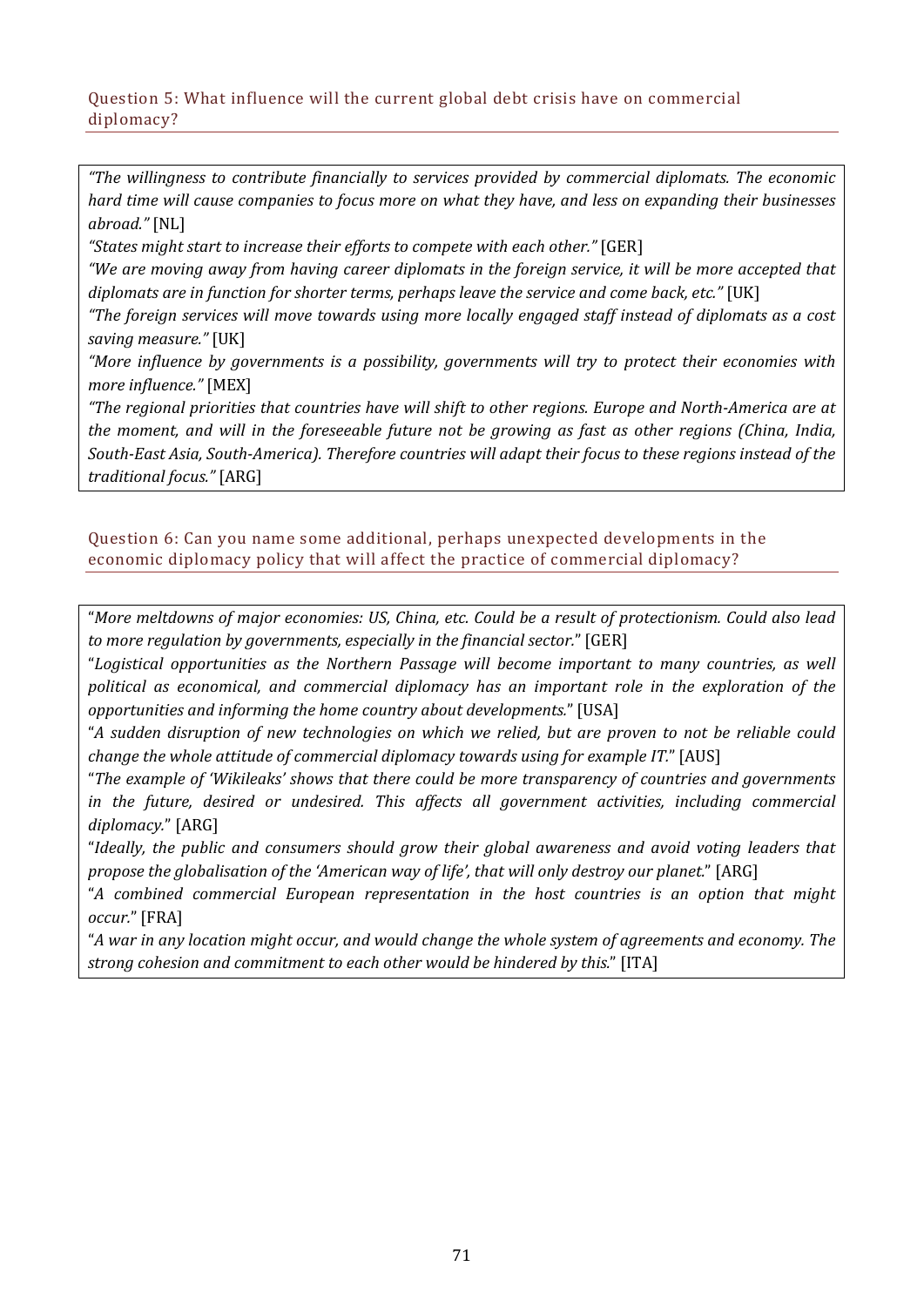#### Question 5: What influence will the current global debt crisis have on commercial diplomacy?

*"The willingness to contribute financially to services provided by commercial diplomats. The economic hard time will cause companies to focus more on what they have, and less on expanding their businesses abroad."* [NL]

*"States might start to increase their efforts to compete with each other."* [GER]

*"We are moving away from having career diplomats in the foreign service, it will be more accepted that diplomats are in function for shorter terms, perhaps leave the service and come back, etc."* [UK]

*"The foreign services will move towards using more locally engaged staff instead of diplomats as a cost saving measure."* [UK]

*"More influence by governments is a possibility, governments will try to protect their economies with more influence."* [MEX]

*"The regional priorities that countries have will shift to other regions. Europe and North-America are at the moment, and will in the foreseeable future not be growing as fast as other regions (China, India, South-East Asia, South-America). Therefore countries will adapt their focus to these regions instead of the traditional focus."* [ARG]

Question 6: Can you name some additional, perhaps unexpected developments in the economic diplomacy policy that will affect the practice of commercial diplomacy?

"*More meltdowns of major economies: US, China, etc. Could be a result of protectionism. Could also lead to more regulation by governments, especially in the financial sector.*" [GER]

"*Logistical opportunities as the Northern Passage will become important to many countries, as well political as economical, and commercial diplomacy has an important role in the exploration of the opportunities and informing the home country about developments.*" [USA]

"*A sudden disruption of new technologies on which we relied, but are proven to not be reliable could change the whole attitude of commercial diplomacy towards using for example IT.*" [AUS]

"*The example of 'Wikileaks' shows that there could be more transparency of countries and governments in the future, desired or undesired. This affects all government activities, including commercial diplomacy.*" [ARG]

"*Ideally, the public and consumers should grow their global awareness and avoid voting leaders that propose the globalisation of the 'American way of life', that will only destroy our planet.*" [ARG]

"*A combined commercial European representation in the host countries is an option that might occur.*" [FRA]

"*A war in any location might occur, and would change the whole system of agreements and economy. The strong cohesion and commitment to each other would be hindered by this.*" [ITA]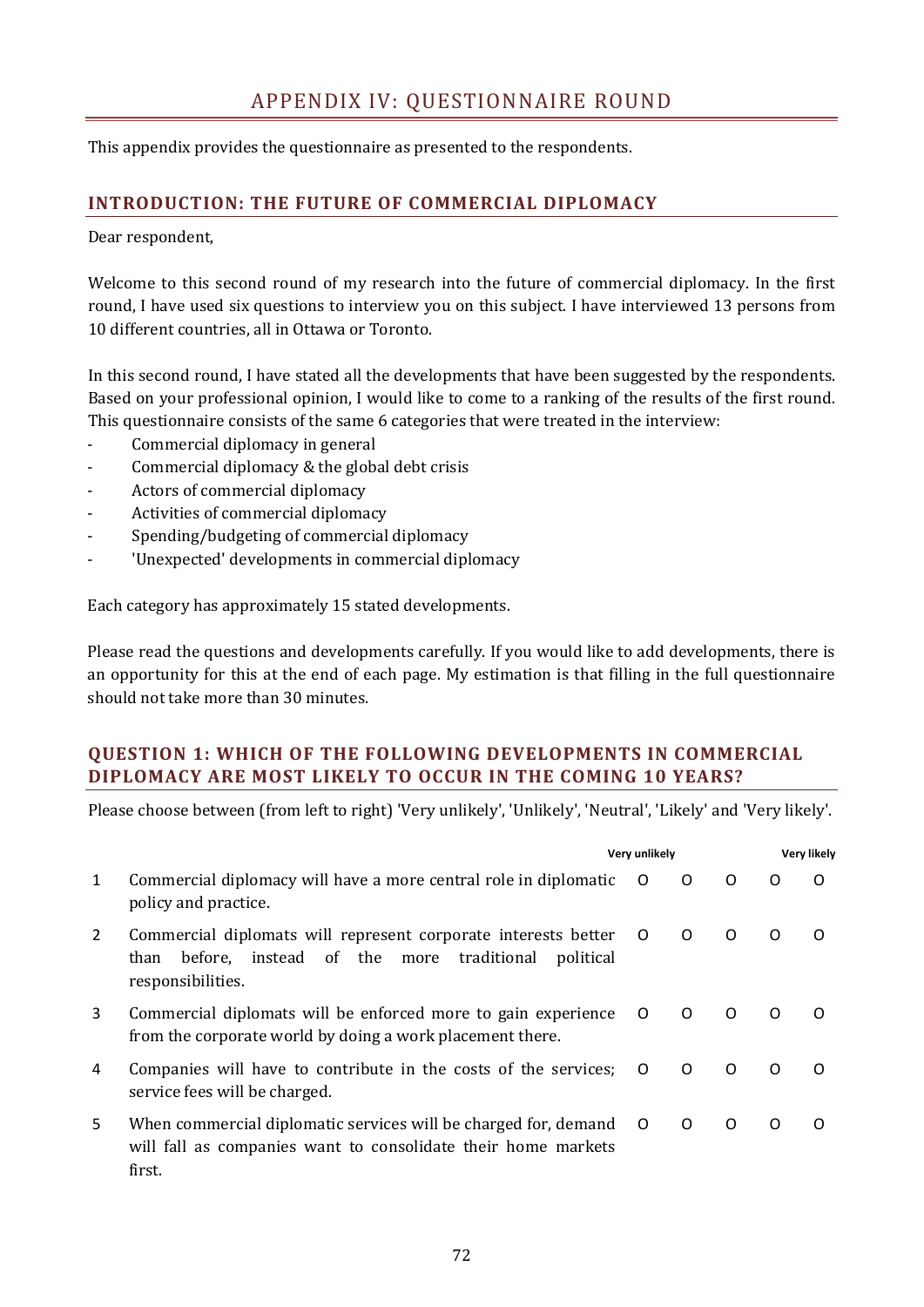This appendix provides the questionnaire as presented to the respondents.

# **INTRODUCTION: THE FUTURE OF COMMERCIAL DIPLOMACY**

Dear respondent,

Welcome to this second round of my research into the future of commercial diplomacy. In the first round, I have used six questions to interview you on this subject. I have interviewed 13 persons from 10 different countries, all in Ottawa or Toronto.

In this second round, I have stated all the developments that have been suggested by the respondents. Based on your professional opinion, I would like to come to a ranking of the results of the first round. This questionnaire consists of the same 6 categories that were treated in the interview:

- Commercial diplomacy in general
- Commercial diplomacy & the global debt crisis
- Actors of commercial diplomacy
- Activities of commercial diplomacy
- Spending/budgeting of commercial diplomacy
- 'Unexpected' developments in commercial diplomacy

Each category has approximately 15 stated developments.

Please read the questions and developments carefully. If you would like to add developments, there is an opportunity for this at the end of each page. My estimation is that filling in the full questionnaire should not take more than 30 minutes.

# **QUESTION 1: WHICH OF THE FOLLOWING DEVELOPMENTS IN COMMERCIAL DIPLOMACY ARE MOST LIKELY TO OCCUR IN THE COMING 10 YEARS?**

|    |                                                                                                                                                        | Very unlikely  |          |          | <b>Very likely</b> |   |
|----|--------------------------------------------------------------------------------------------------------------------------------------------------------|----------------|----------|----------|--------------------|---|
| 1  | Commercial diplomacy will have a more central role in diplomatic<br>policy and practice.                                                               | $\circ$ O      | $\Omega$ | $\Omega$ | O                  | O |
| 2  | Commercial diplomats will represent corporate interests better<br>instead of the more traditional<br>before.<br>political<br>than<br>responsibilities. | $\overline{O}$ | $\Omega$ | $\Omega$ | O                  | O |
| 3  | Commercial diplomats will be enforced more to gain experience<br>from the corporate world by doing a work placement there.                             | $\Omega$       | $\Omega$ | $\Omega$ | ∩                  |   |
| 4  | Companies will have to contribute in the costs of the services;<br>service fees will be charged.                                                       | $\overline{O}$ | $\Omega$ | $\Omega$ | $\Omega$           | O |
| 5. | When commercial diplomatic services will be charged for, demand O<br>will fall as companies want to consolidate their home markets<br>first.           |                | $\Omega$ | $\Omega$ | O                  | O |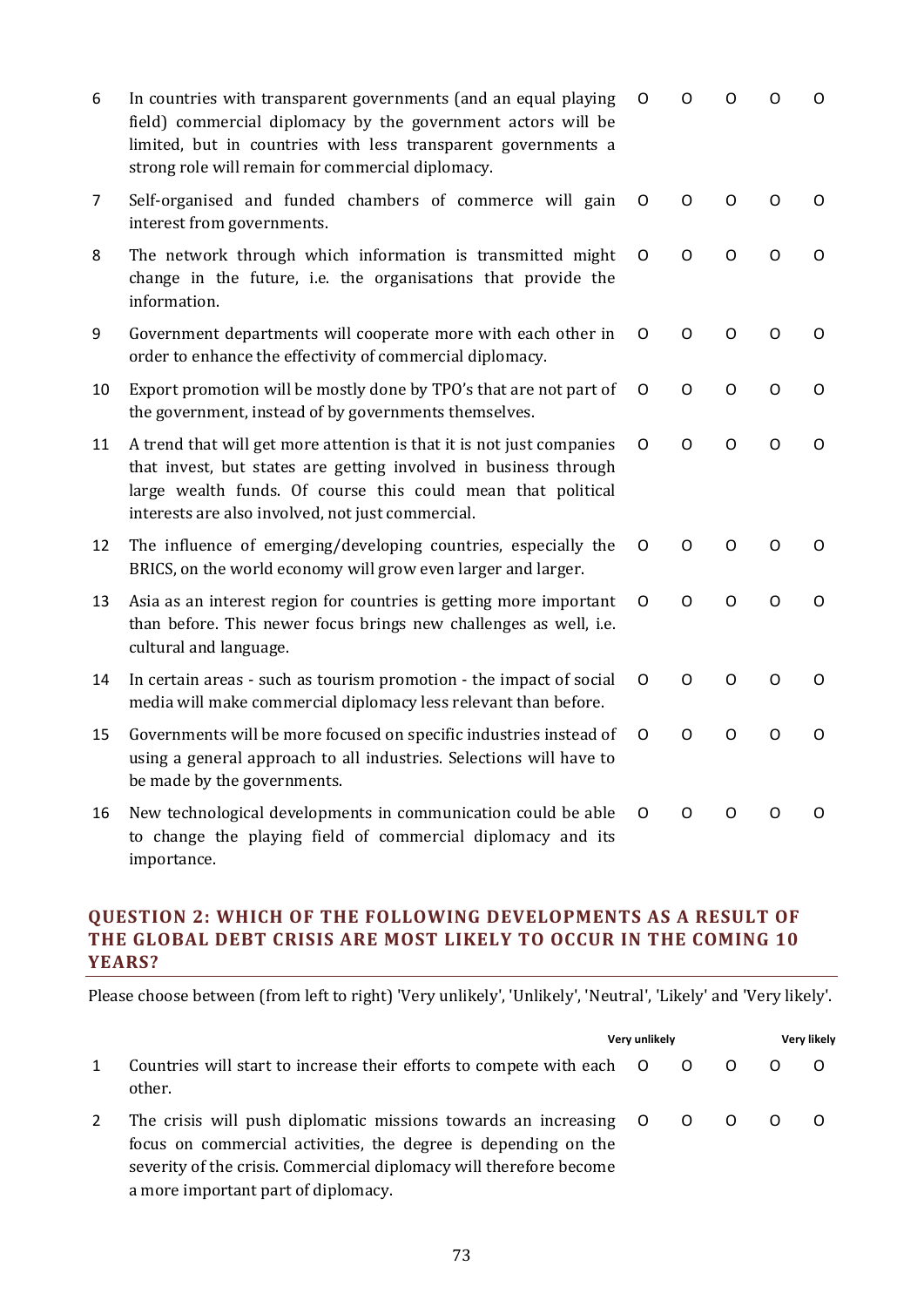| 6              | In countries with transparent governments (and an equal playing<br>field) commercial diplomacy by the government actors will be<br>limited, but in countries with less transparent governments a<br>strong role will remain for commercial diplomacy.          | O | O            | O        | O | O        |
|----------------|----------------------------------------------------------------------------------------------------------------------------------------------------------------------------------------------------------------------------------------------------------------|---|--------------|----------|---|----------|
| $\overline{7}$ | Self-organised and funded chambers of commerce will gain<br>interest from governments.                                                                                                                                                                         | O | O            | $\Omega$ | O | $\Omega$ |
| 8              | The network through which information is transmitted might<br>change in the future, i.e. the organisations that provide the<br>information.                                                                                                                    | O | O            | O        | Ω | O        |
| 9              | Government departments will cooperate more with each other in<br>order to enhance the effectivity of commercial diplomacy.                                                                                                                                     | O | $\circ$      | O        | O | O        |
| 10             | Export promotion will be mostly done by TPO's that are not part of<br>the government, instead of by governments themselves.                                                                                                                                    | O | $\circ$      | O        | O | O        |
| 11             | A trend that will get more attention is that it is not just companies<br>that invest, but states are getting involved in business through<br>large wealth funds. Of course this could mean that political<br>interests are also involved, not just commercial. | O | O            | O        | O | O        |
| 12             | The influence of emerging/developing countries, especially the<br>BRICS, on the world economy will grow even larger and larger.                                                                                                                                | O | O            | O        | O | O        |
| 13             | Asia as an interest region for countries is getting more important<br>than before. This newer focus brings new challenges as well, i.e.<br>cultural and language.                                                                                              | O | O            | O        | O | O        |
| 14             | In certain areas - such as tourism promotion - the impact of social<br>media will make commercial diplomacy less relevant than before.                                                                                                                         | O | O            | O        | O | O        |
| 15             | Governments will be more focused on specific industries instead of<br>using a general approach to all industries. Selections will have to<br>be made by the governments.                                                                                       | O | $\mathsf{O}$ | O        | O | O        |
| 16             | New technological developments in communication could be able<br>to change the playing field of commercial diplomacy and its<br>importance.                                                                                                                    | O | 0            | O        | O | O        |

# **QUESTION 2: WHICH OF THE FOLLOWING DEVELOPMENTS AS A RESULT OF THE GLOBAL DEBT CRISIS ARE MOST LIKELY TO OCCUR IN THE COMING 10 YEARS?**

|                                                                                                                                                                                                                                                 | Very unlikely |                               | Very likely |  |  |  |  |
|-------------------------------------------------------------------------------------------------------------------------------------------------------------------------------------------------------------------------------------------------|---------------|-------------------------------|-------------|--|--|--|--|
| Countries will start to increase their efforts to compete with each O<br>other.                                                                                                                                                                 |               | $\overline{O}$ $\overline{O}$ |             |  |  |  |  |
| The crisis will push diplomatic missions towards an increasing O<br>focus on commercial activities, the degree is depending on the<br>severity of the crisis. Commercial diplomacy will therefore become<br>a more important part of diplomacy. |               | $\circ$ $\circ$               |             |  |  |  |  |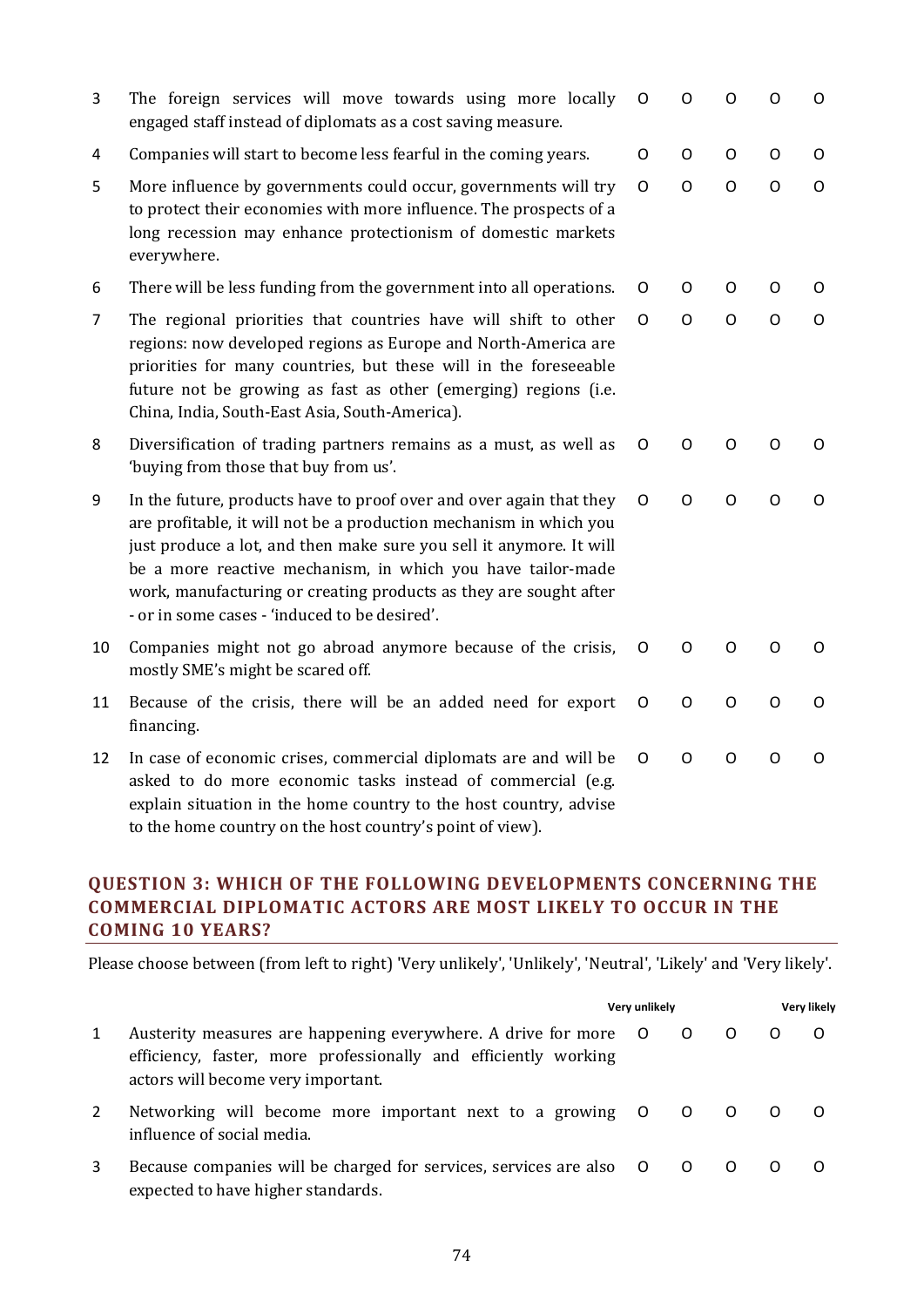| 3              | The foreign services will move towards using more locally<br>engaged staff instead of diplomats as a cost saving measure.                                                                                                                                                                                                                                                                             | $\circ$ | O            | O            | O            | O           |
|----------------|-------------------------------------------------------------------------------------------------------------------------------------------------------------------------------------------------------------------------------------------------------------------------------------------------------------------------------------------------------------------------------------------------------|---------|--------------|--------------|--------------|-------------|
| 4              | Companies will start to become less fearful in the coming years.                                                                                                                                                                                                                                                                                                                                      | $\circ$ | $\circ$      | O            | O            | O           |
| 5              | More influence by governments could occur, governments will try<br>to protect their economies with more influence. The prospects of a<br>long recession may enhance protectionism of domestic markets<br>everywhere.                                                                                                                                                                                  | O       | $\circ$      | $\mathsf{O}$ | $\mathsf{O}$ | $\mathsf O$ |
| 6              | There will be less funding from the government into all operations.                                                                                                                                                                                                                                                                                                                                   | 0       | O            | O            | O            | 0           |
| $\overline{7}$ | The regional priorities that countries have will shift to other<br>regions: now developed regions as Europe and North-America are<br>priorities for many countries, but these will in the foreseeable<br>future not be growing as fast as other (emerging) regions (i.e.<br>China, India, South-East Asia, South-America).                                                                            | O       | $\circ$      | $\Omega$     | $\circ$      | O           |
| 8              | Diversification of trading partners remains as a must, as well as<br>'buying from those that buy from us'.                                                                                                                                                                                                                                                                                            | O       | O            | O            | O            | O           |
| 9              | In the future, products have to proof over and over again that they<br>are profitable, it will not be a production mechanism in which you<br>just produce a lot, and then make sure you sell it anymore. It will<br>be a more reactive mechanism, in which you have tailor-made<br>work, manufacturing or creating products as they are sought after<br>- or in some cases - 'induced to be desired'. | O       | $\mathsf{O}$ | $\circ$      | $\circ$      | $\circ$     |
| 10             | Companies might not go abroad anymore because of the crisis,<br>mostly SME's might be scared off.                                                                                                                                                                                                                                                                                                     | O       | $\circ$      | O            | O            | O           |
| 11             | Because of the crisis, there will be an added need for export<br>financing.                                                                                                                                                                                                                                                                                                                           | O       | $\mathsf O$  | O            | $\circ$      | O           |
| 12             | In case of economic crises, commercial diplomats are and will be<br>asked to do more economic tasks instead of commercial (e.g.<br>explain situation in the home country to the host country, advise<br>to the home country on the host country's point of view).                                                                                                                                     | O       | $\mathsf{O}$ | O            | O            | O           |

# **QUESTION 3: WHICH OF THE FOLLOWING DEVELOPMENTS CONCERNING THE COMMERCIAL DIPLOMATIC ACTORS ARE MOST LIKELY TO OCCUR IN THE COMING 10 YEARS?**

|   |                                                                                                                                                                          | Very unlikely |                               | Very likely    |     |  |  |  |
|---|--------------------------------------------------------------------------------------------------------------------------------------------------------------------------|---------------|-------------------------------|----------------|-----|--|--|--|
| 1 | Austerity measures are happening everywhere. A drive for more O<br>efficiency, faster, more professionally and efficiently working<br>actors will become very important. |               | $\overline{O}$                |                |     |  |  |  |
|   | Networking will become more important next to a growing O<br>influence of social media.                                                                                  |               | $\overline{O}$ $\overline{O}$ |                | _ റ |  |  |  |
| 3 | Because companies will be charged for services, services are also O<br>expected to have higher standards.                                                                |               | $\overline{O}$                | $\overline{O}$ |     |  |  |  |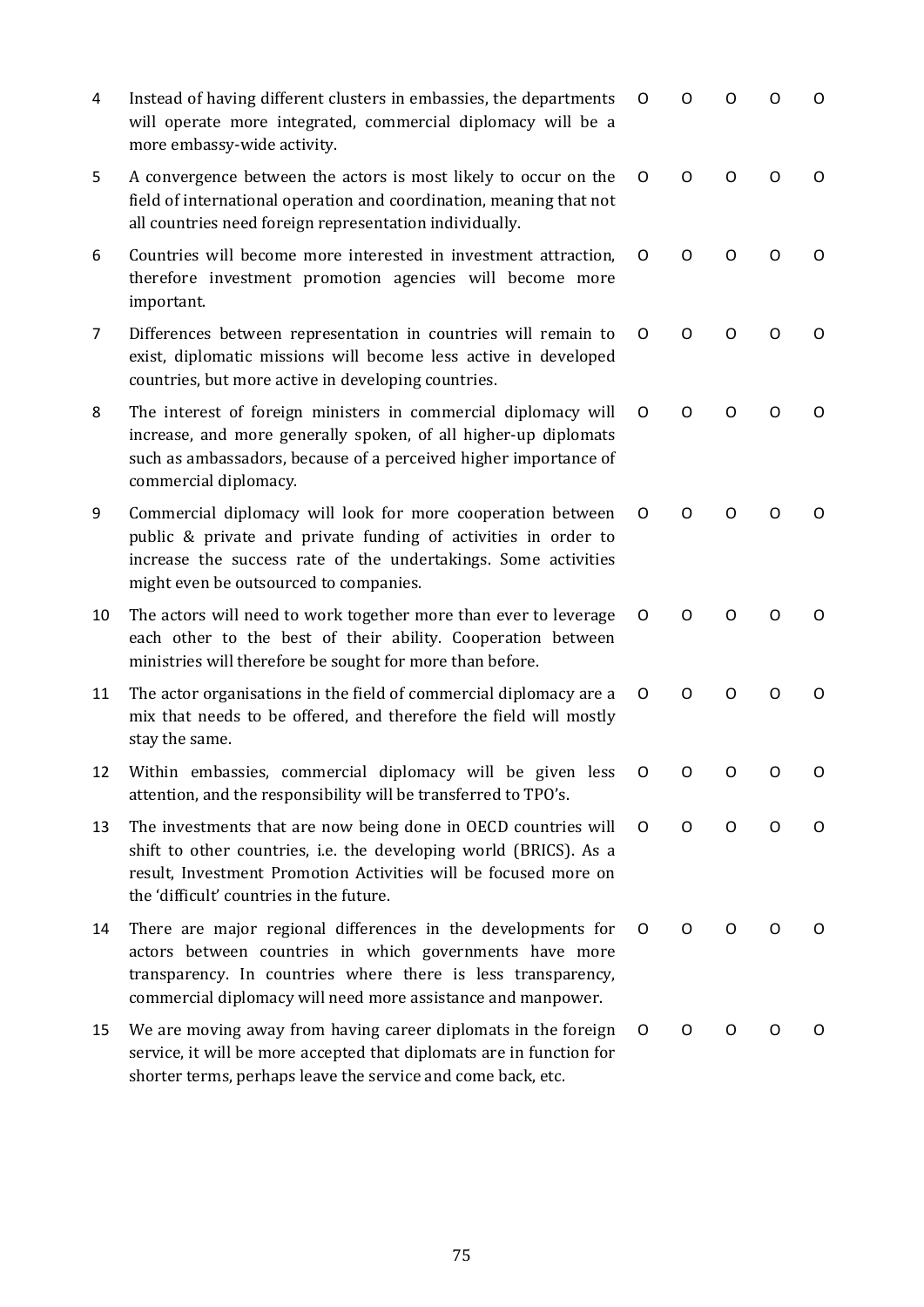| 4              | Instead of having different clusters in embassies, the departments<br>will operate more integrated, commercial diplomacy will be a<br>more embassy-wide activity.                                                                                       | O | O | O        | O | O |
|----------------|---------------------------------------------------------------------------------------------------------------------------------------------------------------------------------------------------------------------------------------------------------|---|---|----------|---|---|
| 5              | A convergence between the actors is most likely to occur on the<br>field of international operation and coordination, meaning that not<br>all countries need foreign representation individually.                                                       | O | O | O        | O | 0 |
| 6              | Countries will become more interested in investment attraction,<br>therefore investment promotion agencies will become more<br>important.                                                                                                               | O | O | Ω        | O | O |
| $\overline{7}$ | Differences between representation in countries will remain to<br>exist, diplomatic missions will become less active in developed<br>countries, but more active in developing countries.                                                                | O | O | 0        | O | O |
| 8              | The interest of foreign ministers in commercial diplomacy will<br>increase, and more generally spoken, of all higher-up diplomats<br>such as ambassadors, because of a perceived higher importance of<br>commercial diplomacy.                          | O | O | O        | O | O |
| 9              | Commercial diplomacy will look for more cooperation between<br>public & private and private funding of activities in order to<br>increase the success rate of the undertakings. Some activities<br>might even be outsourced to companies.               | O | O | Ω        | Ω | 0 |
| 10             | The actors will need to work together more than ever to leverage<br>each other to the best of their ability. Cooperation between<br>ministries will therefore be sought for more than before.                                                           | O | O | $\Omega$ | O | O |
| 11             | The actor organisations in the field of commercial diplomacy are a<br>mix that needs to be offered, and therefore the field will mostly<br>stay the same.                                                                                               | O | O | O        | O | O |
| 12             | Within embassies, commercial diplomacy will be given less<br>attention, and the responsibility will be transferred to TPO's.                                                                                                                            | O | 0 | 0        | 0 | O |
| 13             | The investments that are now being done in OECD countries will<br>shift to other countries, i.e. the developing world (BRICS). As a<br>result, Investment Promotion Activities will be focused more on<br>the 'difficult' countries in the future.      | O | O | O        | O | O |
| 14             | There are major regional differences in the developments for<br>actors between countries in which governments have more<br>transparency. In countries where there is less transparency,<br>commercial diplomacy will need more assistance and manpower. | O | O | O        | O | O |
| 15             | We are moving away from having career diplomats in the foreign<br>service, it will be more accepted that diplomats are in function for<br>shorter terms, perhaps leave the service and come back, etc.                                                  | 0 | O | 0        | O | O |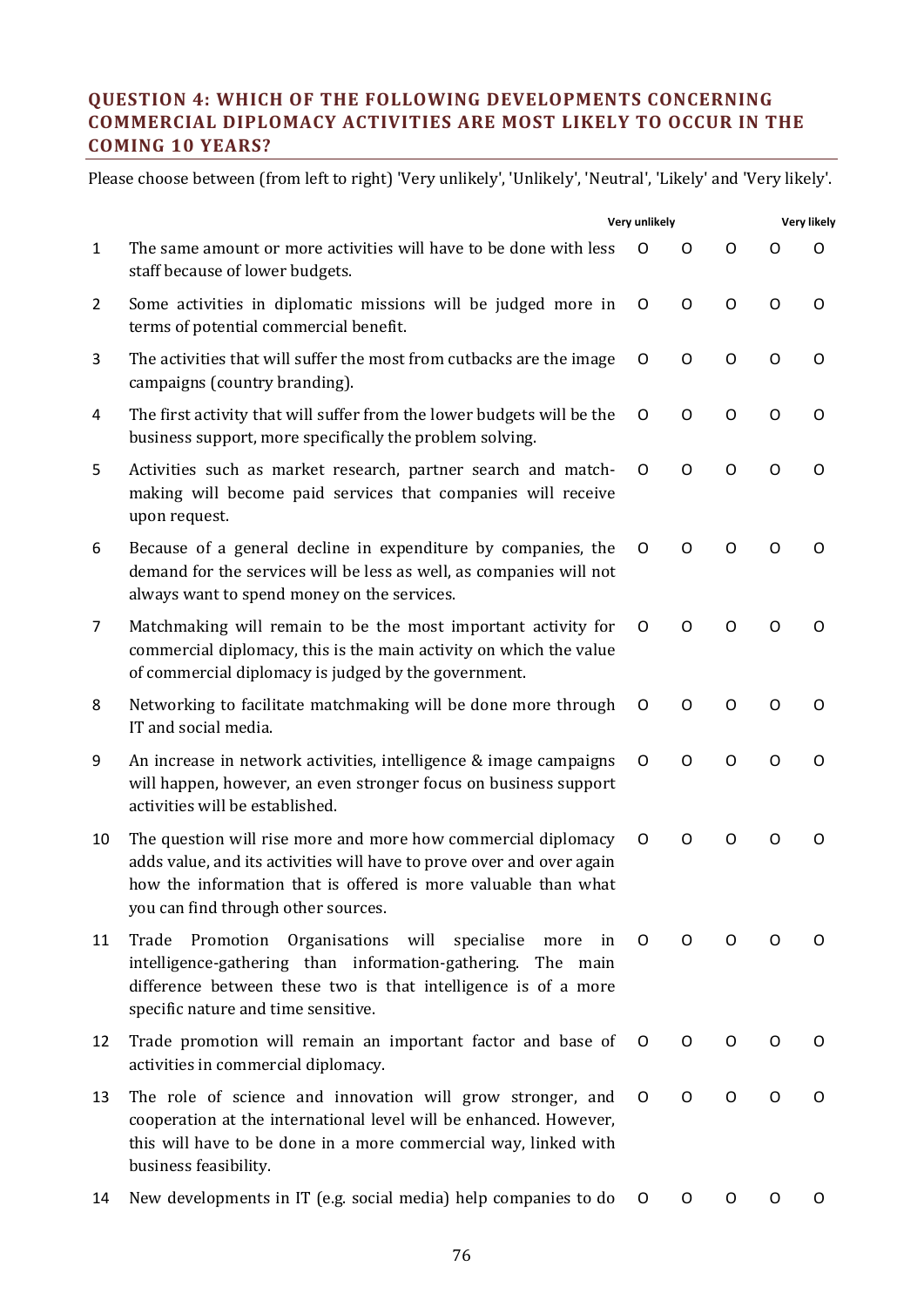# **QUESTION 4: WHICH OF THE FOLLOWING DEVELOPMENTS CONCERNING COMMERCIAL DIPLOMACY ACTIVITIES ARE MOST LIKELY TO OCCUR IN THE COMING 10 YEARS?**

|                |                                                                                                                                                                                                                                                 | Very unlikely |   |   | <b>Very likely</b> |   |  |  |
|----------------|-------------------------------------------------------------------------------------------------------------------------------------------------------------------------------------------------------------------------------------------------|---------------|---|---|--------------------|---|--|--|
| $\mathbf{1}$   | The same amount or more activities will have to be done with less<br>staff because of lower budgets.                                                                                                                                            | Ω             | O | O | O                  | Ω |  |  |
| $\overline{2}$ | Some activities in diplomatic missions will be judged more in<br>terms of potential commercial benefit.                                                                                                                                         | O             | O | O | O                  | 0 |  |  |
| 3              | The activities that will suffer the most from cutbacks are the image<br>campaigns (country branding).                                                                                                                                           | O             | O | O | O                  | 0 |  |  |
| 4              | The first activity that will suffer from the lower budgets will be the<br>business support, more specifically the problem solving.                                                                                                              | O             | O | O | O                  | 0 |  |  |
| 5              | Activities such as market research, partner search and match-<br>making will become paid services that companies will receive<br>upon request.                                                                                                  | O             | O | O | O                  | 0 |  |  |
| 6              | Because of a general decline in expenditure by companies, the<br>demand for the services will be less as well, as companies will not<br>always want to spend money on the services.                                                             | O             | O | O | O                  | O |  |  |
| 7              | Matchmaking will remain to be the most important activity for<br>commercial diplomacy, this is the main activity on which the value<br>of commercial diplomacy is judged by the government.                                                     | O             | O | O | O                  | Ω |  |  |
| 8              | Networking to facilitate matchmaking will be done more through<br>IT and social media.                                                                                                                                                          | O             | O | O | O                  | O |  |  |
| 9              | An increase in network activities, intelligence & image campaigns<br>will happen, however, an even stronger focus on business support<br>activities will be established.                                                                        | O             | O | O | O                  | 0 |  |  |
| 10             | The question will rise more and more how commercial diplomacy<br>adds value, and its activities will have to prove over and over again<br>how the information that is offered is more valuable than what<br>you can find through other sources. | O             | O | O | O                  | 0 |  |  |
| 11             | Organisations<br>will<br>Trade<br>Promotion<br>specialise<br>in<br>more<br>intelligence-gathering than information-gathering. The main<br>difference between these two is that intelligence is of a more<br>specific nature and time sensitive. | O             | O | O | O                  | O |  |  |
| 12             | Trade promotion will remain an important factor and base of<br>activities in commercial diplomacy.                                                                                                                                              | O             | O | O | O                  | O |  |  |
| 13             | The role of science and innovation will grow stronger, and<br>cooperation at the international level will be enhanced. However,<br>this will have to be done in a more commercial way, linked with<br>business feasibility.                     | O             | O | O | O                  | 0 |  |  |
| 14             | New developments in IT (e.g. social media) help companies to do                                                                                                                                                                                 | 0             | O | O | O                  | 0 |  |  |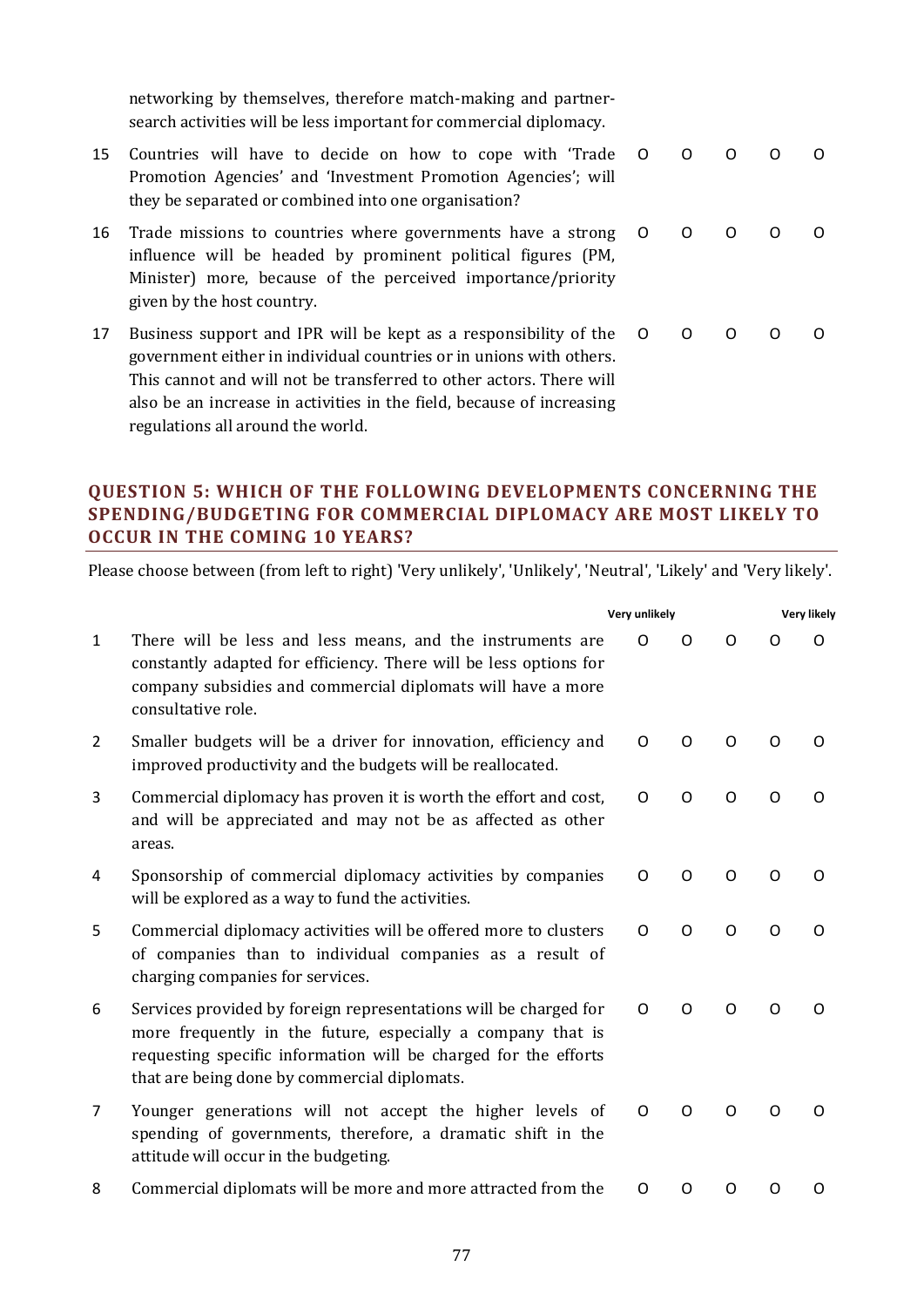networking by themselves, therefore match-making and partnersearch activities will be less important for commercial diplomacy.

- 15 Countries will have to decide on how to cope with 'Trade Promotion Agencies' and 'Investment Promotion Agencies'; will they be separated or combined into one organisation? О О О О О
- 16 Trade missions to countries where governments have a strong influence will be headed by prominent political figures (PM, Minister) more, because of the perceived importance/priority given by the host country. О О О О О
- 17 Business support and IPR will be kept as a responsibility of the government either in individual countries or in unions with others. This cannot and will not be transferred to other actors. There will also be an increase in activities in the field, because of increasing regulations all around the world. О О О О О

# **QUESTION 5: WHICH OF THE FOLLOWING DEVELOPMENTS CONCERNING THE SPENDING/BUDGETING FOR COMMERCIAL DIPLOMACY ARE MOST LIKELY TO OCCUR IN THE COMING 10 YEARS?**

|              |                                                                                                                                                                                                                                                    | Very unlikely | <b>Very likely</b> |          |   |          |
|--------------|----------------------------------------------------------------------------------------------------------------------------------------------------------------------------------------------------------------------------------------------------|---------------|--------------------|----------|---|----------|
| $\mathbf{1}$ | There will be less and less means, and the instruments are<br>constantly adapted for efficiency. There will be less options for<br>company subsidies and commercial diplomats will have a more<br>consultative role.                               | $\Omega$      | O                  | Ω        | Ω | $\Omega$ |
| 2            | Smaller budgets will be a driver for innovation, efficiency and<br>improved productivity and the budgets will be reallocated.                                                                                                                      | O             | $\Omega$           | O        | O | O        |
| 3            | Commercial diplomacy has proven it is worth the effort and cost,<br>and will be appreciated and may not be as affected as other<br>areas.                                                                                                          | O             | $\Omega$           | O        | O | $\Omega$ |
| 4            | Sponsorship of commercial diplomacy activities by companies<br>will be explored as a way to fund the activities.                                                                                                                                   | O             | O                  | $\Omega$ | O | O        |
| 5            | Commercial diplomacy activities will be offered more to clusters<br>of companies than to individual companies as a result of<br>charging companies for services.                                                                                   | O             | O                  | O        | O | O        |
| 6            | Services provided by foreign representations will be charged for<br>more frequently in the future, especially a company that is<br>requesting specific information will be charged for the efforts<br>that are being done by commercial diplomats. | O             | $\Omega$           | Ω        | Ω | O        |
| 7            | Younger generations will not accept the higher levels of<br>spending of governments, therefore, a dramatic shift in the<br>attitude will occur in the budgeting.                                                                                   | O             | O                  | O        | O | O        |
| 8            | Commercial diplomats will be more and more attracted from the                                                                                                                                                                                      | O             | Ω                  | Ω        | Ω | Ω        |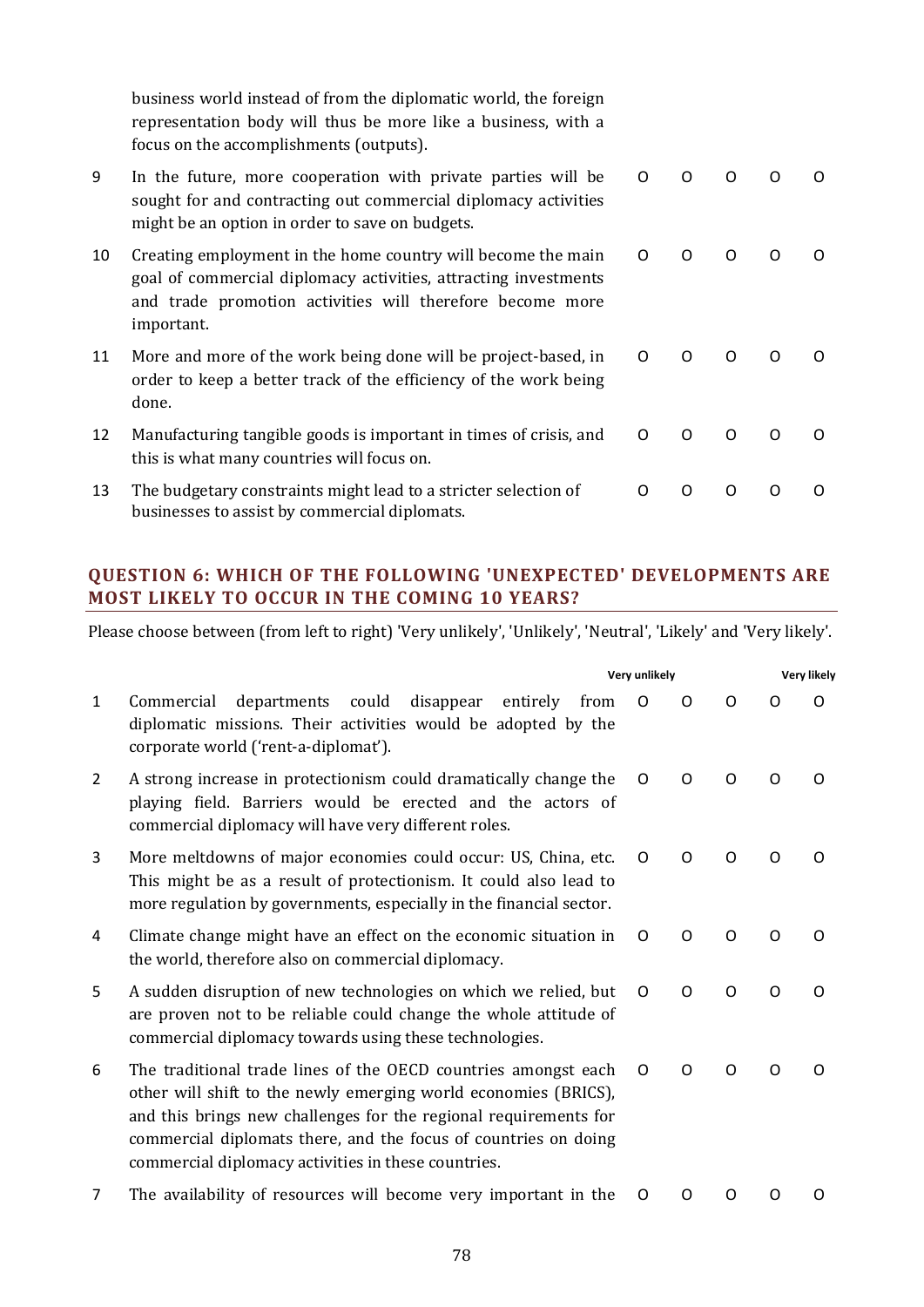business world instead of from the diplomatic world, the foreign representation body will thus be more like a business, with a focus on the accomplishments (outputs).

| 9  | In the future, more cooperation with private parties will be<br>sought for and contracting out commercial diplomacy activities<br>might be an option in order to save on budgets.                          | O         |          |              |  |
|----|------------------------------------------------------------------------------------------------------------------------------------------------------------------------------------------------------------|-----------|----------|--------------|--|
| 10 | Creating employment in the home country will become the main<br>goal of commercial diplomacy activities, attracting investments<br>and trade promotion activities will therefore become more<br>important. | $\circ$ 0 | O        |              |  |
| 11 | More and more of the work being done will be project-based, in O<br>order to keep a better track of the efficiency of the work being<br>done.                                                              |           | $\Omega$ | <sup>o</sup> |  |

- 12 Manufacturing tangible goods is important in times of crisis, and this is what many countries will focus on. О О О О О
- 13 The budgetary constraints might lead to a stricter selection of businesses to assist by commercial diplomats. О О О О О

### **QUESTION 6: WHICH OF THE FOLLOWING 'UNEXPECTED' DEVELOPMENTS ARE MOST LIKELY TO OCCUR IN THE COMING 10 YEARS?**

|              |                                                                                                                                                                                                                                                                                                                                 | Very unlikely |          |          |          | <b>Very likely</b> |
|--------------|---------------------------------------------------------------------------------------------------------------------------------------------------------------------------------------------------------------------------------------------------------------------------------------------------------------------------------|---------------|----------|----------|----------|--------------------|
| $\mathbf{1}$ | departments<br>could<br>disappear<br>entirely<br>from<br>Commercial<br>diplomatic missions. Their activities would be adopted by the<br>corporate world ('rent-a-diplomat').                                                                                                                                                    | $\Omega$      | Ω        | $\Omega$ | O        | O                  |
| 2            | A strong increase in protectionism could dramatically change the<br>playing field. Barriers would be erected and the actors of<br>commercial diplomacy will have very different roles.                                                                                                                                          | O             | O        | $\Omega$ | O        | O                  |
| 3            | More meltdowns of major economies could occur: US, China, etc.<br>This might be as a result of protectionism. It could also lead to<br>more regulation by governments, especially in the financial sector.                                                                                                                      | O             | $\Omega$ | O        | Ω        | O                  |
| 4            | Climate change might have an effect on the economic situation in<br>the world, therefore also on commercial diplomacy.                                                                                                                                                                                                          | O             | O        | O        | O        | O                  |
| 5            | A sudden disruption of new technologies on which we relied, but<br>are proven not to be reliable could change the whole attitude of<br>commercial diplomacy towards using these technologies.                                                                                                                                   | $\Omega$      | $\Omega$ | $\Omega$ | $\Omega$ | O                  |
| 6            | The traditional trade lines of the OECD countries amongst each<br>other will shift to the newly emerging world economies (BRICS),<br>and this brings new challenges for the regional requirements for<br>commercial diplomats there, and the focus of countries on doing<br>commercial diplomacy activities in these countries. | O             | $\Omega$ | $\Omega$ | $\Omega$ | O                  |
| 7            | The availability of resources will become very important in the                                                                                                                                                                                                                                                                 | O             | O        | O        | Ω        | O                  |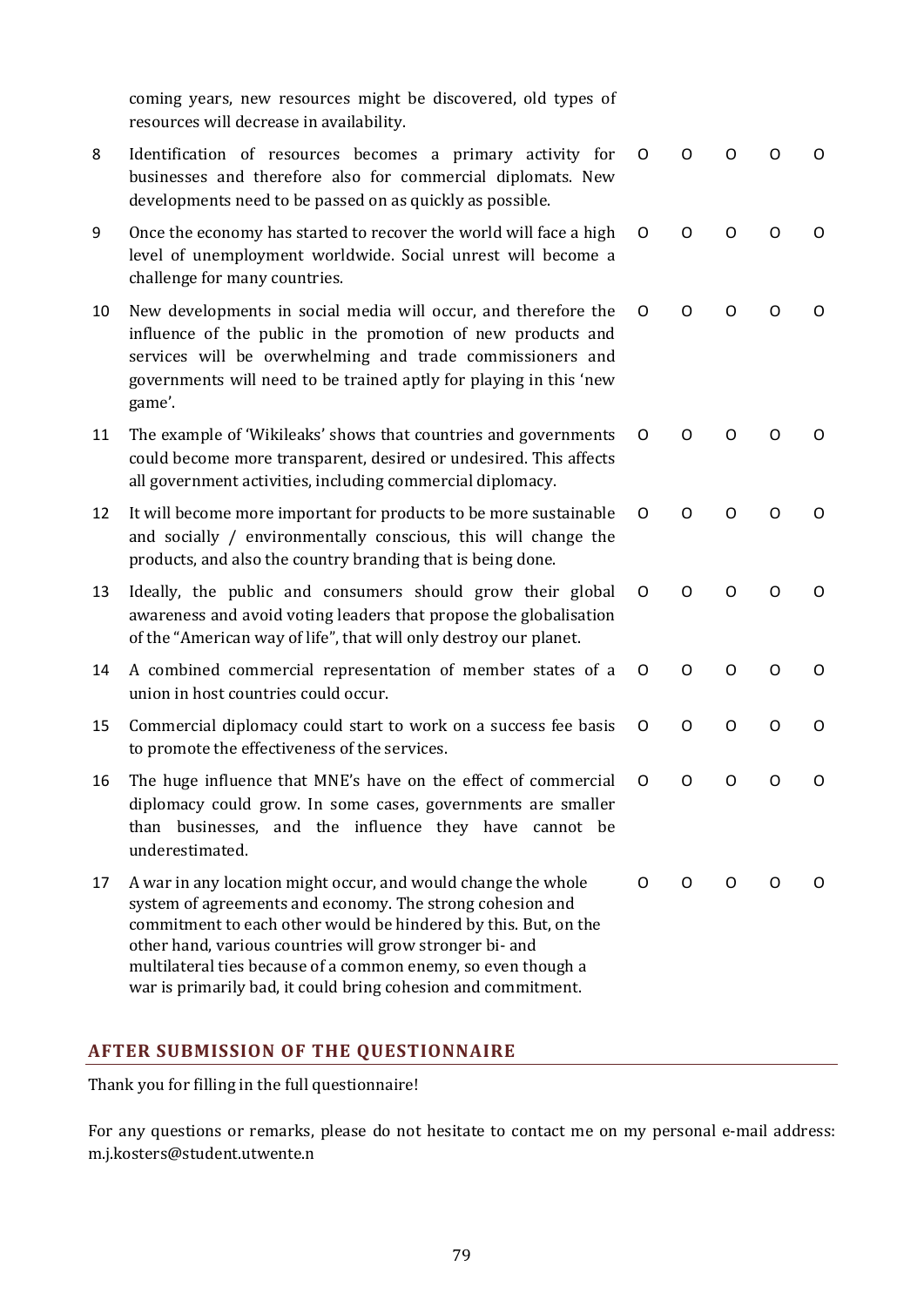coming years, new resources might be discovered, old types of resources will decrease in availability.

| 8  | Identification of resources becomes a primary activity for<br>businesses and therefore also for commercial diplomats. New<br>developments need to be passed on as quickly as possible.                                                                                                                                                                                                      | O | O       | Ω | Ω | 0       |
|----|---------------------------------------------------------------------------------------------------------------------------------------------------------------------------------------------------------------------------------------------------------------------------------------------------------------------------------------------------------------------------------------------|---|---------|---|---|---------|
| 9  | Once the economy has started to recover the world will face a high<br>level of unemployment worldwide. Social unrest will become a<br>challenge for many countries.                                                                                                                                                                                                                         | O | O       | O | O | O       |
| 10 | New developments in social media will occur, and therefore the<br>influence of the public in the promotion of new products and<br>services will be overwhelming and trade commissioners and<br>governments will need to be trained aptly for playing in this 'new<br>game'.                                                                                                                 | 0 | O       | O | 0 | O       |
| 11 | The example of 'Wikileaks' shows that countries and governments<br>could become more transparent, desired or undesired. This affects<br>all government activities, including commercial diplomacy.                                                                                                                                                                                          | O | O       | Ω | Ω | O       |
| 12 | It will become more important for products to be more sustainable<br>and socially / environmentally conscious, this will change the<br>products, and also the country branding that is being done.                                                                                                                                                                                          | O | O       | O | O | O       |
| 13 | Ideally, the public and consumers should grow their global<br>awareness and avoid voting leaders that propose the globalisation<br>of the "American way of life", that will only destroy our planet.                                                                                                                                                                                        | O | O       | O | O | O       |
| 14 | A combined commercial representation of member states of a<br>union in host countries could occur.                                                                                                                                                                                                                                                                                          | O | O       | O | O | 0       |
| 15 | Commercial diplomacy could start to work on a success fee basis<br>to promote the effectiveness of the services.                                                                                                                                                                                                                                                                            | O | O       | O | O | $\circ$ |
| 16 | The huge influence that MNE's have on the effect of commercial<br>diplomacy could grow. In some cases, governments are smaller<br>than businesses, and the influence they have cannot be<br>underestimated.                                                                                                                                                                                 | O | $\circ$ | O | O | O       |
| 17 | A war in any location might occur, and would change the whole<br>system of agreements and economy. The strong cohesion and<br>commitment to each other would be hindered by this. But, on the<br>other hand, various countries will grow stronger bi- and<br>multilateral ties because of a common enemy, so even though a<br>war is primarily bad, it could bring cohesion and commitment. | O | O       | 0 | O | O       |

# **AFTER SUBMISSION OF THE QUESTIONNAIRE**

Thank you for filling in the full questionnaire!

For any questions or remarks, please do not hesitate to contact me on my personal e-mail address: m.j.kosters@student.utwente.n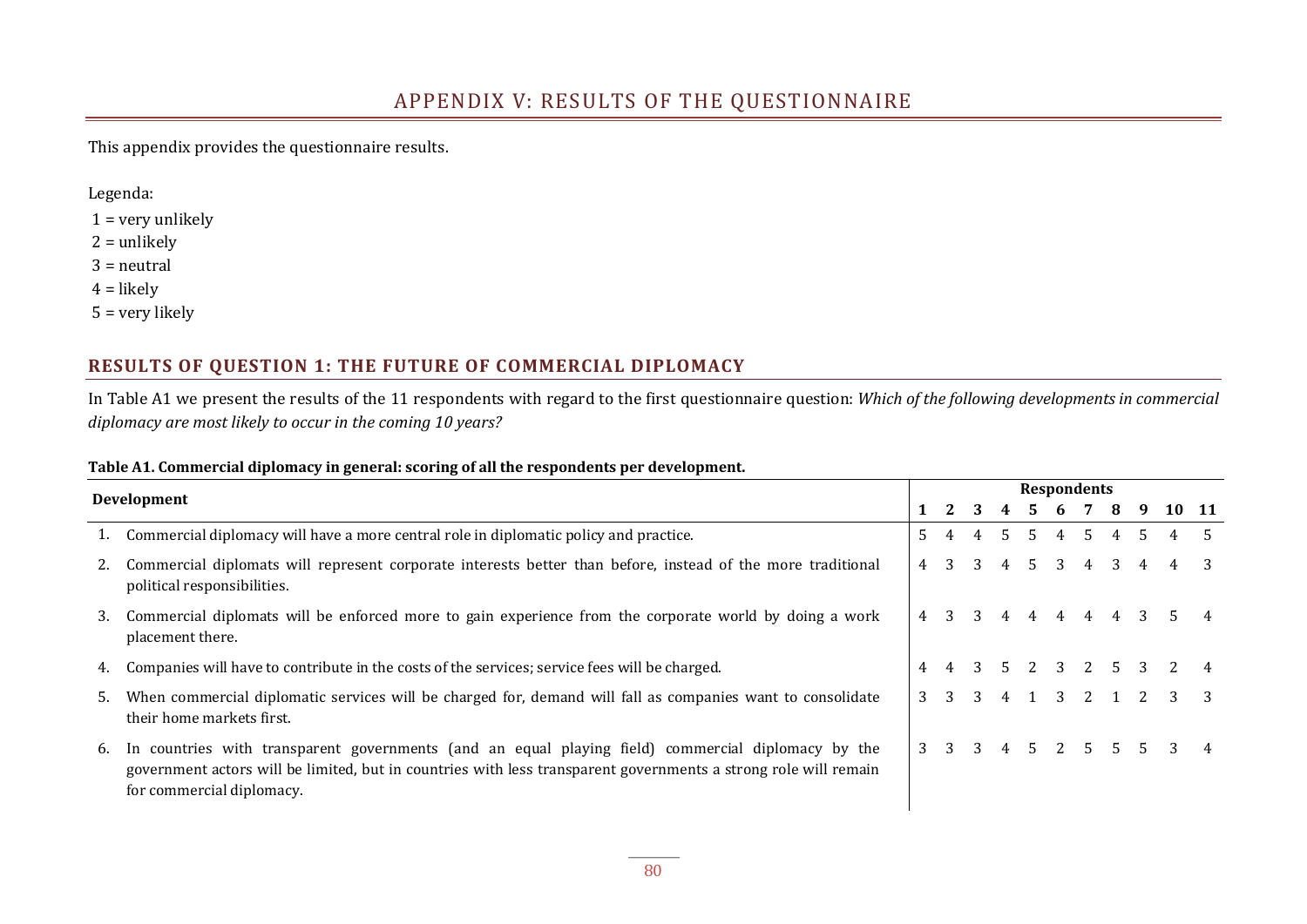# APPENDIX V: RESULTS OF THE QUESTIONNAIRE

This appendix provides the questionnaire results.

Legenda:

- $1 =$  very unlikely
- $2 =$ unlikely
- 3 = neutral
- $4 =$ likely
- 5 = very likely

### **RESULTS OF QUESTION 1: THE FUTURE OF COMMERCIAL DIPLOMACY**

In Table A1 we present the results of the 11 respondents with regard to the first questionnaire question: *Which of the following developments in commercial diplomacy are most likely to occur in the coming 10 years?*

#### **Table A1. Commercial diplomacy in general: scoring of all the respondents per development.**

|    |                                                                                                                                                                                                                                                    |                | <b>Respondents</b> |                |     |     |   |           |   |     |       |  |  |
|----|----------------------------------------------------------------------------------------------------------------------------------------------------------------------------------------------------------------------------------------------------|----------------|--------------------|----------------|-----|-----|---|-----------|---|-----|-------|--|--|
|    | <b>Development</b>                                                                                                                                                                                                                                 |                |                    | 2 3            |     |     |   | 4 5 6 7 8 |   | 9   | 10 11 |  |  |
|    | 1. Commercial diplomacy will have a more central role in diplomatic policy and practice.                                                                                                                                                           | $5 -$          |                    | 4              | 5.  | .5  | 4 | .5.       |   | 5.  |       |  |  |
|    | Commercial diplomats will represent corporate interests better than before, instead of the more traditional<br>political responsibilities.                                                                                                         | 4              | 3                  | 3              | 4   | .5. | 3 | 4         | 3 |     |       |  |  |
| 3. | Commercial diplomats will be enforced more to gain experience from the corporate world by doing a work<br>placement there.                                                                                                                         | 4              | 3                  | 3              | 4   | 4   | 4 | 4         |   |     |       |  |  |
| 4. | Companies will have to contribute in the costs of the services; service fees will be charged.                                                                                                                                                      |                |                    | 3              | .5. |     |   | 2 3 2 5   |   | - 3 |       |  |  |
| 5. | When commercial diplomatic services will be charged for, demand will fall as companies want to consolidate<br>their home markets first.                                                                                                            | 3              | 3                  | 3              | 4   | 1   |   | 3 2 1     |   |     | 3     |  |  |
| 6. | In countries with transparent governments (and an equal playing field) commercial diplomacy by the<br>government actors will be limited, but in countries with less transparent governments a strong role will remain<br>for commercial diplomacy. | 3 <sup>7</sup> | -3                 | $\overline{3}$ | 4   |     |   | 5 2 5 5   |   | -5. |       |  |  |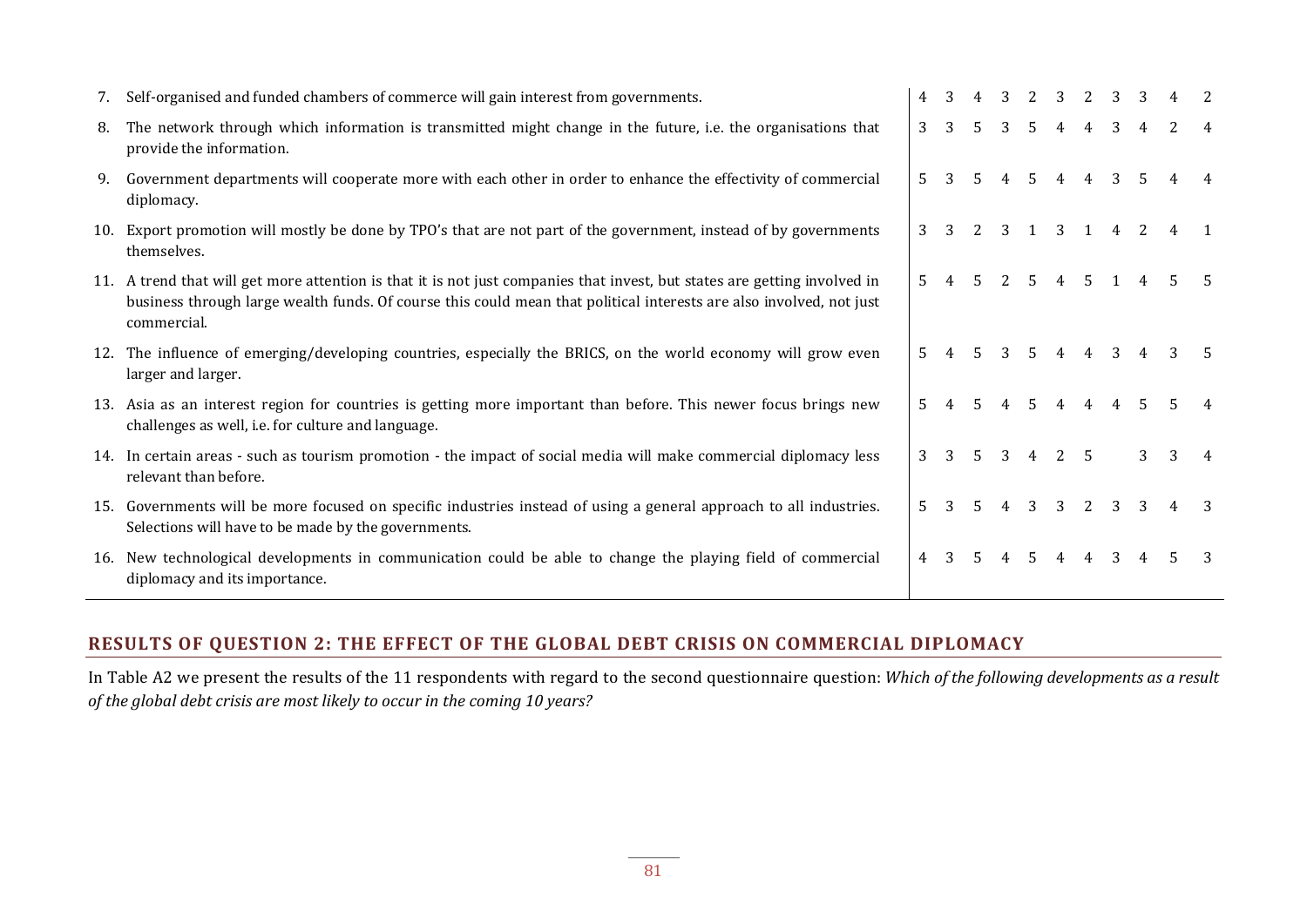| 7.  | Self-organised and funded chambers of commerce will gain interest from governments.                                                                                                                                                                         | 4           | 3 | 4  | 3 | 2  | $\mathcal{R}$ | 2              | 3 | 3  |   |   |
|-----|-------------------------------------------------------------------------------------------------------------------------------------------------------------------------------------------------------------------------------------------------------------|-------------|---|----|---|----|---------------|----------------|---|----|---|---|
| 8.  | The network through which information is transmitted might change in the future, i.e. the organisations that<br>provide the information.                                                                                                                    | 3           | 3 |    | 3 | .5 | 4             | 4              | 3 | 4  |   |   |
| 9.  | Government departments will cooperate more with each other in order to enhance the effectivity of commercial<br>diplomacy.                                                                                                                                  | 5.          | 3 | 5. | 4 | 5  | 4             | 4              | 3 | 5. |   |   |
| 10. | Export promotion will mostly be done by TPO's that are not part of the government, instead of by governments<br>themselves.                                                                                                                                 | 3           | 3 |    | 3 |    | 3             |                | 4 | 2  |   |   |
| 11. | A trend that will get more attention is that it is not just companies that invest, but states are getting involved in<br>business through large wealth funds. Of course this could mean that political interests are also involved, not just<br>commercial. | 5.          |   |    |   | 5  | 4             | -5             |   |    |   |   |
| 12. | The influence of emerging/developing countries, especially the BRICS, on the world economy will grow even<br>larger and larger.                                                                                                                             | 5.          |   |    | 3 | 5. | 4             | 4              | 3 |    |   |   |
| 13. | Asia as an interest region for countries is getting more important than before. This newer focus brings new<br>challenges as well, i.e. for culture and language.                                                                                           | 5.          |   | 5  | 4 | .5 | 4             | $\overline{4}$ | 4 | 5. |   |   |
|     | 14. In certain areas - such as tourism promotion - the impact of social media will make commercial diplomacy less<br>relevant than before.                                                                                                                  | 3           | 3 | .5 | 3 | 4  | 2             | - 5            |   | 3  | 3 | 4 |
| 15. | Governments will be more focused on specific industries instead of using a general approach to all industries.<br>Selections will have to be made by the governments.                                                                                       | 5.          | २ | .5 | 4 | 3  | 3             | 2              | 3 | 3  |   |   |
| 16. | New technological developments in communication could be able to change the playing field of commercial<br>diplomacy and its importance.                                                                                                                    | $4^{\circ}$ | 3 | 5. | 4 | 5  | 4             | 4              | 3 | 4  |   |   |

# **RESULTS OF QUESTION 2: THE EFFECT OF THE GLOBAL DEBT CRISIS ON COMMERCIAL DIPLOMACY**

In Table A2 we present the results of the 11 respondents with regard to the second questionnaire question: *Which of the following developments as a result of the global debt crisis are most likely to occur in the coming 10 years?*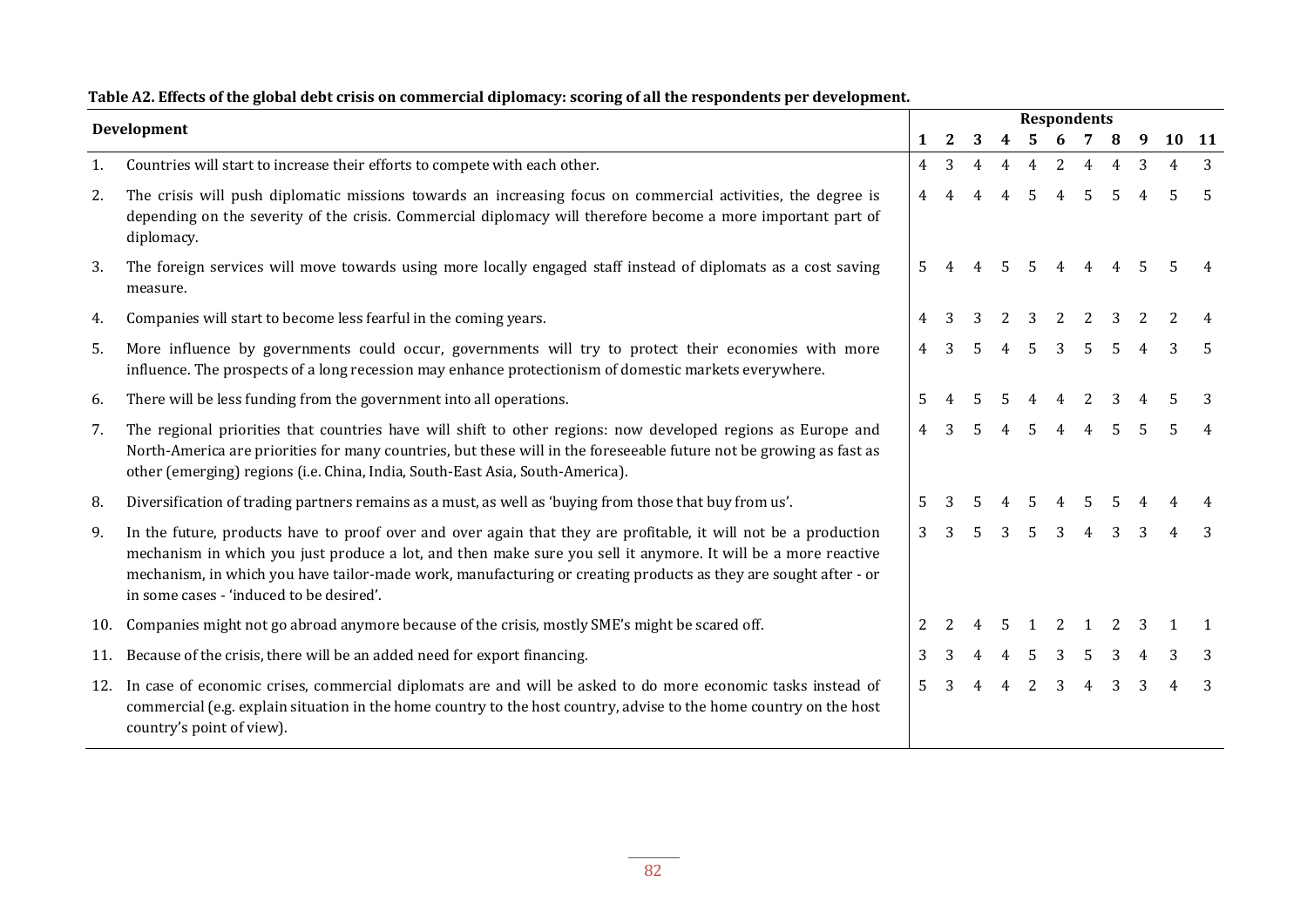|     | Development                                                                                                                                                                                                                                                                                                                                                                                     |                |               |                |                  | <b>Respondents</b> |                     |                |                |                |       |    |
|-----|-------------------------------------------------------------------------------------------------------------------------------------------------------------------------------------------------------------------------------------------------------------------------------------------------------------------------------------------------------------------------------------------------|----------------|---------------|----------------|------------------|--------------------|---------------------|----------------|----------------|----------------|-------|----|
|     |                                                                                                                                                                                                                                                                                                                                                                                                 | 1              | 2             | 3              | $\boldsymbol{4}$ | $5\quad 6$         |                     | 7              | 8              | 9              | 10 11 |    |
| 1.  | Countries will start to increase their efforts to compete with each other.                                                                                                                                                                                                                                                                                                                      | 4              | 3             | $\overline{4}$ | 4                | $\overline{4}$     | 2                   | $\overline{4}$ | $\overline{4}$ | 3              | 4     | 3  |
| 2.  | The crisis will push diplomatic missions towards an increasing focus on commercial activities, the degree is<br>depending on the severity of the crisis. Commercial diplomacy will therefore become a more important part of<br>diplomacy.                                                                                                                                                      | $\overline{4}$ | 4             | $\overline{4}$ | $\overline{4}$   | 5                  | $\overline{4}$      | 5              | 5              | $\overline{4}$ | 5     | -5 |
| 3.  | The foreign services will move towards using more locally engaged staff instead of diplomats as a cost saving<br>measure.                                                                                                                                                                                                                                                                       | 5              |               | 4              | .5               | $5\overline{)}$    | 4                   | $\overline{4}$ | $\overline{4}$ | .5             |       |    |
| 4.  | Companies will start to become less fearful in the coming years.                                                                                                                                                                                                                                                                                                                                | 4              |               |                |                  |                    | $\mathcal{P}$       |                |                |                |       |    |
| 5.  | More influence by governments could occur, governments will try to protect their economies with more<br>influence. The prospects of a long recession may enhance protectionism of domestic markets everywhere.                                                                                                                                                                                  | 4              | 3             | 5              | $\overline{4}$   | 5                  | 3                   | 5              | 5              |                | 3     |    |
| 6.  | There will be less funding from the government into all operations.                                                                                                                                                                                                                                                                                                                             | 5              |               | 5              | 5                | 4                  | $\overline{4}$      | $\overline{2}$ | 3              |                |       |    |
| 7.  | The regional priorities that countries have will shift to other regions: now developed regions as Europe and<br>North-America are priorities for many countries, but these will in the foreseeable future not be growing as fast as<br>other (emerging) regions (i.e. China, India, South-East Asia, South-America).                                                                            | $\overline{4}$ | 3             | 5              | $\overline{4}$   | 5                  | $4\quad 4\quad 5$   |                |                | 5              | 5     |    |
| 8.  | Diversification of trading partners remains as a must, as well as 'buying from those that buy from us'.                                                                                                                                                                                                                                                                                         | 5              |               |                |                  |                    |                     |                |                |                |       |    |
| 9.  | In the future, products have to proof over and over again that they are profitable, it will not be a production<br>mechanism in which you just produce a lot, and then make sure you sell it anymore. It will be a more reactive<br>mechanism, in which you have tailor-made work, manufacturing or creating products as they are sought after - or<br>in some cases - 'induced to be desired'. | $\overline{3}$ | $\mathcal{E}$ | $\overline{5}$ | 3                | $5^{\circ}$        | $3 \quad 4 \quad 3$ |                |                | 3              |       |    |
| 10. | Companies might not go abroad anymore because of the crisis, mostly SME's might be scared off.                                                                                                                                                                                                                                                                                                  | 2              |               |                | 5                | $\mathbf{1}$       | 2                   |                | 2              |                |       |    |
| 11. | Because of the crisis, there will be an added need for export financing.                                                                                                                                                                                                                                                                                                                        | 3              | 3             | 4              | $\overline{4}$   | 5                  | $\overline{3}$      | 5              | 3              |                |       |    |
| 12. | In case of economic crises, commercial diplomats are and will be asked to do more economic tasks instead of<br>commercial (e.g. explain situation in the home country to the host country, advise to the home country on the host<br>country's point of view).                                                                                                                                  | 5.             | 3             | 4              | $\overline{4}$   | 2                  | $\overline{3}$      | $4 \quad 3$    |                | 3              |       | 3  |

#### **Table A2. Effects of the global debt crisis on commercial diplomacy: scoring of all the respondents per development.**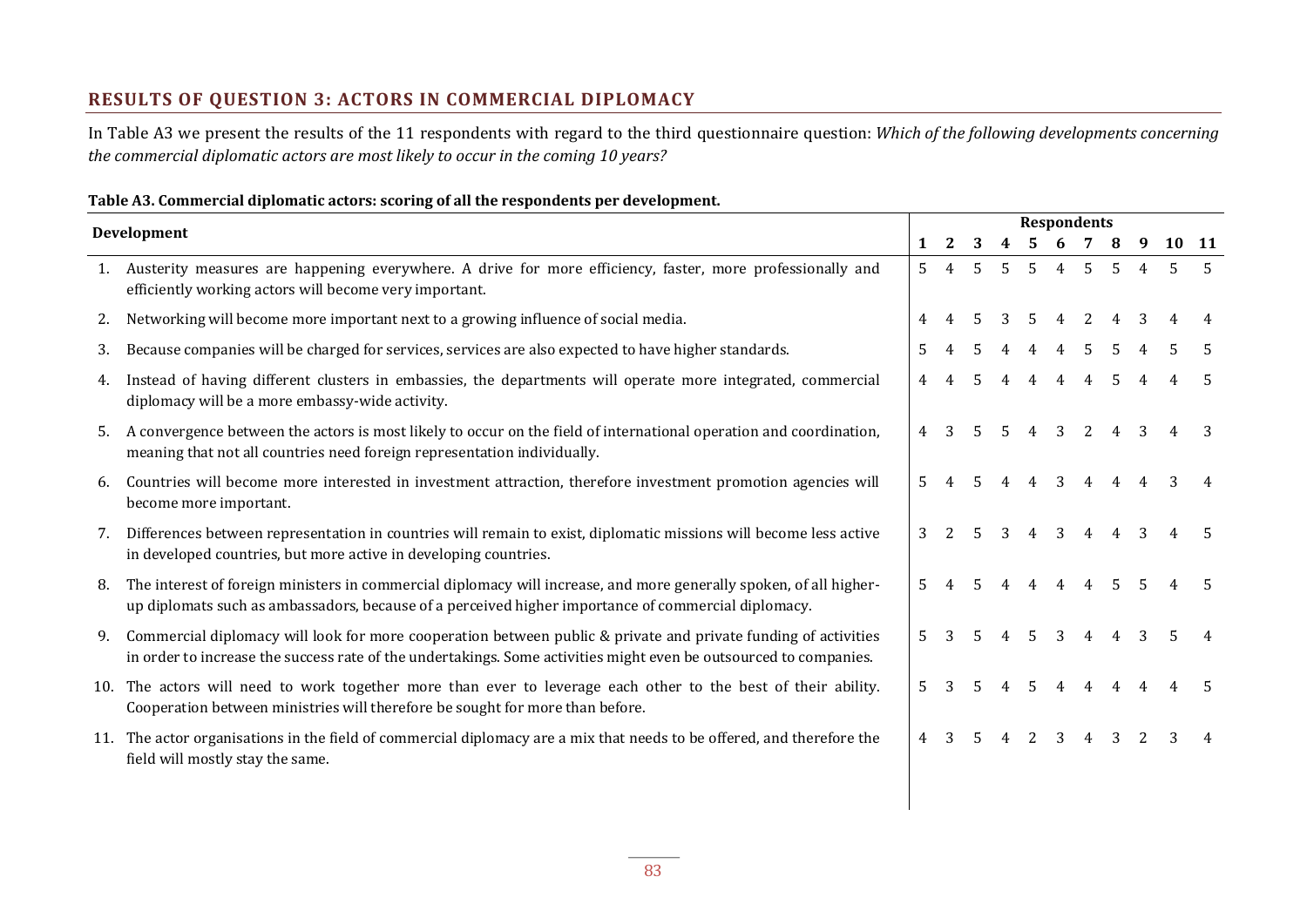# **RESULTS OF QUESTION 3: ACTORS IN COMMERCIAL DIPLOMACY**

In Table A3 we present the results of the 11 respondents with regard to the third questionnaire question: *Which of the following developments concerning the commercial diplomatic actors are most likely to occur in the coming 10 years?*

#### **Table A3. Commercial diplomatic actors: scoring of all the respondents per development.**

|     | Development                                                                                                                                                                                                                         | <b>Respondents</b> |   |    |             |             |                |                |                |   |       |  |
|-----|-------------------------------------------------------------------------------------------------------------------------------------------------------------------------------------------------------------------------------------|--------------------|---|----|-------------|-------------|----------------|----------------|----------------|---|-------|--|
|     |                                                                                                                                                                                                                                     | 1                  | 2 | 3  |             | 5.          | 6              | 7              |                | 9 | 10 11 |  |
| 1.  | Austerity measures are happening everywhere. A drive for more efficiency, faster, more professionally and<br>efficiently working actors will become very important.                                                                 | $5^{\circ}$        | 4 | .5 | $5^{\circ}$ | $5^{\circ}$ | 4              | 5              | .5             | 4 | 5     |  |
| 2.  | Networking will become more important next to a growing influence of social media.                                                                                                                                                  |                    |   | 5  |             | .5          | 4              | 2              |                |   |       |  |
| 3.  | Because companies will be charged for services, services are also expected to have higher standards.                                                                                                                                | 5                  |   | 5  |             |             | $\overline{4}$ | 5              |                |   |       |  |
| 4.  | Instead of having different clusters in embassies, the departments will operate more integrated, commercial<br>diplomacy will be a more embassy-wide activity.                                                                      |                    |   | 5  |             | 4           | 4              | $\overline{4}$ | .5             |   |       |  |
| 5.  | A convergence between the actors is most likely to occur on the field of international operation and coordination,<br>meaning that not all countries need foreign representation individually.                                      | 4                  |   | .5 |             |             | 3              |                |                |   |       |  |
| 6.  | Countries will become more interested in investment attraction, therefore investment promotion agencies will<br>become more important.                                                                                              | 5                  |   | 5  |             | 4           | 3              | 4              |                |   |       |  |
| 7.  | Differences between representation in countries will remain to exist, diplomatic missions will become less active<br>in developed countries, but more active in developing countries.                                               | 3                  |   | 5. | 3           | 4           | 3              | 4              |                |   |       |  |
| 8.  | The interest of foreign ministers in commercial diplomacy will increase, and more generally spoken, of all higher-<br>up diplomats such as ambassadors, because of a perceived higher importance of commercial diplomacy.           | 5.                 |   | 5  |             |             | 4              | 4              | .5.            |   |       |  |
| 9.  | Commercial diplomacy will look for more cooperation between public & private and private funding of activities<br>in order to increase the success rate of the undertakings. Some activities might even be outsourced to companies. | 5                  |   | .5 |             | .5          | 3              | 4              | $\overline{4}$ | 3 |       |  |
| 10. | The actors will need to work together more than ever to leverage each other to the best of their ability.<br>Cooperation between ministries will therefore be sought for more than before.                                          | 5                  |   |    |             |             |                |                |                |   |       |  |
| 11. | The actor organisations in the field of commercial diplomacy are a mix that needs to be offered, and therefore the<br>field will mostly stay the same.                                                                              | 4                  |   |    |             |             | 3              |                |                |   |       |  |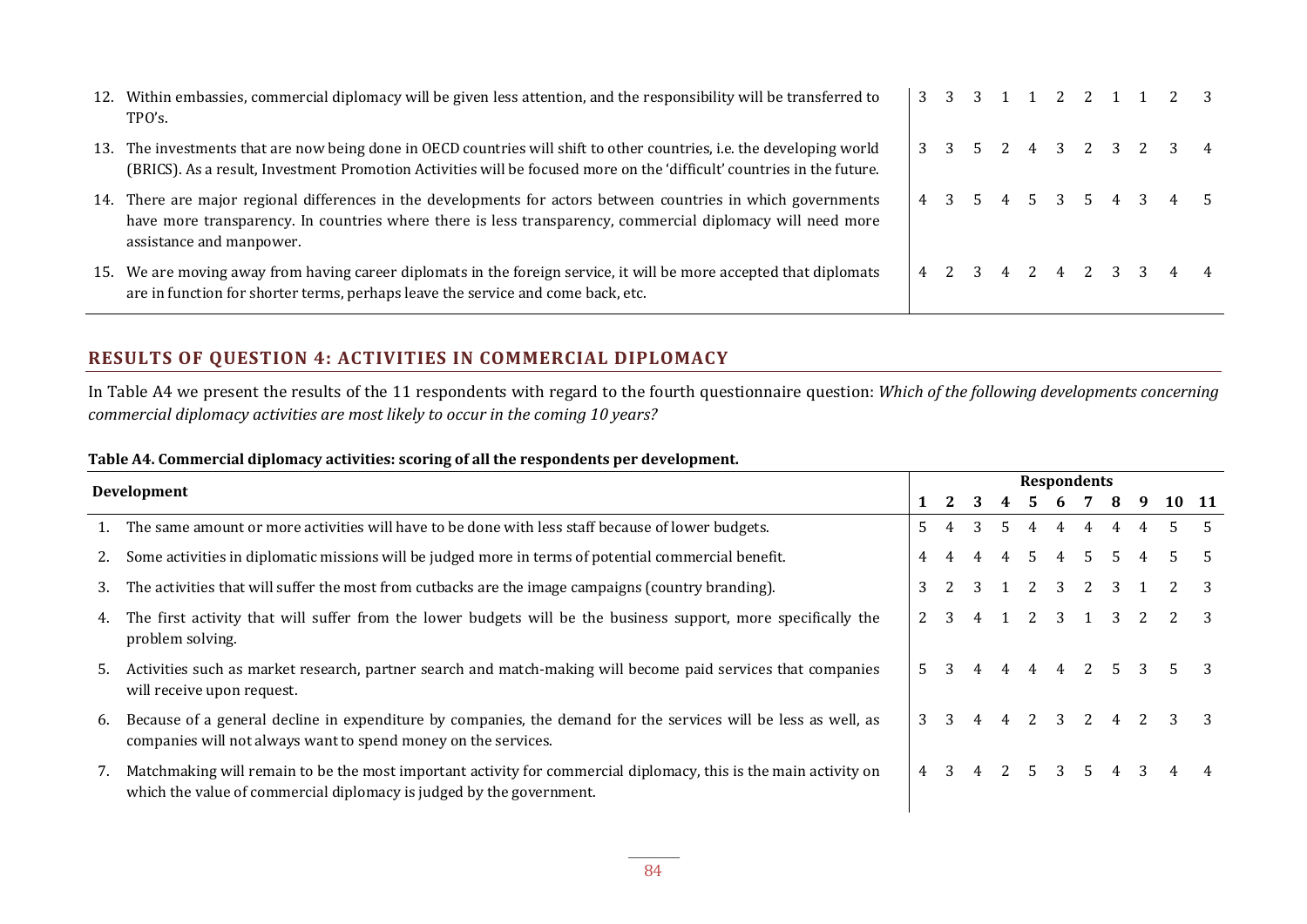| 12. | Within embassies, commercial diplomacy will be given less attention, and the responsibility will be transferred to<br>TPO's.                                                                                                                         |  |  |  |  | 3 3 3 1 1 2 2 1 1 2 3 |  |
|-----|------------------------------------------------------------------------------------------------------------------------------------------------------------------------------------------------------------------------------------------------------|--|--|--|--|-----------------------|--|
| 13. | The investments that are now being done in OECD countries will shift to other countries, i.e. the developing world<br>(BRICS). As a result, Investment Promotion Activities will be focused more on the 'difficult' countries in the future.         |  |  |  |  | 3 3 5 2 4 3 2 3 2 3 4 |  |
| 14. | There are major regional differences in the developments for actors between countries in which governments<br>have more transparency. In countries where there is less transparency, commercial diplomacy will need more<br>assistance and manpower. |  |  |  |  | 4 3 5 4 5 3 5 4 3 4 5 |  |
| 15. | We are moving away from having career diplomats in the foreign service, it will be more accepted that diplomats<br>are in function for shorter terms, perhaps leave the service and come back, etc.                                                  |  |  |  |  | 4 2 3 4 2 4 2 3 3 4 4 |  |

### **RESULTS OF QUESTION 4: ACTIVITIES IN COMMERCIAL DIPLOMACY**

In Table A4 we present the results of the 11 respondents with regard to the fourth questionnaire question: *Which of the following developments concerning commercial diplomacy activities are most likely to occur in the coming 10 years?*

#### **Table A4. Commercial diplomacy activities: scoring of all the respondents per development.**

|    |                                                                                                                                                                                          |    |   |   |    | <b>Respondents</b> |               |       |                         |    |       |  |
|----|------------------------------------------------------------------------------------------------------------------------------------------------------------------------------------------|----|---|---|----|--------------------|---------------|-------|-------------------------|----|-------|--|
|    | Development                                                                                                                                                                              |    | 2 | 3 |    | 4 5 6 7 8          |               |       |                         | -9 | 10 11 |  |
|    | The same amount or more activities will have to be done with less staff because of lower budgets.                                                                                        | 5. |   | 3 | 5. | 4                  | 4             | 4     | 4                       | 4  | 5.    |  |
| 2. | Some activities in diplomatic missions will be judged more in terms of potential commercial benefit.                                                                                     | 4  |   | 4 | 4  | .5                 | 4 5           |       | .5                      | 4  | .5.   |  |
| 3. | The activities that will suffer the most from cutbacks are the image campaigns (country branding).                                                                                       | 3  |   | 3 |    |                    |               | 2 3 2 | $\overline{\mathbf{3}}$ |    |       |  |
| 4. | The first activity that will suffer from the lower budgets will be the business support, more specifically the<br>problem solving.                                                       |    | 3 | 4 |    |                    | 2 3 1         |       | 3                       |    |       |  |
| 5. | Activities such as market research, partner search and match-making will become paid services that companies<br>will receive upon request.                                               |    |   |   | 4  | 4                  |               |       |                         | 3  | 5.    |  |
| 6. | Because of a general decline in expenditure by companies, the demand for the services will be less as well, as<br>companies will not always want to spend money on the services.         | 3  | 3 | 4 | 4  | 2                  | $\mathcal{E}$ | 2     |                         |    | 3     |  |
|    | Matchmaking will remain to be the most important activity for commercial diplomacy, this is the main activity on<br>which the value of commercial diplomacy is judged by the government. | 4  | 3 | 4 |    | 2 5 3 5            |               |       | 4                       | 3  | 4     |  |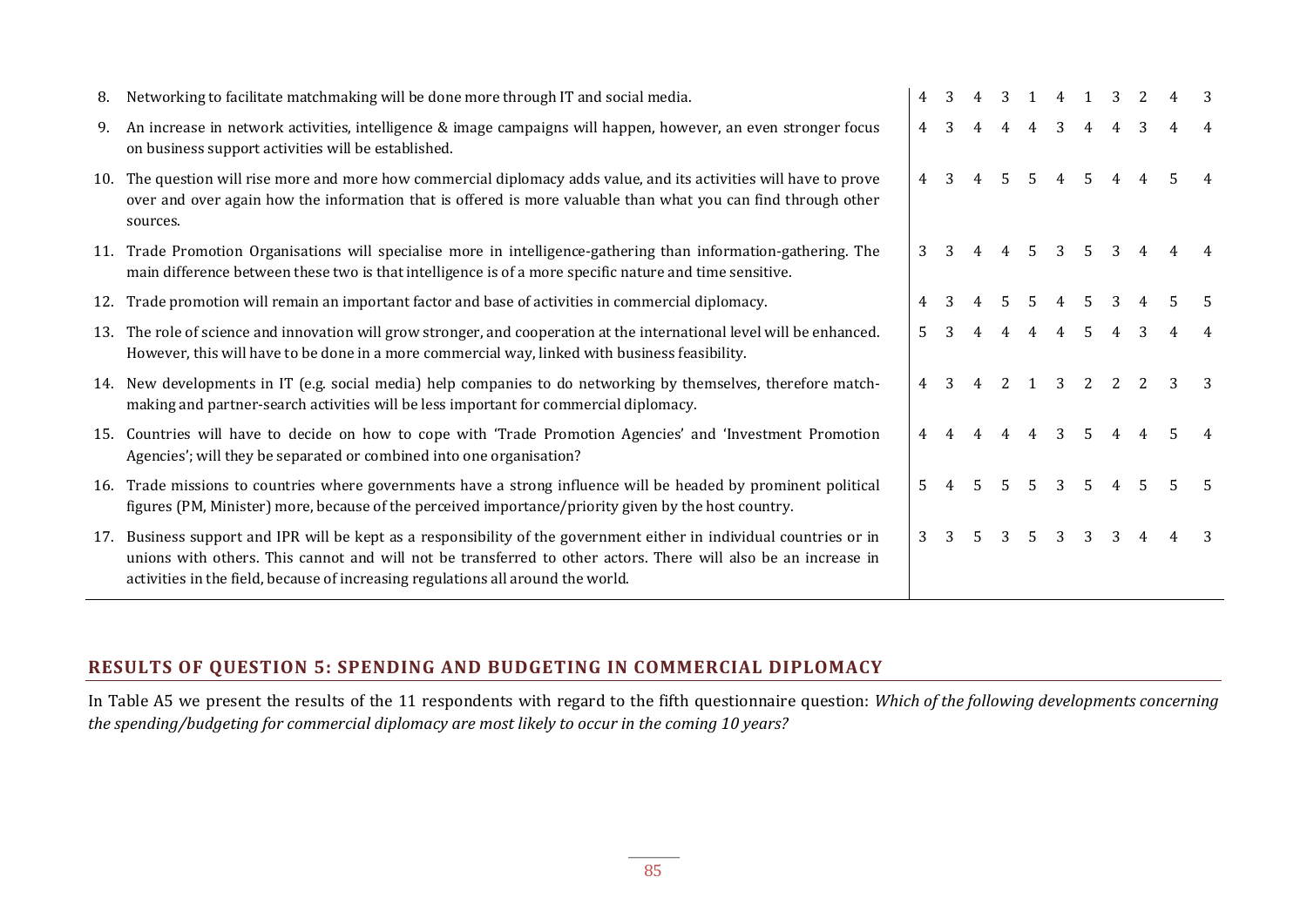| 8.  | Networking to facilitate matchmaking will be done more through IT and social media.                                                                                                                                                                                                                                    | 4           | 3 |   | 3  | 1  | 4 |                | 3 |    |    | 3  |
|-----|------------------------------------------------------------------------------------------------------------------------------------------------------------------------------------------------------------------------------------------------------------------------------------------------------------------------|-------------|---|---|----|----|---|----------------|---|----|----|----|
| 9.  | An increase in network activities, intelligence & image campaigns will happen, however, an even stronger focus<br>on business support activities will be established.                                                                                                                                                  | 4           | 3 |   |    | 4  | 3 | $\overline{A}$ |   |    |    |    |
| 10. | The question will rise more and more how commercial diplomacy adds value, and its activities will have to prove<br>over and over again how the information that is offered is more valuable than what you can find through other<br>sources.                                                                           | 4           | 3 |   | 5  | 5  | 4 | .5             |   |    |    |    |
| 11. | Trade Promotion Organisations will specialise more in intelligence-gathering than information-gathering. The<br>main difference between these two is that intelligence is of a more specific nature and time sensitive.                                                                                                | 3           | 3 | 4 | 4  | 5. | 3 | .5.            | 3 | 4  |    |    |
| 12. | Trade promotion will remain an important factor and base of activities in commercial diplomacy.                                                                                                                                                                                                                        |             |   |   |    |    |   | -5.            | 3 |    |    |    |
| 13. | The role of science and innovation will grow stronger, and cooperation at the international level will be enhanced.<br>However, this will have to be done in a more commercial way, linked with business feasibility.                                                                                                  | 5.          |   |   |    | 4  | 4 | -5             |   |    |    |    |
| 14. | New developments in IT (e.g. social media) help companies to do networking by themselves, therefore match-<br>making and partner-search activities will be less important for commercial diplomacy.                                                                                                                    | 4           |   |   | 2  |    | 3 | 2              | 2 |    |    |    |
| 15. | Countries will have to decide on how to cope with 'Trade Promotion Agencies' and 'Investment Promotion<br>Agencies'; will they be separated or combined into one organisation?                                                                                                                                         | 4           |   |   |    | 4  | 3 | .5             |   |    |    |    |
| 16. | Trade missions to countries where governments have a strong influence will be headed by prominent political<br>figures (PM, Minister) more, because of the perceived importance/priority given by the host country.                                                                                                    | $5^{\circ}$ |   | 5 | 5. | 5  | 3 | .5.            | 4 | .5 | 5. | -5 |
| 17. | Business support and IPR will be kept as a responsibility of the government either in individual countries or in<br>unions with others. This cannot and will not be transferred to other actors. There will also be an increase in<br>activities in the field, because of increasing regulations all around the world. | 3           |   |   | 3  | .5 | 3 | 3              | 3 | 4  |    |    |

## **RESULTS OF QUESTION 5: SPENDING AND BUDGETING IN COMMERCIAL DIPLOMACY**

In Table A5 we present the results of the 11 respondents with regard to the fifth questionnaire question: *Which of the following developments concerning the spending/budgeting for commercial diplomacy are most likely to occur in the coming 10 years?*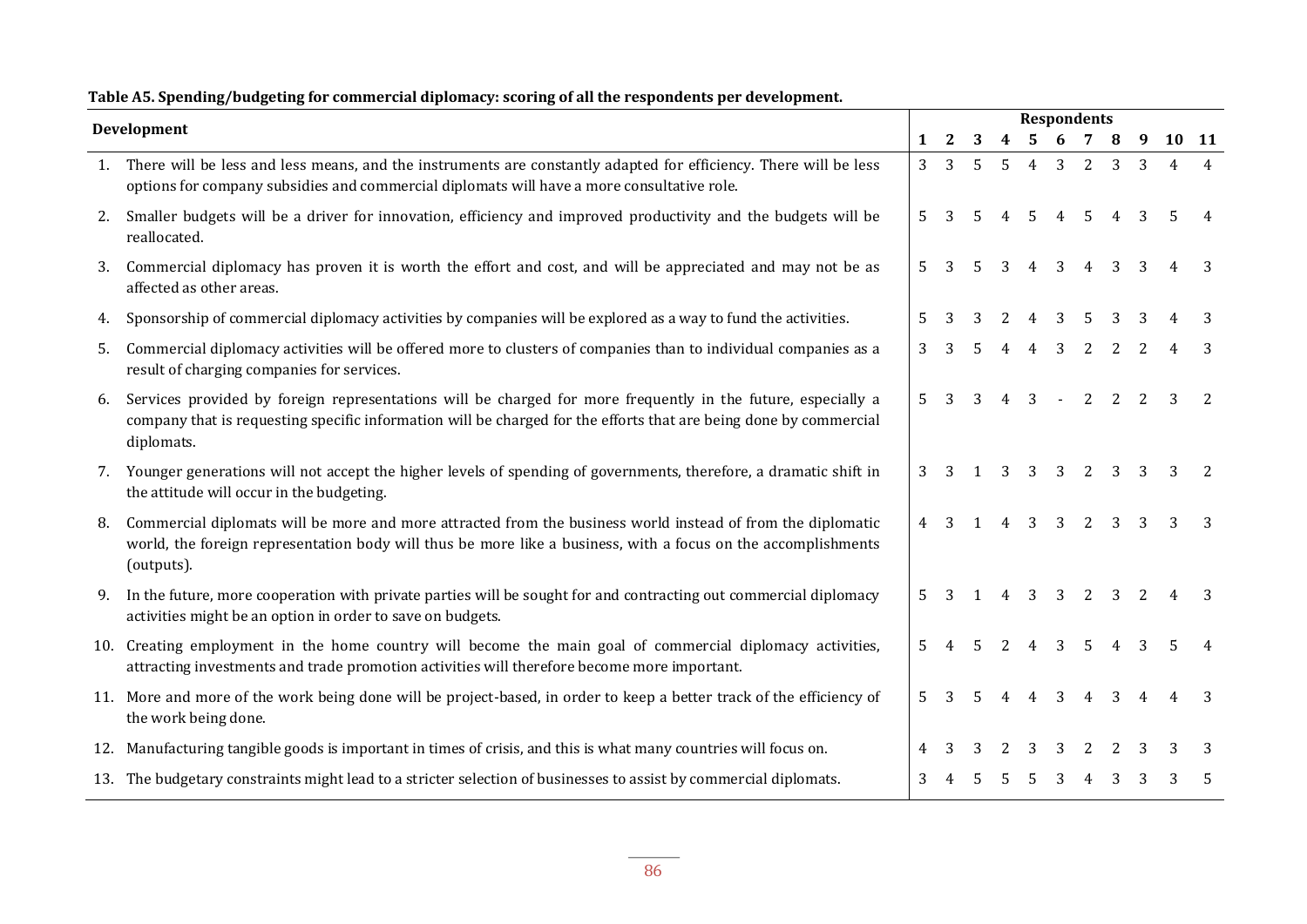|     | Development                                                                                                                                                                                                                                     |                |   |    |                |                | <b>Respondents</b> |                |   |   |       |
|-----|-------------------------------------------------------------------------------------------------------------------------------------------------------------------------------------------------------------------------------------------------|----------------|---|----|----------------|----------------|--------------------|----------------|---|---|-------|
|     |                                                                                                                                                                                                                                                 | 1              | 2 | 3  | 4              | 5.             | 6                  | 7              |   | 9 | 10 11 |
|     | 1. There will be less and less means, and the instruments are constantly adapted for efficiency. There will be less<br>options for company subsidies and commercial diplomats will have a more consultative role.                               | $\overline{3}$ | 3 | 5  | $\overline{5}$ | $\overline{4}$ | 3                  | 2              | 3 | 3 |       |
| 2.  | Smaller budgets will be a driver for innovation, efficiency and improved productivity and the budgets will be<br>reallocated.                                                                                                                   | 5              |   |    |                | .5             |                    | 5              |   |   |       |
| 3.  | Commercial diplomacy has proven it is worth the effort and cost, and will be appreciated and may not be as<br>affected as other areas.                                                                                                          | 5              |   | 5. | 3              |                | 3                  | $\overline{4}$ | 3 |   |       |
| 4.  | Sponsorship of commercial diplomacy activities by companies will be explored as a way to fund the activities.                                                                                                                                   | 5              |   |    |                |                |                    |                |   |   |       |
| 5.  | Commercial diplomacy activities will be offered more to clusters of companies than to individual companies as a<br>result of charging companies for services.                                                                                   | 3              | 3 |    |                |                | 3                  | 2              | 2 |   | 3     |
| 6.  | Services provided by foreign representations will be charged for more frequently in the future, especially a<br>company that is requesting specific information will be charged for the efforts that are being done by commercial<br>diplomats. | 5              | 3 |    |                | 3              |                    | 2              | 2 |   |       |
|     | 7. Younger generations will not accept the higher levels of spending of governments, therefore, a dramatic shift in<br>the attitude will occur in the budgeting.                                                                                | 3              | 3 |    | 3              | 3              | 3                  | 2              | 3 | 3 | 2     |
| 8.  | Commercial diplomats will be more and more attracted from the business world instead of from the diplomatic<br>world, the foreign representation body will thus be more like a business, with a focus on the accomplishments<br>(outputs).      | $\overline{4}$ | 3 |    | 4              | 3              | 3                  | 2              | 3 |   |       |
| 9.  | In the future, more cooperation with private parties will be sought for and contracting out commercial diplomacy<br>activities might be an option in order to save on budgets.                                                                  | 5              | 3 |    | 4              | 3              | 3                  | 2              | 3 |   |       |
| 10. | Creating employment in the home country will become the main goal of commercial diplomacy activities,<br>attracting investments and trade promotion activities will therefore become more important.                                            | 5              |   | 5  | $\overline{2}$ | $\overline{4}$ | 3                  | 5              |   |   |       |
|     | 11. More and more of the work being done will be project-based, in order to keep a better track of the efficiency of<br>the work being done.                                                                                                    | 5              | 3 | .5 | 4              | 4              | 3                  | $\overline{4}$ | 3 |   | 3     |
| 12. | Manufacturing tangible goods is important in times of crisis, and this is what many countries will focus on.                                                                                                                                    | 4              |   |    |                |                |                    |                |   |   |       |
|     | 13. The budgetary constraints might lead to a stricter selection of businesses to assist by commercial diplomats.                                                                                                                               | 3              |   |    |                |                |                    |                |   |   |       |
|     |                                                                                                                                                                                                                                                 |                |   |    |                |                |                    |                |   |   |       |

# **Table A5. Spending/budgeting for commercial diplomacy: scoring of all the respondents per development.**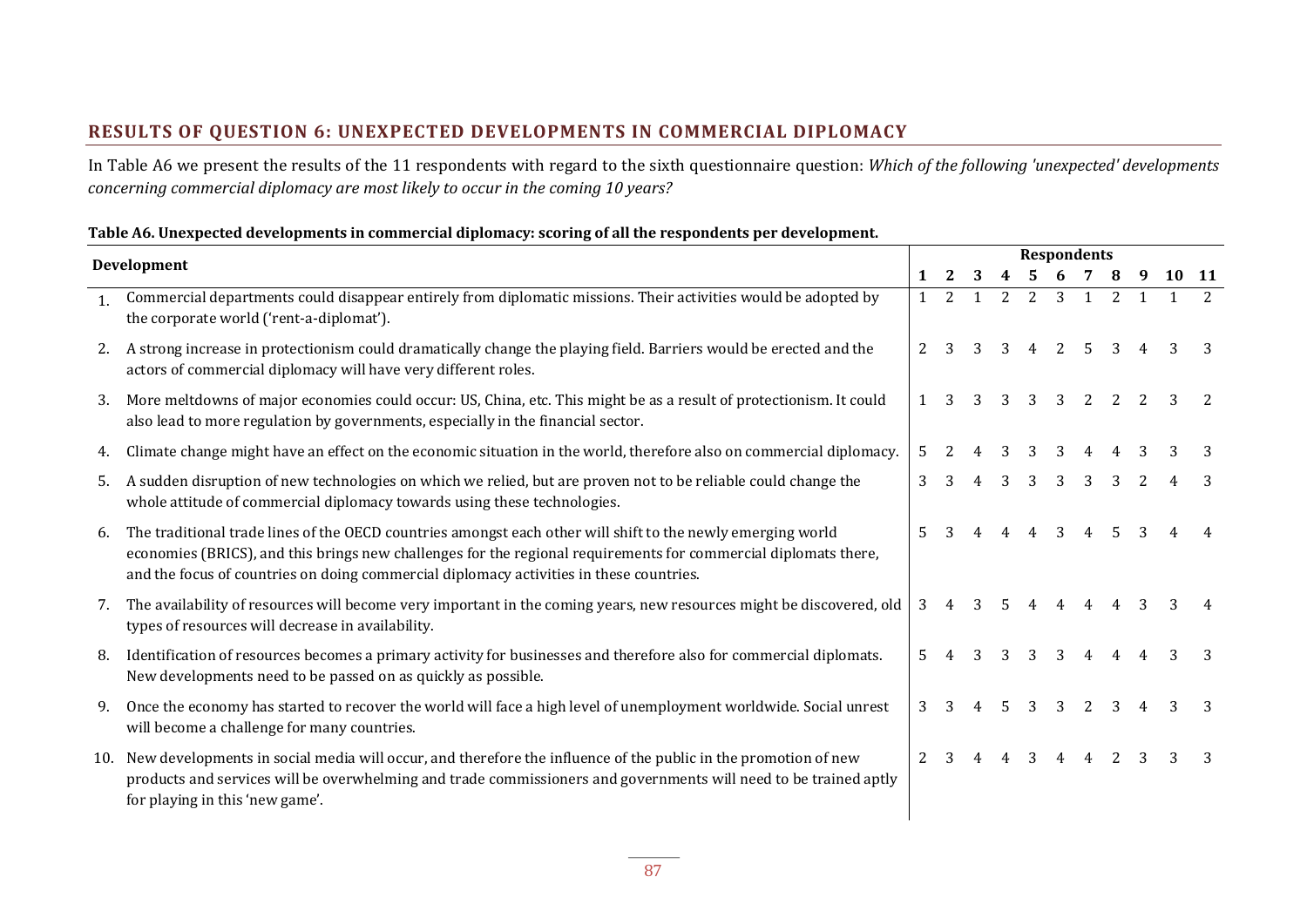## **RESULTS OF QUESTION 6: UNEXPECTED DEVELOPMENTS IN COMMERCIAL DIPLOMACY**

In Table A6 we present the results of the 11 respondents with regard to the sixth questionnaire question: *Which of the following 'unexpected' developments concerning commercial diplomacy are most likely to occur in the coming 10 years?*

#### **Table A6. Unexpected developments in commercial diplomacy: scoring of all the respondents per development.**

|              | Development                                                                                                                                                                                                                                                                                                               |                | <b>Respondents</b> |   |                |   |   |                |                |  |       |                |  |
|--------------|---------------------------------------------------------------------------------------------------------------------------------------------------------------------------------------------------------------------------------------------------------------------------------------------------------------------------|----------------|--------------------|---|----------------|---|---|----------------|----------------|--|-------|----------------|--|
|              |                                                                                                                                                                                                                                                                                                                           | 1              | 2                  | 3 |                |   | 6 |                |                |  | 10 11 |                |  |
| $\mathbf{1}$ | Commercial departments could disappear entirely from diplomatic missions. Their activities would be adopted by<br>the corporate world ('rent-a-diplomat').                                                                                                                                                                | $\mathbf{1}$   | 2                  | 1 | $\overline{2}$ | 2 | 3 | 1              | $\overline{2}$ |  |       | $\overline{2}$ |  |
| 2.           | A strong increase in protectionism could dramatically change the playing field. Barriers would be erected and the<br>actors of commercial diplomacy will have very different roles.                                                                                                                                       | $\overline{2}$ |                    |   |                |   | 2 | 5              |                |  |       |                |  |
| 3.           | More meltdowns of major economies could occur: US, China, etc. This might be as a result of protectionism. It could<br>also lead to more regulation by governments, especially in the financial sector.                                                                                                                   | $\mathbf{1}$   |                    | 3 | 3              | 3 | 3 | 2              |                |  |       | 2              |  |
|              | Climate change might have an effect on the economic situation in the world, therefore also on commercial diplomacy.                                                                                                                                                                                                       | 5              |                    |   |                |   |   |                |                |  |       |                |  |
| 5.           | A sudden disruption of new technologies on which we relied, but are proven not to be reliable could change the<br>whole attitude of commercial diplomacy towards using these technologies.                                                                                                                                | 3              |                    |   | 3              |   | 3 | 3              |                |  |       |                |  |
| 6.           | The traditional trade lines of the OECD countries amongst each other will shift to the newly emerging world<br>economies (BRICS), and this brings new challenges for the regional requirements for commercial diplomats there,<br>and the focus of countries on doing commercial diplomacy activities in these countries. | 5              |                    |   |                |   | 3 |                |                |  |       |                |  |
| 7.           | The availability of resources will become very important in the coming years, new resources might be discovered, old<br>types of resources will decrease in availability.                                                                                                                                                 | 3              | 4                  | 3 |                |   |   |                |                |  |       |                |  |
| 8.           | Identification of resources becomes a primary activity for businesses and therefore also for commercial diplomats.<br>New developments need to be passed on as quickly as possible.                                                                                                                                       | 5              |                    |   |                | 3 | 3 | 4              |                |  |       |                |  |
| 9.           | Once the economy has started to recover the world will face a high level of unemployment worldwide. Social unrest<br>will become a challenge for many countries.                                                                                                                                                          | 3              |                    |   | .5             | 3 | 3 | $\overline{2}$ |                |  |       |                |  |
| 10.          | New developments in social media will occur, and therefore the influence of the public in the promotion of new<br>products and services will be overwhelming and trade commissioners and governments will need to be trained aptly<br>for playing in this 'new game'.                                                     | $\overline{2}$ | 3                  |   | 4              | 3 | 4 | $\overline{4}$ |                |  |       |                |  |